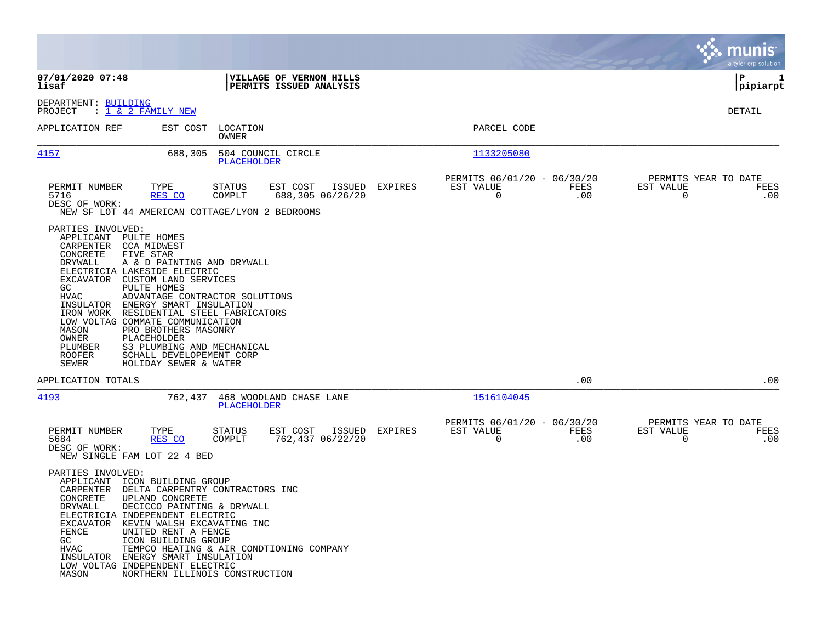|                                                                                                                                                                                                  |                                                                                                                                                                                                                                                                                                                                                                            |                            |                                                    |         |                                                         |             |                                                  | munis<br>a tyler erp solution |
|--------------------------------------------------------------------------------------------------------------------------------------------------------------------------------------------------|----------------------------------------------------------------------------------------------------------------------------------------------------------------------------------------------------------------------------------------------------------------------------------------------------------------------------------------------------------------------------|----------------------------|----------------------------------------------------|---------|---------------------------------------------------------|-------------|--------------------------------------------------|-------------------------------|
| 07/01/2020 07:48<br>lisaf                                                                                                                                                                        |                                                                                                                                                                                                                                                                                                                                                                            |                            | VILLAGE OF VERNON HILLS<br>PERMITS ISSUED ANALYSIS |         |                                                         |             |                                                  | P<br>1<br> pipiarpt           |
| DEPARTMENT: BUILDING<br>PROJECT                                                                                                                                                                  | : <u>1 &amp; 2 FAMILY NEW</u>                                                                                                                                                                                                                                                                                                                                              |                            |                                                    |         |                                                         |             |                                                  | DETAIL                        |
| APPLICATION REF                                                                                                                                                                                  |                                                                                                                                                                                                                                                                                                                                                                            | EST COST LOCATION<br>OWNER |                                                    |         | PARCEL CODE                                             |             |                                                  |                               |
| 4157                                                                                                                                                                                             | 688,305                                                                                                                                                                                                                                                                                                                                                                    | PLACEHOLDER                | 504 COUNCIL CIRCLE                                 |         | 1133205080                                              |             |                                                  |                               |
| PERMIT NUMBER<br>5716<br>DESC OF WORK:                                                                                                                                                           | TYPE<br>RES CO<br>NEW SF LOT 44 AMERICAN COTTAGE/LYON 2 BEDROOMS                                                                                                                                                                                                                                                                                                           | STATUS<br>COMPLT           | EST COST<br>ISSUED<br>688,305 06/26/20             | EXPIRES | PERMITS 06/01/20 - 06/30/20<br>EST VALUE<br>$\mathbf 0$ | FEES<br>.00 | PERMITS YEAR TO DATE<br>EST VALUE<br>$\mathbf 0$ | FEES<br>.00                   |
| PARTIES INVOLVED:<br>APPLICANT PULTE HOMES<br>CARPENTER CCA MIDWEST<br>CONCRETE<br>DRYWALL<br>EXCAVATOR<br>GC.<br>HVAC<br>INSULATOR<br>IRON WORK<br>MASON<br>OWNER<br>PLUMBER<br>ROOFER<br>SEWER | FIVE STAR<br>A & D PAINTING AND DRYWALL<br>ELECTRICIA LAKESIDE ELECTRIC<br>CUSTOM LAND SERVICES<br>PULTE HOMES<br>ADVANTAGE CONTRACTOR SOLUTIONS<br>ENERGY SMART INSULATION<br>RESIDENTIAL STEEL FABRICATORS<br>LOW VOLTAG COMMATE COMMUNICATION<br>PRO BROTHERS MASONRY<br>PLACEHOLDER<br>S3 PLUMBING AND MECHANICAL<br>SCHALL DEVELOPEMENT CORP<br>HOLIDAY SEWER & WATER |                            |                                                    |         |                                                         |             |                                                  |                               |
| APPLICATION TOTALS                                                                                                                                                                               |                                                                                                                                                                                                                                                                                                                                                                            |                            |                                                    |         |                                                         | .00         |                                                  | .00                           |
| 4193                                                                                                                                                                                             | 762,437                                                                                                                                                                                                                                                                                                                                                                    | <b>PLACEHOLDER</b>         | 468 WOODLAND CHASE LANE                            |         | 1516104045                                              |             |                                                  |                               |
| PERMIT NUMBER<br>5684<br>DESC OF WORK:                                                                                                                                                           | TYPE<br>RES CO<br>NEW SINGLE FAM LOT 22 4 BED                                                                                                                                                                                                                                                                                                                              | STATUS<br>COMPLT           | EST COST<br>ISSUED<br>762,437 06/22/20             | EXPIRES | PERMITS 06/01/20 - 06/30/20<br>EST VALUE<br>0           | FEES<br>.00 | PERMITS YEAR TO DATE<br>EST VALUE<br>0           | FEES<br>.00                   |
| PARTIES INVOLVED:<br>CARPENTER<br>CONCRETE<br>DRYWALL<br>FENCE<br>GC<br>HVAC<br>INSULATOR<br>MASON                                                                                               | APPLICANT ICON BUILDING GROUP<br>DELTA CARPENTRY CONTRACTORS INC<br>UPLAND CONCRETE<br>DECICCO PAINTING & DRYWALL<br>ELECTRICIA INDEPENDENT ELECTRIC<br>EXCAVATOR KEVIN WALSH EXCAVATING INC<br>UNITED RENT A FENCE<br>ICON BUILDING GROUP<br>ENERGY SMART INSULATION<br>LOW VOLTAG INDEPENDENT ELECTRIC<br>NORTHERN ILLINOIS CONSTRUCTION                                 |                            | TEMPCO HEATING & AIR CONDTIONING COMPANY           |         |                                                         |             |                                                  |                               |

and the contract of the contract of the contract of the contract of the contract of the contract of the contract of

the property of the control of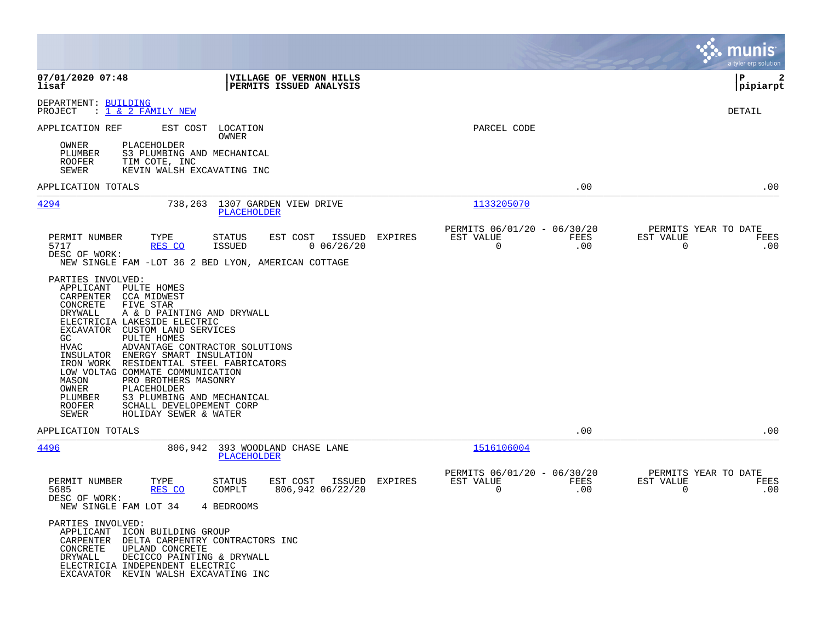|                                                                                                                                                                                                                                                                                                                                                                                                                                                                                                                                                                                |                                                                |                |                                                            |             |                             | munis<br>a tyler erp solution       |
|--------------------------------------------------------------------------------------------------------------------------------------------------------------------------------------------------------------------------------------------------------------------------------------------------------------------------------------------------------------------------------------------------------------------------------------------------------------------------------------------------------------------------------------------------------------------------------|----------------------------------------------------------------|----------------|------------------------------------------------------------|-------------|-----------------------------|-------------------------------------|
| 07/01/2020 07:48<br>lisaf                                                                                                                                                                                                                                                                                                                                                                                                                                                                                                                                                      | VILLAGE OF VERNON HILLS<br>PERMITS ISSUED ANALYSIS             |                |                                                            |             |                             | l P<br>2<br> pipiarpt               |
| DEPARTMENT: BUILDING<br>PROJECT<br>: 1 <u>&amp; 2 FAMILY NEW</u>                                                                                                                                                                                                                                                                                                                                                                                                                                                                                                               |                                                                |                |                                                            |             |                             | DETAIL                              |
| APPLICATION REF<br>EST COST LOCATION<br>PLACEHOLDER<br>OWNER<br>S3 PLUMBING AND MECHANICAL<br>PLUMBER<br>ROOFER<br>TIM COTE, INC<br><b>SEWER</b><br>KEVIN WALSH EXCAVATING INC                                                                                                                                                                                                                                                                                                                                                                                                 | OWNER                                                          |                | PARCEL CODE                                                |             |                             |                                     |
| APPLICATION TOTALS                                                                                                                                                                                                                                                                                                                                                                                                                                                                                                                                                             |                                                                |                |                                                            | .00         |                             | .00                                 |
| 4294                                                                                                                                                                                                                                                                                                                                                                                                                                                                                                                                                                           | 738,263 1307 GARDEN VIEW DRIVE<br>PLACEHOLDER                  |                | 1133205070                                                 |             |                             |                                     |
| PERMIT NUMBER<br>TYPE<br>5717<br>RES CO<br>DESC OF WORK:<br>NEW SINGLE FAM -LOT 36 2 BED LYON, AMERICAN COTTAGE                                                                                                                                                                                                                                                                                                                                                                                                                                                                | STATUS<br>EST COST ISSUED EXPIRES<br>ISSUED<br>0.06/26/20      |                | PERMITS 06/01/20 - 06/30/20<br>EST VALUE<br>$\overline{0}$ | FEES<br>.00 | EST VALUE<br>$\overline{0}$ | PERMITS YEAR TO DATE<br>FEES<br>.00 |
| PARTIES INVOLVED:<br>APPLICANT PULTE HOMES<br>CCA MIDWEST<br>CARPENTER<br>CONCRETE<br>FIVE STAR<br>DRYWALL<br>A & D PAINTING AND DRYWALL<br>ELECTRICIA LAKESIDE ELECTRIC<br>EXCAVATOR CUSTOM LAND SERVICES<br>GC<br>PULTE HOMES<br><b>HVAC</b><br>ADVANTAGE CONTRACTOR SOLUTIONS<br>INSULATOR ENERGY SMART INSULATION<br>IRON WORK RESIDENTIAL STEEL FABRICATORS<br>LOW VOLTAG COMMATE COMMUNICATION<br>MASON<br>PRO BROTHERS MASONRY<br>OWNER<br>PLACEHOLDER<br>S3 PLUMBING AND MECHANICAL<br>PLUMBER<br>ROOFER<br>SCHALL DEVELOPEMENT CORP<br>SEWER<br>HOLIDAY SEWER & WATER |                                                                |                |                                                            |             |                             |                                     |
| APPLICATION TOTALS                                                                                                                                                                                                                                                                                                                                                                                                                                                                                                                                                             |                                                                |                |                                                            | .00         |                             | .00                                 |
| <u>4496</u><br>806,942                                                                                                                                                                                                                                                                                                                                                                                                                                                                                                                                                         | 393 WOODLAND CHASE LANE<br>PLACEHOLDER                         |                | 1516106004                                                 |             |                             |                                     |
| PERMIT NUMBER<br>TYPE<br>5685<br>RES CO<br>DESC OF WORK:<br>NEW SINGLE FAM LOT 34<br>PARTIES INVOLVED:<br>APPLICANT<br>ICON BUILDING GROUP<br>CARPENTER<br>DELTA CARPENTRY CONTRACTORS INC<br>CONCRETE<br>UPLAND CONCRETE<br>DRYWALL<br>DECICCO PAINTING & DRYWALL<br>ELECTRICIA INDEPENDENT ELECTRIC<br>EXCAVATOR KEVIN WALSH EXCAVATING INC                                                                                                                                                                                                                                  | EST COST<br>STATUS<br>COMPLT<br>806,942 06/22/20<br>4 BEDROOMS | ISSUED EXPIRES | PERMITS 06/01/20 - 06/30/20<br>EST VALUE<br>$\Omega$       | FEES<br>.00 | EST VALUE<br>$\mathbf 0$    | PERMITS YEAR TO DATE<br>FEES<br>.00 |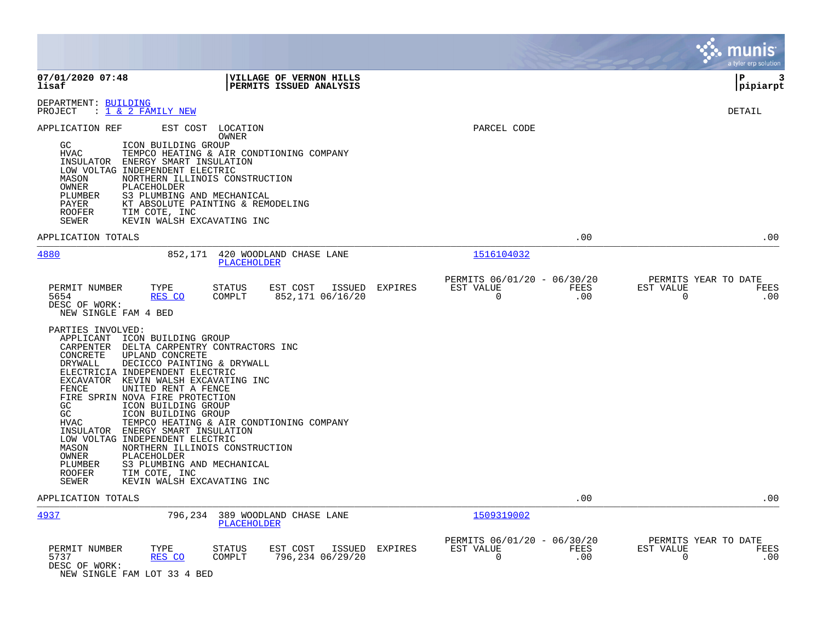|                                                                                                                                                                                                                                                                                                                                                                                                                                                                                                                                                                                              |                |                                                         |             | munis<br>a tyler erp solution                                |
|----------------------------------------------------------------------------------------------------------------------------------------------------------------------------------------------------------------------------------------------------------------------------------------------------------------------------------------------------------------------------------------------------------------------------------------------------------------------------------------------------------------------------------------------------------------------------------------------|----------------|---------------------------------------------------------|-------------|--------------------------------------------------------------|
| 07/01/2020 07:48<br>VILLAGE OF VERNON HILLS<br>lisaf<br>PERMITS ISSUED ANALYSIS                                                                                                                                                                                                                                                                                                                                                                                                                                                                                                              |                |                                                         |             | 3<br>P<br> pipiarpt                                          |
| DEPARTMENT: BUILDING<br>: <u>1 &amp; 2 FAMILY NEW</u><br>PROJECT                                                                                                                                                                                                                                                                                                                                                                                                                                                                                                                             |                |                                                         |             | DETAIL                                                       |
| EST COST LOCATION<br>APPLICATION REF<br>OWNER<br>GC<br>ICON BUILDING GROUP<br><b>HVAC</b><br>TEMPCO HEATING & AIR CONDTIONING COMPANY<br>ENERGY SMART INSULATION<br>INSULATOR<br>LOW VOLTAG INDEPENDENT ELECTRIC<br>MASON<br>NORTHERN ILLINOIS CONSTRUCTION<br>OWNER<br>PLACEHOLDER<br>PLUMBER<br>S3 PLUMBING AND MECHANICAL<br>PAYER<br>KT ABSOLUTE PAINTING & REMODELING<br>TIM COTE, INC<br>ROOFER<br>SEWER<br>KEVIN WALSH EXCAVATING INC                                                                                                                                                 |                | PARCEL CODE                                             |             |                                                              |
| APPLICATION TOTALS                                                                                                                                                                                                                                                                                                                                                                                                                                                                                                                                                                           |                |                                                         | .00         | .00                                                          |
| 4880<br>852,171<br>420 WOODLAND CHASE LANE<br>PLACEHOLDER                                                                                                                                                                                                                                                                                                                                                                                                                                                                                                                                    |                | 1516104032                                              |             |                                                              |
| PERMIT NUMBER<br>TYPE<br>STATUS<br>EST COST<br>ISSUED<br>RES CO<br>852,171 06/16/20<br>5654<br>COMPLT<br>DESC OF WORK:<br>NEW SINGLE FAM 4 BED<br>PARTIES INVOLVED:<br>APPLICANT ICON BUILDING GROUP<br>CARPENTER DELTA CARPENTRY CONTRACTORS INC<br>CONCRETE<br>UPLAND CONCRETE<br>DECICCO PAINTING & DRYWALL<br>DRYWALL<br>ELECTRICIA INDEPENDENT ELECTRIC<br>EXCAVATOR KEVIN WALSH EXCAVATING INC<br>FENCE<br>UNITED RENT A FENCE<br>FIRE SPRIN NOVA FIRE PROTECTION<br>GC<br>ICON BUILDING GROUP<br>GC<br>ICON BUILDING GROUP<br><b>HVAC</b><br>TEMPCO HEATING & AIR CONDTIONING COMPANY | <b>EXPIRES</b> | PERMITS 06/01/20 - 06/30/20<br>EST VALUE<br>0           | FEES<br>.00 | PERMITS YEAR TO DATE<br>EST VALUE<br>FEES<br>$\Omega$<br>.00 |
| INSULATOR ENERGY SMART INSULATION<br>LOW VOLTAG INDEPENDENT ELECTRIC<br>MASON<br>NORTHERN ILLINOIS CONSTRUCTION<br>OWNER<br>PLACEHOLDER<br>PLUMBER<br>S3 PLUMBING AND MECHANICAL<br>TIM COTE, INC<br><b>ROOFER</b><br>KEVIN WALSH EXCAVATING INC<br>SEWER                                                                                                                                                                                                                                                                                                                                    |                |                                                         |             |                                                              |
| APPLICATION TOTALS                                                                                                                                                                                                                                                                                                                                                                                                                                                                                                                                                                           |                |                                                         | .00         | .00                                                          |
| <u>4937</u><br>796,234<br>389 WOODLAND CHASE LANE<br><b>PLACEHOLDER</b>                                                                                                                                                                                                                                                                                                                                                                                                                                                                                                                      |                | 1509319002                                              |             |                                                              |
| PERMIT NUMBER<br>TYPE<br>STATUS<br>EST COST<br>ISSUED<br>COMPLT<br>796,234 06/29/20<br>5737<br>RES CO<br>DESC OF WORK:<br>NEW SINGLE FAM LOT 33 4 BED                                                                                                                                                                                                                                                                                                                                                                                                                                        | <b>EXPIRES</b> | PERMITS 06/01/20 - 06/30/20<br>EST VALUE<br>$\mathbf 0$ | FEES<br>.00 | PERMITS YEAR TO DATE<br>EST VALUE<br>FEES<br>.00<br>$\Omega$ |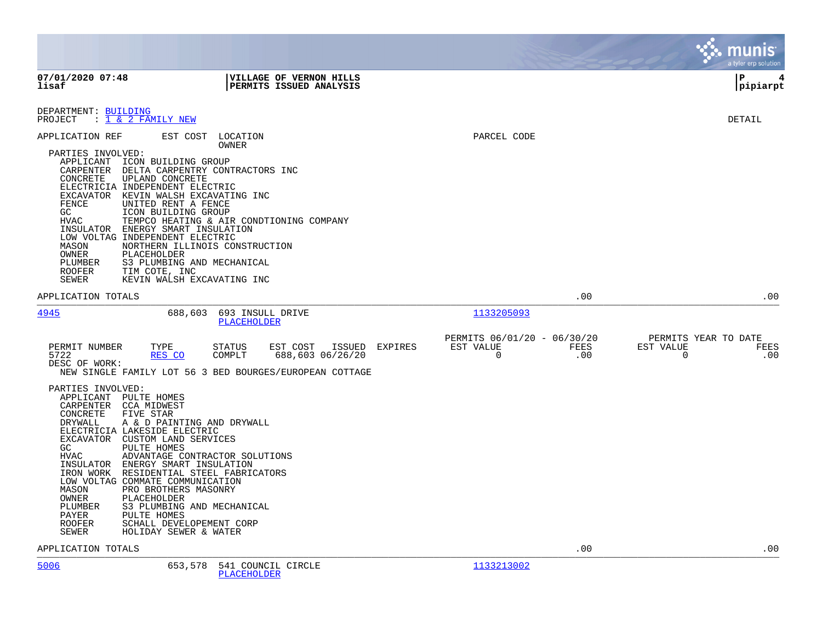|                                                                                                                                                                                                                                                                                 |                                                                                                                                                                                                                                                                                                                                                                                                                                                                                                                                                 |                                                                        | munis<br>a tyler erp solution                         |
|---------------------------------------------------------------------------------------------------------------------------------------------------------------------------------------------------------------------------------------------------------------------------------|-------------------------------------------------------------------------------------------------------------------------------------------------------------------------------------------------------------------------------------------------------------------------------------------------------------------------------------------------------------------------------------------------------------------------------------------------------------------------------------------------------------------------------------------------|------------------------------------------------------------------------|-------------------------------------------------------|
| 07/01/2020 07:48<br>lisaf                                                                                                                                                                                                                                                       | VILLAGE OF VERNON HILLS<br>PERMITS ISSUED ANALYSIS                                                                                                                                                                                                                                                                                                                                                                                                                                                                                              |                                                                        | l P<br>4<br> pipiarpt                                 |
| DEPARTMENT: BUILDING<br>PROJECT : 1 & 2 FAMILY NEW                                                                                                                                                                                                                              |                                                                                                                                                                                                                                                                                                                                                                                                                                                                                                                                                 |                                                                        | DETAIL                                                |
| APPLICATION REF<br>PARTIES INVOLVED:<br>CARPENTER<br>CONCRETE<br>FENCE<br>GC<br><b>HVAC</b><br>MASON<br>OWNER<br>PLUMBER<br>ROOFER<br>SEWER                                                                                                                                     | EST COST<br>LOCATION<br><b>OWNER</b><br>APPLICANT ICON BUILDING GROUP<br>DELTA CARPENTRY CONTRACTORS INC<br>UPLAND CONCRETE<br>ELECTRICIA INDEPENDENT ELECTRIC<br>EXCAVATOR KEVIN WALSH EXCAVATING INC<br>UNITED RENT A FENCE<br>ICON BUILDING GROUP<br>TEMPCO HEATING & AIR CONDTIONING COMPANY<br>INSULATOR ENERGY SMART INSULATION<br>LOW VOLTAG INDEPENDENT ELECTRIC<br>NORTHERN ILLINOIS CONSTRUCTION<br>PLACEHOLDER<br>S3 PLUMBING AND MECHANICAL<br>TIM COTE, INC<br>KEVIN WALSH EXCAVATING INC                                          | PARCEL CODE                                                            |                                                       |
| APPLICATION TOTALS                                                                                                                                                                                                                                                              |                                                                                                                                                                                                                                                                                                                                                                                                                                                                                                                                                 | .00                                                                    | .00                                                   |
| 4945                                                                                                                                                                                                                                                                            | 688,603<br>693 INSULL DRIVE<br>PLACEHOLDER                                                                                                                                                                                                                                                                                                                                                                                                                                                                                                      | 1133205093                                                             |                                                       |
| PERMIT NUMBER<br>5722<br>DESC OF WORK:<br>PARTIES INVOLVED:<br>APPLICANT PULTE HOMES<br>CARPENTER<br>CONCRETE<br>DRYWALL<br>ELECTRICIA LAKESIDE ELECTRIC<br>GC.<br><b>HVAC</b><br>INSULATOR<br>IRON WORK<br>MASON<br>OWNER<br>PLUMBER<br>PAYER<br><b>ROOFER</b><br><b>SEWER</b> | TYPE<br><b>STATUS</b><br>EST COST<br>ISSUED<br>EXPIRES<br>RES CO<br>COMPLT<br>688,603 06/26/20<br>NEW SINGLE FAMILY LOT 56 3 BED BOURGES/EUROPEAN COTTAGE<br>CCA MIDWEST<br>FIVE STAR<br>A & D PAINTING AND DRYWALL<br>EXCAVATOR CUSTOM LAND SERVICES<br>PULTE HOMES<br>ADVANTAGE CONTRACTOR SOLUTIONS<br>ENERGY SMART INSULATION<br>RESIDENTIAL STEEL FABRICATORS<br>LOW VOLTAG COMMATE COMMUNICATION<br>PRO BROTHERS MASONRY<br>PLACEHOLDER<br>S3 PLUMBING AND MECHANICAL<br>PULTE HOMES<br>SCHALL DEVELOPEMENT CORP<br>HOLIDAY SEWER & WATER | PERMITS 06/01/20 - 06/30/20<br>EST VALUE<br>FEES<br>$\mathbf 0$<br>.00 | PERMITS YEAR TO DATE<br>EST VALUE<br>FEES<br>0<br>.00 |
| APPLICATION TOTALS                                                                                                                                                                                                                                                              |                                                                                                                                                                                                                                                                                                                                                                                                                                                                                                                                                 | .00                                                                    | .00                                                   |
| 5006                                                                                                                                                                                                                                                                            | 653,578 541 COUNCIL CIRCLE                                                                                                                                                                                                                                                                                                                                                                                                                                                                                                                      | 1133213002                                                             |                                                       |

[PLACEHOLDER](http://vvh-munis1:55000/views/PassThru.aspx?-E=QFdVWgFVbDJoIVil7nE3YiN5Ohvd%2BrRVvBG5qZaa7OA=&)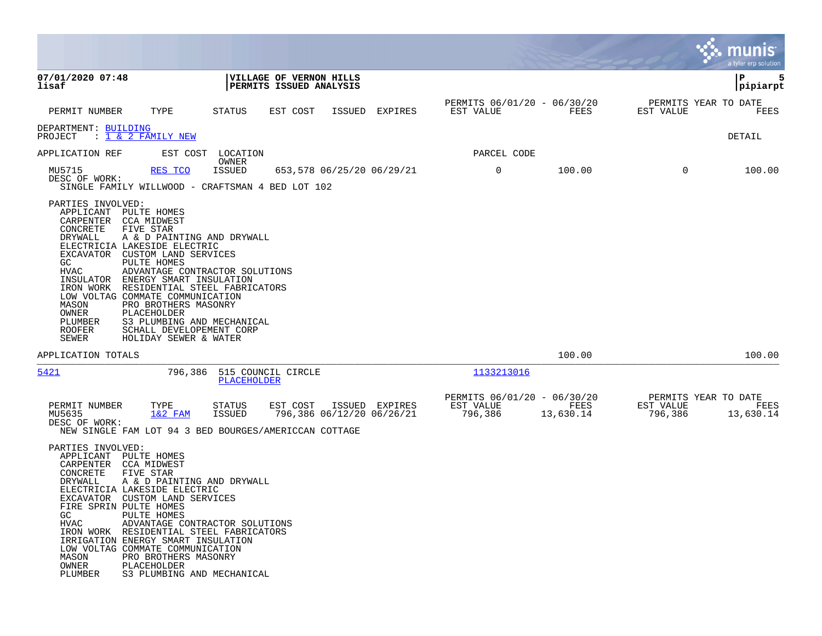|                                                                                                                                                                                |                                                                                                                                                                                                                                                                                                                                                                                                          |                                |                                                    |        |                           |                                                     |             |                   |                                   | munis<br>a tyler erp solution             |
|--------------------------------------------------------------------------------------------------------------------------------------------------------------------------------|----------------------------------------------------------------------------------------------------------------------------------------------------------------------------------------------------------------------------------------------------------------------------------------------------------------------------------------------------------------------------------------------------------|--------------------------------|----------------------------------------------------|--------|---------------------------|-----------------------------------------------------|-------------|-------------------|-----------------------------------|-------------------------------------------|
| 07/01/2020 07:48<br>lisaf                                                                                                                                                      |                                                                                                                                                                                                                                                                                                                                                                                                          |                                | VILLAGE OF VERNON HILLS<br>PERMITS ISSUED ANALYSIS |        |                           |                                                     |             |                   |                                   | ΙP<br>5<br>pipiarpt                       |
| PERMIT NUMBER                                                                                                                                                                  | TYPE                                                                                                                                                                                                                                                                                                                                                                                                     | STATUS                         | EST COST                                           | ISSUED | EXPIRES                   | PERMITS 06/01/20 - 06/30/20<br>EST VALUE            |             | FEES              | PERMITS YEAR TO DATE<br>EST VALUE | FEES                                      |
| DEPARTMENT: BUILDING<br>PROJECT                                                                                                                                                | : <u>1 &amp; 2 FAMILY NEW</u>                                                                                                                                                                                                                                                                                                                                                                            |                                |                                                    |        |                           |                                                     |             |                   |                                   | DETAIL                                    |
| APPLICATION REF                                                                                                                                                                | EST COST                                                                                                                                                                                                                                                                                                                                                                                                 | LOCATION                       |                                                    |        |                           |                                                     | PARCEL CODE |                   |                                   |                                           |
| MU5715<br>DESC OF WORK:                                                                                                                                                        | RES TCO<br>SINGLE FAMILY WILLWOOD - CRAFTSMAN 4 BED LOT 102                                                                                                                                                                                                                                                                                                                                              | OWNER<br><b>ISSUED</b>         |                                                    |        | 653,578 06/25/20 06/29/21 | $\mathsf{O}$                                        |             | 100.00            | $\Omega$                          | 100.00                                    |
| PARTIES INVOLVED:<br>APPLICANT PULTE HOMES<br>CARPENTER CCA MIDWEST<br>CONCRETE<br><b>DRYWALL</b><br>GC.<br><b>HVAC</b><br>MASON<br>OWNER<br>PLUMBER<br><b>ROOFER</b><br>SEWER | FIVE STAR<br>A & D PAINTING AND DRYWALL<br>ELECTRICIA LAKESIDE ELECTRIC<br>EXCAVATOR CUSTOM LAND SERVICES<br>PULTE HOMES<br>ADVANTAGE CONTRACTOR SOLUTIONS<br>INSULATOR ENERGY SMART INSULATION<br>IRON WORK RESIDENTIAL STEEL FABRICATORS<br>LOW VOLTAG COMMATE COMMUNICATION<br>PRO BROTHERS MASONRY<br>PLACEHOLDER<br>S3 PLUMBING AND MECHANICAL<br>SCHALL DEVELOPEMENT CORP<br>HOLIDAY SEWER & WATER |                                |                                                    |        |                           |                                                     |             |                   |                                   |                                           |
| APPLICATION TOTALS                                                                                                                                                             |                                                                                                                                                                                                                                                                                                                                                                                                          |                                |                                                    |        |                           |                                                     |             | 100.00            |                                   | 100.00                                    |
| 5421                                                                                                                                                                           | 796,386                                                                                                                                                                                                                                                                                                                                                                                                  | PLACEHOLDER                    | 515 COUNCIL CIRCLE                                 |        |                           | 1133213016                                          |             |                   |                                   |                                           |
| PERMIT NUMBER<br>MU5635<br>DESC OF WORK:                                                                                                                                       | TYPE<br>$1&2$ FAM<br>NEW SINGLE FAM LOT 94 3 BED BOURGES/AMERICCAN COTTAGE                                                                                                                                                                                                                                                                                                                               | <b>STATUS</b><br><b>ISSUED</b> | EST COST<br>796,386 06/12/20 06/26/21              |        | ISSUED EXPIRES            | PERMITS 06/01/20 - 06/30/20<br>EST VALUE<br>796,386 |             | FEES<br>13,630.14 | EST VALUE<br>796,386              | PERMITS YEAR TO DATE<br>FEES<br>13,630.14 |
| PARTIES INVOLVED:<br>APPLICANT PULTE HOMES<br>CARPENTER CCA MIDWEST<br>CONCRETE<br>DRYWALL<br>FIRE SPRIN PULTE HOMES<br>GC.<br><b>HVAC</b><br>MASON<br>OWNER<br>PLUMBER        | FIVE STAR<br>A & D PAINTING AND DRYWALL<br>ELECTRICIA LAKESIDE ELECTRIC<br>EXCAVATOR CUSTOM LAND SERVICES<br>PULTE HOMES<br>ADVANTAGE CONTRACTOR SOLUTIONS<br>IRON WORK RESIDENTIAL STEEL FABRICATORS<br>IRRIGATION ENERGY SMART INSULATION<br>LOW VOLTAG COMMATE COMMUNICATION<br>PRO BROTHERS MASONRY<br>PLACEHOLDER<br>S3 PLUMBING AND MECHANICAL                                                     |                                |                                                    |        |                           |                                                     |             |                   |                                   |                                           |

**Contract**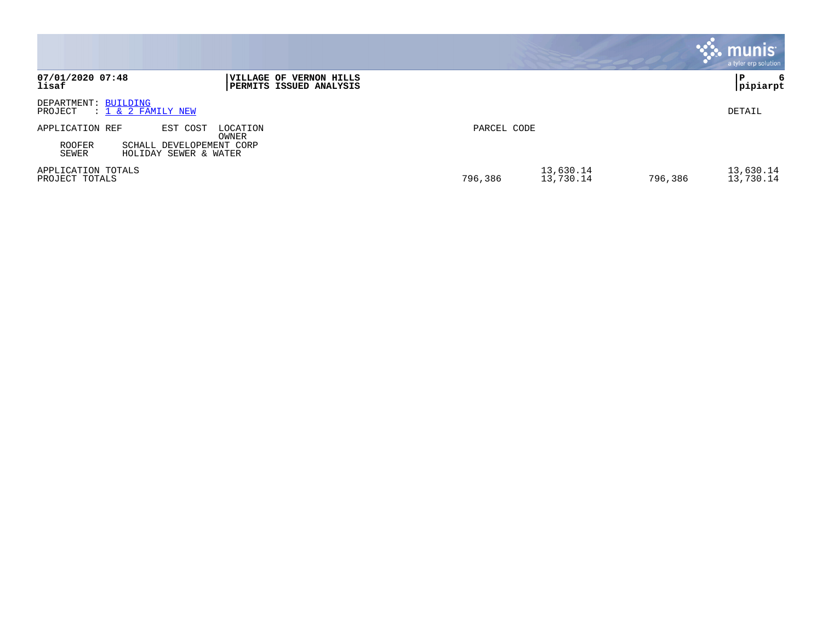|                                                                                                                          |                                   | munis<br>a tyler erp solution     |
|--------------------------------------------------------------------------------------------------------------------------|-----------------------------------|-----------------------------------|
| 07/01/2020 07:48<br><b> VILLAGE OF VERNON HILLS</b><br>lisaf<br><b>PERMITS ISSUED ANALYSIS</b>                           |                                   | 6<br>P<br>pipiarpt                |
| DEPARTMENT: BUILDING<br>$: 1 \& 2$ FAMILY NEW<br>PROJECT                                                                 |                                   | DETAIL                            |
| APPLICATION REF<br>EST COST<br>LOCATION<br>OWNER<br>ROOFER<br>SCHALL DEVELOPEMENT CORP<br>SEWER<br>HOLIDAY SEWER & WATER | PARCEL CODE                       |                                   |
| APPLICATION TOTALS<br>PROJECT TOTALS                                                                                     | 13,630.14<br>796,386<br>13,730.14 | 13,630.14<br>796,386<br>13,730.14 |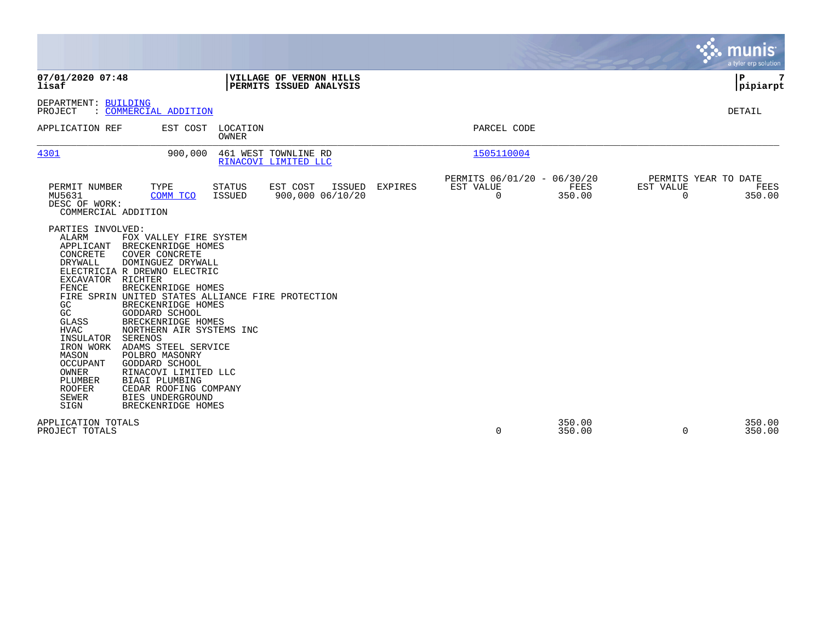|                                                                                                                                                                                                                                                            |                                                                                                                                                                                                                                                                                                                                                                                                                                                                             |                          |                                                           |         |                                                         |                  |                                               | munis<br>a tyler erp solution |
|------------------------------------------------------------------------------------------------------------------------------------------------------------------------------------------------------------------------------------------------------------|-----------------------------------------------------------------------------------------------------------------------------------------------------------------------------------------------------------------------------------------------------------------------------------------------------------------------------------------------------------------------------------------------------------------------------------------------------------------------------|--------------------------|-----------------------------------------------------------|---------|---------------------------------------------------------|------------------|-----------------------------------------------|-------------------------------|
| 07/01/2020 07:48<br>lisaf                                                                                                                                                                                                                                  |                                                                                                                                                                                                                                                                                                                                                                                                                                                                             |                          | <b>VILLAGE OF VERNON HILLS</b><br>PERMITS ISSUED ANALYSIS |         |                                                         |                  |                                               | P<br> pipiarpt                |
| DEPARTMENT: BUILDING<br>PROJECT                                                                                                                                                                                                                            | : COMMERCIAL ADDITION                                                                                                                                                                                                                                                                                                                                                                                                                                                       |                          |                                                           |         |                                                         |                  |                                               | <b>DETAIL</b>                 |
| APPLICATION REF                                                                                                                                                                                                                                            | EST COST                                                                                                                                                                                                                                                                                                                                                                                                                                                                    | LOCATION<br><b>OWNER</b> |                                                           |         | PARCEL CODE                                             |                  |                                               |                               |
| 4301                                                                                                                                                                                                                                                       | 900,000                                                                                                                                                                                                                                                                                                                                                                                                                                                                     |                          | 461 WEST TOWNLINE RD<br>RINACOVI LIMITED LLC              |         | 1505110004                                              |                  |                                               |                               |
| PERMIT NUMBER<br>MU5631<br>DESC OF WORK:<br>COMMERCIAL ADDITION                                                                                                                                                                                            | TYPE<br>COMM TCO                                                                                                                                                                                                                                                                                                                                                                                                                                                            | <b>STATUS</b><br>ISSUED  | EST COST<br><b>ISSUED</b><br>900,000 06/10/20             | EXPIRES | PERMITS 06/01/20 - 06/30/20<br>EST VALUE<br>$\mathbf 0$ | FEES<br>350.00   | PERMITS YEAR TO DATE<br>EST VALUE<br>$\Omega$ | FEES<br>350.00                |
| PARTIES INVOLVED:<br>ALARM<br>APPLICANT<br>CONCRETE<br>DRYWALL<br>EXCAVATOR RICHTER<br>FENCE<br>GC<br>GC<br><b>GLASS</b><br><b>HVAC</b><br>INSULATOR<br>IRON WORK<br>MASON<br><b>OCCUPANT</b><br>OWNER<br>PLUMBER<br><b>ROOFER</b><br><b>SEWER</b><br>SIGN | FOX VALLEY FIRE SYSTEM<br>BRECKENRIDGE HOMES<br>COVER CONCRETE<br>DOMINGUEZ DRYWALL<br>ELECTRICIA R DREWNO ELECTRIC<br>BRECKENRIDGE HOMES<br>FIRE SPRIN UNITED STATES ALLIANCE FIRE PROTECTION<br>BRECKENRIDGE HOMES<br>GODDARD SCHOOL<br>BRECKENRIDGE HOMES<br>NORTHERN AIR SYSTEMS INC<br>SERENOS<br>ADAMS STEEL SERVICE<br>POLBRO MASONRY<br>GODDARD SCHOOL<br>RINACOVI LIMITED LLC<br>BIAGI PLUMBING<br>CEDAR ROOFING COMPANY<br>BIES UNDERGROUND<br>BRECKENRIDGE HOMES |                          |                                                           |         |                                                         |                  |                                               |                               |
| APPLICATION TOTALS<br>PROJECT TOTALS                                                                                                                                                                                                                       |                                                                                                                                                                                                                                                                                                                                                                                                                                                                             |                          |                                                           |         | 0                                                       | 350.00<br>350.00 | $\Omega$                                      | 350.00<br>350.00              |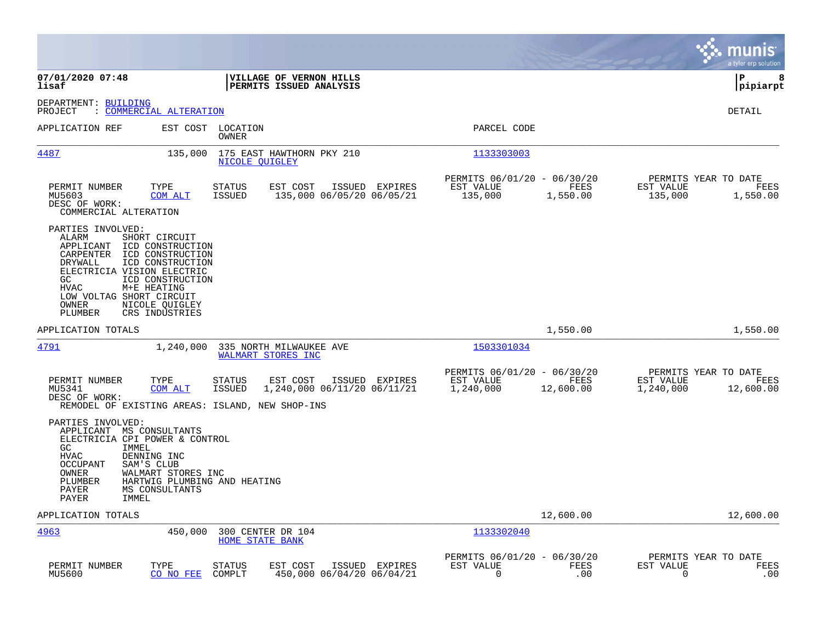|                                                                                                                                                                                                                                                                                                                               |                                                                                             |                                                                            | munis<br>a tyler erp solution                                       |
|-------------------------------------------------------------------------------------------------------------------------------------------------------------------------------------------------------------------------------------------------------------------------------------------------------------------------------|---------------------------------------------------------------------------------------------|----------------------------------------------------------------------------|---------------------------------------------------------------------|
| 07/01/2020 07:48<br>lisaf                                                                                                                                                                                                                                                                                                     | VILLAGE OF VERNON HILLS<br>PERMITS ISSUED ANALYSIS                                          |                                                                            | ΙP<br>8<br> pipiarpt                                                |
| DEPARTMENT: BUILDING<br>: COMMERCIAL ALTERATION<br>PROJECT                                                                                                                                                                                                                                                                    |                                                                                             |                                                                            | DETAIL                                                              |
| EST COST<br>APPLICATION REF                                                                                                                                                                                                                                                                                                   | LOCATION<br>OWNER                                                                           | PARCEL CODE                                                                |                                                                     |
| 4487<br>135,000                                                                                                                                                                                                                                                                                                               | 175 EAST HAWTHORN PKY 210<br><b>NICOLE QUIGLEY</b>                                          | 1133303003                                                                 |                                                                     |
| PERMIT NUMBER<br>TYPE<br>MU5603<br>COM ALT<br>DESC OF WORK:<br>COMMERCIAL ALTERATION                                                                                                                                                                                                                                          | ISSUED EXPIRES<br>STATUS<br>EST COST<br><b>ISSUED</b><br>135,000 06/05/20 06/05/21          | PERMITS 06/01/20 - 06/30/20<br>EST VALUE<br>FEES<br>135,000<br>1,550.00    | PERMITS YEAR TO DATE<br>EST VALUE<br>FEES<br>135,000<br>1,550.00    |
| PARTIES INVOLVED:<br><b>ALARM</b><br>SHORT CIRCUIT<br>APPLICANT<br>ICD CONSTRUCTION<br>CARPENTER<br>ICD CONSTRUCTION<br>DRYWALL<br>ICD CONSTRUCTION<br>ELECTRICIA VISION ELECTRIC<br>GC<br>ICD CONSTRUCTION<br>M+E HEATING<br>HVAC<br>LOW VOLTAG SHORT CIRCUIT<br><b>OWNER</b><br>NICOLE QUIGLEY<br>PLUMBER<br>CRS INDUSTRIES |                                                                                             |                                                                            |                                                                     |
| APPLICATION TOTALS                                                                                                                                                                                                                                                                                                            |                                                                                             | 1,550.00                                                                   | 1,550.00                                                            |
| <u>4791</u><br>1,240,000                                                                                                                                                                                                                                                                                                      | 335 NORTH MILWAUKEE AVE<br>WALMART STORES INC                                               | 1503301034                                                                 |                                                                     |
| TYPE<br>PERMIT NUMBER<br>MU5341<br>COM ALT<br>DESC OF WORK:<br>REMODEL OF EXISTING AREAS: ISLAND, NEW SHOP-INS                                                                                                                                                                                                                | <b>STATUS</b><br>EST COST<br>ISSUED EXPIRES<br><b>ISSUED</b><br>1,240,000 06/11/20 06/11/21 | PERMITS 06/01/20 - 06/30/20<br>FEES<br>EST VALUE<br>1,240,000<br>12,600.00 | PERMITS YEAR TO DATE<br>EST VALUE<br>FEES<br>1,240,000<br>12,600.00 |
| PARTIES INVOLVED:<br>APPLICANT MS CONSULTANTS<br>ELECTRICIA CPI POWER & CONTROL<br>GC.<br>IMMEL<br><b>HVAC</b><br>DENNING INC<br><b>OCCUPANT</b><br>SAM'S CLUB<br>OWNER<br>WALMART STORES INC<br>PLUMBER<br><b>PAYER</b><br>MS CONSULTANTS<br>PAYER<br>IMMEL                                                                  | HARTWIG PLUMBING AND HEATING                                                                |                                                                            |                                                                     |
| APPLICATION TOTALS                                                                                                                                                                                                                                                                                                            |                                                                                             | 12,600.00                                                                  | 12,600.00                                                           |
| 4963<br>450,000                                                                                                                                                                                                                                                                                                               | 300 CENTER DR 104<br><b>HOME STATE BANK</b>                                                 | 1133302040                                                                 |                                                                     |
| PERMIT NUMBER<br>TYPE<br>MU5600<br>CO NO FEE                                                                                                                                                                                                                                                                                  | <b>STATUS</b><br>EST COST<br>ISSUED EXPIRES<br>COMPLT<br>450,000 06/04/20 06/04/21          | PERMITS 06/01/20 - 06/30/20<br>EST VALUE<br>FEES<br>$\Omega$<br>.00        | PERMITS YEAR TO DATE<br>EST VALUE<br>FEES<br>0<br>.00               |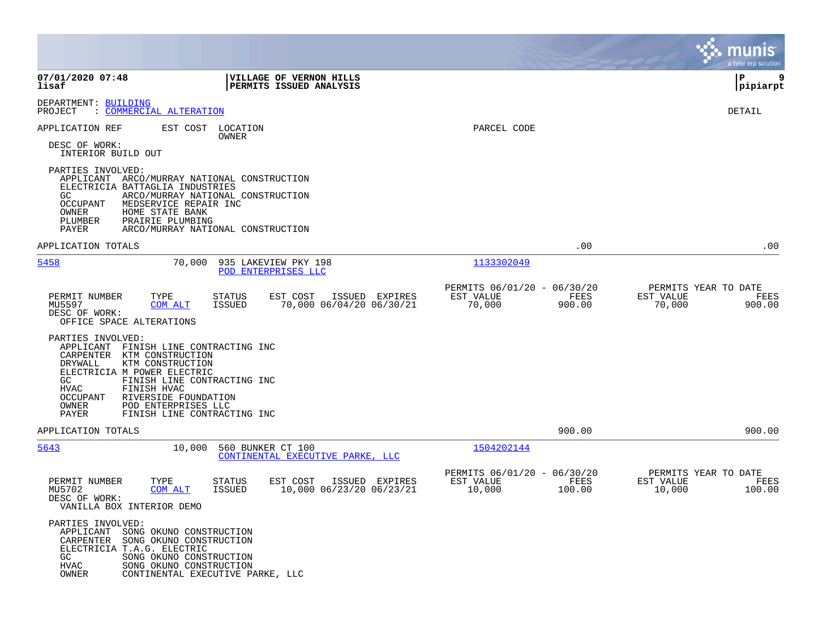|                                                                                                                                                                                                                                                                                                                                      |                                                                                          |                                                    |                |                     | munis<br>a tyler erp solution          |
|--------------------------------------------------------------------------------------------------------------------------------------------------------------------------------------------------------------------------------------------------------------------------------------------------------------------------------------|------------------------------------------------------------------------------------------|----------------------------------------------------|----------------|---------------------|----------------------------------------|
| 07/01/2020 07:48<br>lisaf                                                                                                                                                                                                                                                                                                            | VILLAGE OF VERNON HILLS<br>PERMITS ISSUED ANALYSIS                                       |                                                    |                |                     | l P<br>9<br> pipiarpt                  |
| DEPARTMENT: BUILDING<br><u>COMMERCIAL ALTERATION</u><br>PROJECT                                                                                                                                                                                                                                                                      |                                                                                          |                                                    |                |                     | DETAIL                                 |
| APPLICATION REF<br>EST COST<br>DESC OF WORK:<br>INTERIOR BUILD OUT                                                                                                                                                                                                                                                                   | LOCATION<br>OWNER                                                                        | PARCEL CODE                                        |                |                     |                                        |
| PARTIES INVOLVED:<br>APPLICANT ARCO/MURRAY NATIONAL CONSTRUCTION<br>ELECTRICIA BATTAGLIA INDUSTRIES<br>GC.<br>OCCUPANT<br>MEDSERVICE REPAIR INC<br>OWNER<br>HOME STATE BANK<br>PLUMBER<br>PRAIRIE PLUMBING<br>PAYER                                                                                                                  | ARCO/MURRAY NATIONAL CONSTRUCTION<br>ARCO/MURRAY NATIONAL CONSTRUCTION                   |                                                    |                |                     |                                        |
| APPLICATION TOTALS                                                                                                                                                                                                                                                                                                                   |                                                                                          |                                                    | .00            |                     | .00                                    |
| 5458<br>70,000                                                                                                                                                                                                                                                                                                                       | 935 LAKEVIEW PKY 198<br>POD ENTERPRISES LLC                                              | 1133302049                                         |                |                     |                                        |
| PERMIT NUMBER<br>TYPE<br>MU5597<br><b>COM ALT</b><br>DESC OF WORK:<br>OFFICE SPACE ALTERATIONS                                                                                                                                                                                                                                       | <b>STATUS</b><br>EST COST<br>ISSUED EXPIRES<br><b>ISSUED</b><br>70,000 06/04/20 06/30/21 | PERMITS 06/01/20 - 06/30/20<br>EST VALUE<br>70,000 | FEES<br>900.00 | EST VALUE<br>70,000 | PERMITS YEAR TO DATE<br>FEES<br>900.00 |
| PARTIES INVOLVED:<br>APPLICANT<br>FINISH LINE CONTRACTING INC<br>CARPENTER<br>KTM CONSTRUCTION<br>DRYWALL<br>KTM CONSTRUCTION<br>ELECTRICIA M POWER ELECTRIC<br>FINISH LINE CONTRACTING INC<br>GC<br>HVAC<br>FINISH HVAC<br>OCCUPANT<br>RIVERSIDE FOUNDATION<br>OWNER<br>POD ENTERPRISES LLC<br>PAYER<br>FINISH LINE CONTRACTING INC |                                                                                          |                                                    |                |                     |                                        |
| APPLICATION TOTALS                                                                                                                                                                                                                                                                                                                   |                                                                                          |                                                    | 900.00         |                     | 900.00                                 |
| 5643<br>10,000                                                                                                                                                                                                                                                                                                                       | 560 BUNKER CT 100<br>CONTINENTAL EXECUTIVE PARKE, LLC                                    | 1504202144                                         |                |                     |                                        |
| TYPE<br>PERMIT NUMBER<br>MU5702<br>COM ALT<br>DESC OF WORK:<br>VANILLA BOX INTERIOR DEMO                                                                                                                                                                                                                                             | ISSUED<br>STATUS<br>EST COST<br>EXPIRES<br>10,000 06/23/20 06/23/21<br>ISSUED            | PERMITS 06/01/20 - 06/30/20<br>EST VALUE<br>10,000 | FEES<br>100.00 | EST VALUE<br>10,000 | PERMITS YEAR TO DATE<br>FEES<br>100.00 |
| PARTIES INVOLVED:<br>APPLICANT<br>SONG OKUNO CONSTRUCTION<br>CARPENTER<br>SONG OKUNO CONSTRUCTION<br>ELECTRICIA T.A.G. ELECTRIC<br>GC<br>SONG OKUNO CONSTRUCTION<br>HVAC<br>SONG OKUNO CONSTRUCTION<br>OWNER                                                                                                                         | CONTINENTAL EXECUTIVE PARKE, LLC                                                         |                                                    |                |                     |                                        |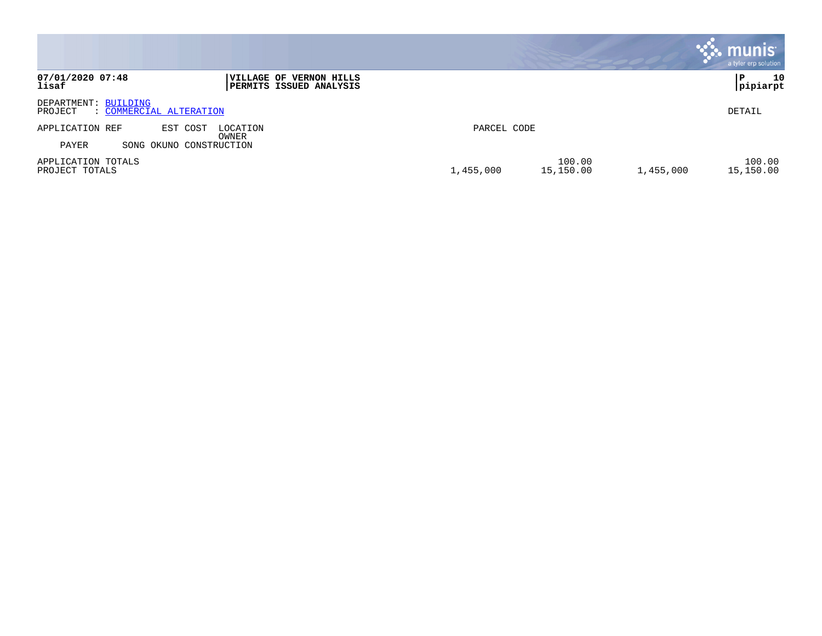|                                                                                 |                                               | <b>munis</b><br>a tyler erp solution |
|---------------------------------------------------------------------------------|-----------------------------------------------|--------------------------------------|
| 07/01/2020 07:48<br>VILLAGE OF VERNON HILLS<br>lisaf<br>PERMITS ISSUED ANALYSIS |                                               | 10<br>P<br>pipiarpt                  |
| DEPARTMENT: BUILDING<br>: COMMERCIAL ALTERATION<br>PROJECT                      |                                               | DETAIL                               |
| APPLICATION REF<br>EST COST<br>LOCATION<br>OWNER                                | PARCEL CODE                                   |                                      |
| PAYER<br>SONG OKUNO CONSTRUCTION                                                |                                               |                                      |
| APPLICATION TOTALS<br>PROJECT TOTALS                                            | 100.00<br>15,150.00<br>1,455,000<br>1,455,000 | 100.00<br>15,150.00                  |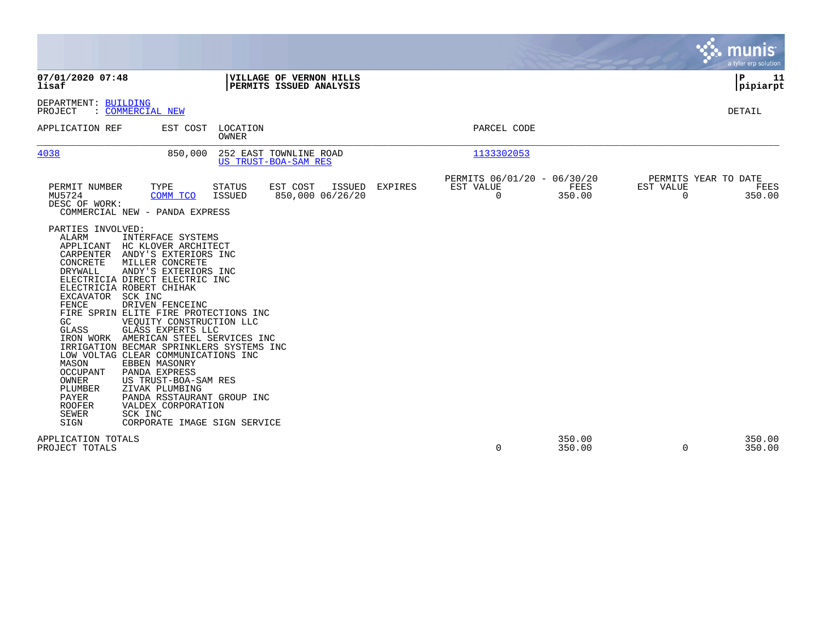|                                                                                                                                                                                                                                                                                                                                                                                                                                                                                                                                                                                                                                                                                                                                                                                                                                 |                                                                   |         |                                                      |                  |                       | <b>W. munis</b><br>a tyler erp solution |
|---------------------------------------------------------------------------------------------------------------------------------------------------------------------------------------------------------------------------------------------------------------------------------------------------------------------------------------------------------------------------------------------------------------------------------------------------------------------------------------------------------------------------------------------------------------------------------------------------------------------------------------------------------------------------------------------------------------------------------------------------------------------------------------------------------------------------------|-------------------------------------------------------------------|---------|------------------------------------------------------|------------------|-----------------------|-----------------------------------------|
| 07/01/2020 07:48<br>lisaf                                                                                                                                                                                                                                                                                                                                                                                                                                                                                                                                                                                                                                                                                                                                                                                                       | VILLAGE OF VERNON HILLS<br>PERMITS ISSUED ANALYSIS                |         |                                                      |                  |                       | 11<br>l P<br> pipiarpt                  |
| DEPARTMENT: BUILDING<br>: COMMERCIAL NEW<br>PROJECT                                                                                                                                                                                                                                                                                                                                                                                                                                                                                                                                                                                                                                                                                                                                                                             |                                                                   |         |                                                      |                  |                       | <b>DETAIL</b>                           |
| APPLICATION REF<br>EST COST                                                                                                                                                                                                                                                                                                                                                                                                                                                                                                                                                                                                                                                                                                                                                                                                     | LOCATION<br>OWNER                                                 |         | PARCEL CODE                                          |                  |                       |                                         |
| 4038<br>850,000                                                                                                                                                                                                                                                                                                                                                                                                                                                                                                                                                                                                                                                                                                                                                                                                                 | 252 EAST TOWNLINE ROAD<br>US TRUST-BOA-SAM RES                    |         | 1133302053                                           |                  |                       |                                         |
| PERMIT NUMBER<br>TYPE<br>MU5724<br>COMM TCO<br>DESC OF WORK:<br>COMMERCIAL NEW - PANDA EXPRESS                                                                                                                                                                                                                                                                                                                                                                                                                                                                                                                                                                                                                                                                                                                                  | EST COST<br>ISSUED<br>STATUS<br><b>ISSUED</b><br>850,000 06/26/20 | EXPIRES | PERMITS 06/01/20 - 06/30/20<br>EST VALUE<br>$\Omega$ | FEES<br>350.00   | EST VALUE<br>$\Omega$ | PERMITS YEAR TO DATE<br>FEES<br>350.00  |
| PARTIES INVOLVED:<br><b>ALARM</b><br>INTERFACE SYSTEMS<br>APPLICANT HC KLOVER ARCHITECT<br>CARPENTER<br>ANDY'S EXTERIORS INC<br>CONCRETE<br>MILLER CONCRETE<br>DRYWALL<br>ANDY'S EXTERIORS INC<br>ELECTRICIA DIRECT ELECTRIC INC<br>ELECTRICIA ROBERT CHIHAK<br>EXCAVATOR SCK INC<br>FENCE<br>DRIVEN FENCEINC<br>FIRE SPRIN ELITE FIRE PROTECTIONS INC<br>GC<br>VEOUITY CONSTRUCTION LLC<br>GLASS<br>GLASS EXPERTS LLC<br>IRON WORK AMERICAN STEEL SERVICES INC<br>IRRIGATION BECMAR SPRINKLERS SYSTEMS INC<br>LOW VOLTAG CLEAR COMMUNICATIONS INC<br>MASON<br>EBBEN MASONRY<br><b>OCCUPANT</b><br>PANDA EXPRESS<br>OWNER<br>US TRUST-BOA-SAM RES<br>PLUMBER<br>ZIVAK PLUMBING<br>PAYER<br>PANDA RSSTAURANT GROUP INC<br><b>ROOFER</b><br>VALDEX CORPORATION<br><b>SEWER</b><br>SCK INC<br>SIGN<br>CORPORATE IMAGE SIGN SERVICE |                                                                   |         |                                                      |                  |                       |                                         |
| APPLICATION TOTALS<br>PROJECT TOTALS                                                                                                                                                                                                                                                                                                                                                                                                                                                                                                                                                                                                                                                                                                                                                                                            |                                                                   |         | 0                                                    | 350.00<br>350.00 | 0                     | 350.00<br>350.00                        |

 $\mathcal{L}^{\mathcal{L}}$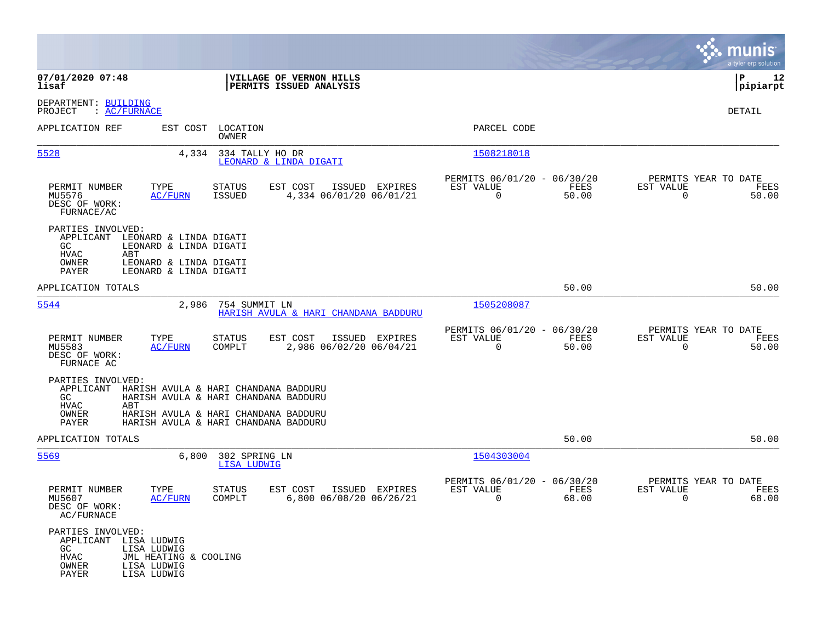|                                                                                                                                                                                       |                                                                                  |                                                                          | munis<br>a tyler erp solution                                        |
|---------------------------------------------------------------------------------------------------------------------------------------------------------------------------------------|----------------------------------------------------------------------------------|--------------------------------------------------------------------------|----------------------------------------------------------------------|
| 07/01/2020 07:48<br>lisaf                                                                                                                                                             | VILLAGE OF VERNON HILLS<br>PERMITS ISSUED ANALYSIS                               |                                                                          | 12<br>IΡ<br> pipiarpt                                                |
| DEPARTMENT: BUILDING<br>: AC/FURNACE<br>PROJECT                                                                                                                                       |                                                                                  |                                                                          | DETAIL                                                               |
| APPLICATION REF                                                                                                                                                                       | EST COST LOCATION<br>OWNER                                                       | PARCEL CODE                                                              |                                                                      |
| 5528<br>4,334                                                                                                                                                                         | 334 TALLY HO DR<br>LEONARD & LINDA DIGATI                                        | 1508218018                                                               |                                                                      |
| PERMIT NUMBER<br>TYPE<br>MU5576<br><b>AC/FURN</b><br>DESC OF WORK:<br>FURNACE/AC                                                                                                      | STATUS<br>EST COST<br>ISSUED EXPIRES<br><b>ISSUED</b><br>4,334 06/01/20 06/01/21 | PERMITS 06/01/20 - 06/30/20<br>EST VALUE<br>FEES<br>$\mathbf 0$<br>50.00 | PERMITS YEAR TO DATE<br>EST VALUE<br>FEES<br>$\overline{0}$<br>50.00 |
| PARTIES INVOLVED:<br>APPLICANT<br>LEONARD & LINDA DIGATI<br>GC.<br>LEONARD & LINDA DIGATI<br><b>HVAC</b><br>ABT<br>OWNER<br>LEONARD & LINDA DIGATI<br>PAYER<br>LEONARD & LINDA DIGATI |                                                                                  |                                                                          |                                                                      |
| APPLICATION TOTALS                                                                                                                                                                    |                                                                                  | 50.00                                                                    | 50.00                                                                |
| 5544<br>2,986                                                                                                                                                                         | 754 SUMMIT LN<br>HARISH AVULA & HARI CHANDANA BADDURU                            | 1505208087                                                               |                                                                      |
| PERMIT NUMBER<br>TYPE<br>MU5583<br><b>AC/FURN</b><br>DESC OF WORK:<br>FURNACE AC                                                                                                      | STATUS<br>EST COST<br>ISSUED EXPIRES<br>2,986 06/02/20 06/04/21<br>COMPLT        | PERMITS 06/01/20 - 06/30/20<br>EST VALUE<br>FEES<br>$\mathbf 0$<br>50.00 | PERMITS YEAR TO DATE<br>EST VALUE<br>FEES<br>$\mathbf 0$<br>50.00    |
| PARTIES INVOLVED:<br>APPLICANT<br>GC<br>HVAC<br>ABT                                                                                                                                   | HARISH AVULA & HARI CHANDANA BADDURU<br>HARISH AVULA & HARI CHANDANA BADDURU     |                                                                          |                                                                      |
| OWNER<br>PAYER                                                                                                                                                                        | HARISH AVULA & HARI CHANDANA BADDURU<br>HARISH AVULA & HARI CHANDANA BADDURU     |                                                                          |                                                                      |
| APPLICATION TOTALS                                                                                                                                                                    |                                                                                  | 50.00                                                                    | 50.00                                                                |
| 5569<br>6,800                                                                                                                                                                         | 302 SPRING LN<br><b>LISA LUDWIG</b>                                              | 1504303004                                                               |                                                                      |
| PERMIT NUMBER<br>TYPE<br>MU5607<br>AC/FURN<br>DESC OF WORK:<br>AC/FURNACE                                                                                                             | <b>STATUS</b><br>EST COST<br>ISSUED EXPIRES<br>6,800 06/08/20 06/26/21<br>COMPLT | PERMITS 06/01/20 - 06/30/20<br>EST VALUE<br>FEES<br>0<br>68.00           | PERMITS YEAR TO DATE<br>EST VALUE<br>FEES<br>68.00<br>0              |
| PARTIES INVOLVED:<br>APPLICANT LISA LUDWIG<br>GC<br>LISA LUDWIG<br>HVAC<br>JML HEATING & COOLING<br>OWNER<br>LISA LUDWIG<br>PAYER<br>LISA LUDWIG                                      |                                                                                  |                                                                          |                                                                      |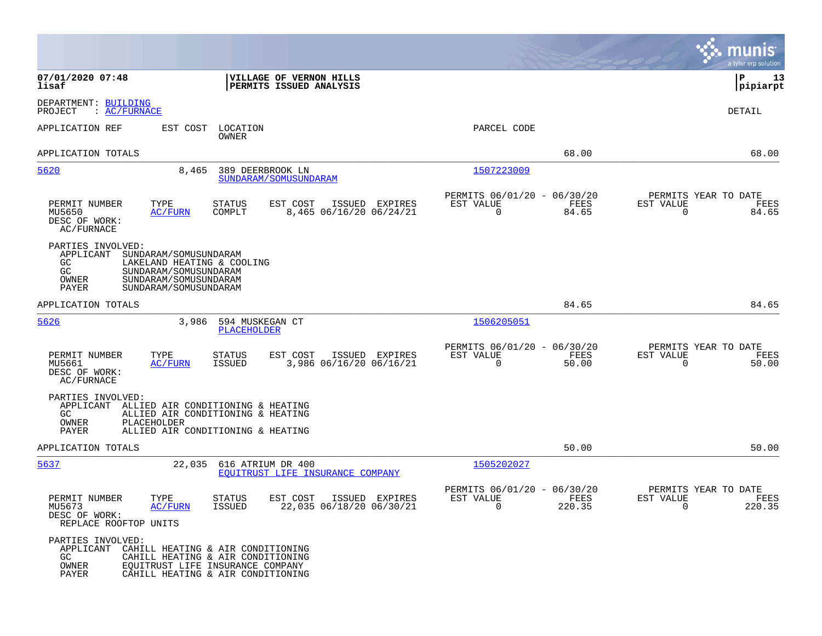|                                                                                                                                                                                                            | munis<br>a tyler erp solution                                                                                                                 |
|------------------------------------------------------------------------------------------------------------------------------------------------------------------------------------------------------------|-----------------------------------------------------------------------------------------------------------------------------------------------|
| 07/01/2020 07:48<br>VILLAGE OF VERNON HILLS<br>lisaf<br>PERMITS ISSUED ANALYSIS                                                                                                                            | 13<br>IΡ<br> pipiarpt                                                                                                                         |
| DEPARTMENT: BUILDING<br>: AC/FURNACE<br>PROJECT                                                                                                                                                            | <b>DETAIL</b>                                                                                                                                 |
| APPLICATION REF<br>EST COST<br>LOCATION<br><b>OWNER</b>                                                                                                                                                    | PARCEL CODE                                                                                                                                   |
| APPLICATION TOTALS                                                                                                                                                                                         | 68.00<br>68.00                                                                                                                                |
| 5620<br>8,465<br>389 DEERBROOK LN<br>SUNDARAM / SOMUSUNDARAM                                                                                                                                               | 1507223009                                                                                                                                    |
| PERMIT NUMBER<br>TYPE<br><b>STATUS</b><br>EST COST<br>ISSUED EXPIRES<br>AC/FURN<br>COMPLT<br>8,465 06/16/20 06/24/21<br>MU5650<br>DESC OF WORK:<br>AC/FURNACE                                              | PERMITS 06/01/20 - 06/30/20<br>PERMITS YEAR TO DATE<br>EST VALUE<br>FEES<br>EST VALUE<br>FEES<br>$\mathbf 0$<br>84.65<br>$\mathbf 0$<br>84.65 |
| PARTIES INVOLVED:<br>SUNDARAM/SOMUSUNDARAM<br>APPLICANT<br>GC.<br>LAKELAND HEATING & COOLING<br>GC<br>SUNDARAM/SOMUSUNDARAM<br>OWNER<br>SUNDARAM/SOMUSUNDARAM<br>PAYER<br>SUNDARAM/SOMUSUNDARAM            |                                                                                                                                               |
| APPLICATION TOTALS                                                                                                                                                                                         | 84.65<br>84.65                                                                                                                                |
| 5626<br>3,986<br>594 MUSKEGAN CT<br><b>PLACEHOLDER</b>                                                                                                                                                     | 1506205051                                                                                                                                    |
| TYPE<br>PERMIT NUMBER<br><b>STATUS</b><br>EST COST<br>ISSUED EXPIRES<br>MU5661<br>AC/FURN<br><b>ISSUED</b><br>3,986 06/16/20 06/16/21<br>DESC OF WORK:<br>AC/FURNACE                                       | PERMITS 06/01/20 - 06/30/20<br>PERMITS YEAR TO DATE<br>FEES<br>EST VALUE<br>EST VALUE<br>FEES<br>$\mathbf 0$<br>50.00<br>$\mathbf 0$<br>50.00 |
| PARTIES INVOLVED:<br>APPLICANT ALLIED AIR CONDITIONING & HEATING<br>GC<br>ALLIED AIR CONDITIONING & HEATING<br>OWNER<br>PLACEHOLDER<br>PAYER<br>ALLIED AIR CONDITIONING & HEATING                          |                                                                                                                                               |
| APPLICATION TOTALS                                                                                                                                                                                         | 50.00<br>50.00                                                                                                                                |
| 5637<br>22,035<br>616 ATRIUM DR 400<br>EOUITRUST LIFE INSURANCE COMPANY                                                                                                                                    | 1505202027                                                                                                                                    |
| PERMIT NUMBER<br>TYPE<br><b>STATUS</b><br>EST COST<br>ISSUED EXPIRES<br>22,035 06/18/20 06/30/21<br>MU5673<br>AC/FURN<br><b>ISSUED</b><br>DESC OF WORK:<br>REPLACE ROOFTOP UNITS                           | PERMITS 06/01/20 - 06/30/20<br>PERMITS YEAR TO DATE<br>EST VALUE<br>FEES<br>EST VALUE<br>FEES<br>$\mathbf 0$<br>220.35<br>$\Omega$<br>220.35  |
| PARTIES INVOLVED:<br>APPLICANT<br>CAHILL HEATING & AIR CONDITIONING<br>GC.<br>CAHILL HEATING & AIR CONDITIONING<br>OWNER<br>EQUITRUST LIFE INSURANCE COMPANY<br>PAYER<br>CAHILL HEATING & AIR CONDITIONING |                                                                                                                                               |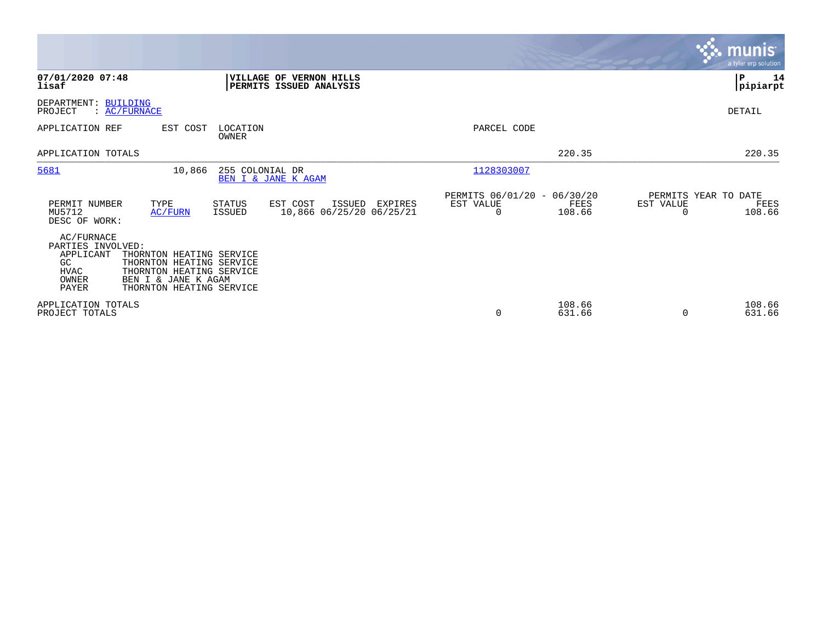|                                                                                                                                                                                                                     |                                                                 | <b>munis</b><br>a tyler erp solution                |
|---------------------------------------------------------------------------------------------------------------------------------------------------------------------------------------------------------------------|-----------------------------------------------------------------|-----------------------------------------------------|
| 07/01/2020 07:48<br>VILLAGE OF VERNON HILLS<br>lisaf<br>PERMITS ISSUED ANALYSIS                                                                                                                                     |                                                                 | lР<br>14<br> pipiarpt                               |
| DEPARTMENT: BUILDING<br>PROJECT<br>: AC/FURNACE                                                                                                                                                                     |                                                                 | DETAIL                                              |
| APPLICATION REF<br>EST COST<br>LOCATION<br><b>OWNER</b>                                                                                                                                                             | PARCEL CODE                                                     |                                                     |
| APPLICATION TOTALS                                                                                                                                                                                                  | 220.35                                                          | 220.35                                              |
| 5681<br>10,866<br>255 COLONIAL DR<br>BEN I & JANE K AGAM                                                                                                                                                            | 1128303007                                                      |                                                     |
| EST COST<br>PERMIT NUMBER<br>TYPE<br>STATUS<br>ISSUED<br>EXPIRES<br>10,866 06/25/20 06/25/21<br>MU5712<br>AC/FURN<br><b>ISSUED</b><br>DESC OF WORK:                                                                 | PERMITS 06/01/20 - 06/30/20<br>EST VALUE<br>FEES<br>108.66<br>0 | PERMITS YEAR TO DATE<br>EST VALUE<br>FEES<br>108.66 |
| AC/FURNACE<br>PARTIES INVOLVED:<br>APPLICANT<br>THORNTON HEATING SERVICE<br>GC<br>THORNTON HEATING SERVICE<br>THORNTON HEATING SERVICE<br>HVAC<br>BEN I & JANE K AGAM<br>OWNER<br>PAYER<br>THORNTON HEATING SERVICE |                                                                 |                                                     |
| APPLICATION TOTALS<br>PROJECT TOTALS                                                                                                                                                                                | 108.66<br>0<br>631.66                                           | 108.66<br>631.66<br>$\Omega$                        |

**Contract**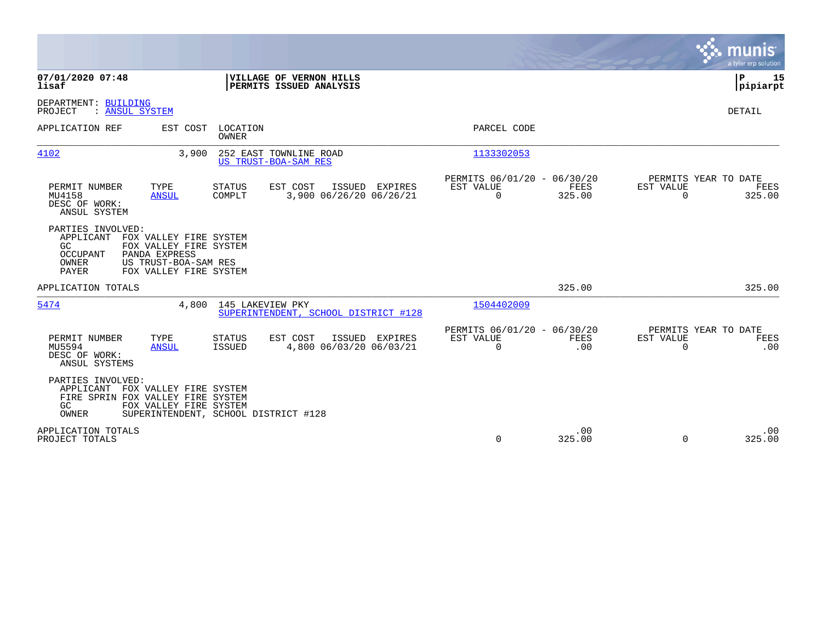|                                                                                                                                                                                            |                                                                            | munis<br>a tyler erp solution                                   |
|--------------------------------------------------------------------------------------------------------------------------------------------------------------------------------------------|----------------------------------------------------------------------------|-----------------------------------------------------------------|
| 07/01/2020 07:48<br>VILLAGE OF VERNON HILLS<br>lisaf<br>PERMITS ISSUED ANALYSIS                                                                                                            |                                                                            | ΙP<br>15<br> pipiarpt                                           |
| DEPARTMENT: BUILDING<br>PROJECT<br>: ANSUL SYSTEM                                                                                                                                          |                                                                            | DETAIL                                                          |
| APPLICATION REF<br>EST COST<br>LOCATION<br><b>OWNER</b>                                                                                                                                    | PARCEL CODE                                                                |                                                                 |
| 4102<br>252 EAST TOWNLINE ROAD<br>3,900<br>US TRUST-BOA-SAM RES                                                                                                                            | 1133302053                                                                 |                                                                 |
| TYPE<br>EST COST<br>PERMIT NUMBER<br><b>STATUS</b><br>ISSUED EXPIRES<br>MU4158<br>3,900 06/26/20 06/26/21<br><b>ANSUL</b><br>COMPLT<br>DESC OF WORK:<br>ANSUL SYSTEM                       | PERMITS 06/01/20 - 06/30/20<br>EST VALUE<br>FEES<br>$\Omega$<br>325.00     | PERMITS YEAR TO DATE<br>EST VALUE<br>FEES<br>$\Omega$<br>325.00 |
| PARTIES INVOLVED:<br>APPLICANT<br>FOX VALLEY FIRE SYSTEM<br>GC.<br>FOX VALLEY FIRE SYSTEM<br>OCCUPANT<br>PANDA EXPRESS<br>OWNER<br>US TRUST-BOA-SAM RES<br>PAYER<br>FOX VALLEY FIRE SYSTEM |                                                                            |                                                                 |
| APPLICATION TOTALS                                                                                                                                                                         | 325.00                                                                     | 325.00                                                          |
| 5474<br>4,800<br>145 LAKEVIEW PKY<br>SUPERINTENDENT, SCHOOL DISTRICT #128                                                                                                                  | 1504402009                                                                 |                                                                 |
| PERMIT NUMBER<br>TYPE<br>EST COST<br>ISSUED EXPIRES<br><b>STATUS</b><br>4,800 06/03/20 06/03/21<br>MU5594<br><b>ANSUL</b><br>ISSUED<br>DESC OF WORK:<br>ANSUL SYSTEMS                      | PERMITS 06/01/20 - 06/30/20<br>EST VALUE<br><b>FEES</b><br>$\Omega$<br>.00 | PERMITS YEAR TO DATE<br>EST VALUE<br>FEES<br>$\Omega$<br>.00    |
| PARTIES INVOLVED:<br>APPLICANT<br>FOX VALLEY FIRE SYSTEM<br>FIRE SPRIN FOX VALLEY FIRE SYSTEM<br>GC<br>FOX VALLEY FIRE SYSTEM<br>OWNER<br>SUPERINTENDENT, SCHOOL DISTRICT #128             |                                                                            |                                                                 |
| APPLICATION TOTALS<br>PROJECT TOTALS                                                                                                                                                       | .00<br>$\Omega$<br>325.00                                                  | .00<br>$\Omega$<br>325.00                                       |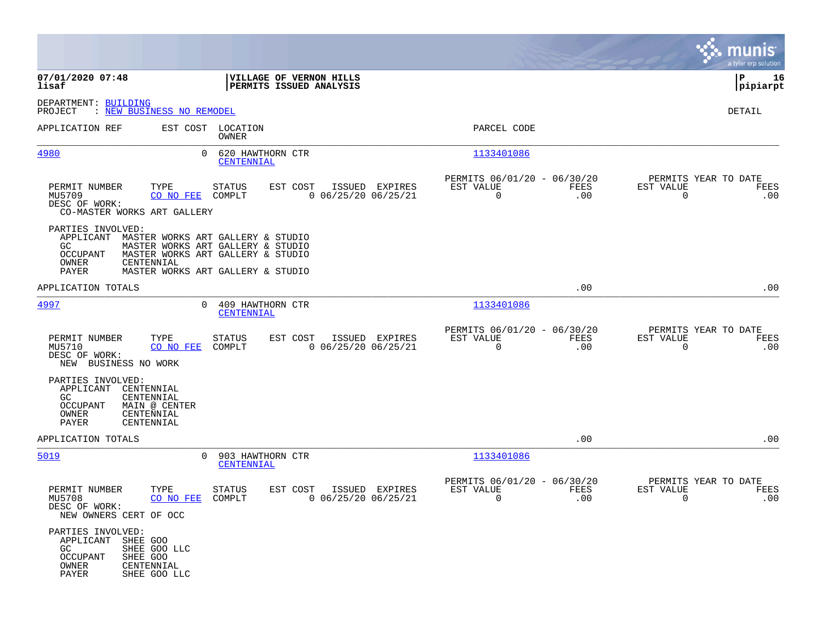|                                                                                                                                                                                                                                          |                                         |                                                            |                    |                                                      | munis<br>a tyler erp solution |
|------------------------------------------------------------------------------------------------------------------------------------------------------------------------------------------------------------------------------------------|-----------------------------------------|------------------------------------------------------------|--------------------|------------------------------------------------------|-------------------------------|
| 07/01/2020 07:48<br>VILLAGE OF VERNON HILLS<br>lisaf<br>PERMITS ISSUED ANALYSIS                                                                                                                                                          |                                         |                                                            |                    |                                                      | lР<br>16<br> pipiarpt         |
| DEPARTMENT: BUILDING<br>PROJECT<br>: NEW BUSINESS NO REMODEL                                                                                                                                                                             |                                         |                                                            |                    |                                                      | DETAIL                        |
| APPLICATION REF<br>EST COST LOCATION<br>OWNER                                                                                                                                                                                            |                                         | PARCEL CODE                                                |                    |                                                      |                               |
| 620 HAWTHORN CTR<br><u>4980</u><br>$\Omega$<br><b>CENTENNIAL</b>                                                                                                                                                                         |                                         | 1133401086                                                 |                    |                                                      |                               |
| PERMIT NUMBER<br>STATUS<br>EST COST<br>TYPE<br>MU5709<br>CO NO FEE COMPLT<br>DESC OF WORK:<br>CO-MASTER WORKS ART GALLERY                                                                                                                | ISSUED EXPIRES<br>$0$ 06/25/20 06/25/21 | PERMITS 06/01/20 - 06/30/20<br>EST VALUE<br>$\overline{0}$ | FEES<br>.00        | PERMITS YEAR TO DATE<br>EST VALUE<br>$\mathbf 0$     | FEES<br>.00                   |
| PARTIES INVOLVED:<br>APPLICANT MASTER WORKS ART GALLERY & STUDIO<br>GC<br>MASTER WORKS ART GALLERY & STUDIO<br>MASTER WORKS ART GALLERY & STUDIO<br>OCCUPANT<br>OWNER<br>CENTENNIAL<br><b>PAYER</b><br>MASTER WORKS ART GALLERY & STUDIO |                                         |                                                            |                    |                                                      |                               |
| APPLICATION TOTALS                                                                                                                                                                                                                       |                                         |                                                            | .00                |                                                      | .00                           |
| 4997<br>0 409 HAWTHORN CTR<br>CENTENNIAL                                                                                                                                                                                                 |                                         | 1133401086                                                 |                    |                                                      |                               |
| PERMIT NUMBER<br>TYPE<br><b>STATUS</b><br>EST COST<br>MU5710<br>CO NO FEE<br>COMPLT<br>DESC OF WORK:<br>NEW BUSINESS NO WORK                                                                                                             | ISSUED EXPIRES<br>$0$ 06/25/20 06/25/21 | PERMITS 06/01/20 - 06/30/20<br>EST VALUE<br>$\overline{0}$ | FEES<br>.00        | PERMITS YEAR TO DATE<br><b>EST VALUE</b><br>$\Omega$ | FEES<br>.00                   |
| PARTIES INVOLVED:<br>APPLICANT<br>CENTENNIAL<br>CENTENNIAL<br>GC.<br><b>OCCUPANT</b><br>MAIN @ CENTER<br>OWNER<br>CENTENNIAL<br><b>PAYER</b><br>CENTENNIAL                                                                               |                                         |                                                            |                    |                                                      |                               |
| APPLICATION TOTALS                                                                                                                                                                                                                       |                                         |                                                            | .00                |                                                      | .00                           |
| 5019<br>903 HAWTHORN CTR<br>$\Omega$<br><b>CENTENNIAL</b>                                                                                                                                                                                |                                         | 1133401086                                                 |                    |                                                      |                               |
| TYPE<br>EST COST<br>PERMIT NUMBER<br><b>STATUS</b><br>MU5708<br>CO NO FEE<br>COMPLT<br>DESC OF WORK:<br>NEW OWNERS CERT OF OCC                                                                                                           | ISSUED EXPIRES<br>$0$ 06/25/20 06/25/21 | PERMITS 06/01/20 - 06/30/20<br>EST VALUE<br>0              | <b>FEES</b><br>.00 | PERMITS YEAR TO DATE<br>EST VALUE<br>$\mathbf 0$     | FEES<br>.00                   |
| PARTIES INVOLVED:<br>APPLICANT SHEE GOO<br>GC<br>SHEE GOO LLC<br>OCCUPANT<br>SHEE GOO<br>OWNER<br>CENTENNIAL<br>PAYER<br>SHEE GOO LLC                                                                                                    |                                         |                                                            |                    |                                                      |                               |

and the contract of the contract of the contract of the contract of the contract of the contract of the contract of

the property of the control of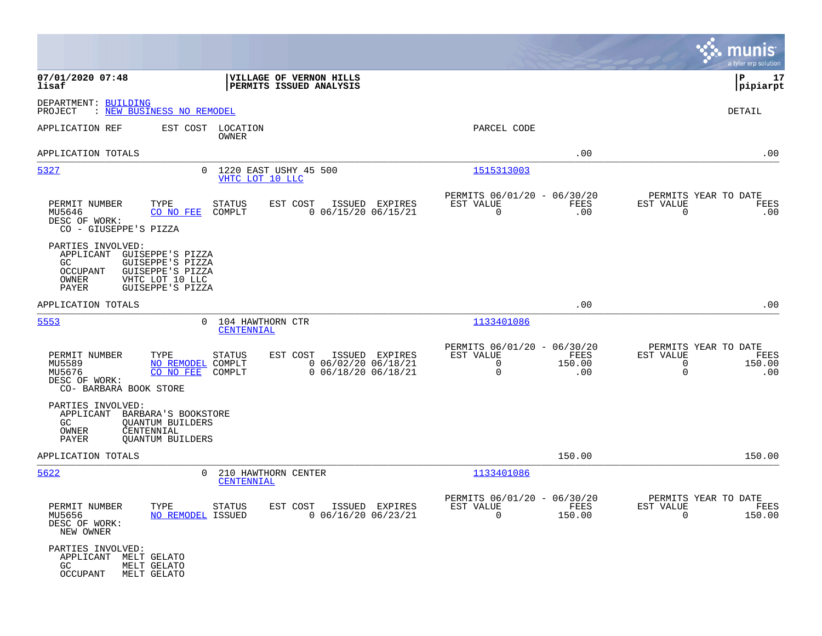|                                                                                                                                                                                     |                                                                                                                       |                                                                        | munis<br>a tyler erp solution                                                              |
|-------------------------------------------------------------------------------------------------------------------------------------------------------------------------------------|-----------------------------------------------------------------------------------------------------------------------|------------------------------------------------------------------------|--------------------------------------------------------------------------------------------|
| 07/01/2020 07:48<br>lisaf                                                                                                                                                           | VILLAGE OF VERNON HILLS<br><b>PERMITS ISSUED ANALYSIS</b>                                                             |                                                                        | l P<br>17<br> pipiarpt                                                                     |
| DEPARTMENT: BUILDING<br>PROJECT<br>: NEW BUSINESS NO REMODEL                                                                                                                        |                                                                                                                       |                                                                        | DETAIL                                                                                     |
| APPLICATION REF                                                                                                                                                                     | EST COST LOCATION<br><b>OWNER</b>                                                                                     | PARCEL CODE                                                            |                                                                                            |
| APPLICATION TOTALS                                                                                                                                                                  |                                                                                                                       |                                                                        | .00<br>.00                                                                                 |
| 5327                                                                                                                                                                                | 0 1220 EAST USHY 45 500<br>VHTC LOT 10 LLC                                                                            | 1515313003                                                             |                                                                                            |
| PERMIT NUMBER<br>TYPE<br>MU5646<br>CO NO FEE<br>DESC OF WORK:<br>CO - GIUSEPPE'S PIZZA                                                                                              | STATUS<br>EST COST<br>ISSUED EXPIRES<br>COMPLT<br>$0$ 06/15/20 06/15/21                                               | PERMITS 06/01/20 - 06/30/20<br>EST VALUE<br>0                          | PERMITS YEAR TO DATE<br>FEES<br>EST VALUE<br>FEES<br>.00<br>0<br>.00                       |
| PARTIES INVOLVED:<br>APPLICANT<br>GUISEPPE'S PIZZA<br>GUISEPPE'S PIZZA<br>GC<br><b>OCCUPANT</b><br>GUISEPPE'S PIZZA<br>VHTC LOT 10 LLC<br>OWNER<br><b>PAYER</b><br>GUISEPPE'S PIZZA |                                                                                                                       |                                                                        |                                                                                            |
| APPLICATION TOTALS                                                                                                                                                                  |                                                                                                                       |                                                                        | .00<br>.00                                                                                 |
| 5553                                                                                                                                                                                | 104 HAWTHORN CTR<br>$\Omega$<br>CENTENNIAL                                                                            | 1133401086                                                             |                                                                                            |
| PERMIT NUMBER<br>TYPE<br>MU5589<br>MU5676<br>CO NO FEE<br>DESC OF WORK:<br>CO- BARBARA BOOK STORE                                                                                   | STATUS<br>EST COST<br>ISSUED EXPIRES<br>$0$ 06/02/20 06/18/21<br>NO REMODEL COMPLT<br>$0$ 06/18/20 06/18/21<br>COMPLT | PERMITS 06/01/20 - 06/30/20<br>EST VALUE<br>$\mathbf 0$<br>150.00<br>0 | PERMITS YEAR TO DATE<br>FEES<br>EST VALUE<br>FEES<br>150.00<br>0<br>$\Omega$<br>.00<br>.00 |
| PARTIES INVOLVED:<br>APPLICANT<br>BARBARA'S BOOKSTORE<br>GC.<br><b>OUANTUM BUILDERS</b><br>CENTENNIAL<br>OWNER<br>PAYER<br><b>QUANTUM BUILDERS</b>                                  |                                                                                                                       |                                                                        |                                                                                            |
| APPLICATION TOTALS                                                                                                                                                                  |                                                                                                                       | 150.00                                                                 | 150.00                                                                                     |
| 5622                                                                                                                                                                                | 210 HAWTHORN CENTER<br>$\Omega$<br>CENTENNIAL                                                                         | 1133401086                                                             |                                                                                            |
| PERMIT NUMBER<br>MU5656<br>DESC OF WORK:<br>NEW OWNER                                                                                                                               | TYPE STATUS<br>EST COST ISSUED EXPIRES<br>NO REMODEL ISSUED<br>$0$ 06/16/20 06/23/21                                  | PERMITS 06/01/20 - 06/30/20<br>EST VALUE<br>FEES<br>$\Omega$<br>150.00 | PERMITS YEAR TO DATE<br>EST VALUE<br>FEES<br>$\Omega$<br>150.00                            |
| PARTIES INVOLVED:<br>APPLICANT MELT GELATO<br>GC<br>MELT GELATO<br><b>OCCUPANT</b><br>MELT GELATO                                                                                   |                                                                                                                       |                                                                        |                                                                                            |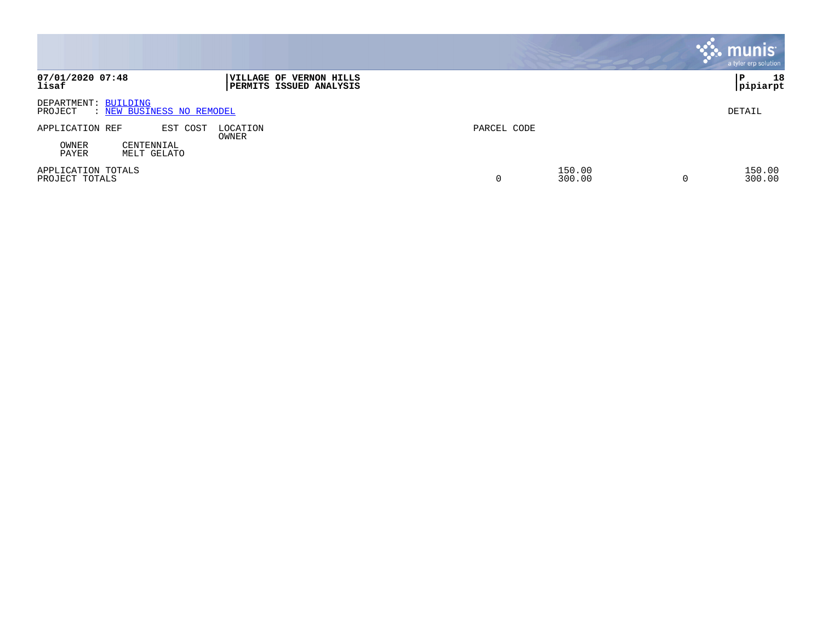|                                                              |                                                           |             |                  | <b>munis</b><br>a tyler erp solution |
|--------------------------------------------------------------|-----------------------------------------------------------|-------------|------------------|--------------------------------------|
| 07/01/2020 07:48<br>lisaf                                    | VILLAGE OF VERNON HILLS<br><b>PERMITS ISSUED ANALYSIS</b> |             |                  | 18<br>P<br> pipiarpt                 |
| DEPARTMENT: BUILDING<br>: NEW BUSINESS NO REMODEL<br>PROJECT |                                                           |             |                  | DETAIL                               |
| APPLICATION REF<br>EST COST                                  | LOCATION<br>OWNER                                         | PARCEL CODE |                  |                                      |
| OWNER<br>CENTENNIAL<br>PAYER<br>MELT GELATO                  |                                                           |             |                  |                                      |
| APPLICATION TOTALS<br>PROJECT TOTALS                         |                                                           | 0           | 150.00<br>300.00 | 150.00<br>300.00<br>-0               |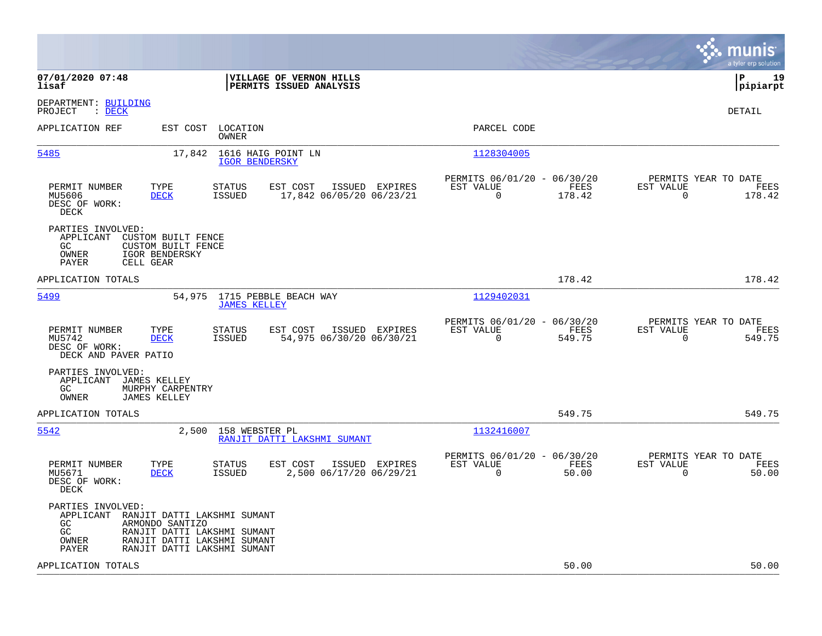|                                                                     |                                                            |                                                                                                                          |                                                    |                |                                                            |                |                          | munis<br>a tyler erp solution          |
|---------------------------------------------------------------------|------------------------------------------------------------|--------------------------------------------------------------------------------------------------------------------------|----------------------------------------------------|----------------|------------------------------------------------------------|----------------|--------------------------|----------------------------------------|
| 07/01/2020 07:48<br>lisaf                                           |                                                            |                                                                                                                          | VILLAGE OF VERNON HILLS<br>PERMITS ISSUED ANALYSIS |                |                                                            |                |                          | l P<br>19<br> pipiarpt                 |
| DEPARTMENT: BUILDING<br>$\therefore$ DECK<br>PROJECT                |                                                            |                                                                                                                          |                                                    |                |                                                            |                |                          | DETAIL                                 |
| APPLICATION REF                                                     |                                                            | EST COST LOCATION<br>OWNER                                                                                               |                                                    |                | PARCEL CODE                                                |                |                          |                                        |
| 5485                                                                | 17,842                                                     | 1616 HAIG POINT LN<br><b>IGOR BENDERSKY</b>                                                                              |                                                    |                | 1128304005                                                 |                |                          |                                        |
| PERMIT NUMBER<br>MU5606<br>DESC OF WORK:<br>DECK                    | TYPE<br><b>DECK</b>                                        | STATUS<br><b>ISSUED</b>                                                                                                  | EST COST<br>17,842 06/05/20 06/23/21               | ISSUED EXPIRES | PERMITS 06/01/20 - 06/30/20<br>EST VALUE<br>$\overline{0}$ | FEES<br>178.42 | EST VALUE<br>$\mathbf 0$ | PERMITS YEAR TO DATE<br>FEES<br>178.42 |
| PARTIES INVOLVED:<br>APPLICANT<br>GC<br>OWNER<br>PAYER<br>CELL GEAR | CUSTOM BUILT FENCE<br>CUSTOM BUILT FENCE<br>IGOR BENDERSKY |                                                                                                                          |                                                    |                |                                                            |                |                          |                                        |
| APPLICATION TOTALS                                                  |                                                            |                                                                                                                          |                                                    |                |                                                            | 178.42         |                          | 178.42                                 |
| 5499                                                                | 54,975                                                     | <b>JAMES KELLEY</b>                                                                                                      | 1715 PEBBLE BEACH WAY                              |                | 1129402031                                                 |                |                          |                                        |
| PERMIT NUMBER<br>MU5742<br>DESC OF WORK:<br>DECK AND PAVER PATIO    | TYPE<br><b>DECK</b>                                        | STATUS<br><b>ISSUED</b>                                                                                                  | EST COST<br>54,975 06/30/20 06/30/21               | ISSUED EXPIRES | PERMITS 06/01/20 - 06/30/20<br>EST VALUE<br>$\Omega$       | FEES<br>549.75 | EST VALUE<br>$\Omega$    | PERMITS YEAR TO DATE<br>FEES<br>549.75 |
| PARTIES INVOLVED:<br>APPLICANT JAMES KELLEY<br>GC.<br>OWNER         | MURPHY CARPENTRY<br><b>JAMES KELLEY</b>                    |                                                                                                                          |                                                    |                |                                                            |                |                          |                                        |
| APPLICATION TOTALS                                                  |                                                            |                                                                                                                          |                                                    |                |                                                            | 549.75         |                          | 549.75                                 |
| 5542                                                                | 2,500                                                      | 158 WEBSTER PL                                                                                                           | RANJIT DATTI LAKSHMI SUMANT                        |                | 1132416007                                                 |                |                          |                                        |
| PERMIT NUMBER<br>MU5671<br>DESC OF WORK:<br>DECK                    | TYPE<br><b>DECK</b>                                        | STATUS<br><b>ISSUED</b>                                                                                                  | EST COST<br>2,500 06/17/20 06/29/21                | ISSUED EXPIRES | PERMITS 06/01/20 - 06/30/20<br>EST VALUE<br>$\mathbf 0$    | FEES<br>50.00  | EST VALUE<br>$\mathbf 0$ | PERMITS YEAR TO DATE<br>FEES<br>50.00  |
| PARTIES INVOLVED:<br>APPLICANT<br>GC.<br>GC<br>OWNER<br>PAYER       | ARMONDO SANTIZO                                            | RANJIT DATTI LAKSHMI SUMANT<br>RANJIT DATTI LAKSHMI SUMANT<br>RANJIT DATTI LAKSHMI SUMANT<br>RANJIT DATTI LAKSHMI SUMANT |                                                    |                |                                                            |                |                          |                                        |
| APPLICATION TOTALS                                                  |                                                            |                                                                                                                          |                                                    |                |                                                            | 50.00          |                          | 50.00                                  |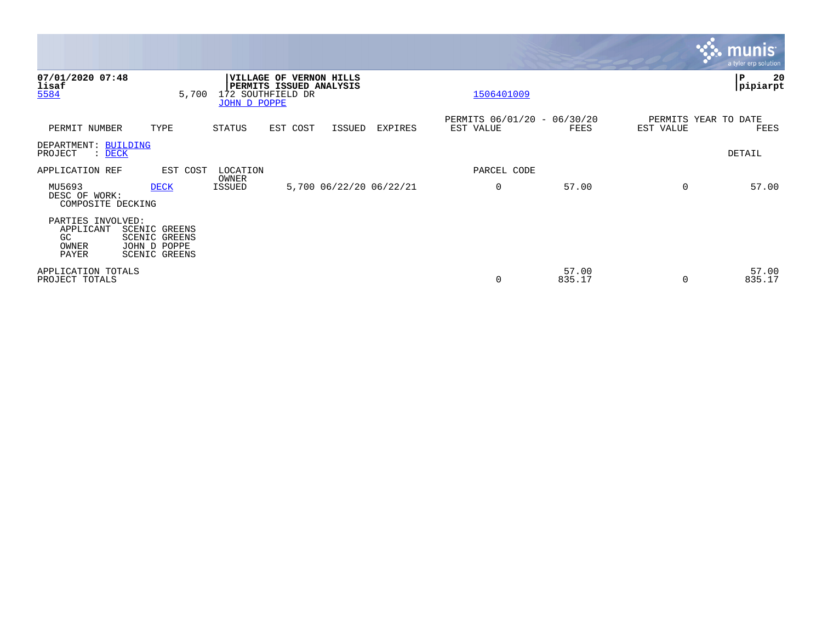|                                                               |                                                                               |                                          |                                              |                     |                         |                                          |                 |           | <b>munis</b><br>a tyler erp solution |
|---------------------------------------------------------------|-------------------------------------------------------------------------------|------------------------------------------|----------------------------------------------|---------------------|-------------------------|------------------------------------------|-----------------|-----------|--------------------------------------|
| 07/01/2020 07:48<br>lisaf<br>5584                             | 5,700                                                                         | <b>VILLAGE OF</b><br><b>JOHN D POPPE</b> | PERMITS ISSUED ANALYSIS<br>172 SOUTHFIELD DR | <b>VERNON HILLS</b> |                         | 1506401009                               |                 |           | ∣P<br>20<br> pipiarpt                |
| PERMIT NUMBER                                                 | TYPE                                                                          | STATUS                                   | EST COST                                     | ISSUED              | EXPIRES                 | PERMITS 06/01/20 - 06/30/20<br>EST VALUE | FEES            | EST VALUE | PERMITS YEAR TO DATE<br>FEES         |
| DEPARTMENT: BUILDING<br>PROJECT<br>: DECK                     |                                                                               |                                          |                                              |                     |                         |                                          |                 |           | DETAIL                               |
| APPLICATION REF                                               | EST COST                                                                      | LOCATION                                 |                                              |                     |                         | PARCEL CODE                              |                 |           |                                      |
| MU5693<br>DESC OF WORK:<br>COMPOSITE DECKING                  | <b>DECK</b>                                                                   | OWNER<br>ISSUED                          |                                              |                     | 5,700 06/22/20 06/22/21 | 0                                        | 57.00           | $\Omega$  | 57.00                                |
| PARTIES INVOLVED:<br>APPLICANT<br>GC<br>OWNER<br><b>PAYER</b> | <b>SCENIC GREENS</b><br><b>SCENIC GREENS</b><br>JOHN D POPPE<br>SCENIC GREENS |                                          |                                              |                     |                         |                                          |                 |           |                                      |
| APPLICATION TOTALS<br>PROJECT TOTALS                          |                                                                               |                                          |                                              |                     |                         | 0                                        | 57.00<br>835.17 |           | 57.00<br>835.17                      |

**Tara**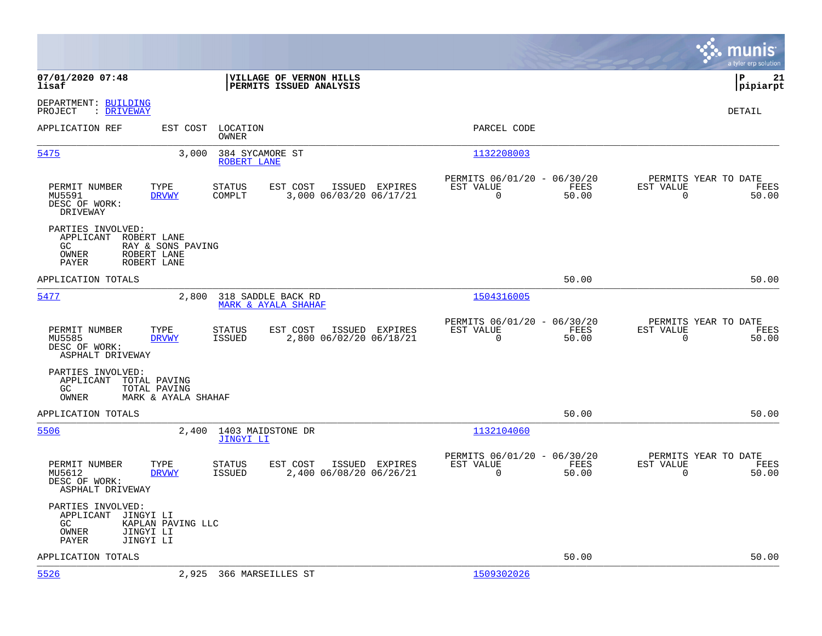|                                                                                                     |                                                                    |                                                    |                                                         |               |                                                  | munis<br>a tyler erp solution |
|-----------------------------------------------------------------------------------------------------|--------------------------------------------------------------------|----------------------------------------------------|---------------------------------------------------------|---------------|--------------------------------------------------|-------------------------------|
| 07/01/2020 07:48<br>lisaf                                                                           |                                                                    | VILLAGE OF VERNON HILLS<br>PERMITS ISSUED ANALYSIS |                                                         |               |                                                  | l P<br>21<br> pipiarpt        |
| DEPARTMENT: BUILDING<br>PROJECT<br>: DRIVEWAY                                                       |                                                                    |                                                    |                                                         |               |                                                  | DETAIL                        |
| APPLICATION REF                                                                                     | EST COST<br>LOCATION<br>OWNER                                      |                                                    | PARCEL CODE                                             |               |                                                  |                               |
| 5475                                                                                                | 3,000<br>384 SYCAMORE ST<br>ROBERT LANE                            |                                                    | 1132208003                                              |               |                                                  |                               |
| PERMIT NUMBER<br>MU5591<br>DESC OF WORK:<br>DRIVEWAY                                                | TYPE<br>EST COST<br><b>STATUS</b><br><b>DRVWY</b><br>COMPLT        | ISSUED EXPIRES<br>3,000 06/03/20 06/17/21          | PERMITS 06/01/20 - 06/30/20<br>EST VALUE<br>$\mathbf 0$ | FEES<br>50.00 | PERMITS YEAR TO DATE<br>EST VALUE<br>$\mathbf 0$ | FEES<br>50.00                 |
| PARTIES INVOLVED:<br>APPLICANT<br>ROBERT LANE<br>GC<br>OWNER<br>ROBERT LANE<br>ROBERT LANE<br>PAYER | RAY & SONS PAVING                                                  |                                                    |                                                         |               |                                                  |                               |
| APPLICATION TOTALS                                                                                  |                                                                    |                                                    |                                                         | 50.00         |                                                  | 50.00                         |
| 5477                                                                                                | 2,800<br>318 SADDLE BACK RD<br>MARK & AYALA SHAHAF                 |                                                    | 1504316005                                              |               |                                                  |                               |
| PERMIT NUMBER<br>MU5585<br>DESC OF WORK:<br>ASPHALT DRIVEWAY                                        | TYPE<br><b>STATUS</b><br>EST COST<br><b>DRVWY</b><br>ISSUED        | ISSUED EXPIRES<br>2,800 06/02/20 06/18/21          | PERMITS 06/01/20 - 06/30/20<br>EST VALUE<br>$\Omega$    | FEES<br>50.00 | PERMITS YEAR TO DATE<br>EST VALUE<br>$\Omega$    | FEES<br>50.00                 |
| PARTIES INVOLVED:<br>APPLICANT<br>TOTAL PAVING<br>GC.<br>TOTAL PAVING<br>OWNER                      | MARK & AYALA SHAHAF                                                |                                                    |                                                         |               |                                                  |                               |
| APPLICATION TOTALS                                                                                  |                                                                    |                                                    |                                                         | 50.00         |                                                  | 50.00                         |
| 5506                                                                                                | 1403 MAIDSTONE DR<br>2,400<br>JINGYI LI                            |                                                    | 1132104060                                              |               |                                                  |                               |
| PERMIT NUMBER<br>MU5612<br>DESC OF WORK:<br>ASPHALT DRIVEWAY                                        | TYPE<br>EST COST<br><b>STATUS</b><br><b>DRVWY</b><br><b>ISSUED</b> | ISSUED EXPIRES<br>2,400 06/08/20 06/26/21          | PERMITS 06/01/20 - 06/30/20<br>EST VALUE<br>0           | FEES<br>50.00 | PERMITS YEAR TO DATE<br>EST VALUE<br>$\mathbf 0$ | FEES<br>50.00                 |
| PARTIES INVOLVED:<br>APPLICANT<br>JINGYI LI<br>GC<br>JINGYI LI<br>OWNER<br>PAYER<br>JINGYI LI       | KAPLAN PAVING LLC                                                  |                                                    |                                                         |               |                                                  |                               |
| APPLICATION TOTALS                                                                                  |                                                                    |                                                    |                                                         | 50.00         |                                                  | 50.00                         |
| 5526                                                                                                | 2,925 366 MARSEILLES ST                                            |                                                    | 1509302026                                              |               |                                                  |                               |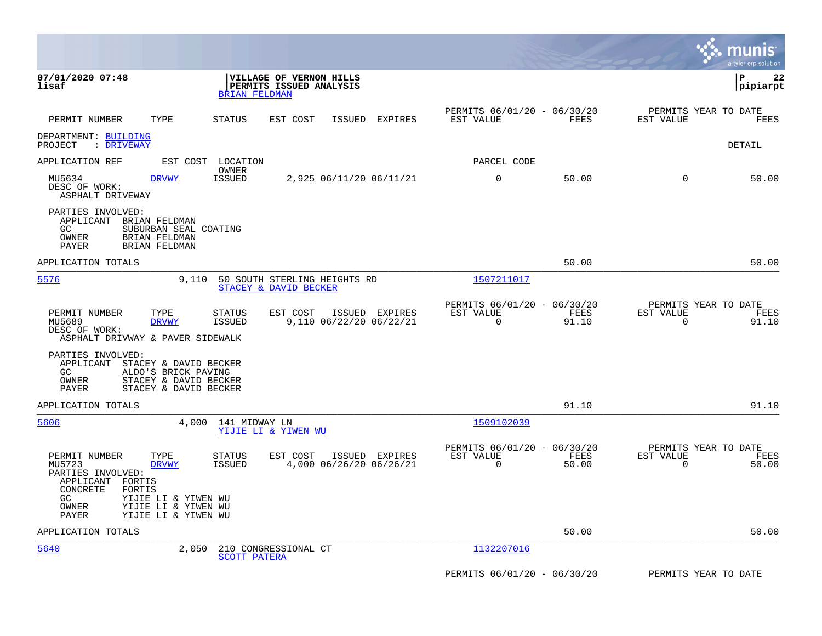|                                                                                                                                                                                                                 |                                                                                         |                                                                          | munis<br>a tyler erp solution                                        |
|-----------------------------------------------------------------------------------------------------------------------------------------------------------------------------------------------------------------|-----------------------------------------------------------------------------------------|--------------------------------------------------------------------------|----------------------------------------------------------------------|
| 07/01/2020 07:48<br>lisaf                                                                                                                                                                                       | VILLAGE OF VERNON HILLS<br>PERMITS ISSUED ANALYSIS<br><b>BRIAN FELDMAN</b>              |                                                                          | 22<br>ΙP<br>pipiarpt                                                 |
| PERMIT NUMBER<br>TYPE                                                                                                                                                                                           | <b>STATUS</b><br>EST COST<br>ISSUED EXPIRES                                             | PERMITS 06/01/20 - 06/30/20<br>EST VALUE<br>FEES                         | PERMITS YEAR TO DATE<br>EST VALUE<br>FEES                            |
| DEPARTMENT: BUILDING<br>PROJECT<br>: DRIVEWAY                                                                                                                                                                   |                                                                                         |                                                                          | DETAIL                                                               |
| APPLICATION REF                                                                                                                                                                                                 | EST COST LOCATION                                                                       | PARCEL CODE                                                              |                                                                      |
| MU5634<br><b>DRVWY</b><br>DESC OF WORK:<br>ASPHALT DRIVEWAY                                                                                                                                                     | OWNER<br><b>ISSUED</b><br>2,925 06/11/20 06/11/21                                       | 0<br>50.00                                                               | $\mathbf 0$<br>50.00                                                 |
| PARTIES INVOLVED:<br>APPLICANT<br>BRIAN FELDMAN<br>GC<br>SUBURBAN SEAL COATING<br>OWNER<br><b>BRIAN FELDMAN</b><br>PAYER<br><b>BRIAN FELDMAN</b>                                                                |                                                                                         |                                                                          |                                                                      |
| APPLICATION TOTALS                                                                                                                                                                                              |                                                                                         | 50.00                                                                    | 50.00                                                                |
| 5576<br>9,110                                                                                                                                                                                                   | 50 SOUTH STERLING HEIGHTS RD<br>STACEY & DAVID BECKER                                   | 1507211017                                                               |                                                                      |
| PERMIT NUMBER<br>TYPE<br>MU5689<br><b>DRVWY</b><br>DESC OF WORK:<br>ASPHALT DRIVWAY & PAVER SIDEWALK                                                                                                            | <b>STATUS</b><br>EST COST<br>ISSUED EXPIRES<br><b>ISSUED</b><br>9,110 06/22/20 06/22/21 | PERMITS 06/01/20 - 06/30/20<br>FEES<br>EST VALUE<br>$\mathbf 0$<br>91.10 | PERMITS YEAR TO DATE<br>EST VALUE<br>FEES<br>$\overline{0}$<br>91.10 |
| PARTIES INVOLVED:<br>APPLICANT<br>STACEY & DAVID BECKER<br>GC<br>ALDO'S BRICK PAVING<br>OWNER<br>STACEY & DAVID BECKER<br>PAYER<br>STACEY & DAVID BECKER                                                        |                                                                                         |                                                                          |                                                                      |
| APPLICATION TOTALS                                                                                                                                                                                              |                                                                                         | 91.10                                                                    | 91.10                                                                |
| 5606                                                                                                                                                                                                            | 4,000<br>141 MIDWAY LN<br>YIJIE LI & YIWEN WU                                           | 1509102039                                                               |                                                                      |
| PERMIT NUMBER<br>TYPE<br>MU5723<br><b>DRVWY</b><br>PARTIES INVOLVED:<br>APPLICANT<br>FORTIS<br>CONCRETE<br>FORTIS<br>GC.<br>YIJIE LI & YIWEN WU<br>OWNER<br>YIJIE LI & YIWEN WU<br>PAYER<br>YIJIE LI & YIWEN WU | ISSUED EXPIRES<br><b>STATUS</b><br>EST COST<br><b>ISSUED</b><br>4,000 06/26/20 06/26/21 | PERMITS 06/01/20 - 06/30/20<br>EST VALUE<br>FEES<br>$\Omega$<br>50.00    | PERMITS YEAR TO DATE<br>EST VALUE<br>FEES<br>$\Omega$<br>50.00       |
| APPLICATION TOTALS                                                                                                                                                                                              |                                                                                         | 50.00                                                                    | 50.00                                                                |
| 5640                                                                                                                                                                                                            | 2,050<br>210 CONGRESSIONAL CT<br><b>SCOTT PATERA</b>                                    | 1132207016                                                               |                                                                      |
|                                                                                                                                                                                                                 |                                                                                         | PERMITS 06/01/20 - 06/30/20                                              | PERMITS YEAR TO DATE                                                 |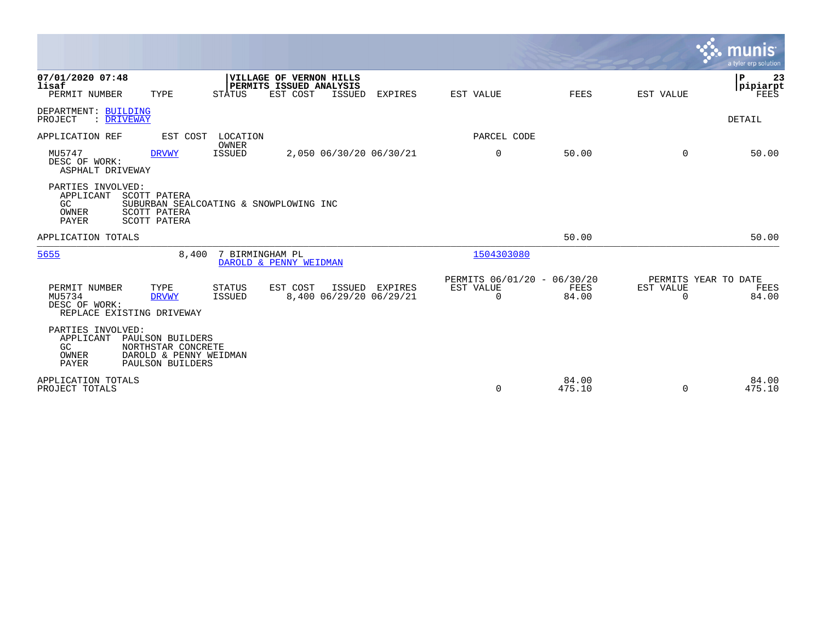|                                                                       |                                                                                        |                         |                                                                |               |                                           |                                                      |                      |                                               | <b>munis</b><br>a tyler erp solution    |
|-----------------------------------------------------------------------|----------------------------------------------------------------------------------------|-------------------------|----------------------------------------------------------------|---------------|-------------------------------------------|------------------------------------------------------|----------------------|-----------------------------------------------|-----------------------------------------|
| 07/01/2020 07:48<br>lisaf<br>PERMIT NUMBER                            | TYPE                                                                                   | STATUS                  | VILLAGE OF VERNON HILLS<br>PERMITS ISSUED ANALYSIS<br>EST COST | ISSUED        | <b>EXPIRES</b>                            | EST VALUE                                            | FEES                 | EST VALUE                                     | $\mathbf{P}$<br>23<br> pipiarpt<br>FEES |
| DEPARTMENT: BUILDING<br>: DRIVEWAY<br>PROJECT                         |                                                                                        |                         |                                                                |               |                                           |                                                      |                      |                                               | <b>DETAIL</b>                           |
| APPLICATION REF                                                       | EST COST                                                                               | LOCATION                |                                                                |               |                                           | PARCEL CODE                                          |                      |                                               |                                         |
| MU5747<br>DESC OF WORK:<br>ASPHALT DRIVEWAY                           | <b>DRVWY</b>                                                                           | OWNER<br><b>ISSUED</b>  |                                                                |               | 2,050 06/30/20 06/30/21                   | $\mathbf 0$                                          | 50.00                | $\Omega$                                      | 50.00                                   |
| PARTIES INVOLVED:<br>APPLICANT<br>GC<br>OWNER<br>PAYER                | SCOTT PATERA<br>SUBURBAN SEALCOATING & SNOWPLOWING INC<br>SCOTT PATERA<br>SCOTT PATERA |                         |                                                                |               |                                           |                                                      |                      |                                               |                                         |
| APPLICATION TOTALS                                                    |                                                                                        |                         |                                                                |               |                                           |                                                      | 50.00                |                                               | 50.00                                   |
| 5655                                                                  | 8,400                                                                                  |                         | 7 BIRMINGHAM PL<br>DAROLD & PENNY WEIDMAN                      |               |                                           | 1504303080                                           |                      |                                               |                                         |
| PERMIT NUMBER<br>MU5734<br>DESC OF WORK:<br>REPLACE EXISTING DRIVEWAY | TYPE<br><b>DRVWY</b>                                                                   | <b>STATUS</b><br>ISSUED | EST COST                                                       | <b>ISSUED</b> | <b>EXPIRES</b><br>8,400 06/29/20 06/29/21 | PERMITS 06/01/20 - 06/30/20<br>EST VALUE<br>$\Omega$ | <b>FEES</b><br>84.00 | PERMITS YEAR TO DATE<br>EST VALUE<br>$\Omega$ | FEES<br>84.00                           |
| PARTIES INVOLVED:<br>APPLICANT<br>GC<br>OWNER<br>PAYER                | PAULSON BUILDERS<br>NORTHSTAR CONCRETE<br>DAROLD & PENNY WEIDMAN<br>PAULSON BUILDERS   |                         |                                                                |               |                                           |                                                      |                      |                                               |                                         |
| APPLICATION TOTALS<br>PROJECT TOTALS                                  |                                                                                        |                         |                                                                |               |                                           | $\mathbf 0$                                          | 84.00<br>475.10      | $\Omega$                                      | 84.00<br>475.10                         |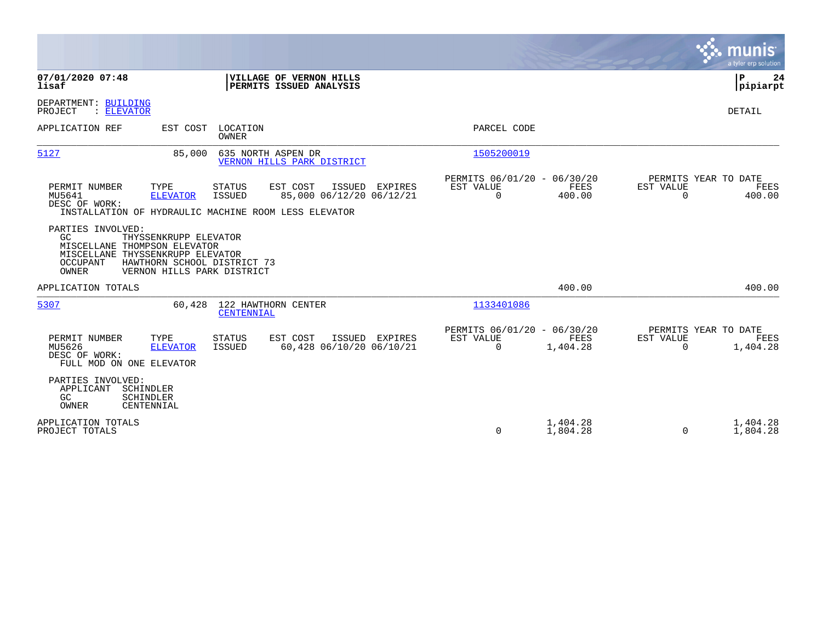|                                                                                                                                                                                                        |                                                           |                                                      |                      |                                                  | <b>munis</b><br>a tyler erp solution |
|--------------------------------------------------------------------------------------------------------------------------------------------------------------------------------------------------------|-----------------------------------------------------------|------------------------------------------------------|----------------------|--------------------------------------------------|--------------------------------------|
| 07/01/2020 07:48<br>lisaf                                                                                                                                                                              | VILLAGE OF VERNON HILLS<br>PERMITS ISSUED ANALYSIS        |                                                      |                      |                                                  | P<br>24<br> pipiarpt                 |
| DEPARTMENT: BUILDING<br>: ELEVATOR<br>PROJECT                                                                                                                                                          |                                                           |                                                      |                      |                                                  | DETAIL                               |
| APPLICATION REF<br>EST COST<br>LOCATION<br>OWNER                                                                                                                                                       |                                                           | PARCEL CODE                                          |                      |                                                  |                                      |
| 5127<br>635 NORTH ASPEN DR<br>85,000                                                                                                                                                                   | VERNON HILLS PARK DISTRICT                                | 1505200019                                           |                      |                                                  |                                      |
| TYPE<br><b>STATUS</b><br>PERMIT NUMBER<br>MU5641<br><b>ELEVATOR</b><br><b>ISSUED</b><br>DESC OF WORK:<br>INSTALLATION OF HYDRAULIC MACHINE ROOM LESS ELEVATOR                                          | EST COST<br>ISSUED<br>EXPIRES<br>85,000 06/12/20 06/12/21 | PERMITS 06/01/20 - 06/30/20<br>EST VALUE<br>$\Omega$ | FEES<br>400.00       | PERMITS YEAR TO DATE<br>EST VALUE<br>$\Omega$    | <b>FEES</b><br>400.00                |
| PARTIES INVOLVED:<br>GC<br>THYSSENKRUPP ELEVATOR<br>MISCELLANE THOMPSON ELEVATOR<br>MISCELLANE THYSSENKRUPP ELEVATOR<br>OCCUPANT<br>HAWTHORN SCHOOL DISTRICT 73<br>OWNER<br>VERNON HILLS PARK DISTRICT |                                                           |                                                      |                      |                                                  |                                      |
| APPLICATION TOTALS                                                                                                                                                                                     |                                                           |                                                      | 400.00               |                                                  | 400.00                               |
| 122 HAWTHORN CENTER<br>5307<br>60,428<br>CENTENNIAL                                                                                                                                                    |                                                           | 1133401086                                           |                      |                                                  |                                      |
| PERMIT NUMBER<br><b>STATUS</b><br>TYPE<br>MU5626<br><b>ELEVATOR</b><br><b>ISSUED</b><br>DESC OF WORK:<br>FULL MOD ON ONE ELEVATOR                                                                      | EST COST<br>ISSUED EXPIRES<br>60,428 06/10/20 06/10/21    | PERMITS 06/01/20 - 06/30/20<br>EST VALUE<br>0        | FEES<br>1,404.28     | PERMITS YEAR TO DATE<br>EST VALUE<br>$\mathbf 0$ | FEES<br>1,404.28                     |
| PARTIES INVOLVED:<br>APPLICANT<br>SCHINDLER<br>GC.<br>SCHINDLER<br>OWNER<br>CENTENNIAL                                                                                                                 |                                                           |                                                      |                      |                                                  |                                      |
| APPLICATION TOTALS<br>PROJECT TOTALS                                                                                                                                                                   |                                                           | 0                                                    | 1,404.28<br>1,804.28 | 0                                                | 1,404.28<br>1,804.28                 |

 $\mathcal{L}^{\text{max}}$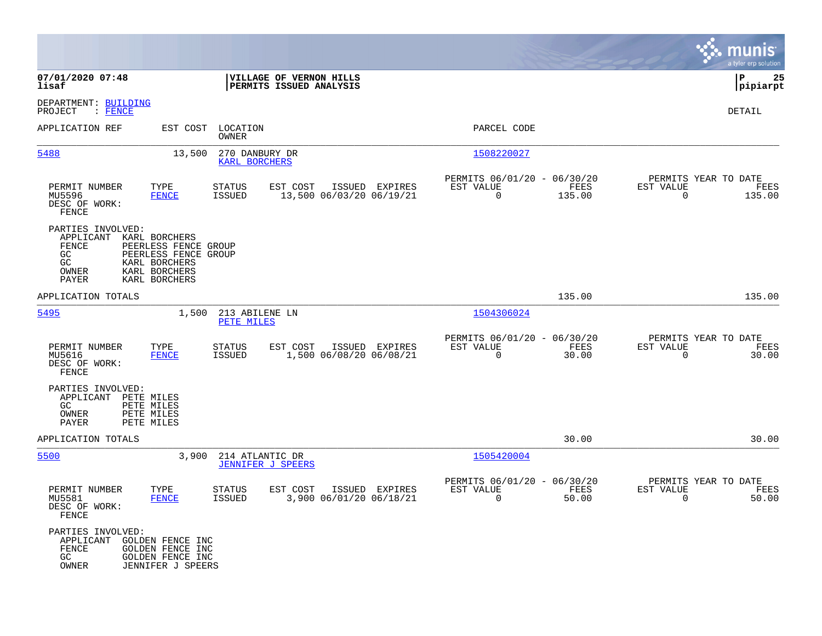|                                                                       |                                                                                                                  |                                             |                                                    |                |                                                         |                |                                                     | munis<br>a tyler erp solution |
|-----------------------------------------------------------------------|------------------------------------------------------------------------------------------------------------------|---------------------------------------------|----------------------------------------------------|----------------|---------------------------------------------------------|----------------|-----------------------------------------------------|-------------------------------|
| 07/01/2020 07:48<br>lisaf                                             |                                                                                                                  |                                             | VILLAGE OF VERNON HILLS<br>PERMITS ISSUED ANALYSIS |                |                                                         |                |                                                     | 25<br>l P<br> pipiarpt        |
| DEPARTMENT: BUILDING<br>: FENCE<br>PROJECT                            |                                                                                                                  |                                             |                                                    |                |                                                         |                |                                                     | DETAIL                        |
| APPLICATION REF                                                       |                                                                                                                  | EST COST LOCATION<br><b>OWNER</b>           |                                                    |                | PARCEL CODE                                             |                |                                                     |                               |
| 5488                                                                  | 13,500                                                                                                           | 270 DANBURY DR<br>KARL BORCHERS             |                                                    |                | 1508220027                                              |                |                                                     |                               |
| PERMIT NUMBER<br>MU5596<br>DESC OF WORK:<br>FENCE                     | TYPE<br><b>FENCE</b>                                                                                             | <b>STATUS</b><br>ISSUED                     | EST COST<br>13,500 06/03/20 06/19/21               | ISSUED EXPIRES | PERMITS 06/01/20 - 06/30/20<br>EST VALUE<br>0           | FEES<br>135.00 | PERMITS YEAR TO DATE<br>EST VALUE<br>0              | FEES<br>135.00                |
| PARTIES INVOLVED:<br>APPLICANT<br>FENCE<br>GC<br>GC<br>OWNER<br>PAYER | KARL BORCHERS<br>PEERLESS FENCE GROUP<br>PEERLESS FENCE GROUP<br>KARL BORCHERS<br>KARL BORCHERS<br>KARL BORCHERS |                                             |                                                    |                |                                                         |                |                                                     |                               |
| APPLICATION TOTALS                                                    |                                                                                                                  |                                             |                                                    |                |                                                         | 135.00         |                                                     | 135.00                        |
| 5495                                                                  | 1,500                                                                                                            | 213 ABILENE LN<br>PETE MILES                |                                                    |                | 1504306024                                              |                |                                                     |                               |
| PERMIT NUMBER<br>MU5616<br>DESC OF WORK:<br>FENCE                     | TYPE<br><b>FENCE</b>                                                                                             | <b>STATUS</b><br><b>ISSUED</b>              | EST COST<br>1,500 06/08/20 06/08/21                | ISSUED EXPIRES | PERMITS 06/01/20 - 06/30/20<br>EST VALUE<br>$\mathbf 0$ | FEES<br>30.00  | PERMITS YEAR TO DATE<br>EST VALUE<br>$\overline{0}$ | FEES<br>30.00                 |
| PARTIES INVOLVED:<br>APPLICANT<br>GC.<br>OWNER<br><b>PAYER</b>        | PETE MILES<br>PETE MILES<br>PETE MILES<br>PETE MILES                                                             |                                             |                                                    |                |                                                         |                |                                                     |                               |
| APPLICATION TOTALS                                                    |                                                                                                                  |                                             |                                                    |                |                                                         | 30.00          |                                                     | 30.00                         |
| 5500                                                                  | 3,900                                                                                                            | 214 ATLANTIC DR<br><b>JENNIFER J SPEERS</b> |                                                    |                | 1505420004                                              |                |                                                     |                               |
| PERMIT NUMBER<br>MU5581<br>DESC OF WORK:<br>FENCE                     | TYPE<br><b>FENCE</b>                                                                                             | STATUS<br>ISSUED                            | EST COST<br>3,900 06/01/20 06/18/21                | ISSUED EXPIRES | PERMITS 06/01/20 - 06/30/20<br>EST VALUE<br>$\mathbf 0$ | FEES<br>50.00  | PERMITS YEAR TO DATE<br>EST VALUE<br>$\mathbf 0$    | FEES<br>50.00                 |
| PARTIES INVOLVED:<br>APPLICANT<br>FENCE<br>GC<br>OWNER                | GOLDEN FENCE INC<br>GOLDEN FENCE INC<br>GOLDEN FENCE INC<br>JENNIFER J SPEERS                                    |                                             |                                                    |                |                                                         |                |                                                     |                               |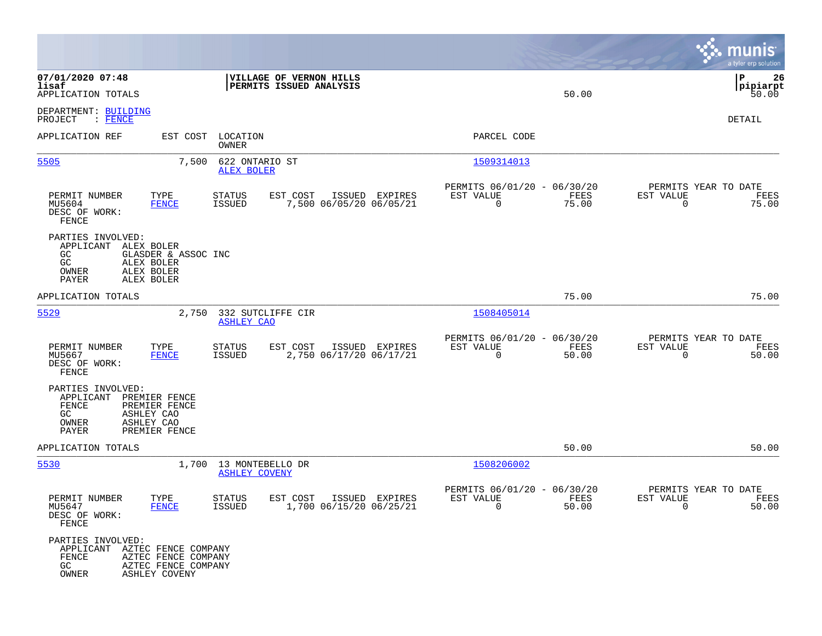|                                                                                                                      |                                                             |                                          |                                                    |                |                                                            |               |                                                     | munis<br>a tyler erp solution   |
|----------------------------------------------------------------------------------------------------------------------|-------------------------------------------------------------|------------------------------------------|----------------------------------------------------|----------------|------------------------------------------------------------|---------------|-----------------------------------------------------|---------------------------------|
| 07/01/2020 07:48<br>lisaf<br>APPLICATION TOTALS                                                                      |                                                             |                                          | VILLAGE OF VERNON HILLS<br>PERMITS ISSUED ANALYSIS |                |                                                            | 50.00         |                                                     | l P<br>26<br> pipiarpt<br>50.00 |
| DEPARTMENT: BUILDING<br>$:$ FENCE<br>PROJECT                                                                         |                                                             |                                          |                                                    |                |                                                            |               |                                                     | DETAIL                          |
| APPLICATION REF                                                                                                      | EST COST                                                    | LOCATION<br>OWNER                        |                                                    |                | PARCEL CODE                                                |               |                                                     |                                 |
| 5505                                                                                                                 | 7,500                                                       | 622 ONTARIO ST<br><b>ALEX BOLER</b>      |                                                    |                | 1509314013                                                 |               |                                                     |                                 |
| PERMIT NUMBER<br>MU5604<br>DESC OF WORK:<br>FENCE                                                                    | TYPE<br><b>FENCE</b>                                        | STATUS<br>ISSUED                         | EST COST<br>7,500 06/05/20 06/05/21                | ISSUED EXPIRES | PERMITS 06/01/20 - 06/30/20<br>EST VALUE<br>$\mathbf 0$    | FEES<br>75.00 | PERMITS YEAR TO DATE<br>EST VALUE<br>$\mathbf 0$    | FEES<br>75.00                   |
| PARTIES INVOLVED:<br>ALEX BOLER<br>APPLICANT<br>GC<br>GC<br>ALEX BOLER<br>ALEX BOLER<br>OWNER<br>PAYER<br>ALEX BOLER | GLASDER & ASSOC INC                                         |                                          |                                                    |                |                                                            |               |                                                     |                                 |
| APPLICATION TOTALS                                                                                                   |                                                             |                                          |                                                    |                |                                                            | 75.00         |                                                     | 75.00                           |
| 5529                                                                                                                 | 2,750                                                       | 332 SUTCLIFFE CIR<br><b>ASHLEY CAO</b>   |                                                    |                | 1508405014                                                 |               |                                                     |                                 |
| PERMIT NUMBER<br>MU5667<br>DESC OF WORK:<br><b>FENCE</b>                                                             | TYPE<br><b>FENCE</b>                                        | STATUS<br><b>ISSUED</b>                  | EST COST<br>2,750 06/17/20 06/17/21                | ISSUED EXPIRES | PERMITS 06/01/20 - 06/30/20<br>EST VALUE<br>$\mathbf 0$    | FEES<br>50.00 | PERMITS YEAR TO DATE<br>EST VALUE<br>$\mathbf 0$    | FEES<br>50.00                   |
| PARTIES INVOLVED:<br>APPLICANT<br>FENCE<br>GC.<br>ASHLEY CAO<br>OWNER<br>ASHLEY CAO<br>PAYER                         | PREMIER FENCE<br>PREMIER FENCE<br>PREMIER FENCE             |                                          |                                                    |                |                                                            |               |                                                     |                                 |
| APPLICATION TOTALS                                                                                                   |                                                             |                                          |                                                    |                |                                                            | 50.00         |                                                     | 50.00                           |
| 5530                                                                                                                 | 1,700                                                       | 13 MONTEBELLO DR<br><b>ASHLEY COVENY</b> |                                                    |                | 1508206002                                                 |               |                                                     |                                 |
| PERMIT NUMBER<br>MU5647<br>DESC OF WORK:<br>FENCE                                                                    | TYPE<br><b>FENCE</b>                                        | <b>STATUS</b><br>ISSUED                  | EST COST<br>1,700 06/15/20 06/25/21                | ISSUED EXPIRES | PERMITS 06/01/20 - 06/30/20<br>EST VALUE<br>$\overline{0}$ | FEES<br>50.00 | PERMITS YEAR TO DATE<br>EST VALUE<br>$\overline{0}$ | FEES<br>50.00                   |
| PARTIES INVOLVED:<br>APPLICANT AZTEC FENCE COMPANY<br>FENCE<br>GC<br>OWNER                                           | AZTEC FENCE COMPANY<br>AZTEC FENCE COMPANY<br>ASHLEY COVENY |                                          |                                                    |                |                                                            |               |                                                     |                                 |

**Contract**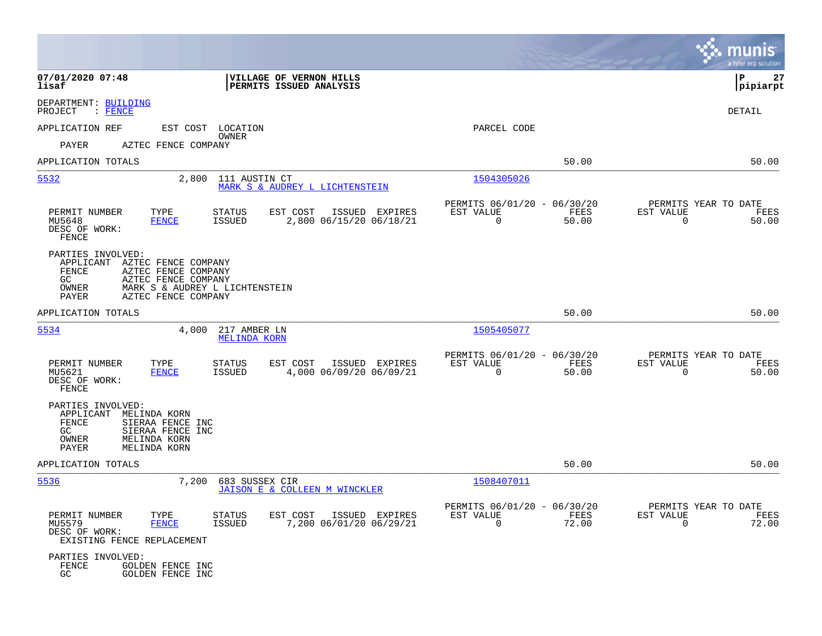|                                                                                                                                                                                                      |                                                                                  |                                                            |               |                                                  | munis<br>a tyler erp solution |
|------------------------------------------------------------------------------------------------------------------------------------------------------------------------------------------------------|----------------------------------------------------------------------------------|------------------------------------------------------------|---------------|--------------------------------------------------|-------------------------------|
| 07/01/2020 07:48<br>lisaf                                                                                                                                                                            | VILLAGE OF VERNON HILLS<br>PERMITS ISSUED ANALYSIS                               |                                                            |               |                                                  | P<br>27<br> pipiarpt          |
| DEPARTMENT: BUILDING<br>PROJECT<br>$\colon$ FENCE                                                                                                                                                    |                                                                                  |                                                            |               |                                                  | <b>DETAIL</b>                 |
| APPLICATION REF<br>EST COST LOCATION                                                                                                                                                                 |                                                                                  | PARCEL CODE                                                |               |                                                  |                               |
| PAYER<br>AZTEC FENCE COMPANY                                                                                                                                                                         | OWNER                                                                            |                                                            |               |                                                  |                               |
| APPLICATION TOTALS                                                                                                                                                                                   |                                                                                  |                                                            | 50.00         |                                                  | 50.00                         |
| 5532<br>2,800                                                                                                                                                                                        | 111 AUSTIN CT<br>MARK S & AUDREY L LICHTENSTEIN                                  | 1504305026                                                 |               |                                                  |                               |
| PERMIT NUMBER<br>TYPE<br>MU5648<br><b>FENCE</b><br>DESC OF WORK:<br>FENCE                                                                                                                            | <b>STATUS</b><br>EST COST<br>ISSUED EXPIRES<br>2,800 06/15/20 06/18/21<br>ISSUED | PERMITS 06/01/20 - 06/30/20<br>EST VALUE<br>$\overline{0}$ | FEES<br>50.00 | PERMITS YEAR TO DATE<br>EST VALUE<br>$\mathbf 0$ | FEES<br>50.00                 |
| PARTIES INVOLVED:<br>APPLICANT<br>AZTEC FENCE COMPANY<br>FENCE<br>AZTEC FENCE COMPANY<br>GC<br>AZTEC FENCE COMPANY<br>OWNER<br>MARK S & AUDREY L LICHTENSTEIN<br><b>PAYER</b><br>AZTEC FENCE COMPANY |                                                                                  |                                                            |               |                                                  |                               |
| APPLICATION TOTALS                                                                                                                                                                                   |                                                                                  |                                                            | 50.00         |                                                  | 50.00                         |
| 5534<br>4,000                                                                                                                                                                                        | 217 AMBER LN<br><b>MELINDA KORN</b>                                              | 1505405077                                                 |               |                                                  |                               |
| PERMIT NUMBER<br>TYPE<br>MU5621<br><b>FENCE</b><br>DESC OF WORK:<br>FENCE                                                                                                                            | STATUS<br>EST COST<br>ISSUED EXPIRES<br>4,000 06/09/20 06/09/21<br>ISSUED        | PERMITS 06/01/20 - 06/30/20<br>EST VALUE<br>$\Omega$       | FEES<br>50.00 | PERMITS YEAR TO DATE<br>EST VALUE<br>$\mathbf 0$ | FEES<br>50.00                 |
| PARTIES INVOLVED:<br>APPLICANT<br>MELINDA KORN<br><b>FENCE</b><br>SIERAA FENCE INC<br>SIERAA FENCE INC<br>GC<br>MELINDA KORN<br>OWNER<br>PAYER<br>MELINDA KORN                                       |                                                                                  |                                                            |               |                                                  |                               |
| APPLICATION TOTALS                                                                                                                                                                                   |                                                                                  |                                                            | 50.00         |                                                  | 50.00                         |
| 5536<br>7,200                                                                                                                                                                                        | 683 SUSSEX CIR<br>JAISON E & COLLEEN M WINCKLER                                  | 1508407011                                                 |               |                                                  |                               |
| PERMIT NUMBER<br>TYPE<br>MU5579<br><b>FENCE</b><br>DESC OF WORK:<br>EXISTING FENCE REPLACEMENT                                                                                                       | STATUS<br>EST COST<br>ISSUED EXPIRES<br>ISSUED<br>7,200 06/01/20 06/29/21        | PERMITS 06/01/20 - 06/30/20<br>EST VALUE<br>$\overline{0}$ | FEES<br>72.00 | PERMITS YEAR TO DATE<br>EST VALUE<br>$\Omega$    | FEES<br>72.00                 |
| PARTIES INVOLVED:<br>FENCE<br>GOLDEN FENCE INC<br>GC<br>GOLDEN FENCE INC                                                                                                                             |                                                                                  |                                                            |               |                                                  |                               |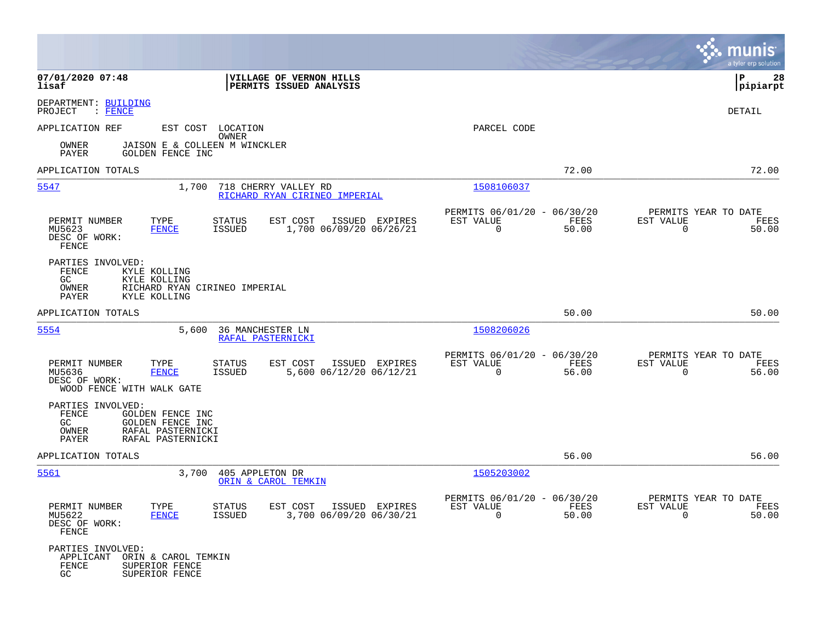|                                                                                                                                             |                                                                                  |                                                                             | munis<br>a tyler erp solution                                     |
|---------------------------------------------------------------------------------------------------------------------------------------------|----------------------------------------------------------------------------------|-----------------------------------------------------------------------------|-------------------------------------------------------------------|
| 07/01/2020 07:48<br>lisaf                                                                                                                   | VILLAGE OF VERNON HILLS<br>PERMITS ISSUED ANALYSIS                               |                                                                             | P<br>28<br> pipiarpt                                              |
| DEPARTMENT: BUILDING<br>PROJECT<br>$\colon$ FENCE                                                                                           |                                                                                  |                                                                             | <b>DETAIL</b>                                                     |
| APPLICATION REF                                                                                                                             | EST COST LOCATION<br>OWNER                                                       | PARCEL CODE                                                                 |                                                                   |
| JAISON E & COLLEEN M WINCKLER<br>OWNER<br><b>PAYER</b><br>GOLDEN FENCE INC                                                                  |                                                                                  |                                                                             |                                                                   |
| APPLICATION TOTALS                                                                                                                          |                                                                                  | 72.00                                                                       | 72.00                                                             |
| 5547<br>1,700                                                                                                                               | 718 CHERRY VALLEY RD<br>RICHARD RYAN CIRINEO IMPERIAL                            | 1508106037                                                                  |                                                                   |
| PERMIT NUMBER<br>TYPE<br>MU5623<br><b>FENCE</b><br>DESC OF WORK:<br>FENCE                                                                   | STATUS<br>EST COST<br>ISSUED EXPIRES<br>1,700 06/09/20 06/26/21<br><b>ISSUED</b> | PERMITS 06/01/20 - 06/30/20<br>EST VALUE<br>FEES<br>$\overline{0}$<br>50.00 | PERMITS YEAR TO DATE<br>EST VALUE<br>FEES<br>$\mathbf 0$<br>50.00 |
| PARTIES INVOLVED:<br>FENCE<br>KYLE KOLLING<br>GC.<br>KYLE KOLLING<br>OWNER<br>RICHARD RYAN CIRINEO IMPERIAL<br><b>PAYER</b><br>KYLE KOLLING |                                                                                  |                                                                             |                                                                   |
| APPLICATION TOTALS                                                                                                                          |                                                                                  | 50.00                                                                       | 50.00                                                             |
| 5554<br>5,600                                                                                                                               | 36 MANCHESTER LN<br>RAFAL PASTERNICKI                                            | 1508206026                                                                  |                                                                   |
| PERMIT NUMBER<br>TYPE<br>MU5636<br><b>FENCE</b><br>DESC OF WORK:<br>WOOD FENCE WITH WALK GATE                                               | STATUS<br>EST COST<br>ISSUED EXPIRES<br>5,600 06/12/20 06/12/21<br>ISSUED        | PERMITS 06/01/20 - 06/30/20<br>EST VALUE<br>FEES<br>$\Omega$<br>56.00       | PERMITS YEAR TO DATE<br>EST VALUE<br>FEES<br>$\mathbf 0$<br>56.00 |
| PARTIES INVOLVED:<br>FENCE<br>GOLDEN FENCE INC<br>GOLDEN FENCE INC<br>GC.<br>OWNER<br>RAFAL PASTERNICKI<br>PAYER<br>RAFAL PASTERNICKI       |                                                                                  |                                                                             |                                                                   |
| APPLICATION TOTALS                                                                                                                          |                                                                                  | 56.00                                                                       | 56.00                                                             |
| 5561<br>3,700                                                                                                                               | 405 APPLETON DR<br>ORIN & CAROL TEMKIN                                           | 1505203002                                                                  |                                                                   |
| PERMIT NUMBER<br>TYPE<br>MU5622<br><b>FENCE</b><br>DESC OF WORK:<br>FENCE                                                                   | STATUS<br>EST COST ISSUED EXPIRES<br>3,700 06/09/20 06/30/21<br>ISSUED           | PERMITS 06/01/20 - 06/30/20<br>EST VALUE<br>FEES<br>$\Omega$<br>50.00       | PERMITS YEAR TO DATE<br>EST VALUE<br>FEES<br>$\Omega$<br>50.00    |
| PARTIES INVOLVED:<br>APPLICANT<br>ORIN & CAROL TEMKIN<br>FENCE<br>SUPERIOR FENCE<br>GC<br>SUPERIOR FENCE                                    |                                                                                  |                                                                             |                                                                   |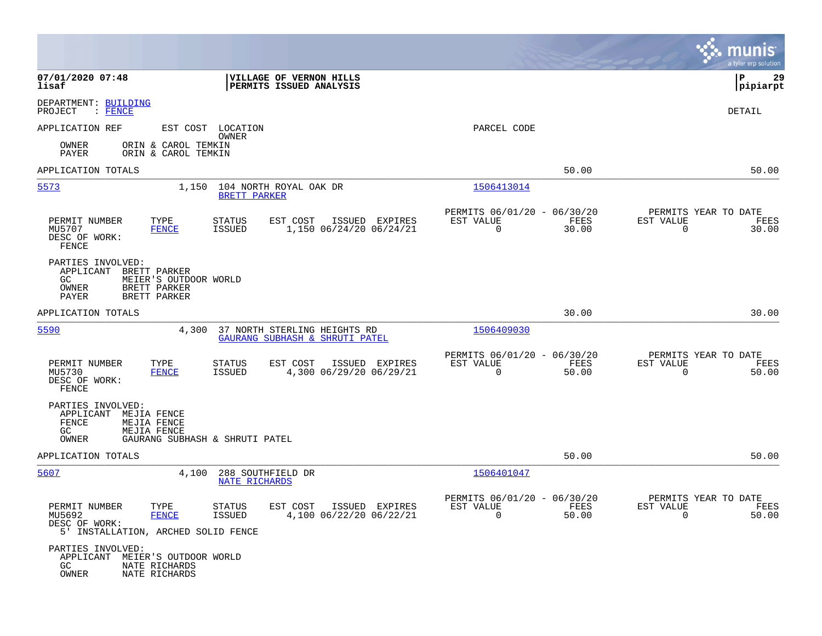|                                                                                                                                 |                                                                               |                                                                          | munis<br>a tyler erp solution                                     |
|---------------------------------------------------------------------------------------------------------------------------------|-------------------------------------------------------------------------------|--------------------------------------------------------------------------|-------------------------------------------------------------------|
| 07/01/2020 07:48<br>lisaf                                                                                                       | VILLAGE OF VERNON HILLS<br>PERMITS ISSUED ANALYSIS                            |                                                                          | P<br>29<br>pipiarpt                                               |
| DEPARTMENT: BUILDING<br>PROJECT<br>$\colon$ FENCE                                                                               |                                                                               |                                                                          | DETAIL                                                            |
| APPLICATION REF                                                                                                                 | EST COST LOCATION<br>OWNER                                                    | PARCEL CODE                                                              |                                                                   |
| ORIN & CAROL TEMKIN<br>OWNER<br>PAYER<br>ORIN & CAROL TEMKIN                                                                    |                                                                               |                                                                          |                                                                   |
| APPLICATION TOTALS                                                                                                              |                                                                               | 50.00                                                                    | 50.00                                                             |
| 5573<br>1,150                                                                                                                   | 104 NORTH ROYAL OAK DR<br>BRETT PARKER                                        | 1506413014                                                               |                                                                   |
| PERMIT NUMBER<br>TYPE<br>MU5707<br><b>FENCE</b><br>DESC OF WORK:<br>FENCE                                                       | EST COST<br>ISSUED EXPIRES<br>STATUS<br>1,150 06/24/20 06/24/21<br>ISSUED     | PERMITS 06/01/20 - 06/30/20<br>EST VALUE<br>FEES<br>$\mathbf 0$<br>30.00 | PERMITS YEAR TO DATE<br>EST VALUE<br>FEES<br>$\mathbf 0$<br>30.00 |
| PARTIES INVOLVED:<br>APPLICANT<br>BRETT PARKER<br>GC<br>MEIER'S OUTDOOR WORLD<br>OWNER<br>BRETT PARKER<br>PAYER<br>BRETT PARKER |                                                                               |                                                                          |                                                                   |
| APPLICATION TOTALS                                                                                                              |                                                                               | 30.00                                                                    | 30.00                                                             |
| 5590<br>4,300                                                                                                                   | 37 NORTH STERLING HEIGHTS RD<br>GAURANG SUBHASH & SHRUTI PATEL                | 1506409030                                                               |                                                                   |
| PERMIT NUMBER<br>TYPE<br>MU5730<br><b>FENCE</b><br>DESC OF WORK:<br>FENCE                                                       | EST COST<br>ISSUED EXPIRES<br>STATUS<br>4,300 06/29/20 06/29/21<br>ISSUED     | PERMITS 06/01/20 - 06/30/20<br>EST VALUE<br>FEES<br>$\mathbf 0$<br>50.00 | PERMITS YEAR TO DATE<br>EST VALUE<br>FEES<br>$\mathbf 0$<br>50.00 |
| PARTIES INVOLVED:<br>APPLICANT<br>MEJIA FENCE<br>FENCE<br>MEJIA FENCE<br>GC<br>MEJIA FENCE<br>OWNER                             | GAURANG SUBHASH & SHRUTI PATEL                                                |                                                                          |                                                                   |
| APPLICATION TOTALS                                                                                                              |                                                                               | 50.00                                                                    | 50.00                                                             |
| 5607<br>4,100                                                                                                                   | 288 SOUTHFIELD DR<br><b>NATE RICHARDS</b>                                     | 1506401047                                                               |                                                                   |
| PERMIT NUMBER<br>TYPE<br>MU5692<br><b>FENCE</b><br>DESC OF WORK:<br>5' INSTALLATION, ARCHED SOLID FENCE                         | <b>STATUS</b><br>EST COST ISSUED EXPIRES<br>4,100 06/22/20 06/22/21<br>ISSUED | PERMITS 06/01/20 - 06/30/20<br>FEES<br>EST VALUE<br>$\Omega$<br>50.00    | PERMITS YEAR TO DATE<br>EST VALUE<br>FEES<br>$\Omega$<br>50.00    |
| PARTIES INVOLVED:<br>APPLICANT MEIER'S OUTDOOR WORLD<br>GC<br>NATE RICHARDS<br>OWNER<br>NATE RICHARDS                           |                                                                               |                                                                          |                                                                   |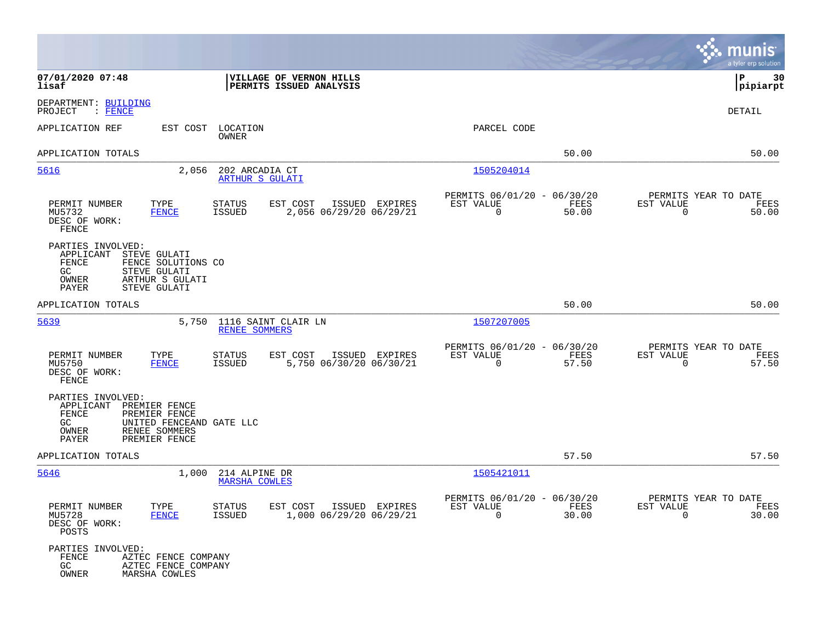|                                                                                                                                                                 |                                                                                  |                                                                          | munis<br>a tyler erp solution                                     |
|-----------------------------------------------------------------------------------------------------------------------------------------------------------------|----------------------------------------------------------------------------------|--------------------------------------------------------------------------|-------------------------------------------------------------------|
| 07/01/2020 07:48<br>lisaf                                                                                                                                       | VILLAGE OF VERNON HILLS<br>PERMITS ISSUED ANALYSIS                               |                                                                          | P<br>30<br> pipiarpt                                              |
| DEPARTMENT: BUILDING<br>PROJECT<br>$:$ FENCE                                                                                                                    |                                                                                  |                                                                          | <b>DETAIL</b>                                                     |
| APPLICATION REF<br>EST COST                                                                                                                                     | LOCATION<br>OWNER                                                                | PARCEL CODE                                                              |                                                                   |
| APPLICATION TOTALS                                                                                                                                              |                                                                                  | 50.00                                                                    | 50.00                                                             |
| 5616<br>2,056                                                                                                                                                   | 202 ARCADIA CT<br><b>ARTHUR S GULATI</b>                                         | 1505204014                                                               |                                                                   |
| TYPE<br>PERMIT NUMBER<br>MU5732<br><b>FENCE</b><br>DESC OF WORK:<br>FENCE                                                                                       | STATUS<br>EST COST<br>ISSUED EXPIRES<br><b>ISSUED</b><br>2,056 06/29/20 06/29/21 | PERMITS 06/01/20 - 06/30/20<br>EST VALUE<br>FEES<br>$\mathbf 0$<br>50.00 | PERMITS YEAR TO DATE<br>EST VALUE<br>FEES<br>$\mathbf 0$<br>50.00 |
| PARTIES INVOLVED:<br>APPLICANT<br>STEVE GULATI<br>FENCE<br>FENCE SOLUTIONS CO<br>GC<br>STEVE GULATI<br>ARTHUR S GULATI<br>OWNER<br>STEVE GULATI<br>PAYER        |                                                                                  |                                                                          |                                                                   |
| APPLICATION TOTALS                                                                                                                                              |                                                                                  | 50.00                                                                    | 50.00                                                             |
| 5639<br>5,750                                                                                                                                                   | 1116 SAINT CLAIR LN<br><b>RENEE SOMMERS</b>                                      | 1507207005                                                               |                                                                   |
| TYPE<br>PERMIT NUMBER<br>MU5750<br><b>FENCE</b><br>DESC OF WORK:<br>FENCE                                                                                       | EST COST<br>STATUS<br>ISSUED EXPIRES<br>5,750 06/30/20 06/30/21<br><b>ISSUED</b> | PERMITS 06/01/20 - 06/30/20<br>EST VALUE<br>FEES<br>0<br>57.50           | PERMITS YEAR TO DATE<br>EST VALUE<br>FEES<br>$\mathbf 0$<br>57.50 |
| PARTIES INVOLVED:<br>APPLICANT<br>PREMIER FENCE<br>FENCE<br>PREMIER FENCE<br>GC<br>UNITED FENCEAND GATE LLC<br>OWNER<br>RENEE SOMMERS<br>PAYER<br>PREMIER FENCE |                                                                                  |                                                                          |                                                                   |
| APPLICATION TOTALS                                                                                                                                              |                                                                                  | 57.50                                                                    | 57.50                                                             |
| 5646<br>1,000                                                                                                                                                   | 214 ALPINE DR<br><b>MARSHA COWLES</b>                                            | 1505421011                                                               |                                                                   |
| PERMIT NUMBER<br>TYPE<br>MU5728<br><b>FENCE</b><br>DESC OF WORK:<br>POSTS                                                                                       | STATUS<br>EST COST ISSUED EXPIRES<br>1,000 06/29/20 06/29/21<br>ISSUED           | PERMITS 06/01/20 - 06/30/20<br>EST VALUE<br>FEES<br>$\Omega$<br>30.00    | PERMITS YEAR TO DATE<br>EST VALUE<br>FEES<br>$\Omega$<br>30.00    |
| PARTIES INVOLVED:<br>FENCE<br>AZTEC FENCE COMPANY<br>GC<br>AZTEC FENCE COMPANY<br>OWNER<br>MARSHA COWLES                                                        |                                                                                  |                                                                          |                                                                   |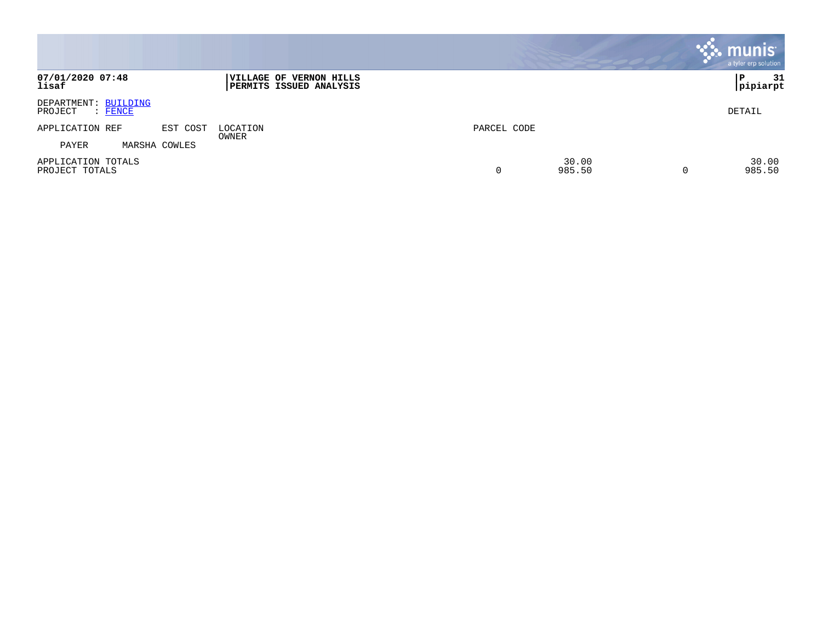|                                                   |               |                                                    |                           | <b>munis</b><br>a tyler erp solution |
|---------------------------------------------------|---------------|----------------------------------------------------|---------------------------|--------------------------------------|
| 07/01/2020 07:48<br>lisaf                         |               | VILLAGE OF VERNON HILLS<br>PERMITS ISSUED ANALYSIS |                           | 31<br>P<br> pipiarpt                 |
| DEPARTMENT: BUILDING<br>$\colon$ FENCE<br>PROJECT |               |                                                    |                           | DETAIL                               |
| APPLICATION REF                                   | EST COST      | LOCATION                                           | PARCEL CODE               |                                      |
| PAYER                                             | MARSHA COWLES | OWNER                                              |                           |                                      |
| APPLICATION TOTALS<br>PROJECT TOTALS              |               |                                                    | 30.00<br>0<br>985.50<br>0 | 30.00<br>985.50                      |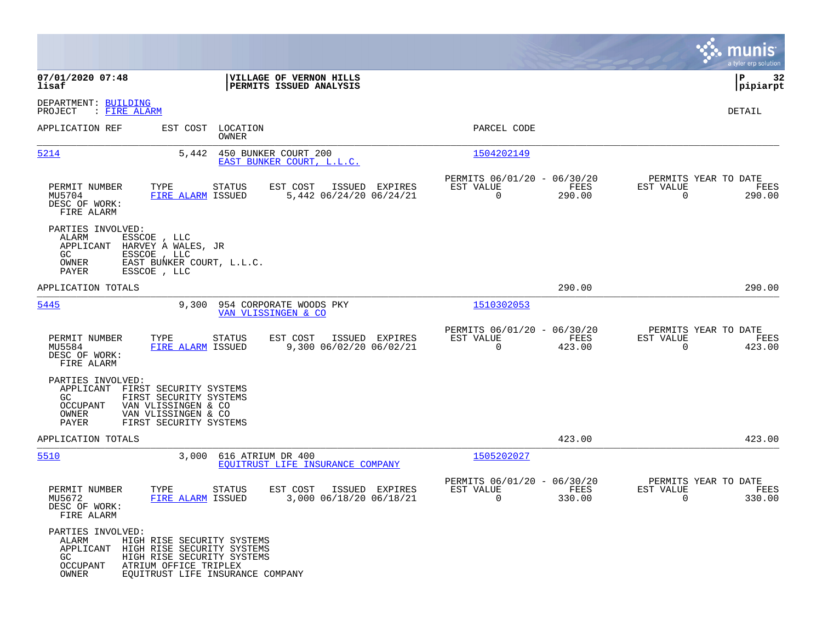|                                                                     |                                                                                                                                                               |                                                       |                                                            |                |                                               | munis<br>a tyler erp solution |
|---------------------------------------------------------------------|---------------------------------------------------------------------------------------------------------------------------------------------------------------|-------------------------------------------------------|------------------------------------------------------------|----------------|-----------------------------------------------|-------------------------------|
| 07/01/2020 07:48<br>lisaf                                           |                                                                                                                                                               | VILLAGE OF VERNON HILLS<br>PERMITS ISSUED ANALYSIS    |                                                            |                |                                               | 32<br>l P<br> pipiarpt        |
| DEPARTMENT: BUILDING<br>PROJECT<br>: <u>FIRE ALARM</u>              |                                                                                                                                                               |                                                       |                                                            |                |                                               | DETAIL                        |
| APPLICATION REF                                                     | EST COST LOCATION<br>OWNER                                                                                                                                    |                                                       | PARCEL CODE                                                |                |                                               |                               |
| 5214                                                                | 5,442                                                                                                                                                         | 450 BUNKER COURT 200<br>EAST BUNKER COURT, L.L.C.     | 1504202149                                                 |                |                                               |                               |
| PERMIT NUMBER<br>MU5704<br>DESC OF WORK:<br>FIRE ALARM              | TYPE<br>STATUS<br>FIRE ALARM ISSUED                                                                                                                           | EST COST<br>ISSUED EXPIRES<br>5,442 06/24/20 06/24/21 | PERMITS 06/01/20 - 06/30/20<br>EST VALUE<br>$\overline{0}$ | FEES<br>290.00 | PERMITS YEAR TO DATE<br>EST VALUE<br>$\Omega$ | FEES<br>290.00                |
| PARTIES INVOLVED:<br>ALARM<br>APPLICANT<br>GC.<br>OWNER<br>PAYER    | ESSCOE, LLC<br>HARVEY A WALES, JR<br>ESSCOE, LLC<br>EAST BUNKER COURT, L.L.C.<br>ESSCOE, LLC                                                                  |                                                       |                                                            |                |                                               |                               |
| APPLICATION TOTALS                                                  |                                                                                                                                                               |                                                       |                                                            | 290.00         |                                               | 290.00                        |
| 5445                                                                | 9,300                                                                                                                                                         | 954 CORPORATE WOODS PKY<br>VAN VLISSINGEN & CO        | 1510302053                                                 |                |                                               |                               |
| PERMIT NUMBER<br>MU5584<br>DESC OF WORK:<br>FIRE ALARM              | TYPE<br>STATUS<br>FIRE ALARM ISSUED                                                                                                                           | ISSUED EXPIRES<br>EST COST<br>9,300 06/02/20 06/02/21 | PERMITS 06/01/20 - 06/30/20<br>EST VALUE<br>$\mathbf 0$    | FEES<br>423.00 | PERMITS YEAR TO DATE<br>EST VALUE<br>$\Omega$ | FEES<br>423.00                |
| PARTIES INVOLVED:<br>APPLICANT<br>GC.<br>OCCUPANT<br>OWNER<br>PAYER | FIRST SECURITY SYSTEMS<br>FIRST SECURITY SYSTEMS<br>VAN VLISSINGEN & CO<br>VAN VLISSINGEN & CO<br>FIRST SECURITY SYSTEMS                                      |                                                       |                                                            |                |                                               |                               |
| APPLICATION TOTALS                                                  |                                                                                                                                                               |                                                       |                                                            | 423.00         |                                               | 423.00                        |
| 5510                                                                | 3,000                                                                                                                                                         | 616 ATRIUM DR 400<br>EOUITRUST LIFE INSURANCE COMPANY | 1505202027                                                 |                |                                               |                               |
| PERMIT NUMBER<br>MU5672<br>DESC OF WORK:<br>FIRE ALARM              | TYPE<br>STATUS<br>FIRE ALARM ISSUED                                                                                                                           | EST COST<br>ISSUED EXPIRES<br>3,000 06/18/20 06/18/21 | PERMITS 06/01/20 - 06/30/20<br>EST VALUE<br>0              | FEES<br>330.00 | PERMITS YEAR TO DATE<br>EST VALUE<br>0        | FEES<br>330.00                |
| PARTIES INVOLVED:<br>ALARM<br>GC<br>OCCUPANT<br>OWNER               | HIGH RISE SECURITY SYSTEMS<br>APPLICANT HIGH RISE SECURITY SYSTEMS<br>HIGH RISE SECURITY SYSTEMS<br>ATRIUM OFFICE TRIPLEX<br>EQUITRUST LIFE INSURANCE COMPANY |                                                       |                                                            |                |                                               |                               |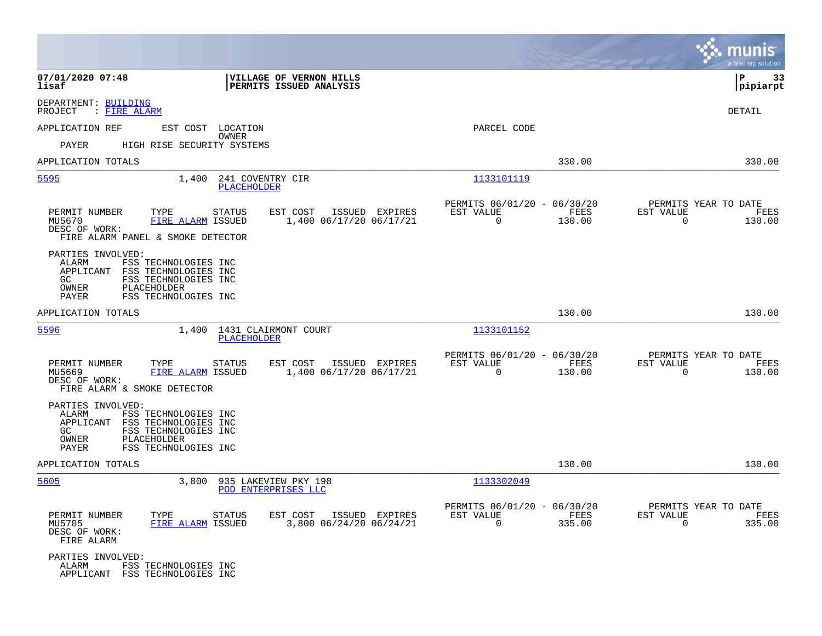|                                                                                                                                                                                |                                                                        |                                                            |                | munis<br>a tyler erp solution                                         |
|--------------------------------------------------------------------------------------------------------------------------------------------------------------------------------|------------------------------------------------------------------------|------------------------------------------------------------|----------------|-----------------------------------------------------------------------|
| 07/01/2020 07:48<br>lisaf                                                                                                                                                      | VILLAGE OF VERNON HILLS<br>PERMITS ISSUED ANALYSIS                     |                                                            |                | l P<br>-33<br> pipiarpt                                               |
| DEPARTMENT: BUILDING<br>: FIRE ALARM<br>PROJECT                                                                                                                                |                                                                        |                                                            |                | <b>DETAIL</b>                                                         |
| APPLICATION REF<br>EST COST LOCATION                                                                                                                                           |                                                                        | PARCEL CODE                                                |                |                                                                       |
| PAYER<br>HIGH RISE SECURITY SYSTEMS                                                                                                                                            | OWNER                                                                  |                                                            |                |                                                                       |
| APPLICATION TOTALS                                                                                                                                                             |                                                                        |                                                            | 330.00         | 330.00                                                                |
| 5595<br>1,400                                                                                                                                                                  | 241 COVENTRY CIR<br><b>PLACEHOLDER</b>                                 | 1133101119                                                 |                |                                                                       |
| PERMIT NUMBER<br>TYPE<br>FIRE ALARM ISSUED<br>MU5670<br>DESC OF WORK:<br>FIRE ALARM PANEL & SMOKE DETECTOR                                                                     | <b>STATUS</b><br>EST COST<br>ISSUED EXPIRES<br>1,400 06/17/20 06/17/21 | PERMITS 06/01/20 - 06/30/20<br>EST VALUE<br>$\Omega$       | FEES<br>130.00 | PERMITS YEAR TO DATE<br>EST VALUE<br>FEES<br>$\Omega$<br>130.00       |
| PARTIES INVOLVED:<br>ALARM<br>FSS TECHNOLOGIES INC<br>APPLICANT<br>FSS TECHNOLOGIES INC<br>GC<br>FSS TECHNOLOGIES INC<br>OWNER<br>PLACEHOLDER<br>FSS TECHNOLOGIES INC<br>PAYER |                                                                        |                                                            |                |                                                                       |
| APPLICATION TOTALS                                                                                                                                                             |                                                                        |                                                            | 130.00         | 130.00                                                                |
| 5596                                                                                                                                                                           | 1,400 1431 CLAIRMONT COURT<br>PLACEHOLDER                              | 1133101152                                                 |                |                                                                       |
| PERMIT NUMBER<br>TYPE<br>MU5669<br>FIRE ALARM ISSUED<br>DESC OF WORK:<br>FIRE ALARM & SMOKE DETECTOR                                                                           | <b>STATUS</b><br>EST COST<br>ISSUED EXPIRES<br>1,400 06/17/20 06/17/21 | PERMITS 06/01/20 - 06/30/20<br>EST VALUE<br>$\mathbf 0$    | FEES<br>130.00 | PERMITS YEAR TO DATE<br>EST VALUE<br>FEES<br>$\overline{0}$<br>130.00 |
| PARTIES INVOLVED:<br>ALARM<br>FSS TECHNOLOGIES INC<br>APPLICANT<br>FSS TECHNOLOGIES INC<br>GC<br>FSS TECHNOLOGIES INC<br>OWNER<br>PLACEHOLDER<br>FSS TECHNOLOGIES INC<br>PAYER |                                                                        |                                                            |                |                                                                       |
| APPLICATION TOTALS                                                                                                                                                             |                                                                        |                                                            | 130.00         | 130.00                                                                |
| 5605                                                                                                                                                                           | 3,800 935 LAKEVIEW PKY 198<br>POD ENTERPRISES LLC                      | 1133302049                                                 |                |                                                                       |
| PERMIT NUMBER<br>TYPE<br>FIRE ALARM ISSUED<br>MU5705<br>DESC OF WORK:<br>FIRE ALARM                                                                                            | <b>STATUS</b><br>EST COST<br>ISSUED EXPIRES<br>3,800 06/24/20 06/24/21 | PERMITS 06/01/20 - 06/30/20<br>EST VALUE<br>$\overline{0}$ | FEES<br>335.00 | PERMITS YEAR TO DATE<br>EST VALUE<br>FEES<br>335.00<br>$\overline{0}$ |
| PARTIES INVOLVED:<br>ALARM<br>FSS TECHNOLOGIES INC<br>APPLICANT FSS TECHNOLOGIES INC                                                                                           |                                                                        |                                                            |                |                                                                       |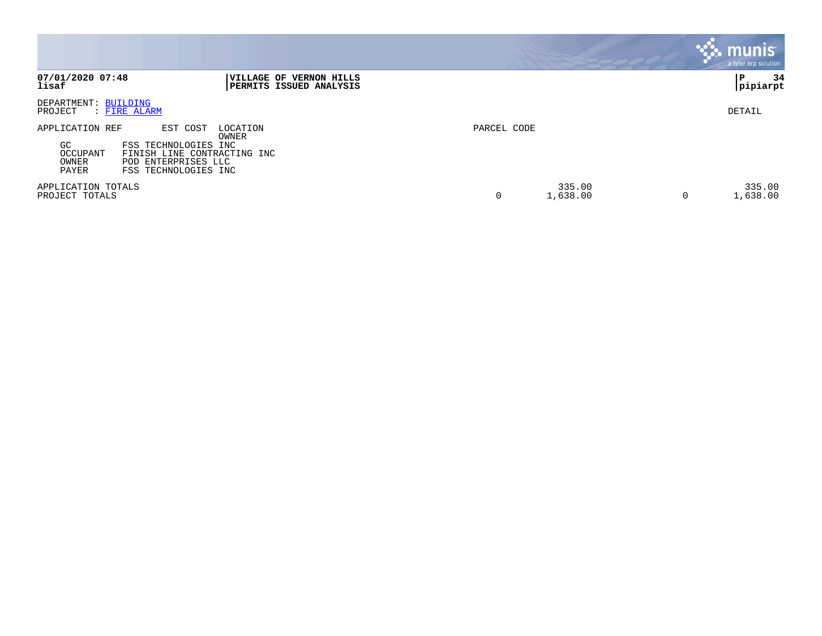|                                                     |                                                                                                                                     |             |                    |   | munis <sup>®</sup><br>a tyler erp solution |
|-----------------------------------------------------|-------------------------------------------------------------------------------------------------------------------------------------|-------------|--------------------|---|--------------------------------------------|
| 07/01/2020 07:48<br>lisaf                           | <b>VILLAGE OF VERNON HILLS</b><br><b>PERMITS ISSUED ANALYSIS</b>                                                                    |             |                    |   | 34<br>P<br> pipiarpt                       |
| DEPARTMENT: BUILDING<br>PROJECT                     | : FIRE ALARM                                                                                                                        |             |                    |   | DETAIL                                     |
| APPLICATION REF<br>GC<br>OCCUPANT<br>OWNER<br>PAYER | EST COST<br>LOCATION<br>OWNER<br>FSS TECHNOLOGIES INC<br>FINISH LINE CONTRACTING INC<br>POD ENTERPRISES LLC<br>FSS TECHNOLOGIES INC | PARCEL CODE |                    |   |                                            |
| APPLICATION TOTALS<br>PROJECT TOTALS                |                                                                                                                                     | 0           | 335.00<br>1,638.00 | 0 | 335.00<br>1,638.00                         |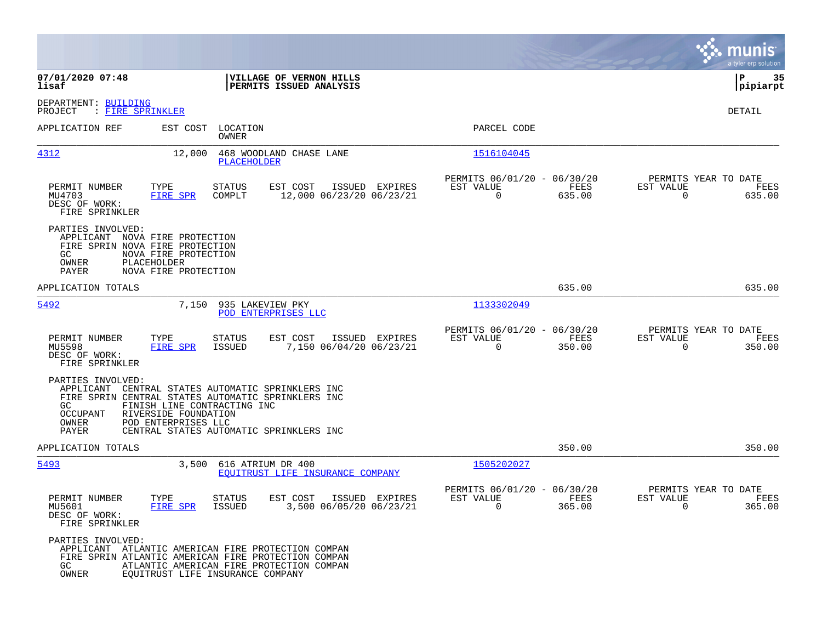|                                                                                                                                             |                                                                                                                                                                                                                        |                                                       |                |                                                      |                |                                               | a tyler erp solution  |
|---------------------------------------------------------------------------------------------------------------------------------------------|------------------------------------------------------------------------------------------------------------------------------------------------------------------------------------------------------------------------|-------------------------------------------------------|----------------|------------------------------------------------------|----------------|-----------------------------------------------|-----------------------|
| 07/01/2020 07:48<br>lisaf                                                                                                                   |                                                                                                                                                                                                                        | VILLAGE OF VERNON HILLS<br>PERMITS ISSUED ANALYSIS    |                |                                                      |                |                                               | ∣P<br>35<br> pipiarpt |
| DEPARTMENT: BUILDING<br>PROJECT<br>: FIRE SPRINKLER                                                                                         |                                                                                                                                                                                                                        |                                                       |                |                                                      |                |                                               | DETAIL                |
| APPLICATION REF                                                                                                                             | EST COST<br>LOCATION<br>OWNER                                                                                                                                                                                          |                                                       |                | PARCEL CODE                                          |                |                                               |                       |
| 4312                                                                                                                                        | 12,000<br>PLACEHOLDER                                                                                                                                                                                                  | 468 WOODLAND CHASE LANE                               |                | 1516104045                                           |                |                                               |                       |
| PERMIT NUMBER<br>MU4703<br>DESC OF WORK:<br>FIRE SPRINKLER                                                                                  | TYPE<br><b>STATUS</b><br>FIRE SPR<br>COMPLT                                                                                                                                                                            | EST COST<br>12,000 06/23/20 06/23/21                  | ISSUED EXPIRES | PERMITS 06/01/20 - 06/30/20<br>EST VALUE<br>0        | FEES<br>635.00 | PERMITS YEAR TO DATE<br>EST VALUE<br>0        | FEES<br>635.00        |
| PARTIES INVOLVED:<br>APPLICANT NOVA FIRE PROTECTION<br>FIRE SPRIN NOVA FIRE PROTECTION<br>GC<br>OWNER<br>PAYER                              | NOVA FIRE PROTECTION<br>PLACEHOLDER<br>NOVA FIRE PROTECTION                                                                                                                                                            |                                                       |                |                                                      |                |                                               |                       |
| APPLICATION TOTALS                                                                                                                          |                                                                                                                                                                                                                        |                                                       |                |                                                      | 635.00         |                                               | 635.00                |
| 5492                                                                                                                                        | 7,150                                                                                                                                                                                                                  | 935 LAKEVIEW PKY<br>POD ENTERPRISES LLC               |                | 1133302049                                           |                |                                               |                       |
| PERMIT NUMBER<br>MU5598<br>DESC OF WORK:<br>FIRE SPRINKLER                                                                                  | TYPE<br><b>STATUS</b><br>FIRE SPR<br>ISSUED                                                                                                                                                                            | EST COST<br>7,150 06/04/20 06/23/21                   | ISSUED EXPIRES | PERMITS 06/01/20 - 06/30/20<br>EST VALUE<br>$\Omega$ | FEES<br>350.00 | PERMITS YEAR TO DATE<br>EST VALUE<br>0        | FEES<br>350.00        |
| PARTIES INVOLVED:<br>APPLICANT<br>GC.<br>OCCUPANT<br>OWNER<br>PAYER                                                                         | CENTRAL STATES AUTOMATIC SPRINKLERS INC<br>FIRE SPRIN CENTRAL STATES AUTOMATIC SPRINKLERS INC<br>FINISH LINE CONTRACTING INC<br>RIVERSIDE FOUNDATION<br>POD ENTERPRISES LLC<br>CENTRAL STATES AUTOMATIC SPRINKLERS INC |                                                       |                |                                                      |                |                                               |                       |
| APPLICATION TOTALS                                                                                                                          |                                                                                                                                                                                                                        |                                                       |                |                                                      | 350.00         |                                               | 350.00                |
| 5493                                                                                                                                        | 3,500                                                                                                                                                                                                                  | 616 ATRIUM DR 400<br>EOUITRUST LIFE INSURANCE COMPANY |                | 1505202027                                           |                |                                               |                       |
| PERMIT NUMBER<br>MU5601<br>DESC OF WORK:<br>FIRE SPRINKLER                                                                                  | TYPE<br>STATUS<br>FIRE SPR<br>ISSUED                                                                                                                                                                                   | EST COST ISSUED EXPIRES<br>3,500 06/05/20 06/23/21    |                | PERMITS 06/01/20 - 06/30/20<br>EST VALUE<br>$\Omega$ | FEES<br>365.00 | PERMITS YEAR TO DATE<br>EST VALUE<br>$\Omega$ | FEES<br>365.00        |
| PARTIES INVOLVED:<br>GC and the set of the set of the set of the set of the set of the set of the set of the set of the set of the<br>OWNER | APPLICANT ATLANTIC AMERICAN FIRE PROTECTION COMPAN<br>FIRE SPRIN ATLANTIC AMERICAN FIRE PROTECTION COMPAN<br>ATLANTIC AMERICAN FIRE PROTECTION COMPAN<br>EQUITRUST LIFE INSURANCE COMPANY                              |                                                       |                |                                                      |                |                                               |                       |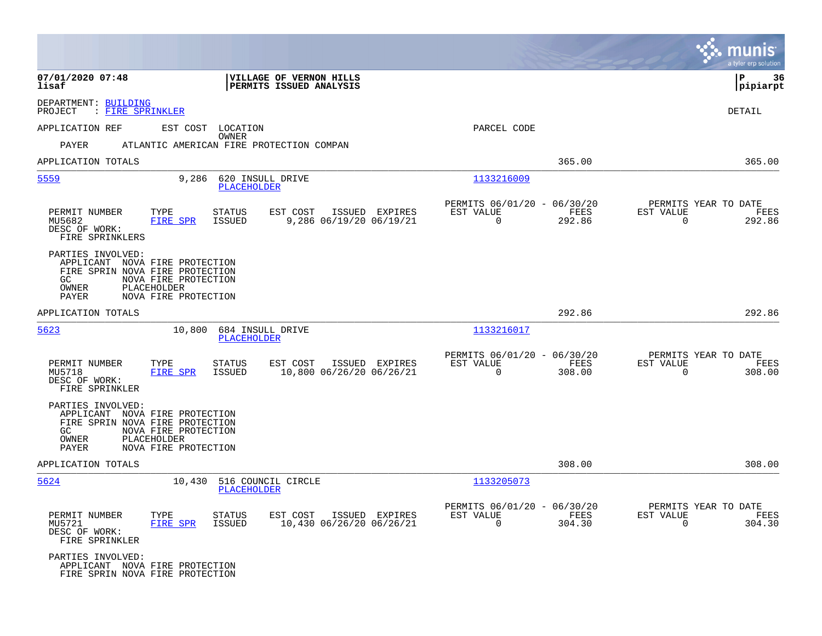|                                                             |                                                                                                                                  |                                                        |                                                         |                | munis<br>a tyler erp solution                                 |      |
|-------------------------------------------------------------|----------------------------------------------------------------------------------------------------------------------------------|--------------------------------------------------------|---------------------------------------------------------|----------------|---------------------------------------------------------------|------|
| 07/01/2020 07:48<br>lisaf                                   |                                                                                                                                  | VILLAGE OF VERNON HILLS<br>PERMITS ISSUED ANALYSIS     |                                                         |                | ΙP<br> pipiarpt                                               | 36   |
| DEPARTMENT: BUILDING<br>: FIRE SPRINKLER<br>PROJECT         |                                                                                                                                  |                                                        |                                                         |                | <b>DETAIL</b>                                                 |      |
| APPLICATION REF                                             | EST COST LOCATION                                                                                                                |                                                        | PARCEL CODE                                             |                |                                                               |      |
| PAYER                                                       | OWNER<br>ATLANTIC AMERICAN FIRE PROTECTION COMPAN                                                                                |                                                        |                                                         |                |                                                               |      |
| APPLICATION TOTALS                                          |                                                                                                                                  |                                                        |                                                         | 365.00         | 365.00                                                        |      |
| 5559                                                        | 9,286<br><b>PLACEHOLDER</b>                                                                                                      | 620 INSULL DRIVE                                       | 1133216009                                              |                |                                                               |      |
| PERMIT NUMBER<br>MU5682<br>DESC OF WORK:<br>FIRE SPRINKLERS | TYPE<br><b>STATUS</b><br><b>FIRE SPR</b><br>ISSUED                                                                               | EST COST<br>ISSUED EXPIRES<br>9,286 06/19/20 06/19/21  | PERMITS 06/01/20 - 06/30/20<br>EST VALUE<br>$\Omega$    | FEES<br>292.86 | PERMITS YEAR TO DATE<br>EST VALUE<br>$\Omega$<br>292.86       | FEES |
| PARTIES INVOLVED:<br>GC<br>OWNER<br>PAYER                   | APPLICANT NOVA FIRE PROTECTION<br>FIRE SPRIN NOVA FIRE PROTECTION<br>NOVA FIRE PROTECTION<br>PLACEHOLDER<br>NOVA FIRE PROTECTION |                                                        |                                                         |                |                                                               |      |
| APPLICATION TOTALS                                          |                                                                                                                                  |                                                        |                                                         | 292.86         | 292.86                                                        |      |
| 5623                                                        | 10,800<br><b>PLACEHOLDER</b>                                                                                                     | 684 INSULL DRIVE                                       | 1133216017                                              |                |                                                               |      |
| PERMIT NUMBER<br>MU5718<br>DESC OF WORK:<br>FIRE SPRINKLER  | TYPE<br><b>STATUS</b><br>FIRE SPR<br>ISSUED                                                                                      | EST COST<br>ISSUED EXPIRES<br>10,800 06/26/20 06/26/21 | PERMITS 06/01/20 - 06/30/20<br>EST VALUE<br>$\mathbf 0$ | FEES<br>308.00 | PERMITS YEAR TO DATE<br>EST VALUE<br>$\overline{0}$<br>308.00 | FEES |
| PARTIES INVOLVED:<br>GC<br>OWNER<br>PAYER                   | APPLICANT NOVA FIRE PROTECTION<br>FIRE SPRIN NOVA FIRE PROTECTION<br>NOVA FIRE PROTECTION<br>PLACEHOLDER<br>NOVA FIRE PROTECTION |                                                        |                                                         |                |                                                               |      |
| APPLICATION TOTALS                                          |                                                                                                                                  |                                                        |                                                         | 308.00         | 308.00                                                        |      |
| 5624                                                        | 10,430 516 COUNCIL CIRCLE<br>PLACEHOLDER                                                                                         |                                                        | 1133205073                                              |                |                                                               |      |
| PERMIT NUMBER<br>MU5721<br>DESC OF WORK:<br>FIRE SPRINKLER  | TYPE<br><b>STATUS</b><br>FIRE SPR<br>ISSUED                                                                                      | EST COST<br>ISSUED EXPIRES<br>10,430 06/26/20 06/26/21 | PERMITS 06/01/20 - 06/30/20<br>EST VALUE<br>$\mathbf 0$ | FEES<br>304.30 | PERMITS YEAR TO DATE<br>EST VALUE<br>304.30<br>$\overline{0}$ | FEES |
| PARTIES INVOLVED:                                           | APPLICANT NOVA FIRE PROTECTION<br>FIRE SPRIN NOVA FIRE PROTECTION                                                                |                                                        |                                                         |                |                                                               |      |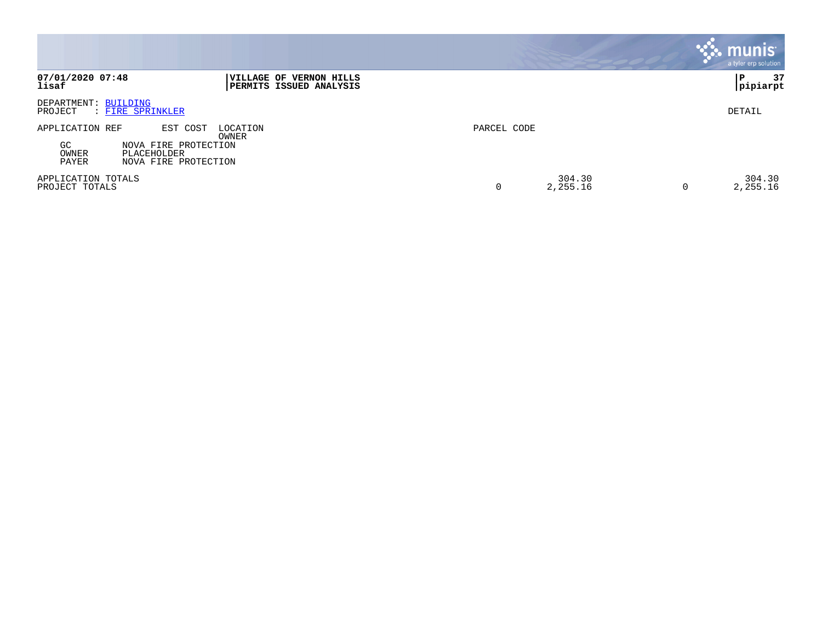|                                                                                                                                         |                              | munis<br>a tyler erp solution |
|-----------------------------------------------------------------------------------------------------------------------------------------|------------------------------|-------------------------------|
| 07/01/2020 07:48<br><b>IVILLAGE OF</b><br><b>VERNON HILLS</b><br>lisaf<br><b>  PERMITS ISSUED ANALYSIS</b>                              |                              | 37<br>P<br> pipiarpt          |
| DEPARTMENT: BUILDING<br>: FIRE SPRINKLER<br>PROJECT                                                                                     |                              | DETAIL                        |
| EST COST<br>APPLICATION REF<br>LOCATION<br>OWNER<br>GC<br>NOVA FIRE PROTECTION<br>OWNER<br>PLACEHOLDER<br>PAYER<br>NOVA FIRE PROTECTION | PARCEL CODE                  |                               |
| APPLICATION TOTALS<br>PROJECT TOTALS                                                                                                    | 304.30<br>2,255.16<br>0<br>0 | 304.30<br>2,255.16            |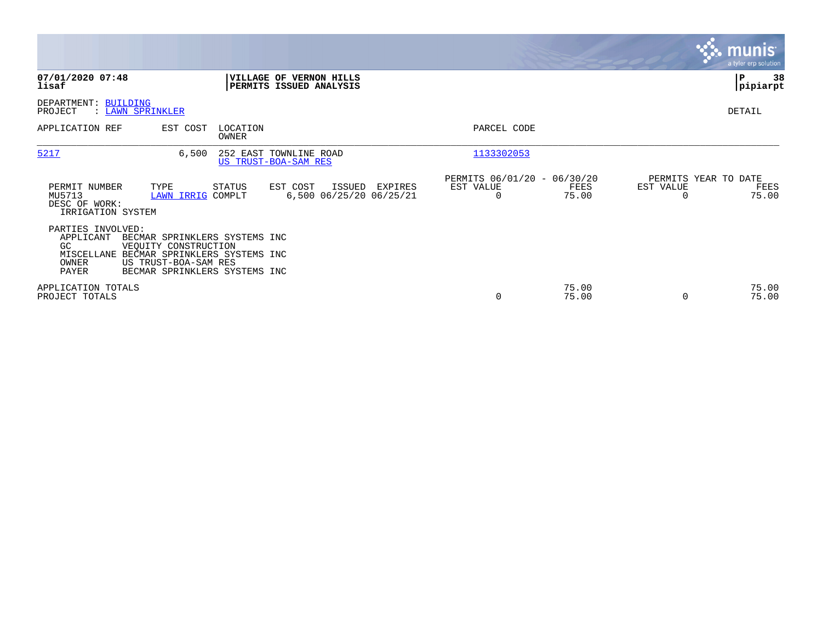|                                                                                                     |                                                                                                                |                   |                                                           |         |                                               |                |                                   | munis<br>a tyler erp solution |
|-----------------------------------------------------------------------------------------------------|----------------------------------------------------------------------------------------------------------------|-------------------|-----------------------------------------------------------|---------|-----------------------------------------------|----------------|-----------------------------------|-------------------------------|
| 07/01/2020 07:48<br>lisaf                                                                           |                                                                                                                |                   | <b>VILLAGE OF VERNON HILLS</b><br>PERMITS ISSUED ANALYSIS |         |                                               |                |                                   | lР<br>38<br> pipiarpt         |
| DEPARTMENT: BUILDING<br>: LAWN SPRINKLER<br>PROJECT                                                 |                                                                                                                |                   |                                                           |         |                                               |                |                                   | DETAIL                        |
| APPLICATION REF                                                                                     | EST COST                                                                                                       | LOCATION<br>OWNER |                                                           |         | PARCEL CODE                                   |                |                                   |                               |
| 5217                                                                                                | 6,500                                                                                                          |                   | 252 EAST TOWNLINE ROAD<br>US TRUST-BOA-SAM RES            |         | 1133302053                                    |                |                                   |                               |
| PERMIT NUMBER<br>MU5713<br>DESC OF WORK:<br>IRRIGATION SYSTEM                                       | TYPE<br>LAWN IRRIG COMPLT                                                                                      | STATUS            | EST COST<br>ISSUED<br>6,500 06/25/20 06/25/21             | EXPIRES | PERMITS 06/01/20 - 06/30/20<br>EST VALUE<br>0 | FEES<br>75.00  | PERMITS YEAR TO DATE<br>EST VALUE | FEES<br>75.00                 |
| PARTIES INVOLVED:<br>APPLICANT<br>GC.<br>MISCELLANE BECMAR SPRINKLERS SYSTEMS INC<br>OWNER<br>PAYER | BECMAR SPRINKLERS SYSTEMS INC<br>VEOUITY CONSTRUCTION<br>US TRUST-BOA-SAM RES<br>BECMAR SPRINKLERS SYSTEMS INC |                   |                                                           |         |                                               |                |                                   |                               |
| APPLICATION TOTALS<br>PROJECT TOTALS                                                                |                                                                                                                |                   |                                                           |         | 0                                             | 75.00<br>75.00 |                                   | 75.00<br>75.00                |

the property of the control of

and the contract of the contract of the contract of the contract of the contract of the contract of the contract of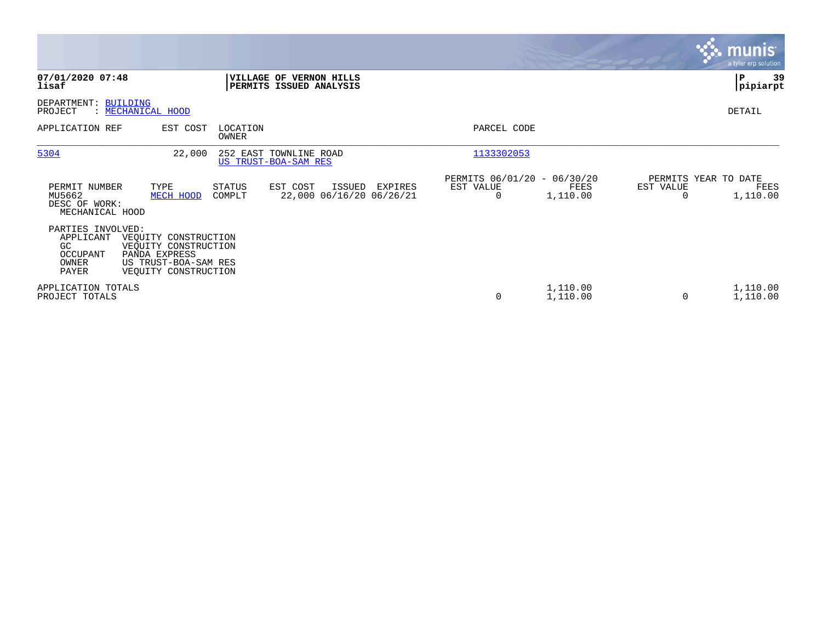|                                                                    |                                                                                                               |                   |                                                    |         |                                               |                      |           | <b>munis</b><br>a tyler erp solution     |
|--------------------------------------------------------------------|---------------------------------------------------------------------------------------------------------------|-------------------|----------------------------------------------------|---------|-----------------------------------------------|----------------------|-----------|------------------------------------------|
| 07/01/2020 07:48<br>lisaf                                          |                                                                                                               |                   | VILLAGE OF VERNON HILLS<br>PERMITS ISSUED ANALYSIS |         |                                               |                      |           | P<br>39<br> pipiarpt                     |
| DEPARTMENT: BUILDING<br>PROJECT                                    | : MECHANICAL HOOD                                                                                             |                   |                                                    |         |                                               |                      |           | DETAIL                                   |
| APPLICATION REF                                                    | EST COST                                                                                                      | LOCATION<br>OWNER |                                                    |         | PARCEL CODE                                   |                      |           |                                          |
| 5304                                                               | 22,000                                                                                                        |                   | 252 EAST TOWNLINE ROAD<br>US TRUST-BOA-SAM RES     |         | 1133302053                                    |                      |           |                                          |
| PERMIT NUMBER<br>MU5662<br>DESC OF WORK:<br>MECHANICAL HOOD        | TYPE<br>MECH HOOD                                                                                             | STATUS<br>COMPLT  | EST COST<br>ISSUED<br>22,000 06/16/20 06/26/21     | EXPIRES | PERMITS 06/01/20 - 06/30/20<br>EST VALUE<br>0 | FEES<br>1,110.00     | EST VALUE | PERMITS YEAR TO DATE<br>FEES<br>1,110.00 |
| PARTIES INVOLVED:<br>APPLICANT<br>GC<br>OCCUPANT<br>OWNER<br>PAYER | VEQUITY CONSTRUCTION<br>VEQUITY CONSTRUCTION<br>PANDA EXPRESS<br>US TRUST-BOA-SAM RES<br>VEOUITY CONSTRUCTION |                   |                                                    |         |                                               |                      |           |                                          |
| APPLICATION TOTALS<br>PROJECT TOTALS                               |                                                                                                               |                   |                                                    |         | 0                                             | 1,110.00<br>1,110.00 | $\Omega$  | 1,110.00<br>1,110.00                     |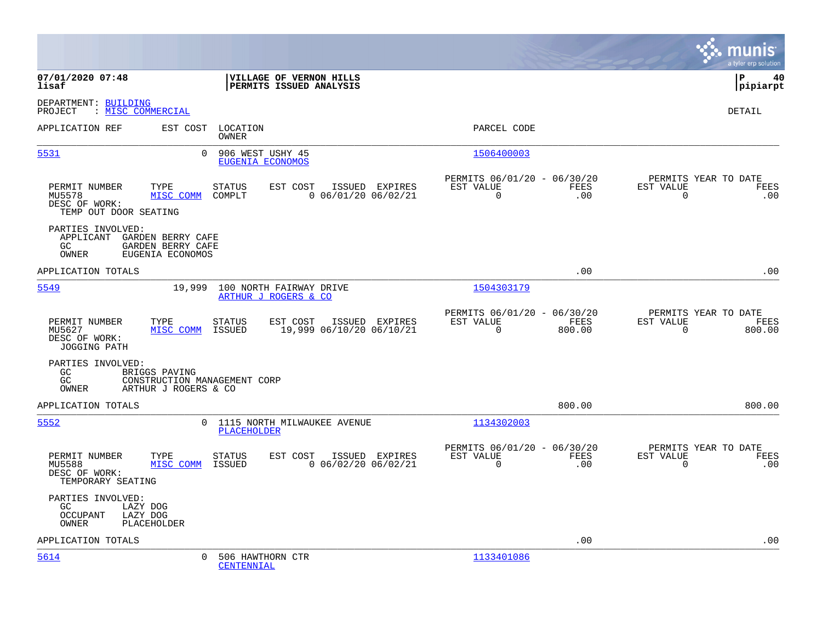|                                                                                                          |                                                                                   |                                                                                  | munis<br>a tyler erp solution                                      |
|----------------------------------------------------------------------------------------------------------|-----------------------------------------------------------------------------------|----------------------------------------------------------------------------------|--------------------------------------------------------------------|
| 07/01/2020 07:48<br>lisaf                                                                                | VILLAGE OF VERNON HILLS<br>PERMITS ISSUED ANALYSIS                                |                                                                                  | l P<br>40<br> pipiarpt                                             |
| DEPARTMENT: BUILDING<br>PROJECT<br>: MISC COMMERCIAL                                                     |                                                                                   |                                                                                  | DETAIL                                                             |
| APPLICATION REF                                                                                          | EST COST<br>LOCATION<br>OWNER                                                     | PARCEL CODE                                                                      |                                                                    |
| 5531                                                                                                     | $\Omega$<br>906 WEST USHY 45<br>EUGENIA ECONOMOS                                  | 1506400003                                                                       |                                                                    |
| PERMIT NUMBER<br>TYPE<br>MU5578<br>MISC COMM<br>DESC OF WORK:<br>TEMP OUT DOOR SEATING                   | STATUS<br>EST COST<br>ISSUED EXPIRES<br>$0$ 06/01/20 06/02/21<br>COMPLT           | PERMITS 06/01/20 - 06/30/20<br>EST VALUE<br>FEES<br>$\Omega$<br>.00              | PERMITS YEAR TO DATE<br>EST VALUE<br>FEES<br>$\Omega$<br>.00       |
| PARTIES INVOLVED:<br>APPLICANT GARDEN BERRY CAFE<br>GC<br>GARDEN BERRY CAFE<br>OWNER<br>EUGENIA ECONOMOS |                                                                                   |                                                                                  |                                                                    |
| APPLICATION TOTALS                                                                                       |                                                                                   | .00                                                                              | .00                                                                |
| 5549                                                                                                     | 19,999<br>100 NORTH FAIRWAY DRIVE<br>ARTHUR J ROGERS & CO                         | 1504303179                                                                       |                                                                    |
| PERMIT NUMBER<br>TYPE<br>MISC COMM<br>MU5627<br>DESC OF WORK:<br><b>JOGGING PATH</b>                     | <b>STATUS</b><br>EST COST<br>ISSUED EXPIRES<br>19,999 06/10/20 06/10/21<br>ISSUED | PERMITS 06/01/20 - 06/30/20<br><b>FEES</b><br>EST VALUE<br>$\mathbf 0$<br>800.00 | PERMITS YEAR TO DATE<br>EST VALUE<br>FEES<br>$\Omega$<br>800.00    |
| PARTIES INVOLVED:<br>GC<br>BRIGGS PAVING<br>GC<br>OWNER<br>ARTHUR J ROGERS & CO                          | CONSTRUCTION MANAGEMENT CORP                                                      |                                                                                  |                                                                    |
| APPLICATION TOTALS                                                                                       |                                                                                   | 800.00                                                                           | 800.00                                                             |
| 5552                                                                                                     | 0 1115 NORTH MILWAUKEE AVENUE<br><b>PLACEHOLDER</b>                               | 1134302003                                                                       |                                                                    |
| PERMIT NUMBER<br>TYPE<br>MISC COMM<br>MU5588<br>DESC OF WORK:<br>TEMPORARY SEATING                       | <b>STATUS</b><br>EST COST<br>ISSUED EXPIRES<br>$0$ 06/02/20 06/02/21<br>ISSUED    | PERMITS 06/01/20 - 06/30/20<br>EST VALUE<br>FEES<br>$\mathbf 0$<br>.00           | PERMITS YEAR TO DATE<br>EST VALUE<br>FEES<br>$\overline{0}$<br>.00 |
| PARTIES INVOLVED:<br>GC<br>LAZY DOG<br>OCCUPANT<br>LAZY DOG<br>OWNER<br>PLACEHOLDER                      |                                                                                   |                                                                                  |                                                                    |
| APPLICATION TOTALS                                                                                       |                                                                                   | .00                                                                              | .00                                                                |
| 5614                                                                                                     | 506 HAWTHORN CTR<br>$\Omega$<br><b>CENTENNIAL</b>                                 | 1133401086                                                                       |                                                                    |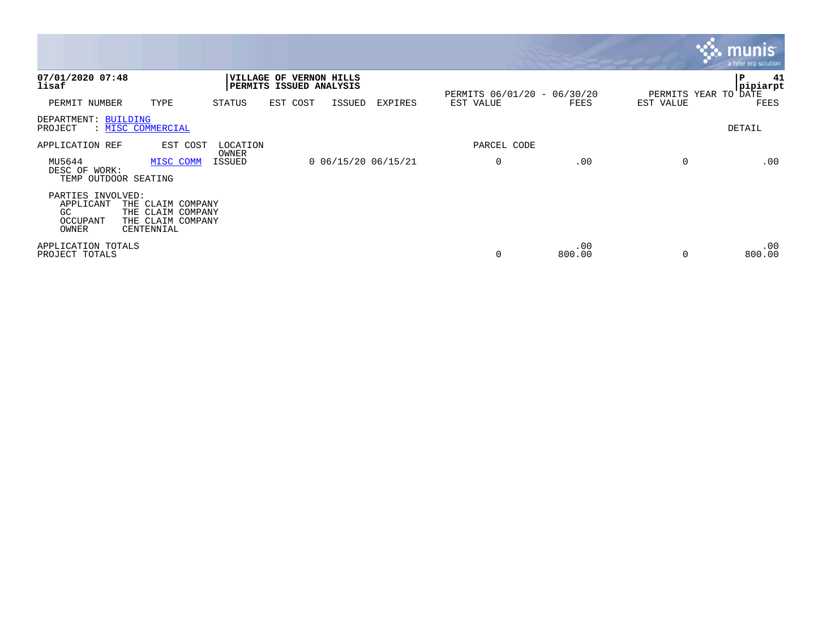|                                                            |                                                                           |                   |                                                    |                       |                |                             |               |                      | <b>NAME IN THE SET OF STATE</b><br>a tyler erp solution |
|------------------------------------------------------------|---------------------------------------------------------------------------|-------------------|----------------------------------------------------|-----------------------|----------------|-----------------------------|---------------|----------------------|---------------------------------------------------------|
| 07/01/2020 07:48<br>lisaf                                  |                                                                           |                   | VILLAGE OF VERNON HILLS<br>PERMITS ISSUED ANALYSIS |                       |                | PERMITS 06/01/20 - 06/30/20 |               | PERMITS YEAR TO DATE | 41<br> P<br> pipiarpt                                   |
| PERMIT NUMBER                                              | TYPE                                                                      | STATUS            | EST COST                                           | ISSUED                | <b>EXPIRES</b> | EST VALUE                   | FEES          | EST VALUE            | FEES                                                    |
| DEPARTMENT: BUILDING<br>PROJECT                            | : MISC COMMERCIAL                                                         |                   |                                                    |                       |                |                             |               |                      | DETAIL                                                  |
| APPLICATION REF                                            | EST COST                                                                  | LOCATION<br>OWNER |                                                    |                       |                | PARCEL CODE                 |               |                      |                                                         |
| MU5644<br>DESC OF WORK:<br>TEMP OUTDOOR SEATING            | MISC COMM                                                                 | ISSUED            |                                                    | $0$ 06/15/20 06/15/21 |                | 0                           | .00           | 0                    | .00                                                     |
| PARTIES INVOLVED:<br>APPLICANT<br>GC.<br>OCCUPANT<br>OWNER | THE CLAIM COMPANY<br>THE CLAIM COMPANY<br>THE CLAIM COMPANY<br>CENTENNIAL |                   |                                                    |                       |                |                             |               |                      |                                                         |
| APPLICATION TOTALS<br>PROJECT TOTALS                       |                                                                           |                   |                                                    |                       |                | 0                           | .00<br>800.00 |                      | .00<br>800.00                                           |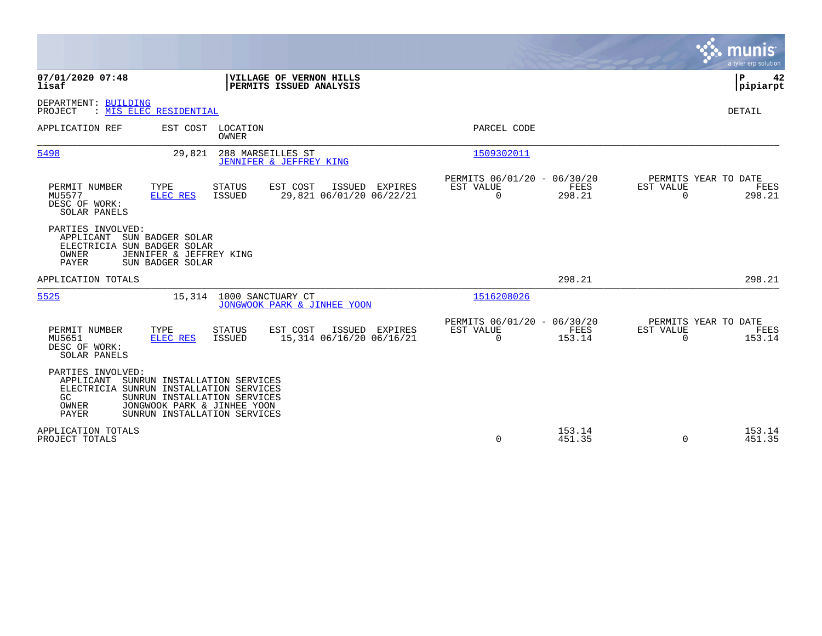|                                                                                                          |                                                                                                                             |                                   |                                                           |           |             |                                               |                       | munis<br>a tyler erp solution          |
|----------------------------------------------------------------------------------------------------------|-----------------------------------------------------------------------------------------------------------------------------|-----------------------------------|-----------------------------------------------------------|-----------|-------------|-----------------------------------------------|-----------------------|----------------------------------------|
| 07/01/2020 07:48<br>lisaf                                                                                |                                                                                                                             |                                   | <b>VILLAGE OF VERNON HILLS</b><br>PERMITS ISSUED ANALYSIS |           |             |                                               |                       | ΙP<br>42<br> pipiarpt                  |
| DEPARTMENT: BUILDING<br>PROJECT                                                                          | : MIS ELEC RESIDENTIAL                                                                                                      |                                   |                                                           |           |             |                                               |                       | DETAIL                                 |
| APPLICATION REF                                                                                          |                                                                                                                             | EST COST LOCATION<br><b>OWNER</b> |                                                           |           | PARCEL CODE |                                               |                       |                                        |
| 5498                                                                                                     | 29,821                                                                                                                      | 288 MARSEILLES ST                 | JENNIFER & JEFFREY KING                                   |           | 1509302011  |                                               |                       |                                        |
| PERMIT NUMBER<br>MU5577<br>DESC OF WORK:<br>SOLAR PANELS                                                 | TYPE<br>ELEC RES                                                                                                            | <b>STATUS</b><br>ISSUED           | EST COST<br>ISSUED EXPIRES<br>29,821 06/01/20 06/22/21    | EST VALUE | $\Omega$    | PERMITS 06/01/20 - 06/30/20<br>FEES<br>298.21 | EST VALUE<br>$\Omega$ | PERMITS YEAR TO DATE<br>FEES<br>298.21 |
| PARTIES INVOLVED:<br>APPLICANT<br>ELECTRICIA SUN BADGER SOLAR<br>OWNER<br><b>PAYER</b>                   | SUN BADGER SOLAR<br>JENNIFER & JEFFREY KING<br>SUN BADGER SOLAR                                                             |                                   |                                                           |           |             |                                               |                       |                                        |
| APPLICATION TOTALS                                                                                       |                                                                                                                             |                                   |                                                           |           |             | 298.21                                        |                       | 298.21                                 |
| 5525                                                                                                     |                                                                                                                             | 15,314 1000 SANCTUARY CT          | JONGWOOK PARK & JINHEE YOON                               |           | 1516208026  |                                               |                       |                                        |
| PERMIT NUMBER<br>MU5651<br>DESC OF WORK:<br>SOLAR PANELS                                                 | TYPE<br><b>ELEC RES</b>                                                                                                     | <b>STATUS</b><br>ISSUED           | EST COST<br>ISSUED EXPIRES<br>15,314 06/16/20 06/16/21    | EST VALUE | $\Omega$    | PERMITS 06/01/20 - 06/30/20<br>FEES<br>153.14 | EST VALUE<br>$\Omega$ | PERMITS YEAR TO DATE<br>FEES<br>153.14 |
| PARTIES INVOLVED:<br>APPLICANT<br>ELECTRICIA SUNRUN INSTALLATION SERVICES<br>GC<br>OWNER<br><b>PAYER</b> | SUNRUN INSTALLATION SERVICES<br>SUNRUN INSTALLATION SERVICES<br>JONGWOOK PARK & JINHEE YOON<br>SUNRUN INSTALLATION SERVICES |                                   |                                                           |           |             |                                               |                       |                                        |
| APPLICATION TOTALS<br>PROJECT TOTALS                                                                     |                                                                                                                             |                                   |                                                           |           | 0           | 153.14<br>451.35                              | $\Omega$              | 153.14<br>451.35                       |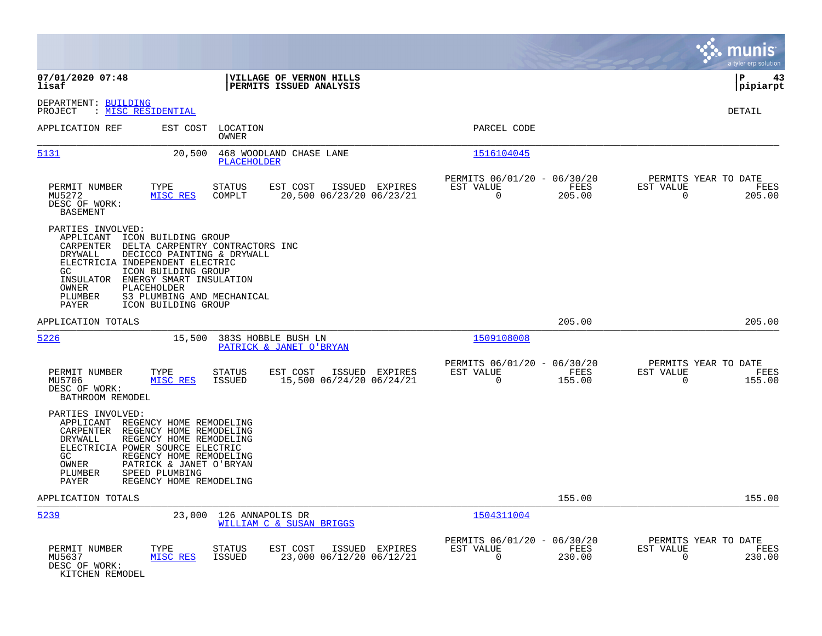|                                                                                                                                                                                                                                                                                                                                                                 |                                                                                             | munis<br>a tyler erp solution                                      |
|-----------------------------------------------------------------------------------------------------------------------------------------------------------------------------------------------------------------------------------------------------------------------------------------------------------------------------------------------------------------|---------------------------------------------------------------------------------------------|--------------------------------------------------------------------|
| 07/01/2020 07:48<br>VILLAGE OF VERNON HILLS<br>PERMITS ISSUED ANALYSIS<br>lisaf                                                                                                                                                                                                                                                                                 |                                                                                             | ΙP<br>43<br> pipiarpt                                              |
| DEPARTMENT: BUILDING<br>: MISC RESIDENTIAL<br>PROJECT                                                                                                                                                                                                                                                                                                           |                                                                                             | DETAIL                                                             |
| APPLICATION REF<br>EST COST<br>LOCATION<br>OWNER                                                                                                                                                                                                                                                                                                                | PARCEL CODE                                                                                 |                                                                    |
| 5131<br>20,500<br>468 WOODLAND CHASE LANE<br><b>PLACEHOLDER</b>                                                                                                                                                                                                                                                                                                 | 1516104045                                                                                  |                                                                    |
| PERMIT NUMBER<br>TYPE<br><b>STATUS</b><br>EST COST<br>MU5272<br>MISC RES<br>COMPLT<br>20,500 06/23/20 06/23/21<br>DESC OF WORK:<br><b>BASEMENT</b>                                                                                                                                                                                                              | PERMITS 06/01/20 - 06/30/20<br>ISSUED EXPIRES<br>EST VALUE<br>FEES<br>$\mathbf 0$<br>205.00 | PERMITS YEAR TO DATE<br>EST VALUE<br>FEES<br>$\mathbf 0$<br>205.00 |
| PARTIES INVOLVED:<br>APPLICANT<br>ICON BUILDING GROUP<br>CARPENTER<br>DELTA CARPENTRY CONTRACTORS INC<br><b>DRYWALL</b><br>DECICCO PAINTING & DRYWALL<br>ELECTRICIA INDEPENDENT ELECTRIC<br>GC.<br>ICON BUILDING GROUP<br>ENERGY SMART INSULATION<br>INSULATOR<br>OWNER<br>PLACEHOLDER<br>PLUMBER<br>S3 PLUMBING AND MECHANICAL<br>PAYER<br>ICON BUILDING GROUP |                                                                                             |                                                                    |
| APPLICATION TOTALS                                                                                                                                                                                                                                                                                                                                              | 205.00                                                                                      | 205.00                                                             |
| 5226<br>15,500<br>383S HOBBLE BUSH LN<br>PATRICK & JANET O'BRYAN                                                                                                                                                                                                                                                                                                | 1509108008                                                                                  |                                                                    |
| PERMIT NUMBER<br>TYPE<br><b>STATUS</b><br>EST COST<br>15,500 06/24/20 06/24/21<br>MU5706<br>MISC RES<br><b>ISSUED</b><br>DESC OF WORK:<br>BATHROOM REMODEL                                                                                                                                                                                                      | PERMITS 06/01/20 - 06/30/20<br>ISSUED EXPIRES<br>EST VALUE<br>FEES<br>$\mathbf 0$<br>155.00 | PERMITS YEAR TO DATE<br>EST VALUE<br>FEES<br>$\mathbf 0$<br>155.00 |
| PARTIES INVOLVED:<br>APPLICANT<br>REGENCY HOME REMODELING<br>CARPENTER<br>REGENCY HOME REMODELING<br>DRYWALL<br>REGENCY HOME REMODELING<br>ELECTRICIA POWER SOURCE ELECTRIC<br>REGENCY HOME REMODELING<br>GC.<br>OWNER<br>PATRICK & JANET O'BRYAN<br>PLUMBER<br>SPEED PLUMBING<br>REGENCY HOME REMODELING<br>PAYER                                              |                                                                                             |                                                                    |
| APPLICATION TOTALS                                                                                                                                                                                                                                                                                                                                              | 155.00                                                                                      | 155.00                                                             |
| 5239<br>23,000<br>126 ANNAPOLIS DR<br>WILLIAM C & SUSAN BRIGGS                                                                                                                                                                                                                                                                                                  | 1504311004                                                                                  |                                                                    |
| PERMIT NUMBER<br>TYPE<br>EST COST<br><b>STATUS</b><br>23,000 06/12/20 06/12/21<br>MU5637<br>MISC RES<br><b>ISSUED</b><br>DESC OF WORK:<br>KITCHEN REMODEL                                                                                                                                                                                                       | PERMITS 06/01/20 -<br>06/30/20<br>EST VALUE<br>FEES<br>ISSUED EXPIRES<br>$\Omega$<br>230.00 | PERMITS YEAR TO DATE<br>EST VALUE<br>FEES<br>$\Omega$<br>230.00    |

**Contract**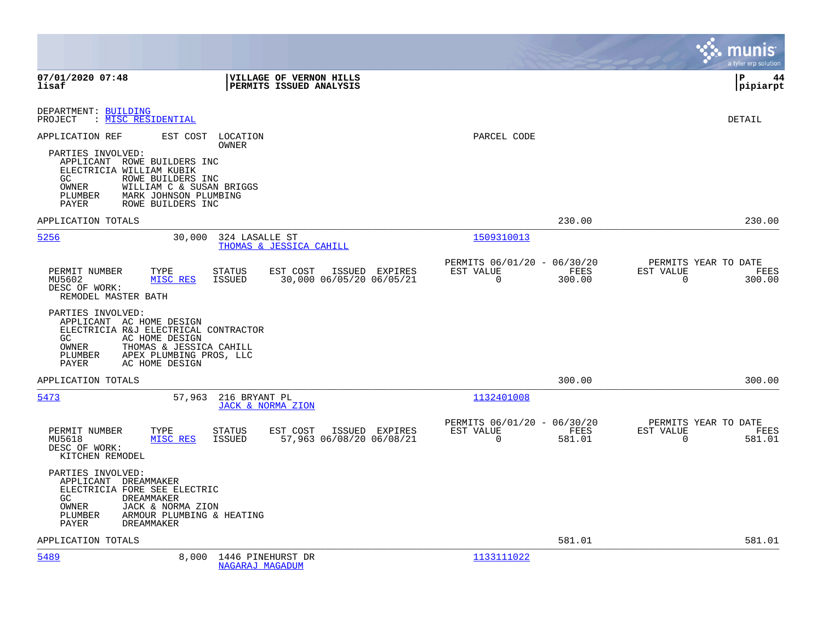|                                                                                                                                                                                                                                                                    |                                                                           | munis<br>a tyler erp solution                                      |
|--------------------------------------------------------------------------------------------------------------------------------------------------------------------------------------------------------------------------------------------------------------------|---------------------------------------------------------------------------|--------------------------------------------------------------------|
| 07/01/2020 07:48<br>VILLAGE OF VERNON HILLS<br>lisaf<br>PERMITS ISSUED ANALYSIS                                                                                                                                                                                    |                                                                           | l P<br>44<br> pipiarpt                                             |
| DEPARTMENT: BUILDING<br>: MISC RESIDENTIAL<br>PROJECT                                                                                                                                                                                                              |                                                                           | DETAIL                                                             |
| APPLICATION REF<br>EST COST<br>LOCATION<br>OWNER<br>PARTIES INVOLVED:<br>APPLICANT ROWE BUILDERS INC<br>ELECTRICIA WILLIAM KUBIK<br>ROWE BUILDERS INC<br>GC<br>OWNER<br>WILLIAM C & SUSAN BRIGGS<br>PLUMBER<br>MARK JOHNSON PLUMBING<br>ROWE BUILDERS INC<br>PAYER | PARCEL CODE                                                               |                                                                    |
| APPLICATION TOTALS                                                                                                                                                                                                                                                 | 230.00                                                                    | 230.00                                                             |
| 5256<br>30,000<br>324 LASALLE ST<br>THOMAS & JESSICA CAHILL                                                                                                                                                                                                        | 1509310013                                                                |                                                                    |
| PERMIT NUMBER<br><b>STATUS</b><br>EST COST<br>TYPE<br>ISSUED EXPIRES<br>30,000 06/05/20 06/05/21<br>MU5602<br>MISC RES<br>ISSUED<br>DESC OF WORK:<br>REMODEL MASTER BATH                                                                                           | PERMITS 06/01/20 - 06/30/20<br>EST VALUE<br>FEES<br>$\mathbf 0$<br>300.00 | PERMITS YEAR TO DATE<br>EST VALUE<br>FEES<br>$\Omega$<br>300.00    |
| PARTIES INVOLVED:<br>APPLICANT AC HOME DESIGN<br>ELECTRICIA R&J ELECTRICAL CONTRACTOR<br>GC<br>AC HOME DESIGN<br>OWNER<br>THOMAS & JESSICA CAHILL<br>PLUMBER<br>APEX PLUMBING PROS, LLC<br>PAYER<br>AC HOME DESIGN                                                 |                                                                           |                                                                    |
| APPLICATION TOTALS                                                                                                                                                                                                                                                 | 300.00                                                                    | 300.00                                                             |
| 5473<br>216 BRYANT PL<br>57,963<br>JACK & NORMA ZION                                                                                                                                                                                                               | 1132401008                                                                |                                                                    |
| PERMIT NUMBER<br>TYPE<br><b>STATUS</b><br>EST COST<br>ISSUED EXPIRES<br><b>ISSUED</b><br>57,963 06/08/20 06/08/21<br>MU5618<br>MISC RES<br>DESC OF WORK:<br>KITCHEN REMODEL                                                                                        | PERMITS 06/01/20 - 06/30/20<br>EST VALUE<br>FEES<br>$\mathbf 0$<br>581.01 | PERMITS YEAR TO DATE<br>EST VALUE<br>FEES<br>$\mathbf 0$<br>581.01 |
| PARTIES INVOLVED:<br>APPLICANT DREAMMAKER<br>ELECTRICIA FORE SEE ELECTRIC<br>GC<br><b>DREAMMAKER</b><br>OWNER<br>JACK & NORMA ZION<br>PLUMBER<br>ARMOUR PLUMBING & HEATING<br><b>DREAMMAKER</b><br>PAYER                                                           |                                                                           |                                                                    |
| APPLICATION TOTALS                                                                                                                                                                                                                                                 | 581.01                                                                    | 581.01                                                             |
| 5489<br>8,000<br>1446 PINEHURST DR<br>NAGARAJ MAGADUM                                                                                                                                                                                                              | 1133111022                                                                |                                                                    |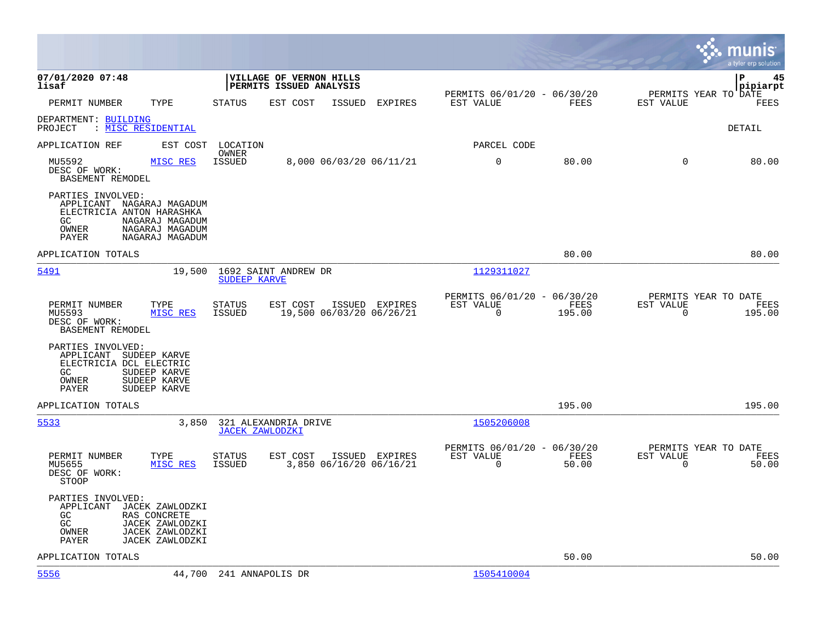|                                                                                                                                                               |                                                                                          |                                                                           | munis<br>a tyler erp solution                                      |
|---------------------------------------------------------------------------------------------------------------------------------------------------------------|------------------------------------------------------------------------------------------|---------------------------------------------------------------------------|--------------------------------------------------------------------|
| 07/01/2020 07:48<br>lisaf                                                                                                                                     | VILLAGE OF VERNON HILLS<br>PERMITS ISSUED ANALYSIS                                       |                                                                           | l P<br>45<br> pipiarpt                                             |
| PERMIT NUMBER<br>TYPE                                                                                                                                         | <b>STATUS</b><br>EST COST<br>ISSUED<br>EXPIRES                                           | PERMITS 06/01/20 - 06/30/20<br>FEES<br>EST VALUE                          | PERMITS YEAR TO DATE<br>EST VALUE<br>FEES                          |
| DEPARTMENT: BUILDING<br>: <u>MISC RESIDENTIAL</u><br>PROJECT                                                                                                  |                                                                                          |                                                                           | <b>DETAIL</b>                                                      |
| APPLICATION REF<br>EST COST                                                                                                                                   | LOCATION                                                                                 | PARCEL CODE                                                               |                                                                    |
| MU5592<br>MISC RES<br>DESC OF WORK:<br>BASEMENT REMODEL                                                                                                       | OWNER<br>ISSUED<br>8,000 06/03/20 06/11/21                                               | $\mathbf 0$<br>80.00                                                      | $\mathbf 0$<br>80.00                                               |
| PARTIES INVOLVED:<br>APPLICANT NAGARAJ MAGADUM<br>ELECTRICIA ANTON HARASHKA<br>GC.<br>NAGARAJ MAGADUM<br>OWNER<br>NAGARAJ MAGADUM<br>PAYER<br>NAGARAJ MAGADUM |                                                                                          |                                                                           |                                                                    |
| APPLICATION TOTALS                                                                                                                                            |                                                                                          | 80.00                                                                     | 80.00                                                              |
| 5491<br>19,500                                                                                                                                                | 1692 SAINT ANDREW DR<br><b>SUDEEP KARVE</b>                                              | 1129311027                                                                |                                                                    |
| PERMIT NUMBER<br>TYPE<br>MISC RES<br>MU5593<br>DESC OF WORK:<br>BASEMENT REMODEL                                                                              | <b>STATUS</b><br>EST COST<br>ISSUED EXPIRES<br>19,500 06/03/20 06/26/21<br><b>ISSUED</b> | PERMITS 06/01/20 - 06/30/20<br>FEES<br>EST VALUE<br>$\mathbf 0$<br>195.00 | PERMITS YEAR TO DATE<br>EST VALUE<br>FEES<br>$\mathbf 0$<br>195.00 |
| PARTIES INVOLVED:<br>APPLICANT SUDEEP KARVE<br>ELECTRICIA DCL ELECTRIC<br>GC<br>SUDEEP KARVE<br>OWNER<br>SUDEEP KARVE<br>PAYER<br>SUDEEP KARVE                |                                                                                          |                                                                           |                                                                    |
| APPLICATION TOTALS                                                                                                                                            |                                                                                          | 195.00                                                                    | 195.00                                                             |
| 5533<br>3,850                                                                                                                                                 | 321 ALEXANDRIA DRIVE<br><b>JACEK ZAWLODZKI</b>                                           | 1505206008                                                                |                                                                    |
| PERMIT NUMBER<br>TYPE<br>MISC RES<br>MU5655<br>DESC OF WORK:<br><b>STOOP</b>                                                                                  | <b>STATUS</b><br>EST COST<br>ISSUED EXPIRES<br><b>ISSUED</b><br>3,850 06/16/20 06/16/21  | PERMITS 06/01/20 - 06/30/20<br>EST VALUE<br>FEES<br>$\Omega$<br>50.00     | PERMITS YEAR TO DATE<br>EST VALUE<br>FEES<br>$\Omega$<br>50.00     |
| PARTIES INVOLVED:<br>APPLICANT<br>JACEK ZAWLODZKI<br>GC<br>RAS CONCRETE<br>GC<br>JACEK ZAWLODZKI<br>JACEK ZAWLODZKI<br>OWNER<br>PAYER<br>JACEK ZAWLODZKI      |                                                                                          |                                                                           |                                                                    |
| APPLICATION TOTALS                                                                                                                                            |                                                                                          | 50.00                                                                     | 50.00                                                              |
| 5556<br>44,700                                                                                                                                                | 241 ANNAPOLIS DR                                                                         | 1505410004                                                                |                                                                    |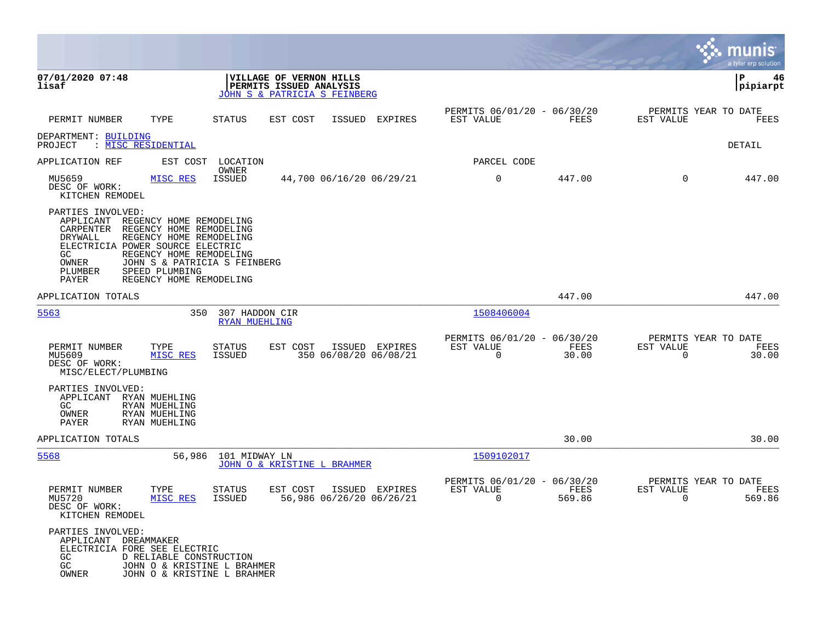|                                                                                                                                                                                                                                                                                                                        |                                        |                                                                                    |                |                                               |                |                                                  | munis<br>a tyler erp solution |
|------------------------------------------------------------------------------------------------------------------------------------------------------------------------------------------------------------------------------------------------------------------------------------------------------------------------|----------------------------------------|------------------------------------------------------------------------------------|----------------|-----------------------------------------------|----------------|--------------------------------------------------|-------------------------------|
| 07/01/2020 07:48<br>lisaf                                                                                                                                                                                                                                                                                              |                                        | VILLAGE OF VERNON HILLS<br>PERMITS ISSUED ANALYSIS<br>JOHN S & PATRICIA S FEINBERG |                |                                               |                |                                                  | P<br>46<br> pipiarpt          |
| PERMIT NUMBER<br>TYPE                                                                                                                                                                                                                                                                                                  | <b>STATUS</b>                          | EST COST<br>ISSUED                                                                 | <b>EXPIRES</b> | PERMITS 06/01/20 - 06/30/20<br>EST VALUE      | FEES           | PERMITS YEAR TO DATE<br>EST VALUE                | FEES                          |
| DEPARTMENT: BUILDING<br>: MISC RESIDENTIAL<br>PROJECT                                                                                                                                                                                                                                                                  |                                        |                                                                                    |                |                                               |                |                                                  | DETAIL                        |
| APPLICATION REF<br>EST COST                                                                                                                                                                                                                                                                                            | LOCATION                               |                                                                                    |                | PARCEL CODE                                   |                |                                                  |                               |
| MISC RES<br>MU5659<br>DESC OF WORK:<br>KITCHEN REMODEL                                                                                                                                                                                                                                                                 | OWNER<br><b>ISSUED</b>                 | 44,700 06/16/20 06/29/21                                                           |                | 0                                             | 447.00         | $\mathbf 0$                                      | 447.00                        |
| PARTIES INVOLVED:<br>APPLICANT<br>REGENCY HOME REMODELING<br>CARPENTER<br>REGENCY HOME REMODELING<br>REGENCY HOME REMODELING<br>DRYWALL<br>ELECTRICIA POWER SOURCE ELECTRIC<br>REGENCY HOME REMODELING<br>GC<br>OWNER<br>JOHN S & PATRICIA S FEINBERG<br>PLUMBER<br>SPEED PLUMBING<br>PAYER<br>REGENCY HOME REMODELING |                                        |                                                                                    |                |                                               |                |                                                  |                               |
| APPLICATION TOTALS                                                                                                                                                                                                                                                                                                     |                                        |                                                                                    |                |                                               | 447.00         |                                                  | 447.00                        |
| 5563<br>350                                                                                                                                                                                                                                                                                                            | 307 HADDON CIR<br><b>RYAN MUEHLING</b> |                                                                                    |                | 1508406004                                    |                |                                                  |                               |
| PERMIT NUMBER<br>TYPE<br>MU5609<br>MISC RES<br>DESC OF WORK:<br>MISC/ELECT/PLUMBING                                                                                                                                                                                                                                    | STATUS<br>ISSUED                       | EST COST<br>350 06/08/20 06/08/21                                                  | ISSUED EXPIRES | PERMITS 06/01/20 - 06/30/20<br>EST VALUE<br>0 | FEES<br>30.00  | PERMITS YEAR TO DATE<br>EST VALUE<br>$\mathbf 0$ | FEES<br>30.00                 |
| PARTIES INVOLVED:<br>APPLICANT<br>RYAN MUEHLING<br>GC.<br>RYAN MUEHLING<br>OWNER<br>RYAN MUEHLING<br>PAYER<br>RYAN MUEHLING                                                                                                                                                                                            |                                        |                                                                                    |                |                                               |                |                                                  |                               |
| APPLICATION TOTALS                                                                                                                                                                                                                                                                                                     |                                        |                                                                                    |                |                                               | 30.00          |                                                  | 30.00                         |
| 5568<br>56,986                                                                                                                                                                                                                                                                                                         | 101 MIDWAY LN                          | JOHN O & KRISTINE L BRAHMER                                                        |                | 1509102017                                    |                |                                                  |                               |
| PERMIT NUMBER<br>TYPE<br>MISC RES<br>MU5720<br>DESC OF WORK:<br>KITCHEN REMODEL                                                                                                                                                                                                                                        | STATUS<br>ISSUED                       | EST COST<br>56,986 06/26/20 06/26/21                                               | ISSUED EXPIRES | PERMITS 06/01/20 - 06/30/20<br>EST VALUE<br>0 | FEES<br>569.86 | PERMITS YEAR TO DATE<br>EST VALUE<br>0           | FEES<br>569.86                |
| PARTIES INVOLVED:<br>APPLICANT DREAMMAKER<br>ELECTRICIA FORE SEE ELECTRIC<br>GC<br>D RELIABLE CONSTRUCTION<br>GC<br>JOHN O & KRISTINE L BRAHMER<br>JOHN O & KRISTINE L BRAHMER<br>OWNER                                                                                                                                |                                        |                                                                                    |                |                                               |                |                                                  |                               |

**College**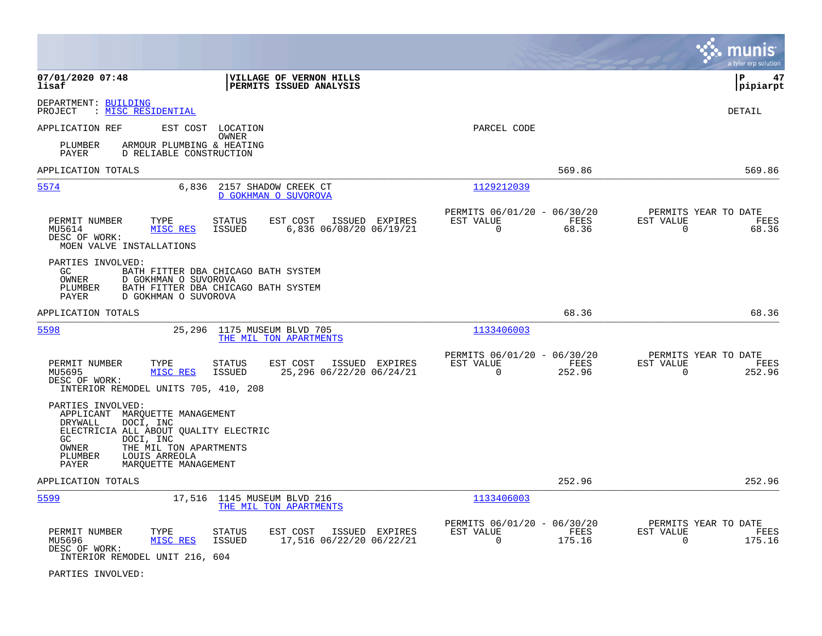|                                                                  |                                                                                                                                                                      |                                              |                                                    |                |                                                         |                |                                               | a tyler erp solution  |
|------------------------------------------------------------------|----------------------------------------------------------------------------------------------------------------------------------------------------------------------|----------------------------------------------|----------------------------------------------------|----------------|---------------------------------------------------------|----------------|-----------------------------------------------|-----------------------|
| 07/01/2020 07:48<br>lisaf                                        |                                                                                                                                                                      |                                              | VILLAGE OF VERNON HILLS<br>PERMITS ISSUED ANALYSIS |                |                                                         |                |                                               | lР<br>47<br> pipiarpt |
| DEPARTMENT: BUILDING<br>PROJECT                                  | : MISC RESIDENTIAL                                                                                                                                                   |                                              |                                                    |                |                                                         |                |                                               | DETAIL                |
| APPLICATION REF<br>PLUMBER<br>PAYER                              | EST COST<br>ARMOUR PLUMBING & HEATING<br>D RELIABLE CONSTRUCTION                                                                                                     | LOCATION<br><b>OWNER</b>                     |                                                    |                | PARCEL CODE                                             |                |                                               |                       |
| APPLICATION TOTALS                                               |                                                                                                                                                                      |                                              |                                                    |                |                                                         | 569.86         |                                               | 569.86                |
| 5574                                                             | 6,836                                                                                                                                                                | 2157 SHADOW CREEK CT<br>D GOKHMAN O SUVOROVA |                                                    |                | 1129212039                                              |                |                                               |                       |
| PERMIT NUMBER<br>MU5614<br>DESC OF WORK:                         | TYPE<br>MISC RES<br>MOEN VALVE INSTALLATIONS                                                                                                                         | <b>STATUS</b><br><b>ISSUED</b>               | EST COST<br>6,836 06/08/20 06/19/21                | ISSUED EXPIRES | PERMITS 06/01/20 - 06/30/20<br>EST VALUE<br>$\mathbf 0$ | FEES<br>68.36  | PERMITS YEAR TO DATE<br>EST VALUE<br>$\Omega$ | FEES<br>68.36         |
| PARTIES INVOLVED:<br>GC<br>OWNER<br>PLUMBER<br>PAYER             | BATH FITTER DBA CHICAGO BATH SYSTEM<br>D GOKHMAN O SUVOROVA<br>BATH FITTER DBA CHICAGO BATH SYSTEM<br>D GOKHMAN O SUVOROVA                                           |                                              |                                                    |                |                                                         |                |                                               |                       |
| APPLICATION TOTALS                                               |                                                                                                                                                                      |                                              |                                                    |                |                                                         | 68.36          |                                               | 68.36                 |
| 5598                                                             | 25,296                                                                                                                                                               | 1175 MUSEUM BLVD 705                         | THE MIL TON APARTMENTS                             |                | 1133406003                                              |                |                                               |                       |
| PERMIT NUMBER<br>MU5695<br>DESC OF WORK:                         | TYPE<br>MISC RES<br>INTERIOR REMODEL UNITS 705, 410, 208                                                                                                             | <b>STATUS</b><br><b>ISSUED</b>               | EST COST<br>25,296 06/22/20 06/24/21               | ISSUED EXPIRES | PERMITS 06/01/20 - 06/30/20<br>EST VALUE<br>$\Omega$    | FEES<br>252.96 | PERMITS YEAR TO DATE<br>EST VALUE<br>$\Omega$ | FEES<br>252.96        |
| PARTIES INVOLVED:<br>DRYWALL<br>GC.<br>OWNER<br>PLUMBER<br>PAYER | APPLICANT MARQUETTE MANAGEMENT<br>DOCI, INC<br>ELECTRICIA ALL ABOUT OUALITY ELECTRIC<br>DOCI, INC<br>THE MIL TON APARTMENTS<br>LOUIS ARREOLA<br>MAROUETTE MANAGEMENT |                                              |                                                    |                |                                                         |                |                                               |                       |
| APPLICATION TOTALS                                               |                                                                                                                                                                      |                                              |                                                    |                |                                                         | 252.96         |                                               | 252.96                |
| 5599                                                             |                                                                                                                                                                      | 17,516 1145 MUSEUM BLVD 216                  | THE MIL TON APARTMENTS                             |                | 1133406003                                              |                |                                               |                       |
| PERMIT NUMBER<br>MU5696<br>DESC OF WORK:                         | TYPE<br>MISC RES<br>INTERIOR REMODEL UNIT 216, 604                                                                                                                   | <b>STATUS</b><br>ISSUED                      | EST COST<br>17,516 06/22/20 06/22/21               | ISSUED EXPIRES | PERMITS 06/01/20 - 06/30/20<br>EST VALUE<br>$\Omega$    | FEES<br>175.16 | PERMITS YEAR TO DATE<br>EST VALUE<br>$\Omega$ | FEES<br>175.16        |

PARTIES INVOLVED: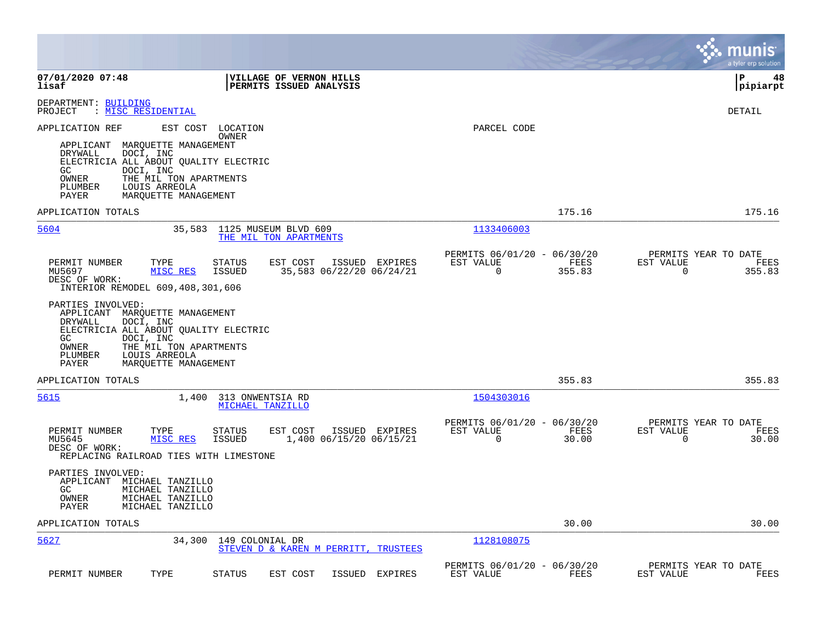|                                                                                                                                                                                                                                                                                                                                                                                                                                   |                                                                           | munis<br>a tyler erp solution                                      |
|-----------------------------------------------------------------------------------------------------------------------------------------------------------------------------------------------------------------------------------------------------------------------------------------------------------------------------------------------------------------------------------------------------------------------------------|---------------------------------------------------------------------------|--------------------------------------------------------------------|
| 07/01/2020 07:48<br><b>VILLAGE OF VERNON HILLS</b><br>lisaf<br><b>PERMITS ISSUED ANALYSIS</b>                                                                                                                                                                                                                                                                                                                                     |                                                                           | l P<br>48<br> pipiarpt                                             |
| DEPARTMENT: BUILDING<br>: MISC RESIDENTIAL<br>PROJECT                                                                                                                                                                                                                                                                                                                                                                             |                                                                           | DETAIL                                                             |
| EST COST<br>APPLICATION REF<br>LOCATION<br>OWNER<br>APPLICANT MARQUETTE MANAGEMENT<br>DOCI, INC<br>DRYWALL<br>ELECTRICIA ALL ABOUT QUALITY ELECTRIC<br>GC.<br>DOCI, INC<br>OWNER<br>THE MIL TON APARTMENTS<br>PLUMBER<br>LOUIS ARREOLA<br>PAYER<br>MARQUETTE MANAGEMENT                                                                                                                                                           | PARCEL CODE                                                               |                                                                    |
| APPLICATION TOTALS                                                                                                                                                                                                                                                                                                                                                                                                                | 175.16                                                                    | 175.16                                                             |
| 5604<br>35,583<br>1125 MUSEUM BLVD 609<br>THE MIL TON APARTMENTS                                                                                                                                                                                                                                                                                                                                                                  | 1133406003                                                                |                                                                    |
| PERMIT NUMBER<br>TYPE<br><b>STATUS</b><br>EST COST<br>ISSUED EXPIRES<br>MISC RES<br>ISSUED<br>35,583 06/22/20 06/24/21<br>MU5697<br>DESC OF WORK:<br>INTERIOR REMODEL 609,408,301,606<br>PARTIES INVOLVED:<br>APPLICANT MARQUETTE MANAGEMENT<br>DOCI, INC<br>DRYWALL<br>ELECTRICIA ALL ABOUT QUALITY ELECTRIC<br>GC.<br>DOCI, INC<br>OWNER<br>THE MIL TON APARTMENTS<br>PLUMBER<br>LOUIS ARREOLA<br>PAYER<br>MARQUETTE MANAGEMENT | PERMITS 06/01/20 - 06/30/20<br>EST VALUE<br>FEES<br>$\mathbf 0$<br>355.83 | PERMITS YEAR TO DATE<br>EST VALUE<br>FEES<br>$\mathbf 0$<br>355.83 |
| APPLICATION TOTALS                                                                                                                                                                                                                                                                                                                                                                                                                | 355.83                                                                    | 355.83                                                             |
| 5615<br>1,400<br>313 ONWENTSIA RD<br>MICHAEL TANZILLO                                                                                                                                                                                                                                                                                                                                                                             | 1504303016                                                                |                                                                    |
| TYPE<br>ISSUED EXPIRES<br>PERMIT NUMBER<br><b>STATUS</b><br>EST COST<br>1,400 06/15/20 06/15/21<br>MU5645<br>MISC RES<br><b>ISSUED</b><br>DESC OF WORK:<br>REPLACING RAILROAD TIES WITH LIMESTONE                                                                                                                                                                                                                                 | PERMITS 06/01/20 - 06/30/20<br>EST VALUE<br>FEES<br>$\Omega$<br>30.00     | PERMITS YEAR TO DATE<br>EST VALUE<br>FEES<br>30.00<br>$\Omega$     |
| PARTIES INVOLVED:<br>APPLICANT MICHAEL TANZILLO<br>GC.<br>MICHAEL TANZILLO<br>MICHAEL TANZILLO<br>OWNER<br>MICHAEL TANZILLO<br>PAYER                                                                                                                                                                                                                                                                                              |                                                                           |                                                                    |
| APPLICATION TOTALS                                                                                                                                                                                                                                                                                                                                                                                                                | 30.00                                                                     | 30.00                                                              |
| 5627<br>34,300<br>149 COLONIAL DR<br>STEVEN D & KAREN M PERRITT, TRUSTEES                                                                                                                                                                                                                                                                                                                                                         | 1128108075                                                                |                                                                    |
| PERMIT NUMBER<br>TYPE<br><b>STATUS</b><br>EST COST<br>ISSUED<br>EXPIRES                                                                                                                                                                                                                                                                                                                                                           | PERMITS 06/01/20 - 06/30/20<br>EST VALUE<br>FEES                          | PERMITS YEAR TO DATE<br>EST VALUE<br>FEES                          |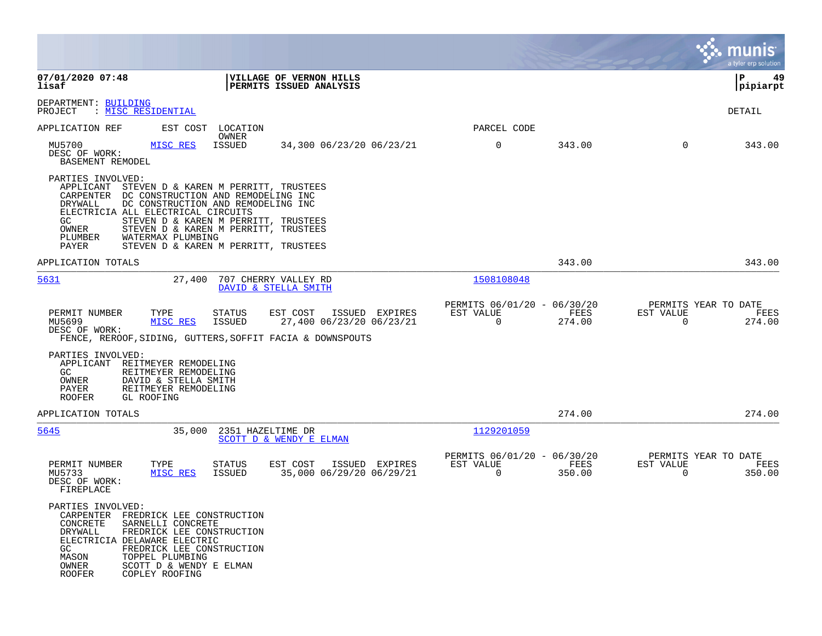|                                                                                                                                                                                                                                                                                                                 |                                                                                                                                                                                                    |                                                         |                |                                                  | munis<br>a tyler erp solution |
|-----------------------------------------------------------------------------------------------------------------------------------------------------------------------------------------------------------------------------------------------------------------------------------------------------------------|----------------------------------------------------------------------------------------------------------------------------------------------------------------------------------------------------|---------------------------------------------------------|----------------|--------------------------------------------------|-------------------------------|
| 07/01/2020 07:48<br>lisaf                                                                                                                                                                                                                                                                                       | VILLAGE OF VERNON HILLS<br>PERMITS ISSUED ANALYSIS                                                                                                                                                 |                                                         |                |                                                  | 49<br>IΡ<br> pipiarpt         |
| DEPARTMENT: BUILDING<br>PROJECT<br>: <u>MISC RESIDENTIAL</u>                                                                                                                                                                                                                                                    |                                                                                                                                                                                                    |                                                         |                |                                                  | DETAIL                        |
| EST COST<br>APPLICATION REF                                                                                                                                                                                                                                                                                     | LOCATION<br>OWNER                                                                                                                                                                                  | PARCEL CODE                                             |                |                                                  |                               |
| MU5700<br>MISC RES<br>DESC OF WORK:<br>BASEMENT REMODEL                                                                                                                                                                                                                                                         | ISSUED<br>34,300 06/23/20 06/23/21                                                                                                                                                                 | 0                                                       | 343.00         | $\mathbf{0}$                                     | 343.00                        |
| PARTIES INVOLVED:<br>APPLICANT<br>CARPENTER DC CONSTRUCTION AND REMODELING INC<br>DRYWALL<br>ELECTRICIA ALL ELECTRICAL CIRCUITS<br>GC.<br>OWNER<br>PLUMBER<br>WATERMAX PLUMBING<br>PAYER                                                                                                                        | STEVEN D & KAREN M PERRITT, TRUSTEES<br>DC CONSTRUCTION AND REMODELING INC<br>STEVEN D & KAREN M PERRITT, TRUSTEES<br>STEVEN D & KAREN M PERRITT, TRUSTEES<br>STEVEN D & KAREN M PERRITT, TRUSTEES |                                                         |                |                                                  |                               |
| APPLICATION TOTALS                                                                                                                                                                                                                                                                                              |                                                                                                                                                                                                    |                                                         | 343.00         |                                                  | 343.00                        |
| 5631<br>27,400                                                                                                                                                                                                                                                                                                  | 707 CHERRY VALLEY RD<br>DAVID & STELLA SMITH                                                                                                                                                       | 1508108048                                              |                |                                                  |                               |
| PERMIT NUMBER<br>TYPE<br>MU5699<br>MISC RES<br>DESC OF WORK:                                                                                                                                                                                                                                                    | EST COST<br><b>STATUS</b><br>ISSUED EXPIRES<br><b>ISSUED</b><br>27,400 06/23/20 06/23/21<br>FENCE, REROOF, SIDING, GUTTERS, SOFFIT FACIA & DOWNSPOUTS                                              | PERMITS 06/01/20 - 06/30/20<br>EST VALUE<br>$\Omega$    | FEES<br>274.00 | PERMITS YEAR TO DATE<br>EST VALUE<br>0           | FEES<br>274.00                |
| PARTIES INVOLVED:<br>REITMEYER REMODELING<br>APPLICANT<br>GC.<br>REITMEYER REMODELING<br>OWNER<br>DAVID & STELLA SMITH<br>REITMEYER REMODELING<br>PAYER<br>ROOFER<br>GL ROOFING                                                                                                                                 |                                                                                                                                                                                                    |                                                         |                |                                                  |                               |
| APPLICATION TOTALS                                                                                                                                                                                                                                                                                              |                                                                                                                                                                                                    |                                                         | 274.00         |                                                  | 274.00                        |
| 5645<br>35,000                                                                                                                                                                                                                                                                                                  | 2351 HAZELTIME DR<br>SCOTT D & WENDY E ELMAN                                                                                                                                                       | 1129201059                                              |                |                                                  |                               |
| PERMIT NUMBER<br>TYPE<br>MU5733<br>MISC RES<br>DESC OF WORK:<br>FIREPLACE                                                                                                                                                                                                                                       | <b>STATUS</b><br>EST COST<br>ISSUED EXPIRES<br>35,000 06/29/20 06/29/21<br>ISSUED                                                                                                                  | PERMITS 06/01/20 - 06/30/20<br>EST VALUE<br>$\mathbf 0$ | FEES<br>350.00 | PERMITS YEAR TO DATE<br>EST VALUE<br>$\mathbf 0$ | FEES<br>350.00                |
| PARTIES INVOLVED:<br>CARPENTER FREDRICK LEE CONSTRUCTION<br><b>CONCRETE</b><br>SARNELLI CONCRETE<br>DRYWALL<br>FREDRICK LEE CONSTRUCTION<br>ELECTRICIA DELAWARE ELECTRIC<br>FREDRICK LEE CONSTRUCTION<br>GC.<br>MASON<br>TOPPEL PLUMBING<br>OWNER<br>SCOTT D & WENDY E ELMAN<br><b>ROOFER</b><br>COPLEY ROOFING |                                                                                                                                                                                                    |                                                         |                |                                                  |                               |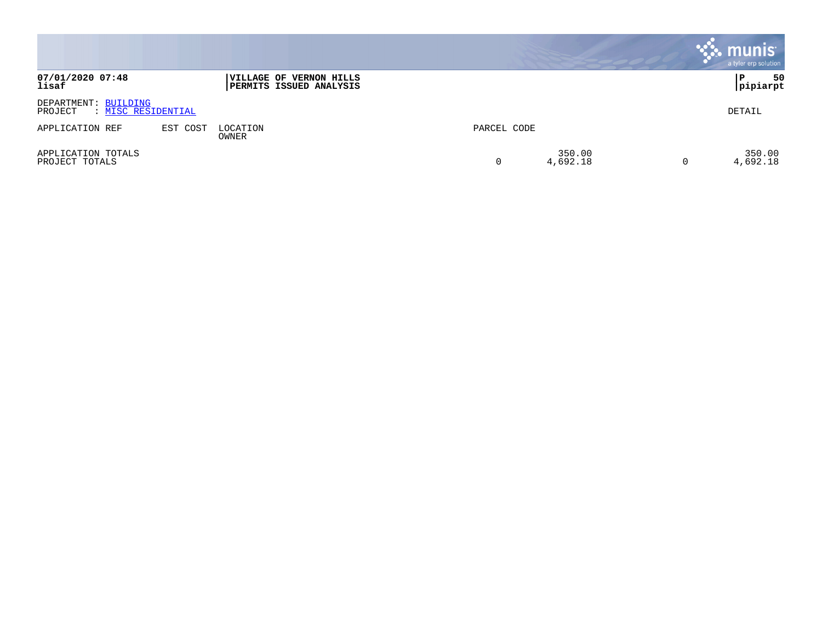|                                                       |          |                                                    |             |                    | $\ddot{\ddot{\phantom{a}}\mathbf{.}}$ munis<br>a tyler erp solution |
|-------------------------------------------------------|----------|----------------------------------------------------|-------------|--------------------|---------------------------------------------------------------------|
| 07/01/2020 07:48<br>lisaf                             |          | VILLAGE OF VERNON HILLS<br>PERMITS ISSUED ANALYSIS |             |                    | 50<br>P<br>Ipipiarpt                                                |
| DEPARTMENT: BUILDING<br>: MISC RESIDENTIAL<br>PROJECT |          |                                                    |             |                    | DETAIL                                                              |
| APPLICATION REF                                       | EST COST | LOCATION<br>OWNER                                  | PARCEL CODE |                    |                                                                     |
| APPLICATION TOTALS<br>PROJECT TOTALS                  |          |                                                    | 0           | 350.00<br>4,692.18 | 350.00<br>4,692.18                                                  |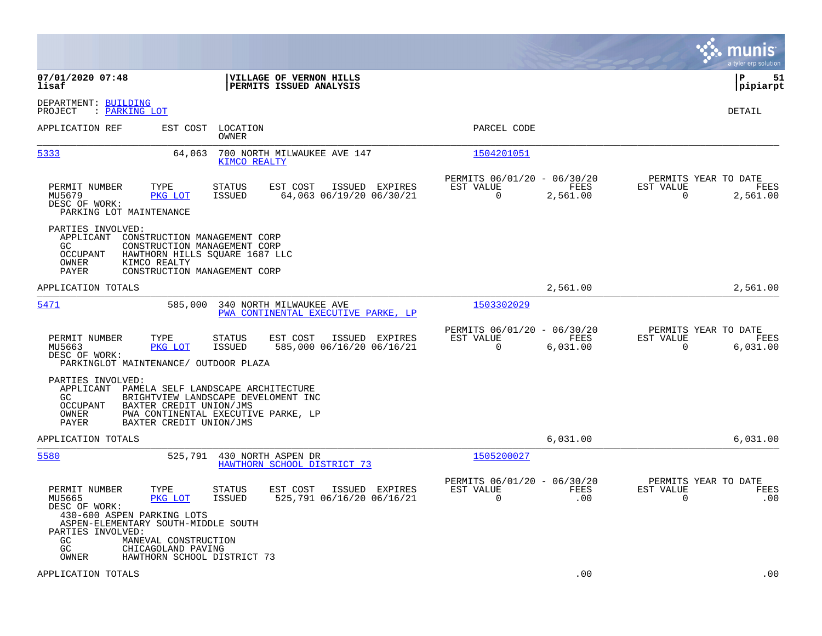|                                                                                                                                                                                                                                                      |                                                                             | munis<br>a tyler erp solution                                        |
|------------------------------------------------------------------------------------------------------------------------------------------------------------------------------------------------------------------------------------------------------|-----------------------------------------------------------------------------|----------------------------------------------------------------------|
| 07/01/2020 07:48<br>VILLAGE OF VERNON HILLS<br>lisaf<br>PERMITS ISSUED ANALYSIS                                                                                                                                                                      |                                                                             | ΙP<br>51<br> pipiarpt                                                |
| DEPARTMENT: BUILDING<br>: PARKING LOT<br>PROJECT                                                                                                                                                                                                     |                                                                             | DETAIL                                                               |
| APPLICATION REF<br>EST COST<br>LOCATION<br>OWNER                                                                                                                                                                                                     | PARCEL CODE                                                                 |                                                                      |
| 5333<br>64,063<br>700 NORTH MILWAUKEE AVE 147<br>KIMCO REALTY                                                                                                                                                                                        | 1504201051                                                                  |                                                                      |
| TYPE<br>EST COST<br>PERMIT NUMBER<br>STATUS<br>ISSUED EXPIRES<br>ISSUED<br>64,063 06/19/20 06/30/21<br>MU5679<br>PKG LOT<br>DESC OF WORK:<br>PARKING LOT MAINTENANCE                                                                                 | PERMITS 06/01/20 - 06/30/20<br>EST VALUE<br>FEES<br>0<br>2,561.00           | PERMITS YEAR TO DATE<br>EST VALUE<br>FEES<br>$\mathbf 0$<br>2,561.00 |
| PARTIES INVOLVED:<br>APPLICANT<br>CONSTRUCTION MANAGEMENT CORP<br>CONSTRUCTION MANAGEMENT CORP<br>GC.<br><b>OCCUPANT</b><br>HAWTHORN HILLS SQUARE 1687 LLC<br><b>OWNER</b><br>KIMCO REALTY<br>PAYER<br>CONSTRUCTION MANAGEMENT CORP                  |                                                                             |                                                                      |
| APPLICATION TOTALS                                                                                                                                                                                                                                   | 2,561.00                                                                    | 2,561.00                                                             |
| 5471<br>585,000<br>340 NORTH MILWAUKEE AVE<br>PWA CONTINENTAL EXECUTIVE PARKE, LP                                                                                                                                                                    | 1503302029                                                                  |                                                                      |
| PERMIT NUMBER<br>TYPE<br>ISSUED EXPIRES<br>STATUS<br>EST COST<br>MU5663<br>PKG LOT<br><b>ISSUED</b><br>585,000 06/16/20 06/16/21<br>DESC OF WORK:<br>PARKINGLOT MAINTENANCE/ OUTDOOR PLAZA                                                           | PERMITS 06/01/20 - 06/30/20<br>EST VALUE<br>FEES<br>$\mathbf 0$<br>6,031.00 | PERMITS YEAR TO DATE<br>EST VALUE<br>FEES<br>6,031.00<br>$\mathbf 0$ |
| PARTIES INVOLVED:<br>APPLICANT<br>PAMELA SELF LANDSCAPE ARCHITECTURE<br>GC.<br>BRIGHTVIEW LANDSCAPE DEVELOMENT INC<br><b>OCCUPANT</b><br>BAXTER CREDIT UNION/JMS<br>OWNER<br>PWA CONTINENTAL EXECUTIVE PARKE, LP<br>PAYER<br>BAXTER CREDIT UNION/JMS |                                                                             |                                                                      |
| APPLICATION TOTALS                                                                                                                                                                                                                                   | 6,031.00                                                                    | 6.031.00                                                             |
| 5580<br>525,791 430 NORTH ASPEN DR<br>HAWTHORN SCHOOL DISTRICT 73                                                                                                                                                                                    | 1505200027                                                                  |                                                                      |
| PERMIT NUMBER<br>TYPE<br>STATUS<br>EST COST<br>ISSUED EXPIRES<br>525,791 06/16/20 06/16/21<br>MU5665<br>PKG LOT<br>ISSUED<br>DESC OF WORK:<br>430-600 ASPEN PARKING LOTS<br>ASPEN-ELEMENTARY SOUTH-MIDDLE SOUTH<br>PARTIES INVOLVED:                 | PERMITS 06/01/20 - 06/30/20<br>EST VALUE<br>FEES<br>.00<br>0                | PERMITS YEAR TO DATE<br>EST VALUE<br>FEES<br>.00<br>0                |
| GC.<br>MANEVAL CONSTRUCTION<br>GC<br>CHICAGOLAND PAVING<br><b>OWNER</b><br>HAWTHORN SCHOOL DISTRICT 73                                                                                                                                               |                                                                             |                                                                      |
| APPLICATION TOTALS                                                                                                                                                                                                                                   | .00                                                                         | .00                                                                  |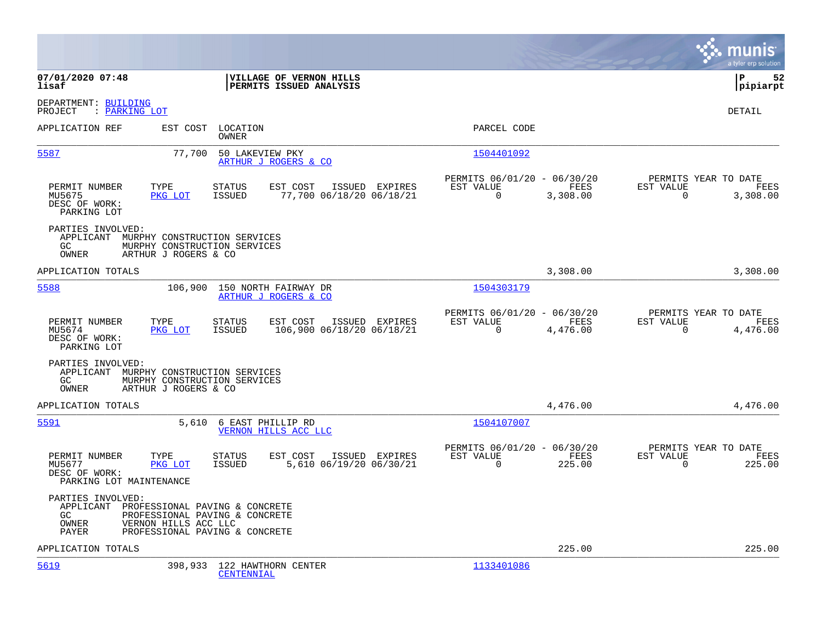|                                                                                                                                                                                   |                                                                                          | munis<br>a tyler erp solution                              |
|-----------------------------------------------------------------------------------------------------------------------------------------------------------------------------------|------------------------------------------------------------------------------------------|------------------------------------------------------------|
| 07/01/2020 07:48<br>VILLAGE OF VERNON HILLS<br>lisaf<br>PERMITS ISSUED ANALYSIS                                                                                                   |                                                                                          | lР<br>52<br> pipiarpt                                      |
| DEPARTMENT: BUILDING<br>: PARKING LOT<br>PROJECT                                                                                                                                  |                                                                                          | DETAIL                                                     |
| APPLICATION REF<br>EST COST LOCATION<br>OWNER                                                                                                                                     | PARCEL CODE                                                                              |                                                            |
| 5587<br>77,700 50 LAKEVIEW PKY<br>ARTHUR J ROGERS & CO                                                                                                                            | 1504401092                                                                               |                                                            |
| TYPE<br>EST COST<br>PERMIT NUMBER<br><b>STATUS</b><br>ISSUED EXPIRES<br>MU5675<br>PKG LOT<br>ISSUED<br>77,700 06/18/20 06/18/21<br>DESC OF WORK:<br>PARKING LOT                   | PERMITS 06/01/20 - 06/30/20<br>EST VALUE<br>EST VALUE<br>FEES<br>$\mathbf 0$<br>3,308.00 | PERMITS YEAR TO DATE<br>FEES<br>$\overline{0}$<br>3,308.00 |
| PARTIES INVOLVED:<br>APPLICANT MURPHY CONSTRUCTION SERVICES<br>GC<br>MURPHY CONSTRUCTION SERVICES<br>OWNER<br>ARTHUR J ROGERS & CO                                                |                                                                                          |                                                            |
| APPLICATION TOTALS                                                                                                                                                                | 3,308.00                                                                                 | 3,308.00                                                   |
| 5588<br>106,900 150 NORTH FAIRWAY DR<br>ARTHUR J ROGERS & CO                                                                                                                      | 1504303179                                                                               |                                                            |
| PERMIT NUMBER<br>TYPE<br>ISSUED EXPIRES<br><b>STATUS</b><br>EST COST<br>106,900 06/18/20 06/18/21<br>MU5674<br>PKG LOT<br>ISSUED<br>DESC OF WORK:<br>PARKING LOT                  | PERMITS 06/01/20 - 06/30/20<br>EST VALUE<br>FEES<br>EST VALUE<br>$\Omega$<br>4,476.00    | PERMITS YEAR TO DATE<br>FEES<br>$\Omega$<br>4,476.00       |
| PARTIES INVOLVED:<br>APPLICANT MURPHY CONSTRUCTION SERVICES<br>GC<br>MURPHY CONSTRUCTION SERVICES<br>OWNER<br>ARTHUR J ROGERS & CO                                                |                                                                                          |                                                            |
| APPLICATION TOTALS                                                                                                                                                                | 4,476.00                                                                                 | 4,476.00                                                   |
| 5591<br>5,610 6 EAST PHILLIP RD<br><b>VERNON HILLS ACC LLC</b>                                                                                                                    | 1504107007                                                                               |                                                            |
| PERMIT NUMBER<br>TYPE<br>STATUS<br>EST COST<br>ISSUED EXPIRES<br>5,610 06/19/20 06/30/21<br>MU5677<br>PKG LOT<br>ISSUED<br>DESC OF WORK:<br>PARKING LOT MAINTENANCE               | PERMITS 06/01/20 - 06/30/20<br>FEES<br>EST VALUE<br>EST VALUE<br>$\Omega$<br>225.00      | PERMITS YEAR TO DATE<br>FEES<br>$\Omega$<br>225.00         |
| PARTIES INVOLVED:<br>APPLICANT PROFESSIONAL PAVING & CONCRETE<br>GC<br>PROFESSIONAL PAVING & CONCRETE<br>OWNER<br>VERNON HILLS ACC LLC<br>PAYER<br>PROFESSIONAL PAVING & CONCRETE |                                                                                          |                                                            |
| APPLICATION TOTALS                                                                                                                                                                | 225.00                                                                                   | 225.00                                                     |
| 5619<br>398,933 122 HAWTHORN CENTER<br><b>CENTENNIAL</b>                                                                                                                          | 1133401086                                                                               |                                                            |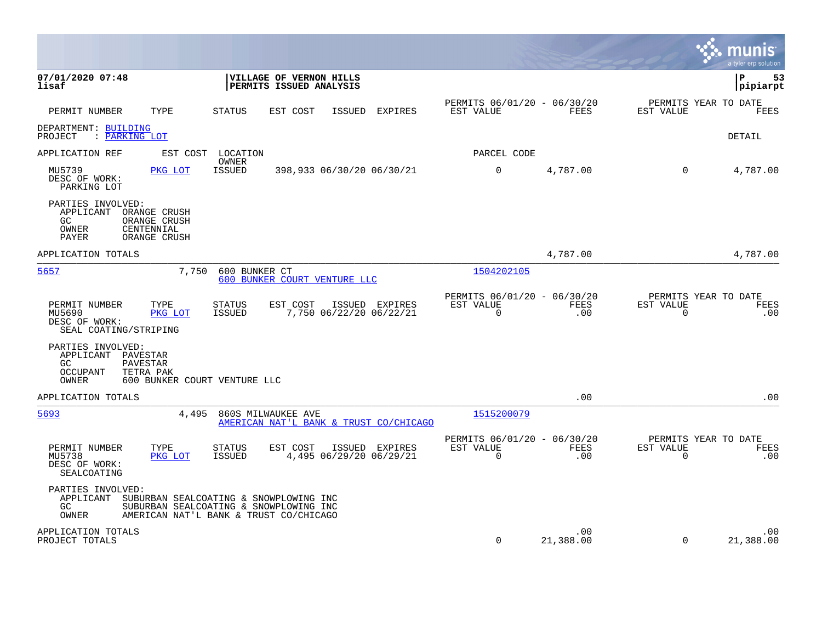|                                                                                                                                 |                                                                                                                            |                                                      |                    |                                               | munis<br>a tyler erp solution |
|---------------------------------------------------------------------------------------------------------------------------------|----------------------------------------------------------------------------------------------------------------------------|------------------------------------------------------|--------------------|-----------------------------------------------|-------------------------------|
| 07/01/2020 07:48<br>lisaf                                                                                                       | VILLAGE OF VERNON HILLS<br>PERMITS ISSUED ANALYSIS                                                                         |                                                      |                    |                                               | l P<br>53<br> pipiarpt        |
| PERMIT NUMBER<br>TYPE                                                                                                           | <b>STATUS</b><br>EST COST<br>ISSUED<br><b>EXPIRES</b>                                                                      | PERMITS 06/01/20 - 06/30/20<br>EST VALUE             | FEES               | PERMITS YEAR TO DATE<br>EST VALUE             | FEES                          |
| DEPARTMENT: BUILDING<br>: PARKING LOT<br>PROJECT                                                                                |                                                                                                                            |                                                      |                    |                                               | DETAIL                        |
| APPLICATION REF<br>EST COST                                                                                                     | LOCATION                                                                                                                   | PARCEL CODE                                          |                    |                                               |                               |
| MU5739<br>PKG LOT<br>DESC OF WORK:<br>PARKING LOT                                                                               | OWNER<br>ISSUED<br>398,933 06/30/20 06/30/21                                                                               | $\mathbf 0$                                          | 4,787.00           | $\Omega$                                      | 4,787.00                      |
| PARTIES INVOLVED:<br>APPLICANT<br>ORANGE CRUSH<br>GC.<br>ORANGE CRUSH<br>OWNER<br>CENTENNIAL<br><b>PAYER</b><br>ORANGE CRUSH    |                                                                                                                            |                                                      |                    |                                               |                               |
| APPLICATION TOTALS                                                                                                              |                                                                                                                            |                                                      | 4,787.00           |                                               | 4,787.00                      |
| 5657<br>7,750                                                                                                                   | 600 BUNKER CT<br>600 BUNKER COURT VENTURE LLC                                                                              | 1504202105                                           |                    |                                               |                               |
| PERMIT NUMBER<br>TYPE<br>MU5690<br>PKG LOT<br>DESC OF WORK:<br>SEAL COATING/STRIPING                                            | <b>STATUS</b><br>EST COST<br>ISSUED EXPIRES<br>ISSUED<br>7,750 06/22/20 06/22/21                                           | PERMITS 06/01/20 - 06/30/20<br>EST VALUE<br>$\Omega$ | <b>FEES</b><br>.00 | PERMITS YEAR TO DATE<br>EST VALUE<br>$\Omega$ | FEES<br>.00                   |
| PARTIES INVOLVED:<br>APPLICANT<br>PAVESTAR<br>PAVESTAR<br>GC.<br>OCCUPANT<br>TETRA PAK<br>OWNER<br>600 BUNKER COURT VENTURE LLC |                                                                                                                            |                                                      |                    |                                               |                               |
| APPLICATION TOTALS                                                                                                              |                                                                                                                            |                                                      | .00                |                                               | .00                           |
| 5693<br>4,495                                                                                                                   | 860S MILWAUKEE AVE<br>AMERICAN NAT'L BANK & TRUST CO/CHICAGO                                                               | 1515200079                                           |                    |                                               |                               |
| PERMIT NUMBER<br>TYPE<br>MU5738<br>PKG LOT<br>DESC OF WORK:<br>SEALCOATING                                                      | <b>STATUS</b><br>EST COST<br>ISSUED EXPIRES<br>4,495 06/29/20 06/29/21<br>ISSUED                                           | PERMITS 06/01/20 - 06/30/20<br>EST VALUE<br>$\Omega$ | FEES<br>.00        | PERMITS YEAR TO DATE<br>EST VALUE<br>0        | FEES<br>.00                   |
| PARTIES INVOLVED:<br>APPLICANT<br>GC.<br>OWNER                                                                                  | SUBURBAN SEALCOATING & SNOWPLOWING INC<br>SUBURBAN SEALCOATING & SNOWPLOWING INC<br>AMERICAN NAT'L BANK & TRUST CO/CHICAGO |                                                      |                    |                                               |                               |
| APPLICATION TOTALS<br>PROJECT TOTALS                                                                                            |                                                                                                                            | $\mathbf 0$                                          | .00<br>21,388.00   | $\mathbf 0$                                   | .00<br>21,388.00              |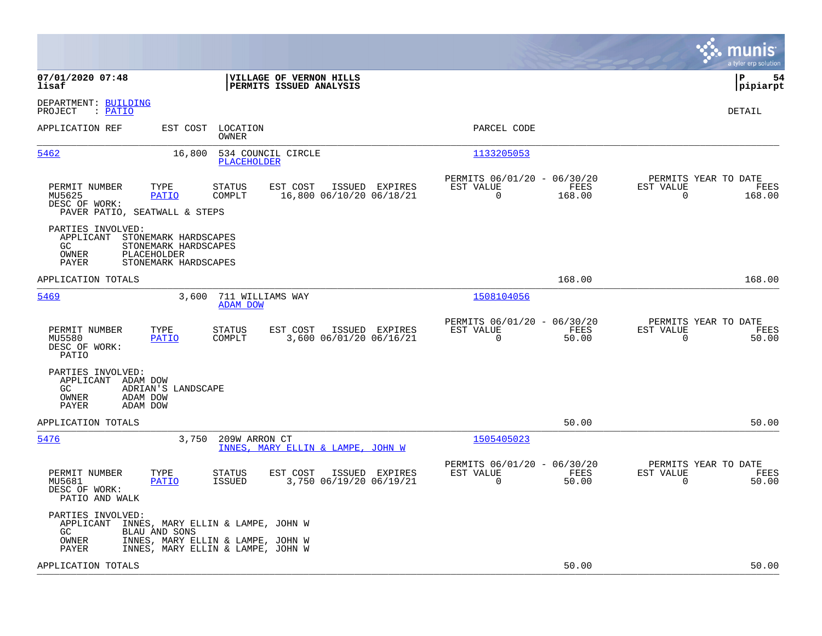|                                                                                                                                                                                     |                                                                          | munis<br>a tyler erp solution                                     |
|-------------------------------------------------------------------------------------------------------------------------------------------------------------------------------------|--------------------------------------------------------------------------|-------------------------------------------------------------------|
| 07/01/2020 07:48<br>VILLAGE OF VERNON HILLS<br>lisaf<br>PERMITS ISSUED ANALYSIS                                                                                                     |                                                                          | l P<br>54<br> pipiarpt                                            |
| DEPARTMENT: BUILDING<br>: PATIO<br>PROJECT                                                                                                                                          |                                                                          | DETAIL                                                            |
| APPLICATION REF<br>EST COST<br>LOCATION<br>OWNER                                                                                                                                    | PARCEL CODE                                                              |                                                                   |
| 5462<br>16,800<br>534 COUNCIL CIRCLE<br><b>PLACEHOLDER</b>                                                                                                                          | 1133205053                                                               |                                                                   |
| PERMIT NUMBER<br>TYPE<br>STATUS<br>EST COST<br>ISSUED EXPIRES<br>MU5625<br>PATIO<br>COMPLT<br>16,800 06/10/20 06/18/21<br>DESC OF WORK:<br>PAVER PATIO, SEATWALL & STEPS            | PERMITS 06/01/20 - 06/30/20<br>EST VALUE<br>FEES<br>$\Omega$<br>168.00   | PERMITS YEAR TO DATE<br>EST VALUE<br>FEES<br>$\Omega$<br>168.00   |
| PARTIES INVOLVED:<br>APPLICANT<br>STONEMARK HARDSCAPES<br>STONEMARK HARDSCAPES<br>GC.<br>OWNER<br>PLACEHOLDER<br>PAYER<br>STONEMARK HARDSCAPES                                      |                                                                          |                                                                   |
| APPLICATION TOTALS                                                                                                                                                                  | 168.00                                                                   | 168.00                                                            |
| 5469<br>3,600<br>711 WILLIAMS WAY<br><b>ADAM DOW</b>                                                                                                                                | 1508104056                                                               |                                                                   |
| PERMIT NUMBER<br>TYPE<br>STATUS<br>EST COST<br>ISSUED EXPIRES<br>3,600 06/01/20 06/16/21<br>MU5580<br><b>PATIO</b><br>COMPLT<br>DESC OF WORK:<br>PATIO                              | PERMITS 06/01/20 - 06/30/20<br>EST VALUE<br>FEES<br>$\mathbf 0$<br>50.00 | PERMITS YEAR TO DATE<br>EST VALUE<br>FEES<br>$\mathbf 0$<br>50.00 |
| PARTIES INVOLVED:<br>APPLICANT ADAM DOW<br>GC.<br>ADRIAN'S LANDSCAPE<br>OWNER<br>ADAM DOW<br>PAYER<br>ADAM DOW                                                                      |                                                                          |                                                                   |
| APPLICATION TOTALS                                                                                                                                                                  | 50.00                                                                    | 50.00                                                             |
| 5476<br>3,750<br>209W ARRON CT<br>INNES, MARY ELLIN & LAMPE, JOHN W                                                                                                                 | 1505405023                                                               |                                                                   |
| PERMIT NUMBER<br>TYPE<br>STATUS<br>EST COST<br>ISSUED EXPIRES<br>3,750 06/19/20 06/19/21<br>MU5681<br><b>PATIO</b><br>ISSUED<br>DESC OF WORK:<br>PATIO AND WALK                     | PERMITS 06/01/20 - 06/30/20<br>EST VALUE<br>FEES<br>0<br>50.00           | PERMITS YEAR TO DATE<br>EST VALUE<br>FEES<br>50.00<br>0           |
| PARTIES INVOLVED:<br>APPLICANT INNES, MARY ELLIN & LAMPE, JOHN W<br>GC<br>BLAU AND SONS<br>OWNER<br>INNES, MARY ELLIN & LAMPE, JOHN W<br>PAYER<br>INNES, MARY ELLIN & LAMPE, JOHN W |                                                                          |                                                                   |
| APPLICATION TOTALS                                                                                                                                                                  | 50.00                                                                    | 50.00                                                             |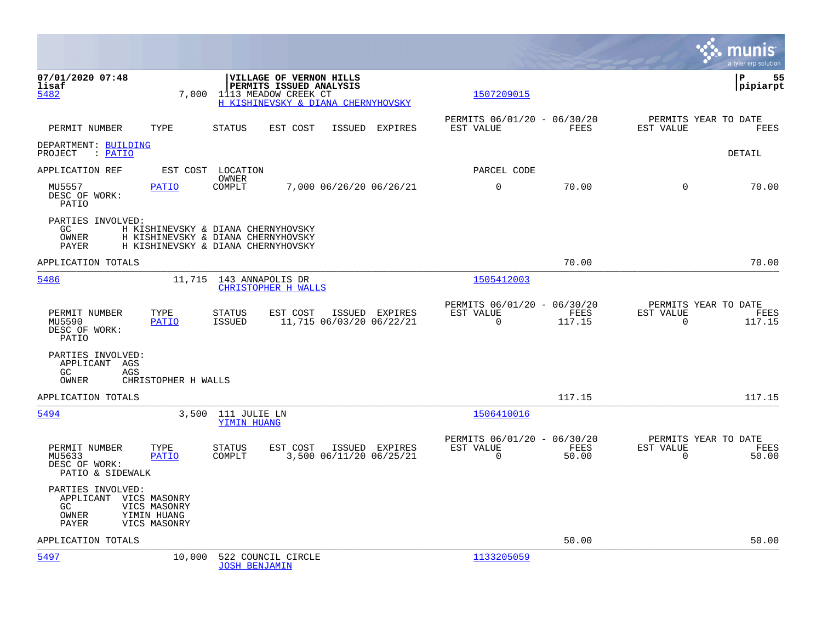|                                                                                                                           |                                                                                                                         |                                                                          | munis<br>a tyler erp solution                                        |
|---------------------------------------------------------------------------------------------------------------------------|-------------------------------------------------------------------------------------------------------------------------|--------------------------------------------------------------------------|----------------------------------------------------------------------|
| 07/01/2020 07:48<br>lisaf<br>5482<br>7,000                                                                                | <b>VILLAGE OF VERNON HILLS</b><br>PERMITS ISSUED ANALYSIS<br>1113 MEADOW CREEK CT<br>H KISHINEVSKY & DIANA CHERNYHOVSKY | 1507209015                                                               | l P<br>55<br> pipiarpt                                               |
| PERMIT NUMBER<br>TYPE                                                                                                     | <b>STATUS</b><br>EST COST<br>ISSUED EXPIRES                                                                             | PERMITS 06/01/20 - 06/30/20<br>EST VALUE<br>FEES                         | PERMITS YEAR TO DATE<br>EST VALUE<br>FEES                            |
| DEPARTMENT: BUILDING<br>PROJECT<br>: PATIO                                                                                |                                                                                                                         |                                                                          | DETAIL                                                               |
| APPLICATION REF                                                                                                           | EST COST LOCATION                                                                                                       | PARCEL CODE                                                              |                                                                      |
| MU5557<br><b>PATIO</b><br>DESC OF WORK:<br>PATIO                                                                          | OWNER<br>COMPLT<br>7,000 06/26/20 06/26/21                                                                              | $\mathbf 0$<br>70.00                                                     | $\Omega$<br>70.00                                                    |
| PARTIES INVOLVED:<br>GC<br><b>OWNER</b><br>PAYER                                                                          | H KISHINEVSKY & DIANA CHERNYHOVSKY<br>H KISHINEVSKY & DIANA CHERNYHOVSKY<br>H KISHINEVSKY & DIANA CHERNYHOVSKY          |                                                                          |                                                                      |
| APPLICATION TOTALS                                                                                                        |                                                                                                                         | 70.00                                                                    | 70.00                                                                |
| 5486                                                                                                                      | 11,715 143 ANNAPOLIS DR<br><b>CHRISTOPHER H WALLS</b>                                                                   | 1505412003                                                               |                                                                      |
| PERMIT NUMBER<br>TYPE<br>MU5590<br><b>PATIO</b><br>DESC OF WORK:<br>PATIO                                                 | <b>STATUS</b><br>EST COST<br>ISSUED EXPIRES<br>11,715 06/03/20 06/22/21<br>ISSUED                                       | PERMITS 06/01/20 - 06/30/20<br>EST VALUE<br>FEES<br>$\Omega$<br>117.15   | PERMITS YEAR TO DATE<br>EST VALUE<br>FEES<br>$\Omega$<br>117.15      |
| PARTIES INVOLVED:<br>APPLICANT AGS<br>AGS<br>GC<br>CHRISTOPHER H WALLS<br>OWNER                                           |                                                                                                                         |                                                                          |                                                                      |
| APPLICATION TOTALS                                                                                                        |                                                                                                                         | 117.15                                                                   | 117.15                                                               |
| 5494<br>3,500                                                                                                             | 111 JULIE LN<br>YIMIN HUANG                                                                                             | 1506410016                                                               |                                                                      |
| PERMIT NUMBER<br>TYPE<br>MU5633<br><b>PATIO</b><br>DESC OF WORK:<br>PATIO & SIDEWALK                                      | <b>STATUS</b><br>EST COST<br>ISSUED EXPIRES<br>COMPLT<br>3,500 06/11/20 06/25/21                                        | PERMITS 06/01/20 - 06/30/20<br>EST VALUE<br>FEES<br>$\mathbf 0$<br>50.00 | PERMITS YEAR TO DATE<br>EST VALUE<br>FEES<br>$\overline{0}$<br>50.00 |
| PARTIES INVOLVED:<br>APPLICANT VICS MASONRY<br>VICS MASONRY<br>GC<br><b>OWNER</b><br>YIMIN HUANG<br>PAYER<br>VICS MASONRY |                                                                                                                         |                                                                          |                                                                      |
| APPLICATION TOTALS                                                                                                        |                                                                                                                         | 50.00                                                                    | 50.00                                                                |
| 5497<br>10,000                                                                                                            | 522 COUNCIL CIRCLE<br><b>JOSH BENJAMIN</b>                                                                              | 1133205059                                                               |                                                                      |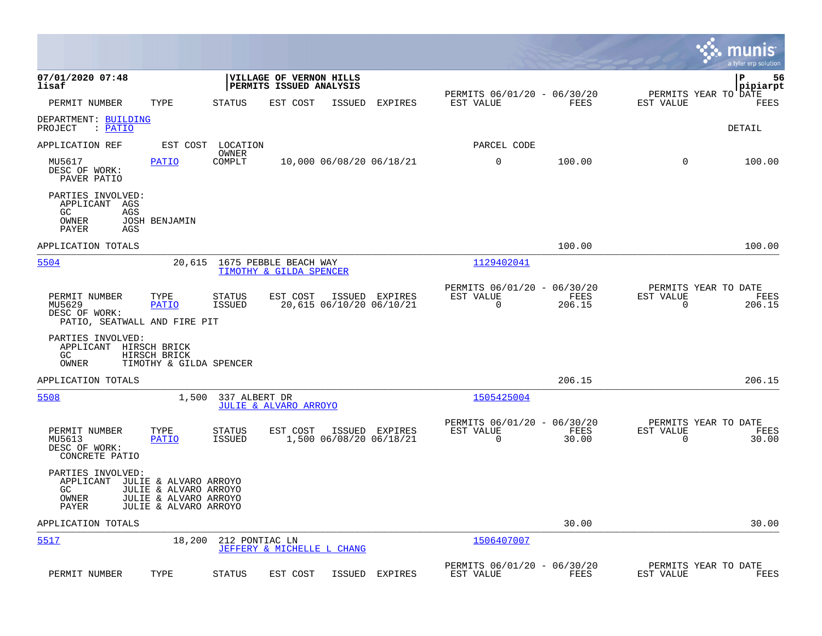|                                                                              |                                                                         |                                |                                                    |        |                                            |                                                         |                |                                                  | munis<br>a tyler erp solution |
|------------------------------------------------------------------------------|-------------------------------------------------------------------------|--------------------------------|----------------------------------------------------|--------|--------------------------------------------|---------------------------------------------------------|----------------|--------------------------------------------------|-------------------------------|
| 07/01/2020 07:48<br>lisaf                                                    |                                                                         |                                | VILLAGE OF VERNON HILLS<br>PERMITS ISSUED ANALYSIS |        |                                            | PERMITS 06/01/20 - 06/30/20                             |                | PERMITS YEAR TO DATE                             | ∣P<br>56<br> pipiarpt         |
| PERMIT NUMBER                                                                | TYPE                                                                    | <b>STATUS</b>                  | EST COST                                           | ISSUED | <b>EXPIRES</b>                             | EST VALUE                                               | FEES           | EST VALUE                                        | FEES                          |
| DEPARTMENT: BUILDING<br>PROJECT<br>: PATIO                                   |                                                                         |                                |                                                    |        |                                            |                                                         |                |                                                  | <b>DETAIL</b>                 |
| APPLICATION REF                                                              |                                                                         | EST COST LOCATION<br>OWNER     |                                                    |        |                                            | PARCEL CODE                                             |                |                                                  |                               |
| MU5617<br>DESC OF WORK:<br>PAVER PATIO                                       | <b>PATIO</b>                                                            | COMPLT                         |                                                    |        | 10,000 06/08/20 06/18/21                   | 0                                                       | 100.00         | $\Omega$                                         | 100.00                        |
| PARTIES INVOLVED:<br>APPLICANT AGS<br>GC<br>AGS<br>OWNER<br>PAYER<br>AGS     | <b>JOSH BENJAMIN</b>                                                    |                                |                                                    |        |                                            |                                                         |                |                                                  |                               |
| APPLICATION TOTALS                                                           |                                                                         |                                |                                                    |        |                                            |                                                         | 100.00         |                                                  | 100.00                        |
| 5504                                                                         | 20,615                                                                  |                                | 1675 PEBBLE BEACH WAY<br>TIMOTHY & GILDA SPENCER   |        |                                            | 1129402041                                              |                |                                                  |                               |
| PERMIT NUMBER<br>MU5629<br>DESC OF WORK:<br>PATIO, SEATWALL AND FIRE PIT     | TYPE<br>PATIO                                                           | <b>STATUS</b><br><b>ISSUED</b> | EST COST                                           |        | ISSUED EXPIRES<br>20,615 06/10/20 06/10/21 | PERMITS 06/01/20 - 06/30/20<br>EST VALUE<br>$\mathbf 0$ | FEES<br>206.15 | PERMITS YEAR TO DATE<br>EST VALUE<br>$\mathbf 0$ | FEES<br>206.15                |
| PARTIES INVOLVED:<br>APPLICANT HIRSCH BRICK<br>GC.<br>OWNER                  | HIRSCH BRICK<br>TIMOTHY & GILDA SPENCER                                 |                                |                                                    |        |                                            |                                                         |                |                                                  |                               |
| APPLICATION TOTALS                                                           |                                                                         |                                |                                                    |        |                                            |                                                         | 206.15         |                                                  | 206.15                        |
| 5508                                                                         | 1,500                                                                   | 337 ALBERT DR                  | JULIE & ALVARO ARROYO                              |        |                                            | 1505425004                                              |                |                                                  |                               |
| PERMIT NUMBER<br>MU5613<br>DESC OF WORK:<br>CONCRETE PATIO                   | TYPE<br>PATIO                                                           | <b>STATUS</b><br><b>ISSUED</b> | EST COST                                           |        | ISSUED EXPIRES<br>1,500 06/08/20 06/18/21  | PERMITS 06/01/20 - 06/30/20<br>EST VALUE<br>$\mathbf 0$ | FEES<br>30.00  | PERMITS YEAR TO DATE<br>EST VALUE<br>$\mathbf 0$ | FEES<br>30.00                 |
| PARTIES INVOLVED:<br>APPLICANT JULIE & ALVARO ARROYO<br>GC<br>OWNER<br>PAYER | JULIE & ALVARO ARROYO<br>JULIE & ALVARO ARROYO<br>JULIE & ALVARO ARROYO |                                |                                                    |        |                                            |                                                         |                |                                                  |                               |
| APPLICATION TOTALS                                                           |                                                                         |                                |                                                    |        |                                            |                                                         | 30.00          |                                                  | 30.00                         |
| 5517                                                                         | 18,200                                                                  | 212 PONTIAC LN                 | JEFFERY & MICHELLE L CHANG                         |        |                                            | 1506407007                                              |                |                                                  |                               |
| PERMIT NUMBER                                                                | TYPE                                                                    | <b>STATUS</b>                  | EST COST                                           | ISSUED | EXPIRES                                    | PERMITS 06/01/20 - 06/30/20<br>EST VALUE                | FEES           | PERMITS YEAR TO DATE<br>EST VALUE                | FEES                          |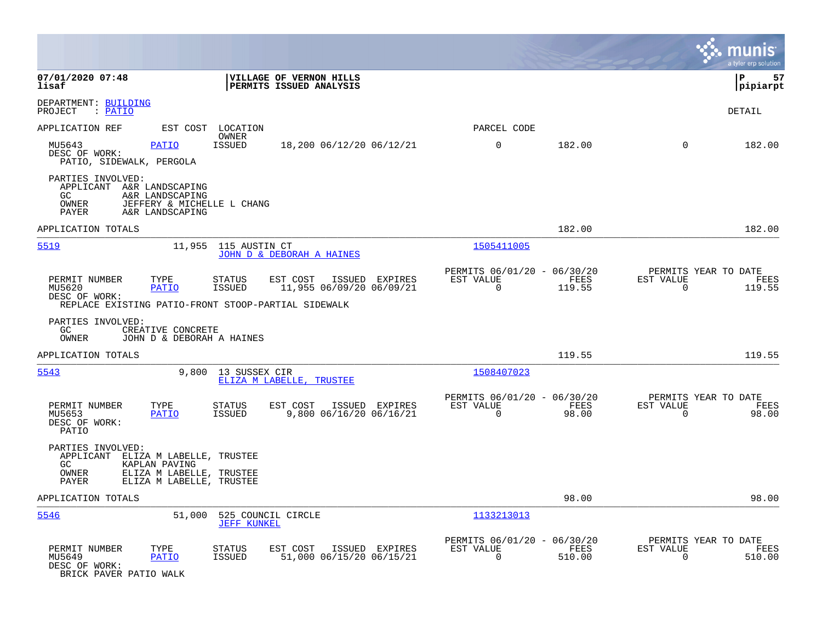|                                                                                                                                                                                                       |                                                                           | munis<br>a tyler erp solution                                         |
|-------------------------------------------------------------------------------------------------------------------------------------------------------------------------------------------------------|---------------------------------------------------------------------------|-----------------------------------------------------------------------|
| 07/01/2020 07:48<br>VILLAGE OF VERNON HILLS<br>lisaf<br>PERMITS ISSUED ANALYSIS                                                                                                                       |                                                                           | ΙP<br>57<br> pipiarpt                                                 |
| DEPARTMENT: BUILDING<br>PROJECT<br>: PATIO                                                                                                                                                            |                                                                           | DETAIL                                                                |
| APPLICATION REF<br>EST COST LOCATION<br>OWNER                                                                                                                                                         | PARCEL CODE                                                               |                                                                       |
| MU5643<br><b>PATIO</b><br>ISSUED<br>18,200 06/12/20 06/12/21<br>DESC OF WORK:<br>PATIO, SIDEWALK, PERGOLA                                                                                             | 0<br>182.00                                                               | 182.00<br>$\Omega$                                                    |
| PARTIES INVOLVED:<br>APPLICANT<br>A&R LANDSCAPING<br>GC.<br>A&R LANDSCAPING<br>OWNER<br>JEFFERY & MICHELLE L CHANG<br>PAYER<br>A&R LANDSCAPING                                                        |                                                                           |                                                                       |
| APPLICATION TOTALS                                                                                                                                                                                    | 182.00                                                                    | 182.00                                                                |
| 5519<br>11,955<br>115 AUSTIN CT<br>JOHN D & DEBORAH A HAINES                                                                                                                                          | 1505411005                                                                |                                                                       |
| PERMIT NUMBER<br>TYPE<br>STATUS<br>EST COST<br>ISSUED EXPIRES<br>11,955 06/09/20 06/09/21<br>MU5620<br><b>ISSUED</b><br>PATIO<br>DESC OF WORK:<br>REPLACE EXISTING PATIO-FRONT STOOP-PARTIAL SIDEWALK | PERMITS 06/01/20 - 06/30/20<br>EST VALUE<br>FEES<br>$\mathbf 0$<br>119.55 | PERMITS YEAR TO DATE<br>EST VALUE<br>FEES<br>119.55<br>$\overline{0}$ |
| PARTIES INVOLVED:<br>GC.<br>CREATIVE CONCRETE<br>OWNER<br>JOHN D & DEBORAH A HAINES                                                                                                                   |                                                                           |                                                                       |
| APPLICATION TOTALS                                                                                                                                                                                    | 119.55                                                                    | 119.55                                                                |
| 5543<br>9,800<br>13 SUSSEX CIR<br>ELIZA M LABELLE, TRUSTEE                                                                                                                                            | 1508407023                                                                |                                                                       |
| PERMIT NUMBER<br>EST COST<br>TYPE<br>STATUS<br>ISSUED EXPIRES<br>9,800 06/16/20 06/16/21<br>MU5653<br>ISSUED<br>PATIO<br>DESC OF WORK:<br>PATIO                                                       | PERMITS 06/01/20 - 06/30/20<br>EST VALUE<br>FEES<br>$\Omega$<br>98.00     | PERMITS YEAR TO DATE<br>EST VALUE<br>FEES<br>98.00<br>$\Omega$        |
| PARTIES INVOLVED:<br>APPLICANT ELIZA M LABELLE, TRUSTEE<br>GC.<br>KAPLAN PAVING<br>OWNER<br>ELIZA M LABELLE, TRUSTEE<br>PAYER<br>ELIZA M LABELLE, TRUSTEE                                             |                                                                           |                                                                       |
| APPLICATION TOTALS                                                                                                                                                                                    | 98.00                                                                     | 98.00                                                                 |
| 5546<br>51,000 525 COUNCIL CIRCLE<br><b>JEFF KUNKEL</b>                                                                                                                                               | 1133213013                                                                |                                                                       |
| EST COST ISSUED EXPIRES<br>PERMIT NUMBER<br>TYPE<br>STATUS<br>51,000 06/15/20 06/15/21<br>MU5649<br>PATIO<br>ISSUED<br>DESC OF WORK:<br>BRICK PAVER PATIO WALK                                        | PERMITS 06/01/20 - 06/30/20<br>EST VALUE<br>FEES<br>$\mathbf 0$<br>510.00 | PERMITS YEAR TO DATE<br>EST VALUE<br>FEES<br>$\mathbf 0$<br>510.00    |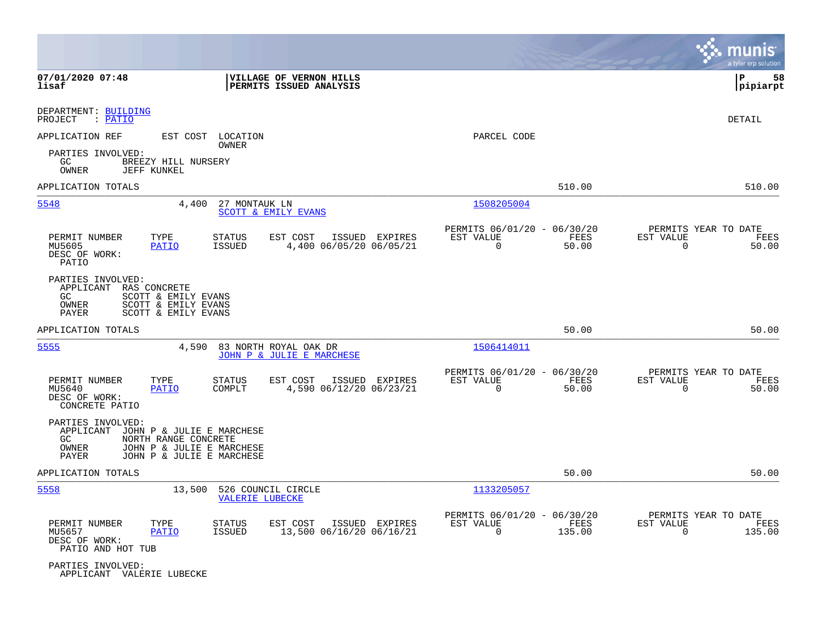|                                                                      |                                                                                                             |                                |                                                    |                |                                                         |                            |                                                  | munis<br>a tyler erp solution |
|----------------------------------------------------------------------|-------------------------------------------------------------------------------------------------------------|--------------------------------|----------------------------------------------------|----------------|---------------------------------------------------------|----------------------------|--------------------------------------------------|-------------------------------|
| 07/01/2020 07:48<br>lisaf                                            |                                                                                                             |                                | VILLAGE OF VERNON HILLS<br>PERMITS ISSUED ANALYSIS |                |                                                         |                            |                                                  | ΙP<br>58<br> pipiarpt         |
| DEPARTMENT: BUILDING<br>PROJECT<br>$:$ PATIO                         |                                                                                                             |                                |                                                    |                |                                                         |                            |                                                  | DETAIL                        |
| APPLICATION REF                                                      | EST COST                                                                                                    | LOCATION                       |                                                    |                | PARCEL CODE                                             |                            |                                                  |                               |
| PARTIES INVOLVED:<br>GC<br>OWNER                                     | BREEZY HILL NURSERY<br><b>JEFF KUNKEL</b>                                                                   | OWNER                          |                                                    |                |                                                         |                            |                                                  |                               |
| APPLICATION TOTALS                                                   |                                                                                                             |                                |                                                    |                |                                                         | 510.00                     |                                                  | 510.00                        |
| 5548                                                                 | 4,400                                                                                                       | 27 MONTAUK LN                  | SCOTT & EMILY EVANS                                |                | 1508205004                                              |                            |                                                  |                               |
| PERMIT NUMBER<br>MU5605<br>DESC OF WORK:<br>PATIO                    | TYPE<br><b>PATIO</b>                                                                                        | <b>STATUS</b><br><b>ISSUED</b> | EST COST<br>4,400 06/05/20 06/05/21                | ISSUED EXPIRES | PERMITS 06/01/20 - 06/30/20<br>EST VALUE<br>$\mathbf 0$ | FEES<br>50.00              | PERMITS YEAR TO DATE<br>EST VALUE<br>$\mathbf 0$ | FEES<br>50.00                 |
| PARTIES INVOLVED:<br>APPLICANT RAS CONCRETE<br>GC.<br>OWNER<br>PAYER | SCOTT & EMILY EVANS<br>SCOTT & EMILY EVANS<br>SCOTT & EMILY EVANS                                           |                                |                                                    |                |                                                         |                            |                                                  |                               |
| APPLICATION TOTALS                                                   |                                                                                                             |                                |                                                    |                |                                                         | 50.00                      |                                                  | 50.00                         |
| 5555                                                                 | 4,590                                                                                                       |                                | 83 NORTH ROYAL OAK DR<br>JOHN P & JULIE E MARCHESE |                | 1506414011                                              |                            |                                                  |                               |
| PERMIT NUMBER<br>MU5640<br>DESC OF WORK:<br>CONCRETE PATIO           | TYPE<br>PATIO                                                                                               | <b>STATUS</b><br>COMPLT        | EST COST<br>ISSUED<br>4,590 06/12/20 06/23/21      | EXPIRES        | PERMITS 06/01/20 - 06/30/20<br>EST VALUE<br>$\Omega$    | FEES<br>50.00              | PERMITS YEAR TO DATE<br>EST VALUE<br>$\mathbf 0$ | FEES<br>50.00                 |
| PARTIES INVOLVED:<br>APPLICANT<br>GC<br>OWNER<br>PAYER               | JOHN P & JULIE E MARCHESE<br>NORTH RANGE CONCRETE<br>JOHN P & JULIE E MARCHESE<br>JOHN P & JULIE E MARCHESE |                                |                                                    |                |                                                         |                            |                                                  |                               |
| APPLICATION TOTALS                                                   |                                                                                                             |                                |                                                    |                |                                                         | 50.00                      |                                                  | 50.00                         |
| 5558                                                                 | 13,500                                                                                                      | <b>VALERIE LUBECKE</b>         | 526 COUNCIL CIRCLE                                 |                | 1133205057                                              |                            |                                                  |                               |
| PERMIT NUMBER<br>MU5657<br>DESC OF WORK:<br>PATIO AND HOT TUB        | TYPE<br><b>PATIO</b>                                                                                        | <b>STATUS</b><br>ISSUED        | EST COST<br>13,500 06/16/20 06/16/21               | ISSUED EXPIRES | PERMITS 06/01/20 -<br>EST VALUE<br>$\mathbf 0$          | 06/30/20<br>FEES<br>135.00 | PERMITS YEAR TO DATE<br>EST VALUE<br>$\mathbf 0$ | FEES<br>135.00                |
| PARTIES INVOLVED:<br>APPLICANT VALERIE LUBECKE                       |                                                                                                             |                                |                                                    |                |                                                         |                            |                                                  |                               |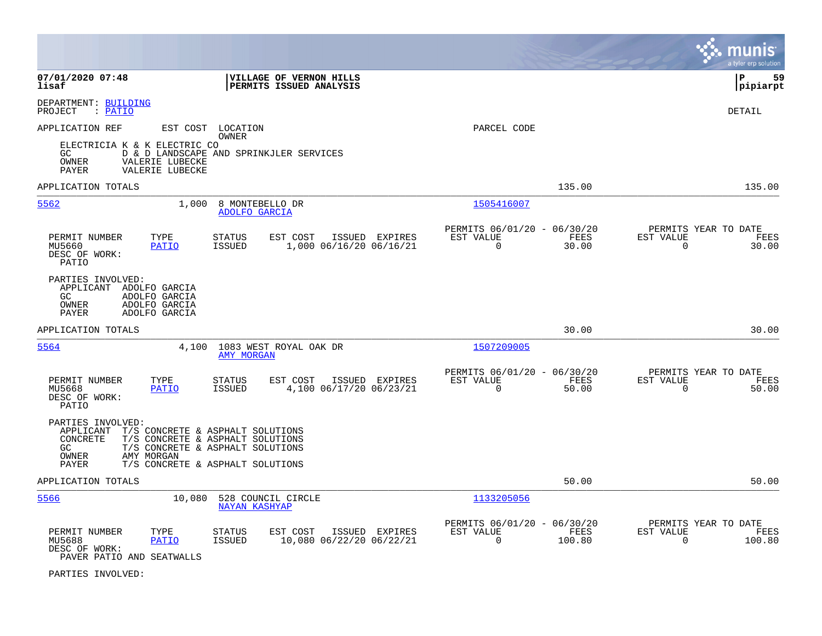|                                                                                                                                                                                                                                         |                                                                                          |                                                                          | munis<br>a tyler erp solution                                     |
|-----------------------------------------------------------------------------------------------------------------------------------------------------------------------------------------------------------------------------------------|------------------------------------------------------------------------------------------|--------------------------------------------------------------------------|-------------------------------------------------------------------|
| 07/01/2020 07:48<br>lisaf                                                                                                                                                                                                               | VILLAGE OF VERNON HILLS<br>PERMITS ISSUED ANALYSIS                                       |                                                                          | 59<br>l P<br> pipiarpt                                            |
| DEPARTMENT: BUILDING<br>: <u>PATIO</u><br>PROJECT                                                                                                                                                                                       |                                                                                          |                                                                          | <b>DETAIL</b>                                                     |
| APPLICATION REF<br>EST COST LOCATION                                                                                                                                                                                                    | OWNER                                                                                    | PARCEL CODE                                                              |                                                                   |
| ELECTRICIA K & K ELECTRIC CO<br>GC.<br>VALERIE LUBECKE<br>OWNER<br>VALERIE LUBECKE<br>PAYER                                                                                                                                             | D & D LANDSCAPE AND SPRINKJLER SERVICES                                                  |                                                                          |                                                                   |
| APPLICATION TOTALS                                                                                                                                                                                                                      |                                                                                          | 135.00                                                                   | 135.00                                                            |
| 1,000<br>5562                                                                                                                                                                                                                           | 8 MONTEBELLO DR<br>ADOLFO GARCIA                                                         | 1505416007                                                               |                                                                   |
| PERMIT NUMBER<br>TYPE<br>MU5660<br><b>PATIO</b><br>DESC OF WORK:<br>PATIO                                                                                                                                                               | <b>STATUS</b><br>EST COST<br>ISSUED EXPIRES<br><b>ISSUED</b><br>1,000 06/16/20 06/16/21  | PERMITS 06/01/20 - 06/30/20<br>EST VALUE<br>FEES<br>$\Omega$<br>30.00    | PERMITS YEAR TO DATE<br>EST VALUE<br>FEES<br>$\Omega$<br>30.00    |
| PARTIES INVOLVED:<br>APPLICANT ADOLFO GARCIA<br>GC.<br>ADOLFO GARCIA<br>OWNER<br>ADOLFO GARCIA<br>PAYER<br>ADOLFO GARCIA                                                                                                                |                                                                                          |                                                                          |                                                                   |
| APPLICATION TOTALS                                                                                                                                                                                                                      |                                                                                          | 30.00                                                                    | 30.00                                                             |
| 5564<br>4,100                                                                                                                                                                                                                           | 1083 WEST ROYAL OAK DR<br><b>AMY MORGAN</b>                                              | 1507209005                                                               |                                                                   |
| PERMIT NUMBER<br>TYPE<br>MU5668<br><b>PATIO</b><br>DESC OF WORK:<br>PATIO                                                                                                                                                               | EST COST<br>ISSUED EXPIRES<br><b>STATUS</b><br><b>ISSUED</b><br>4,100 06/17/20 06/23/21  | PERMITS 06/01/20 - 06/30/20<br>EST VALUE<br>FEES<br>$\mathbf 0$<br>50.00 | PERMITS YEAR TO DATE<br>EST VALUE<br>FEES<br>50.00<br>$\mathbf 0$ |
| PARTIES INVOLVED:<br>APPLICANT<br>T/S CONCRETE & ASPHALT SOLUTIONS<br>T/S CONCRETE & ASPHALT SOLUTIONS<br><b>CONCRETE</b><br>GC<br>T/S CONCRETE & ASPHALT SOLUTIONS<br>OWNER<br>AMY MORGAN<br>T/S CONCRETE & ASPHALT SOLUTIONS<br>PAYER |                                                                                          |                                                                          |                                                                   |
| APPLICATION TOTALS                                                                                                                                                                                                                      |                                                                                          | 50.00                                                                    | 50.00                                                             |
| 5566<br>10,080                                                                                                                                                                                                                          | 528 COUNCIL CIRCLE<br><b>NAYAN KASHYAP</b>                                               | 1133205056                                                               |                                                                   |
| PERMIT NUMBER<br>TYPE<br>MU5688<br><b>PATIO</b><br>DESC OF WORK:<br>PAVER PATIO AND SEATWALLS                                                                                                                                           | <b>STATUS</b><br>EST COST<br>ISSUED EXPIRES<br><b>ISSUED</b><br>10,080 06/22/20 06/22/21 | PERMITS 06/01/20 - 06/30/20<br>EST VALUE<br>FEES<br>$\Omega$<br>100.80   | PERMITS YEAR TO DATE<br>EST VALUE<br>FEES<br>$\Omega$<br>100.80   |

PARTIES INVOLVED: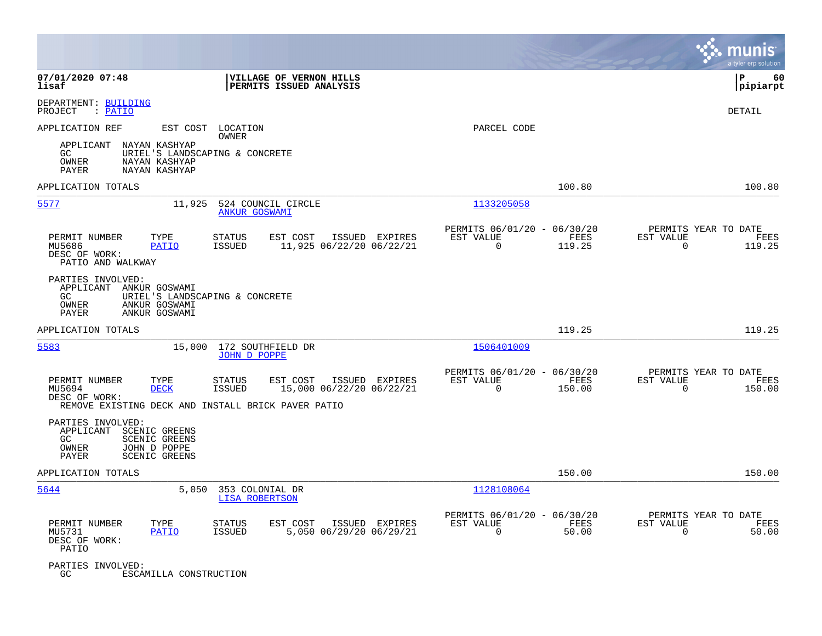|                                                                                                                                         |                                                                                                                                                |                                                                           | munis<br>a tyler erp solution                                      |
|-----------------------------------------------------------------------------------------------------------------------------------------|------------------------------------------------------------------------------------------------------------------------------------------------|---------------------------------------------------------------------------|--------------------------------------------------------------------|
| 07/01/2020 07:48<br>lisaf                                                                                                               | VILLAGE OF VERNON HILLS<br>PERMITS ISSUED ANALYSIS                                                                                             |                                                                           | l P<br>60<br> pipiarpt                                             |
| DEPARTMENT: BUILDING<br>PROJECT<br>: PATIO                                                                                              |                                                                                                                                                |                                                                           | DETAIL                                                             |
| APPLICATION REF<br>APPLICANT NAYAN KASHYAP<br>GC.<br>OWNER<br>NAYAN KASHYAP                                                             | EST COST LOCATION<br><b>OWNER</b><br>URIEL'S LANDSCAPING & CONCRETE                                                                            | PARCEL CODE                                                               |                                                                    |
| PAYER<br>NAYAN KASHYAP<br>APPLICATION TOTALS                                                                                            |                                                                                                                                                | 100.80                                                                    | 100.80                                                             |
| 5577                                                                                                                                    | 11,925<br>524 COUNCIL CIRCLE<br><b>ANKUR GOSWAMI</b>                                                                                           | 1133205058                                                                |                                                                    |
| PERMIT NUMBER<br>TYPE<br>MU5686<br>PATIO<br>DESC OF WORK:<br>PATIO AND WALKWAY                                                          | <b>STATUS</b><br>EST COST<br>ISSUED EXPIRES<br><b>ISSUED</b><br>11,925 06/22/20 06/22/21                                                       | PERMITS 06/01/20 - 06/30/20<br>EST VALUE<br>FEES<br>$\mathbf 0$<br>119.25 | PERMITS YEAR TO DATE<br>EST VALUE<br>FEES<br>119.25<br>$\mathbf 0$ |
| PARTIES INVOLVED:<br>APPLICANT ANKUR GOSWAMI<br>GC<br>OWNER<br>ANKUR GOSWAMI<br>PAYER<br>ANKUR GOSWAMI                                  | URIEL'S LANDSCAPING & CONCRETE                                                                                                                 |                                                                           |                                                                    |
| APPLICATION TOTALS                                                                                                                      |                                                                                                                                                | 119.25                                                                    | 119.25                                                             |
| 5583                                                                                                                                    | 172 SOUTHFIELD DR<br>15,000<br><b>JOHN D POPPE</b>                                                                                             | 1506401009                                                                |                                                                    |
| PERMIT NUMBER<br>TYPE<br>MU5694<br><b>DECK</b><br>DESC OF WORK:                                                                         | EST COST<br>ISSUED EXPIRES<br><b>STATUS</b><br>15,000 06/22/20 06/22/21<br><b>ISSUED</b><br>REMOVE EXISTING DECK AND INSTALL BRICK PAVER PATIO | PERMITS 06/01/20 - 06/30/20<br>FEES<br>EST VALUE<br>$\Omega$<br>150.00    | PERMITS YEAR TO DATE<br>EST VALUE<br>FEES<br>$\Omega$<br>150.00    |
| PARTIES INVOLVED:<br>APPLICANT<br>SCENIC GREENS<br><b>SCENIC GREENS</b><br>GC<br>OWNER<br>JOHN D POPPE<br>PAYER<br><b>SCENIC GREENS</b> |                                                                                                                                                |                                                                           |                                                                    |
| APPLICATION TOTALS                                                                                                                      |                                                                                                                                                | 150.00                                                                    | 150.00                                                             |
| 5644                                                                                                                                    | 5,050<br>353 COLONIAL DR<br><b>LISA ROBERTSON</b>                                                                                              | 1128108064                                                                |                                                                    |
| PERMIT NUMBER<br>TYPE<br><b>PATIO</b><br>MU5731<br>DESC OF WORK:<br>PATIO                                                               | <b>STATUS</b><br>EST COST<br>ISSUED EXPIRES<br>5,050 06/29/20 06/29/21<br><b>ISSUED</b>                                                        | PERMITS 06/01/20 - 06/30/20<br>EST VALUE<br>FEES<br>$\mathbf 0$<br>50.00  | PERMITS YEAR TO DATE<br>EST VALUE<br>FEES<br>$\mathbf 0$<br>50.00  |
| PARTIES INVOLVED:<br>GC.<br>ESCAMILLA CONSTRUCTION                                                                                      |                                                                                                                                                |                                                                           |                                                                    |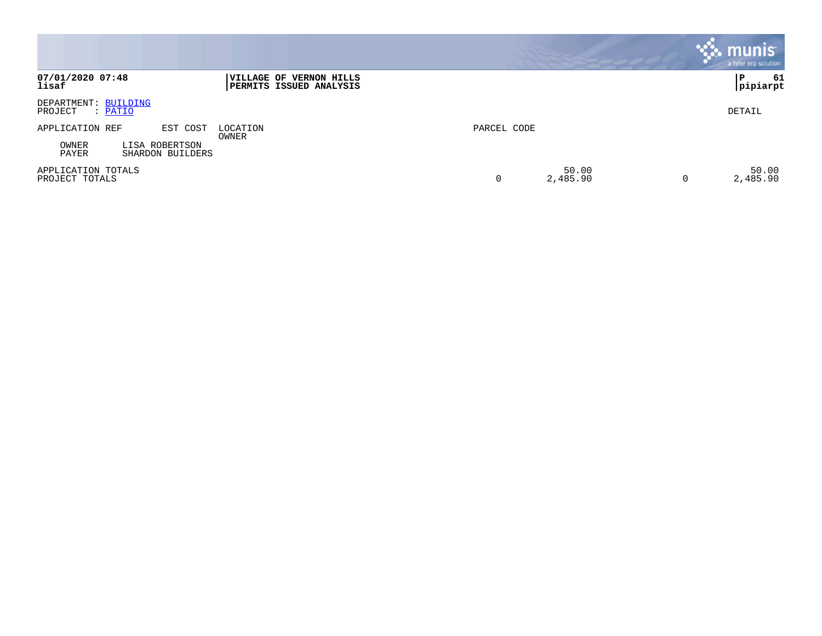|                                                      |                                                           |             |                   | munis<br>a tyler erp solution |
|------------------------------------------------------|-----------------------------------------------------------|-------------|-------------------|-------------------------------|
| 07/01/2020 07:48<br>lisaf                            | VILLAGE OF VERNON HILLS<br><b>PERMITS ISSUED ANALYSIS</b> |             |                   | 61<br>l P<br>pipiarpt         |
| DEPARTMENT: BUILDING<br>PROJECT<br>: PATIO           |                                                           |             |                   | DETAIL                        |
| APPLICATION REF<br>EST COST                          | LOCATION<br>OWNER                                         | PARCEL CODE |                   |                               |
| OWNER<br>LISA ROBERTSON<br>PAYER<br>SHARDON BUILDERS |                                                           |             |                   |                               |
| APPLICATION TOTALS<br>PROJECT TOTALS                 |                                                           |             | 50.00<br>2,485.90 | 50.00<br>2,485.90<br>0        |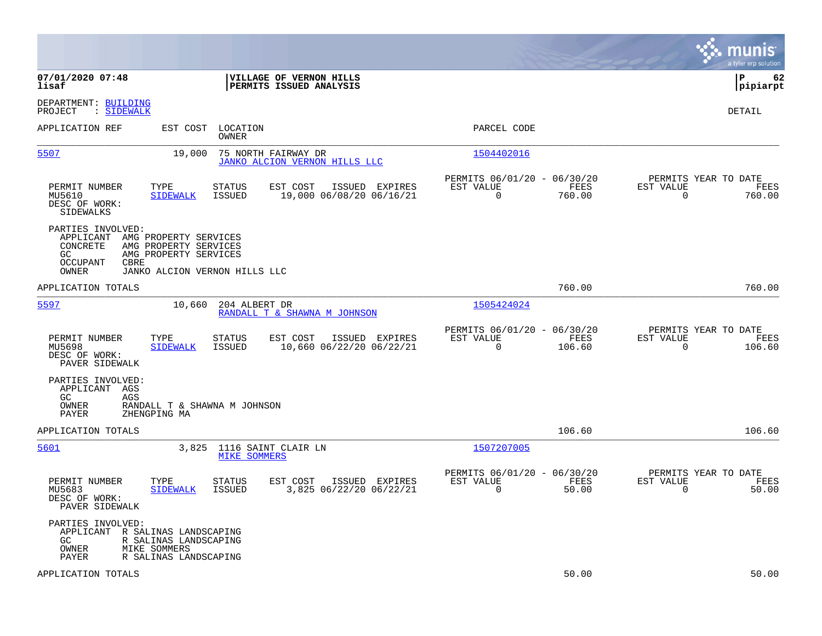|                                                                                                                                                                                           |                                                                          | munis<br>a tyler erp solution                                      |
|-------------------------------------------------------------------------------------------------------------------------------------------------------------------------------------------|--------------------------------------------------------------------------|--------------------------------------------------------------------|
| 07/01/2020 07:48<br>VILLAGE OF VERNON HILLS<br>PERMITS ISSUED ANALYSIS<br>lisaf                                                                                                           |                                                                          | l P<br>62<br> pipiarpt                                             |
| DEPARTMENT: BUILDING<br>PROJECT<br>: SIDEWALK                                                                                                                                             |                                                                          | DETAIL                                                             |
| APPLICATION REF<br>EST COST<br>LOCATION<br>OWNER                                                                                                                                          | PARCEL CODE                                                              |                                                                    |
| 5507<br>75 NORTH FAIRWAY DR<br>19,000<br>JANKO ALCION VERNON HILLS LLC                                                                                                                    | 1504402016                                                               |                                                                    |
| PERMIT NUMBER<br>TYPE<br>STATUS<br>EST COST<br>ISSUED EXPIRES<br>19,000 06/08/20 06/16/21<br>MU5610<br>ISSUED<br><b>SIDEWALK</b><br>DESC OF WORK:<br>SIDEWALKS                            | PERMITS 06/01/20 - 06/30/20<br>EST VALUE<br>FEES<br>$\Omega$<br>760.00   | PERMITS YEAR TO DATE<br>EST VALUE<br>FEES<br>$\Omega$<br>760.00    |
| PARTIES INVOLVED:<br>APPLICANT<br>AMG PROPERTY SERVICES<br>CONCRETE<br>AMG PROPERTY SERVICES<br>GC<br>AMG PROPERTY SERVICES<br>OCCUPANT<br>CBRE<br>OWNER<br>JANKO ALCION VERNON HILLS LLC |                                                                          |                                                                    |
| APPLICATION TOTALS                                                                                                                                                                        | 760.00                                                                   | 760.00                                                             |
| 5597<br>10,660<br>204 ALBERT DR<br>RANDALL T & SHAWNA M JOHNSON                                                                                                                           | 1505424024                                                               |                                                                    |
| PERMIT NUMBER<br>TYPE<br>STATUS<br>EST COST<br>ISSUED EXPIRES<br>MU5698<br><b>SIDEWALK</b><br>ISSUED<br>10,660 06/22/20 06/22/21<br>DESC OF WORK:<br>PAVER SIDEWALK                       | PERMITS 06/01/20 - 06/30/20<br>EST VALUE<br>FEES<br>0<br>106.60          | PERMITS YEAR TO DATE<br>EST VALUE<br>FEES<br>$\mathbf 0$<br>106.60 |
| PARTIES INVOLVED:<br>APPLICANT<br>AGS<br>GC.<br>AGS<br>OWNER<br>RANDALL T & SHAWNA M JOHNSON<br>PAYER<br>ZHENGPING MA                                                                     |                                                                          |                                                                    |
| APPLICATION TOTALS                                                                                                                                                                        | 106.60                                                                   | 106.60                                                             |
| 3,825 1116 SAINT CLAIR LN<br>5601<br><b>MIKE SOMMERS</b>                                                                                                                                  | 1507207005                                                               |                                                                    |
| PERMIT NUMBER<br>TYPE<br><b>STATUS</b><br>EST COST<br>ISSUED EXPIRES<br>3,825 06/22/20 06/22/21<br>MU5683<br><b>SIDEWALK</b><br>ISSUED<br>DESC OF WORK:<br>PAVER SIDEWALK                 | PERMITS 06/01/20 - 06/30/20<br>EST VALUE<br>FEES<br>$\mathbf 0$<br>50.00 | PERMITS YEAR TO DATE<br>EST VALUE<br>FEES<br>$\mathbf 0$<br>50.00  |
| PARTIES INVOLVED:<br>APPLICANT<br>R SALINAS LANDSCAPING<br>GC<br>R SALINAS LANDSCAPING<br>OWNER<br>MIKE SOMMERS<br>PAYER<br>R SALINAS LANDSCAPING                                         |                                                                          |                                                                    |
| APPLICATION TOTALS                                                                                                                                                                        | 50.00                                                                    | 50.00                                                              |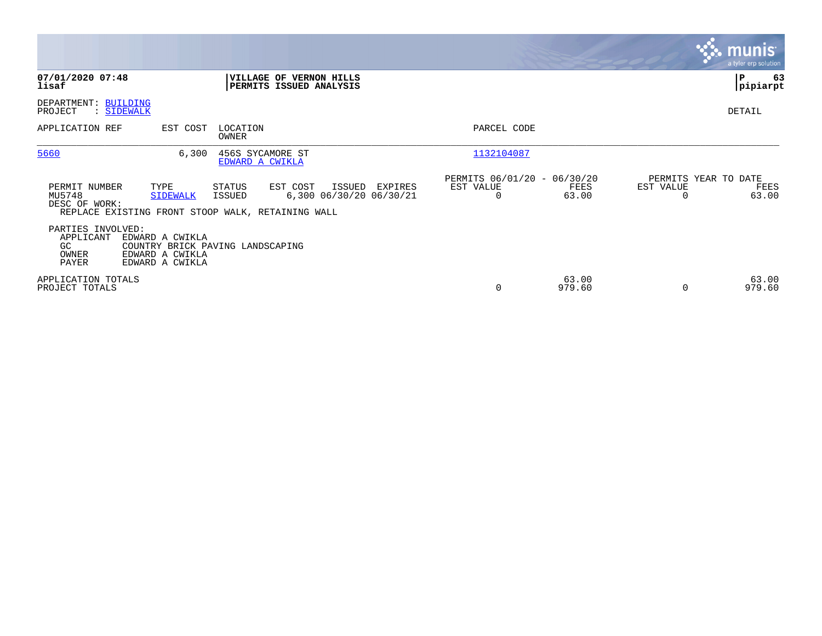|                                                                                                                          |                                                                              |                                                                       | <b>munis</b><br>a tyler erp solution               |
|--------------------------------------------------------------------------------------------------------------------------|------------------------------------------------------------------------------|-----------------------------------------------------------------------|----------------------------------------------------|
| 07/01/2020 07:48<br>lisaf                                                                                                | VILLAGE OF VERNON HILLS<br>PERMITS ISSUED ANALYSIS                           |                                                                       | 63<br>P<br> pipiarpt                               |
| DEPARTMENT: BUILDING<br>PROJECT<br>: SIDEWALK                                                                            |                                                                              |                                                                       | DETAIL                                             |
| EST COST<br>APPLICATION REF                                                                                              | LOCATION<br>OWNER                                                            | PARCEL CODE                                                           |                                                    |
| 5660<br>6,300                                                                                                            | 456S SYCAMORE ST<br>EDWARD A CWIKLA                                          | 1132104087                                                            |                                                    |
| PERMIT NUMBER<br>TYPE<br>MU5748<br><b>SIDEWALK</b><br>DESC OF WORK:<br>REPLACE EXISTING FRONT STOOP WALK, RETAINING WALL | EST COST<br>STATUS<br>ISSUED<br>EXPIRES<br>6,300 06/30/20 06/30/21<br>ISSUED | PERMITS 06/01/20 - 06/30/20<br>EST VALUE<br>FEES<br>63.00<br>$\Omega$ | PERMITS YEAR TO DATE<br>EST VALUE<br>FEES<br>63.00 |
| PARTIES INVOLVED:<br>APPLICANT<br>EDWARD A CWIKLA<br>GC<br>EDWARD A CWIKLA<br>OWNER<br>PAYER<br>EDWARD A CWIKLA          | COUNTRY BRICK PAVING LANDSCAPING                                             |                                                                       |                                                    |
| APPLICATION TOTALS<br>PROJECT TOTALS                                                                                     |                                                                              | 63.00<br>979.60<br>0                                                  | 63.00<br>979.60<br>$\Omega$                        |

 $\mathcal{L}^{\text{max}}$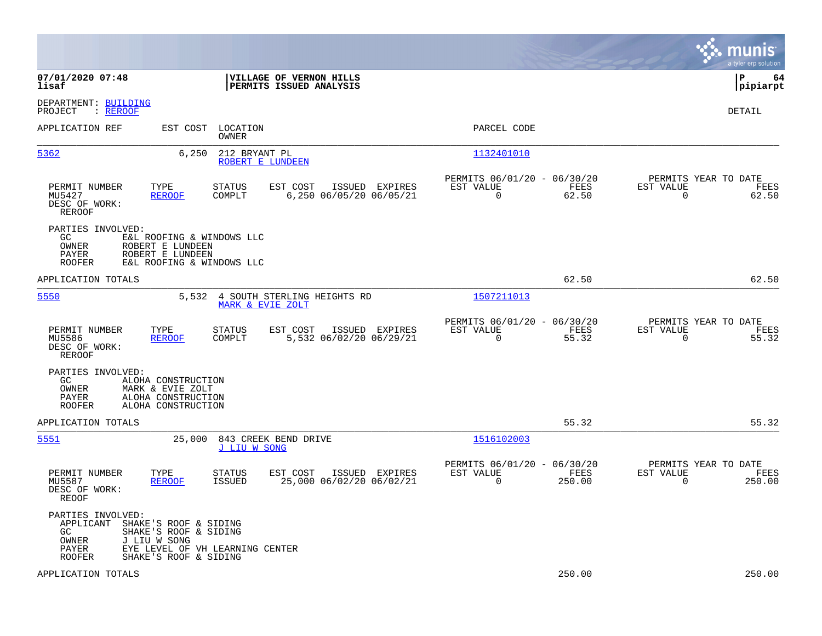|                                                                                                                                                                                                       |                                                                                                                        | munis<br>a tyler erp solution          |
|-------------------------------------------------------------------------------------------------------------------------------------------------------------------------------------------------------|------------------------------------------------------------------------------------------------------------------------|----------------------------------------|
| 07/01/2020 07:48<br>VILLAGE OF VERNON HILLS<br>lisaf<br>PERMITS ISSUED ANALYSIS                                                                                                                       |                                                                                                                        | lР<br>64<br> pipiarpt                  |
| DEPARTMENT: BUILDING<br>PROJECT<br>: REROOF                                                                                                                                                           |                                                                                                                        | DETAIL                                 |
| EST COST LOCATION<br>APPLICATION REF<br>OWNER                                                                                                                                                         | PARCEL CODE                                                                                                            |                                        |
| 5362<br>6,250<br>212 BRYANT PL<br>ROBERT E LUNDEEN                                                                                                                                                    | 1132401010                                                                                                             |                                        |
| PERMIT NUMBER<br>TYPE<br><b>STATUS</b><br>EST COST<br>MU5427<br><b>REROOF</b><br>COMPLT<br>6,250 06/05/20 06/05/21<br>DESC OF WORK:<br>REROOF                                                         | PERMITS 06/01/20 - 06/30/20<br>EST VALUE<br>ISSUED EXPIRES<br>EST VALUE<br>FEES<br>$\mathbf 0$<br>62.50<br>$\mathbf 0$ | PERMITS YEAR TO DATE<br>FEES<br>62.50  |
| PARTIES INVOLVED:<br>GC.<br>E&L ROOFING & WINDOWS LLC<br>OWNER<br>ROBERT E LUNDEEN<br>PAYER<br>ROBERT E LUNDEEN<br><b>ROOFER</b><br>E&L ROOFING & WINDOWS LLC                                         |                                                                                                                        |                                        |
| APPLICATION TOTALS                                                                                                                                                                                    | 62.50                                                                                                                  | 62.50                                  |
| 5550<br>5,532 4 SOUTH STERLING HEIGHTS RD<br>MARK & EVIE ZOLT                                                                                                                                         | 1507211013                                                                                                             |                                        |
| TYPE<br>EST COST<br>ISSUED EXPIRES<br>PERMIT NUMBER<br>STATUS<br>5,532 06/02/20 06/29/21<br>MU5586<br><b>REROOF</b><br>COMPLT<br>DESC OF WORK:<br>REROOF                                              | PERMITS 06/01/20 - 06/30/20<br>EST VALUE<br>EST VALUE<br>FEES<br>$\Omega$<br>55.32<br>$\Omega$                         | PERMITS YEAR TO DATE<br>FEES<br>55.32  |
| PARTIES INVOLVED:<br>GC.<br>ALOHA CONSTRUCTION<br>OWNER<br>MARK & EVIE ZOLT<br>ALOHA CONSTRUCTION<br>PAYER<br><b>ROOFER</b><br>ALOHA CONSTRUCTION                                                     |                                                                                                                        |                                        |
| APPLICATION TOTALS                                                                                                                                                                                    | 55.32                                                                                                                  | 55.32                                  |
| 5551<br>25,000<br>843 CREEK BEND DRIVE<br>J LIU W SONG                                                                                                                                                | 1516102003                                                                                                             |                                        |
| PERMIT NUMBER<br>TYPE<br>STATUS<br>EST COST<br>ISSUED EXPIRES<br>25,000 06/02/20 06/02/21<br>MU5587<br>REROOF<br>ISSUED<br>DESC OF WORK:<br>REOOF                                                     | PERMITS 06/01/20 - 06/30/20<br>EST VALUE<br>EST VALUE<br>FEES<br>$\Omega$<br>250.00<br>$\Omega$                        | PERMITS YEAR TO DATE<br>FEES<br>250.00 |
| PARTIES INVOLVED:<br>SHAKE'S ROOF & SIDING<br>APPLICANT<br>GC<br>SHAKE'S ROOF & SIDING<br>OWNER<br>J LIU W SONG<br>PAYER<br>EYE LEVEL OF VH LEARNING CENTER<br>SHAKE'S ROOF & SIDING<br><b>ROOFER</b> |                                                                                                                        |                                        |
| APPLICATION TOTALS                                                                                                                                                                                    | 250.00                                                                                                                 | 250.00                                 |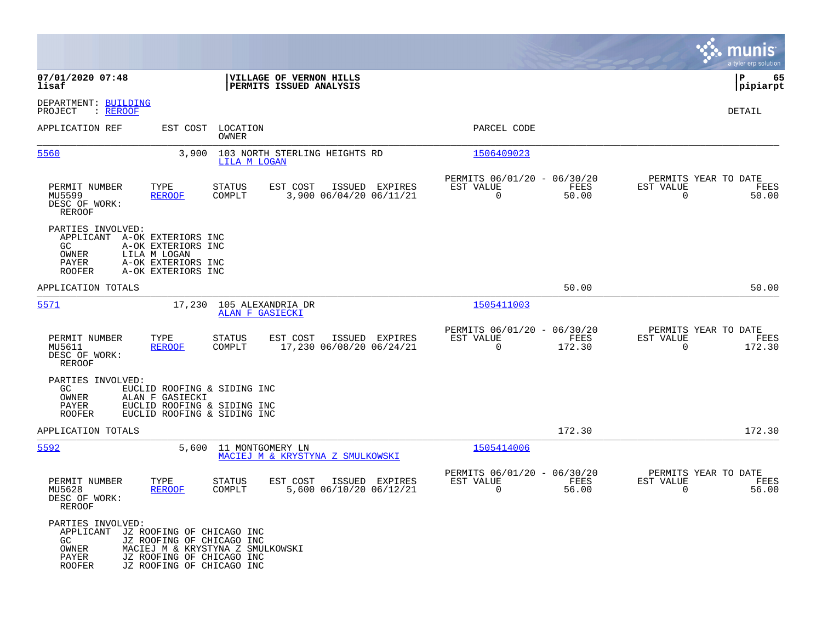|                                                                                            |                                                                                                                                                      |                                      |                                                    |                |                                                         |                |                                                  | munis<br>a tyler erp solution |
|--------------------------------------------------------------------------------------------|------------------------------------------------------------------------------------------------------------------------------------------------------|--------------------------------------|----------------------------------------------------|----------------|---------------------------------------------------------|----------------|--------------------------------------------------|-------------------------------|
| 07/01/2020 07:48<br>lisaf                                                                  |                                                                                                                                                      |                                      | VILLAGE OF VERNON HILLS<br>PERMITS ISSUED ANALYSIS |                |                                                         |                |                                                  | 65<br>l P<br> pipiarpt        |
| DEPARTMENT: BUILDING<br>: REROOF<br>PROJECT                                                |                                                                                                                                                      |                                      |                                                    |                |                                                         |                |                                                  | DETAIL                        |
| APPLICATION REF                                                                            | EST COST                                                                                                                                             | LOCATION<br><b>OWNER</b>             |                                                    |                | PARCEL CODE                                             |                |                                                  |                               |
| 5560                                                                                       | 3,900                                                                                                                                                | LILA M LOGAN                         | 103 NORTH STERLING HEIGHTS RD                      |                | 1506409023                                              |                |                                                  |                               |
| PERMIT NUMBER<br>MU5599<br>DESC OF WORK:<br>REROOF                                         | TYPE<br><b>REROOF</b>                                                                                                                                | <b>STATUS</b><br>COMPLT              | EST COST<br>3,900 06/04/20 06/11/21                | ISSUED EXPIRES | PERMITS 06/01/20 - 06/30/20<br>EST VALUE<br>0           | FEES<br>50.00  | PERMITS YEAR TO DATE<br>EST VALUE<br>$\mathbf 0$ | FEES<br>50.00                 |
| PARTIES INVOLVED:<br>APPLICANT A-OK EXTERIORS INC<br>GC<br>OWNER<br>PAYER<br><b>ROOFER</b> | A-OK EXTERIORS INC<br>LILA M LOGAN<br>A-OK EXTERIORS INC<br>A-OK EXTERIORS INC                                                                       |                                      |                                                    |                |                                                         |                |                                                  |                               |
| APPLICATION TOTALS                                                                         |                                                                                                                                                      |                                      |                                                    |                |                                                         | 50.00          |                                                  | 50.00                         |
| 5571                                                                                       | 17,230                                                                                                                                               | 105 ALEXANDRIA DR<br>ALAN F GASIECKI |                                                    |                | 1505411003                                              |                |                                                  |                               |
| PERMIT NUMBER<br>MU5611<br>DESC OF WORK:<br>REROOF                                         | TYPE<br><b>REROOF</b>                                                                                                                                | STATUS<br>COMPLT                     | EST COST<br>17,230 06/08/20 06/24/21               | ISSUED EXPIRES | PERMITS 06/01/20 - 06/30/20<br>EST VALUE<br>$\Omega$    | FEES<br>172.30 | PERMITS YEAR TO DATE<br>EST VALUE<br>$\Omega$    | FEES<br>172.30                |
| PARTIES INVOLVED:<br>GC<br>OWNER<br>PAYER<br><b>ROOFER</b>                                 | EUCLID ROOFING & SIDING INC<br>ALAN F GASIECKI<br>EUCLID ROOFING & SIDING INC<br>EUCLID ROOFING & SIDING INC                                         |                                      |                                                    |                |                                                         |                |                                                  |                               |
| APPLICATION TOTALS                                                                         |                                                                                                                                                      |                                      |                                                    |                |                                                         | 172.30         |                                                  | 172.30                        |
| 5592                                                                                       | 5,600                                                                                                                                                | 11 MONTGOMERY LN                     | MACIEJ M & KRYSTYNA Z SMULKOWSKI                   |                | 1505414006                                              |                |                                                  |                               |
| PERMIT NUMBER<br>MU5628<br>DESC OF WORK:<br>REROOF                                         | TYPE<br><b>REROOF</b>                                                                                                                                | <b>STATUS</b><br>COMPLT              | EST COST<br>5,600 06/10/20 06/12/21                | ISSUED EXPIRES | PERMITS 06/01/20 - 06/30/20<br>EST VALUE<br>$\mathbf 0$ | FEES<br>56.00  | PERMITS YEAR TO DATE<br>EST VALUE<br>$\mathbf 0$ | FEES<br>56.00                 |
| PARTIES INVOLVED:<br>APPLICANT<br>GC.<br>OWNER<br><b>PAYER</b><br><b>ROOFER</b>            | JZ ROOFING OF CHICAGO INC<br>JZ ROOFING OF CHICAGO INC<br>MACIEJ M & KRYSTYNA Z SMULKOWSKI<br>JZ ROOFING OF CHICAGO INC<br>JZ ROOFING OF CHICAGO INC |                                      |                                                    |                |                                                         |                |                                                  |                               |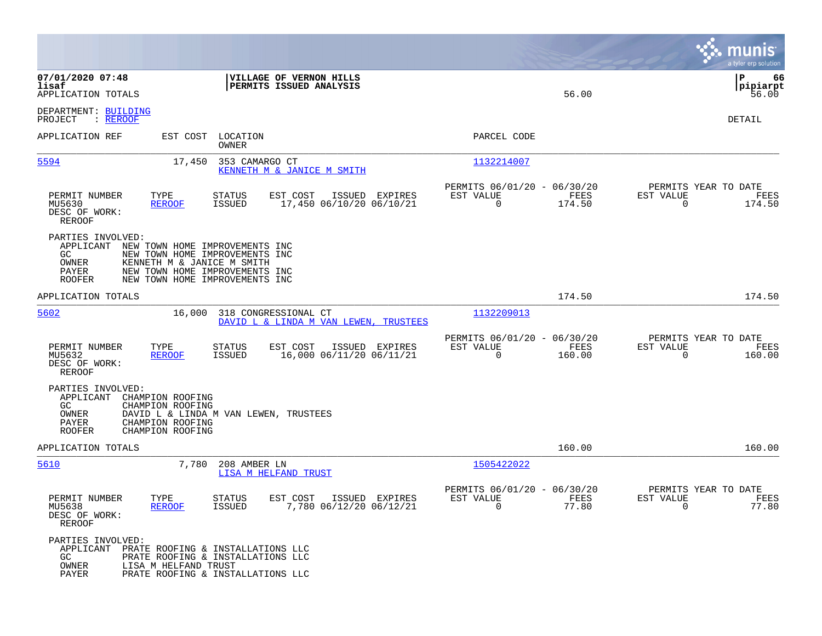|                                                                                                                                                                                                                                             |                                                                 | munis<br>a tyler erp solution                                |
|---------------------------------------------------------------------------------------------------------------------------------------------------------------------------------------------------------------------------------------------|-----------------------------------------------------------------|--------------------------------------------------------------|
| 07/01/2020 07:48<br>VILLAGE OF VERNON HILLS<br>lisaf<br>PERMITS ISSUED ANALYSIS<br>APPLICATION TOTALS                                                                                                                                       | 56.00                                                           | l P<br>66<br> pipiarpt<br>56.00                              |
| DEPARTMENT: BUILDING<br>PROJECT<br>: REROOF                                                                                                                                                                                                 |                                                                 | DETAIL                                                       |
| APPLICATION REF<br>EST COST LOCATION<br>OWNER                                                                                                                                                                                               | PARCEL CODE                                                     |                                                              |
| 5594<br>17,450<br>353 CAMARGO CT<br>KENNETH M & JANICE M SMITH                                                                                                                                                                              | 1132214007                                                      |                                                              |
| PERMIT NUMBER<br>TYPE<br>STATUS<br>EST COST<br>ISSUED EXPIRES<br>MU5630<br>ISSUED<br>17,450 06/10/20 06/10/21<br>REROOF<br>DESC OF WORK:<br><b>REROOF</b>                                                                                   | PERMITS 06/01/20 - 06/30/20<br>FEES<br>EST VALUE<br>0<br>174.50 | PERMITS YEAR TO DATE<br>EST VALUE<br>FEES<br>0<br>174.50     |
| PARTIES INVOLVED:<br>APPLICANT NEW TOWN HOME IMPROVEMENTS INC<br>GC.<br>NEW TOWN HOME IMPROVEMENTS INC<br>OWNER<br>KENNETH M & JANICE M SMITH<br>PAYER<br>NEW TOWN HOME IMPROVEMENTS INC<br><b>ROOFER</b><br>NEW TOWN HOME IMPROVEMENTS INC |                                                                 |                                                              |
| APPLICATION TOTALS                                                                                                                                                                                                                          | 174.50                                                          | 174.50                                                       |
| 5602<br>16,000<br>318 CONGRESSIONAL CT<br>DAVID L & LINDA M VAN LEWEN, TRUSTEES                                                                                                                                                             | 1132209013                                                      |                                                              |
| EST COST<br>PERMIT NUMBER<br>TYPE<br>STATUS<br>ISSUED EXPIRES<br>MU5632<br><b>REROOF</b><br>ISSUED<br>16,000 06/11/20 06/11/21<br>DESC OF WORK:<br><b>REROOF</b>                                                                            | PERMITS 06/01/20 - 06/30/20<br>EST VALUE<br>FEES<br>160.00<br>0 | PERMITS YEAR TO DATE<br>EST VALUE<br>FEES<br>0<br>160.00     |
| PARTIES INVOLVED:<br>APPLICANT<br>CHAMPION ROOFING<br>GC.<br>CHAMPION ROOFING<br>OWNER<br>DAVID L & LINDA M VAN LEWEN, TRUSTEES<br>PAYER<br>CHAMPION ROOFING<br><b>ROOFER</b><br>CHAMPION ROOFING                                           |                                                                 |                                                              |
| APPLICATION TOTALS                                                                                                                                                                                                                          | 160.00                                                          | 160.00                                                       |
| 5610<br>7,780<br>208 AMBER LN<br>LISA M HELFAND TRUST                                                                                                                                                                                       | 1505422022                                                      |                                                              |
| <b>STATUS</b><br>EST COST<br>ISSUED EXPIRES<br>PERMIT NUMBER<br>TYPE<br>7,780 06/12/20 06/12/21<br>MU5638<br><u>REROOF</u><br>ISSUED<br>DESC OF WORK:<br>REROOF                                                                             | PERMITS 06/01/20 - 06/30/20<br>EST VALUE<br>FEES<br>77.80<br>U  | PERMITS YEAR TO DATE<br>EST VALUE<br>FEES<br>77.80<br>$\cup$ |
| PARTIES INVOLVED:<br>APPLICANT PRATE ROOFING & INSTALLATIONS LLC<br>GC<br>PRATE ROOFING & INSTALLATIONS LLC<br>OWNER<br>LISA M HELFAND TRUST<br>PAYER<br>PRATE ROOFING & INSTALLATIONS LLC                                                  |                                                                 |                                                              |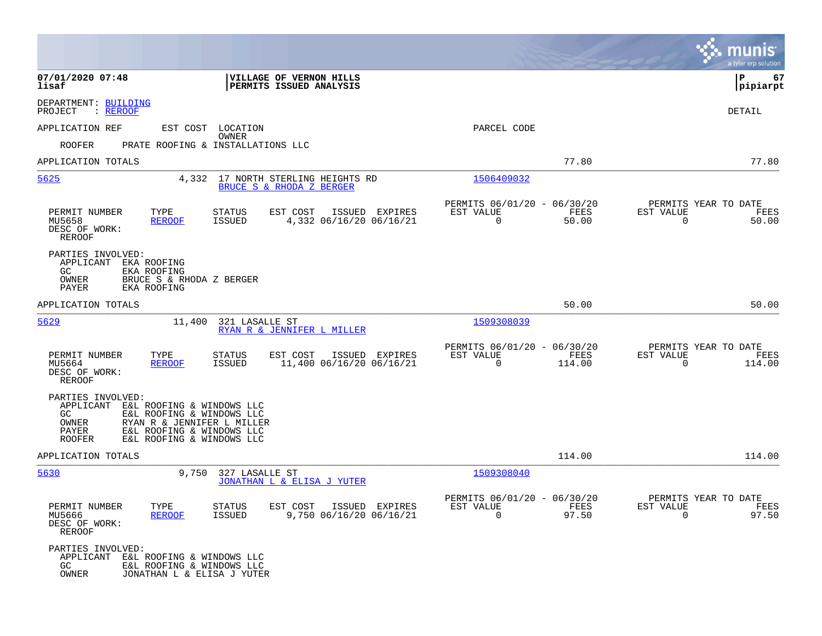|                                                                                                                                                                                                                                          |                                                                                          |                                                                           | munis<br>a tyler erp solut <u>ion</u>                              |
|------------------------------------------------------------------------------------------------------------------------------------------------------------------------------------------------------------------------------------------|------------------------------------------------------------------------------------------|---------------------------------------------------------------------------|--------------------------------------------------------------------|
| 07/01/2020 07:48<br>lisaf                                                                                                                                                                                                                | VILLAGE OF VERNON HILLS<br>PERMITS ISSUED ANALYSIS                                       |                                                                           | 67<br>ΙP<br> pipiarpt                                              |
| DEPARTMENT: BUILDING<br>: REROOF<br>PROJECT                                                                                                                                                                                              |                                                                                          |                                                                           | <b>DETAIL</b>                                                      |
| APPLICATION REF                                                                                                                                                                                                                          | EST COST LOCATION                                                                        | PARCEL CODE                                                               |                                                                    |
| <b>ROOFER</b>                                                                                                                                                                                                                            | <b>OWNER</b><br>PRATE ROOFING & INSTALLATIONS LLC                                        |                                                                           |                                                                    |
| APPLICATION TOTALS                                                                                                                                                                                                                       |                                                                                          | 77.80                                                                     | 77.80                                                              |
| 5625<br>4,332                                                                                                                                                                                                                            | 17 NORTH STERLING HEIGHTS RD<br>BRUCE S & RHODA Z BERGER                                 | 1506409032                                                                |                                                                    |
| PERMIT NUMBER<br>TYPE<br><b>REROOF</b><br>MU5658<br>DESC OF WORK:<br><b>REROOF</b>                                                                                                                                                       | STATUS<br>EST COST<br>ISSUED EXPIRES<br><b>ISSUED</b><br>4,332 06/16/20 06/16/21         | PERMITS 06/01/20 - 06/30/20<br>FEES<br>EST VALUE<br>$\mathbf 0$<br>50.00  | PERMITS YEAR TO DATE<br>EST VALUE<br>FEES<br>$\mathbf 0$<br>50.00  |
| PARTIES INVOLVED:<br>APPLICANT EKA ROOFING<br>GC.<br>EKA ROOFING<br>OWNER<br>BRUCE S & RHODA Z BERGER<br>PAYER<br>EKA ROOFING                                                                                                            |                                                                                          |                                                                           |                                                                    |
| APPLICATION TOTALS                                                                                                                                                                                                                       |                                                                                          | 50.00                                                                     | 50.00                                                              |
| 5629<br>11,400                                                                                                                                                                                                                           | 321 LASALLE ST<br>RYAN R & JENNIFER L MILLER                                             | 1509308039                                                                |                                                                    |
| PERMIT NUMBER<br>TYPE<br>MU5664<br><b>REROOF</b><br>DESC OF WORK:<br>REROOF                                                                                                                                                              | <b>STATUS</b><br>EST COST<br>ISSUED EXPIRES<br><b>ISSUED</b><br>11,400 06/16/20 06/16/21 | PERMITS 06/01/20 - 06/30/20<br>EST VALUE<br>FEES<br>$\mathbf 0$<br>114.00 | PERMITS YEAR TO DATE<br>EST VALUE<br>FEES<br>$\mathbf 0$<br>114.00 |
| PARTIES INVOLVED:<br>APPLICANT<br>E&L ROOFING & WINDOWS LLC<br>GC.<br>E&L ROOFING & WINDOWS LLC<br><b>OWNER</b><br>RYAN R & JENNIFER L MILLER<br><b>PAYER</b><br>E&L ROOFING & WINDOWS LLC<br>E&L ROOFING & WINDOWS LLC<br><b>ROOFER</b> |                                                                                          |                                                                           |                                                                    |
| APPLICATION TOTALS                                                                                                                                                                                                                       |                                                                                          | 114.00                                                                    | 114.00                                                             |
| 5630<br>9,750                                                                                                                                                                                                                            | 327 LASALLE ST<br>JONATHAN L & ELISA J YUTER                                             | 1509308040                                                                |                                                                    |
| PERMIT NUMBER<br>TYPE<br>MU5666<br><b>REROOF</b><br>DESC OF WORK:<br>REROOF                                                                                                                                                              | STATUS<br>EST COST<br>ISSUED EXPIRES<br>9,750 06/16/20 06/16/21<br><b>ISSUED</b>         | PERMITS 06/01/20 - 06/30/20<br>EST VALUE<br>FEES<br>$\Omega$<br>97.50     | PERMITS YEAR TO DATE<br>EST VALUE<br>FEES<br>97.50<br>$\mathbf 0$  |
| PARTIES INVOLVED:<br>APPLICANT E&L ROOFING & WINDOWS LLC<br>GC<br>E&L ROOFING & WINDOWS LLC<br>OWNER<br>JONATHAN L & ELISA J YUTER                                                                                                       |                                                                                          |                                                                           |                                                                    |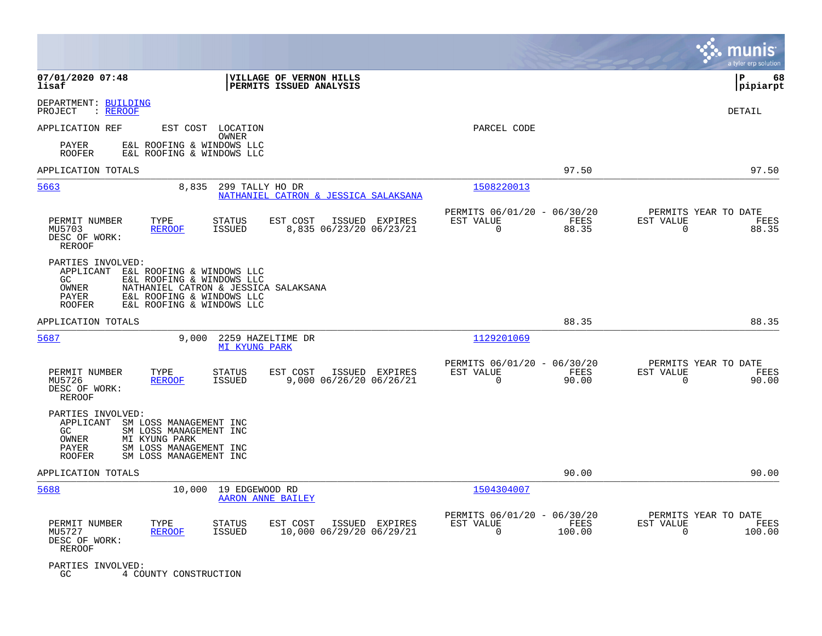|                                                                                                                                                                                                                               |                                                        |                                                                          | munis<br>a tyler erp solution                                      |
|-------------------------------------------------------------------------------------------------------------------------------------------------------------------------------------------------------------------------------|--------------------------------------------------------|--------------------------------------------------------------------------|--------------------------------------------------------------------|
| 07/01/2020 07:48<br>lisaf                                                                                                                                                                                                     | VILLAGE OF VERNON HILLS<br>PERMITS ISSUED ANALYSIS     |                                                                          | ΙP<br>68<br> pipiarpt                                              |
| DEPARTMENT: BUILDING<br>PROJECT<br>: <u>REROOF</u>                                                                                                                                                                            |                                                        |                                                                          | DETAIL                                                             |
| EST COST LOCATION<br>APPLICATION REF                                                                                                                                                                                          |                                                        | PARCEL CODE                                                              |                                                                    |
| OWNER<br>E&L ROOFING & WINDOWS LLC<br>PAYER<br><b>ROOFER</b><br>E&L ROOFING & WINDOWS LLC                                                                                                                                     |                                                        |                                                                          |                                                                    |
| APPLICATION TOTALS                                                                                                                                                                                                            |                                                        | 97.50                                                                    | 97.50                                                              |
| 5663<br>8,835<br>299 TALLY HO DR                                                                                                                                                                                              | NATHANIEL CATRON & JESSICA SALAKSANA                   | 1508220013                                                               |                                                                    |
| TYPE<br>PERMIT NUMBER<br>STATUS<br>MU5703<br><b>REROOF</b><br>ISSUED<br>DESC OF WORK:<br><b>REROOF</b>                                                                                                                        | ISSUED EXPIRES<br>EST COST<br>8,835 06/23/20 06/23/21  | PERMITS 06/01/20 - 06/30/20<br>EST VALUE<br>FEES<br>$\mathbf 0$<br>88.35 | PERMITS YEAR TO DATE<br>EST VALUE<br>FEES<br>88.35<br>0            |
| PARTIES INVOLVED:<br>APPLICANT<br>E&L ROOFING & WINDOWS LLC<br>E&L ROOFING & WINDOWS LLC<br>GC.<br>OWNER<br>NATHANIEL CATRON & JESSICA SALAKSANA<br>PAYER<br>E&L ROOFING & WINDOWS LLC<br>E&L ROOFING & WINDOWS LLC<br>ROOFER |                                                        |                                                                          |                                                                    |
| APPLICATION TOTALS                                                                                                                                                                                                            |                                                        | 88.35                                                                    | 88.35                                                              |
| 5687<br>9,000<br>2259 HAZELTIME DR<br>MI KYUNG PARK                                                                                                                                                                           |                                                        | 1129201069                                                               |                                                                    |
| PERMIT NUMBER<br>TYPE<br><b>STATUS</b><br>MU5726<br><b>REROOF</b><br>ISSUED<br>DESC OF WORK:<br>REROOF                                                                                                                        | ISSUED EXPIRES<br>EST COST<br>9,000 06/26/20 06/26/21  | PERMITS 06/01/20 - 06/30/20<br>EST VALUE<br>FEES<br>$\mathbf 0$<br>90.00 | PERMITS YEAR TO DATE<br>EST VALUE<br>FEES<br>$\mathbf 0$<br>90.00  |
| PARTIES INVOLVED:<br>APPLICANT<br>SM LOSS MANAGEMENT INC<br>GC<br>SM LOSS MANAGEMENT INC<br>OWNER<br>MI KYUNG PARK<br>PAYER<br>SM LOSS MANAGEMENT INC<br><b>ROOFER</b><br>SM LOSS MANAGEMENT INC                              |                                                        |                                                                          |                                                                    |
| APPLICATION TOTALS                                                                                                                                                                                                            |                                                        | 90.00                                                                    | 90.00                                                              |
| 5688<br>10,000<br>19 EDGEWOOD RD<br>AARON ANNE BAILEY                                                                                                                                                                         |                                                        | 1504304007                                                               |                                                                    |
| PERMIT NUMBER<br>TYPE<br><b>STATUS</b><br><b>ISSUED</b><br>MU5727<br><b>REROOF</b><br>DESC OF WORK:<br>REROOF                                                                                                                 | EST COST<br>ISSUED EXPIRES<br>10,000 06/29/20 06/29/21 | PERMITS 06/01/20 - 06/30/20<br>EST VALUE<br>FEES<br>0<br>100.00          | PERMITS YEAR TO DATE<br>EST VALUE<br>FEES<br>$\mathbf 0$<br>100.00 |
| PARTIES INVOLVED:<br>GC<br>4 COUNTY CONSTRUCTION                                                                                                                                                                              |                                                        |                                                                          |                                                                    |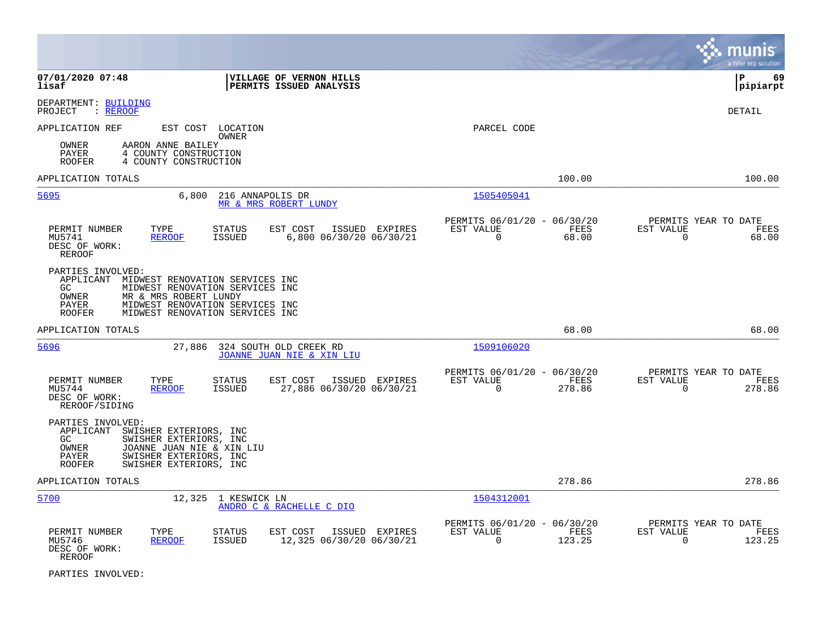|                                                                                                                                                                                                                                                      |                                                                               | munis<br>a tyler erp solution                                   |
|------------------------------------------------------------------------------------------------------------------------------------------------------------------------------------------------------------------------------------------------------|-------------------------------------------------------------------------------|-----------------------------------------------------------------|
| 07/01/2020 07:48<br>VILLAGE OF VERNON HILLS<br>lisaf<br>PERMITS ISSUED ANALYSIS                                                                                                                                                                      |                                                                               | l P<br>-69<br> pipiarpt                                         |
| DEPARTMENT: BUILDING<br>PROJECT<br>: REROOF                                                                                                                                                                                                          |                                                                               | DETAIL                                                          |
| APPLICATION REF<br>EST COST LOCATION<br>OWNER<br>AARON ANNE BAILEY<br>OWNER<br>PAYER<br>4 COUNTY CONSTRUCTION<br>4 COUNTY CONSTRUCTION<br><b>ROOFER</b>                                                                                              | PARCEL CODE                                                                   |                                                                 |
| APPLICATION TOTALS                                                                                                                                                                                                                                   | 100.00                                                                        | 100.00                                                          |
| 5695<br>6,800<br>216 ANNAPOLIS DR<br>MR & MRS ROBERT LUNDY                                                                                                                                                                                           | 1505405041                                                                    |                                                                 |
| PERMIT NUMBER<br>TYPE<br>STATUS<br>EST COST<br>ISSUED EXPIRES<br>MU5741<br><b>REROOF</b><br><b>ISSUED</b><br>6,800 06/30/20 06/30/21<br>DESC OF WORK:<br><b>REROOF</b>                                                                               | PERMITS 06/01/20 - 06/30/20<br>EST VALUE<br>FEES<br>$\Omega$<br>68.00         | PERMITS YEAR TO DATE<br>EST VALUE<br>FEES<br>$\Omega$<br>68.00  |
| PARTIES INVOLVED:<br>APPLICANT<br>MIDWEST RENOVATION SERVICES INC<br>GC.<br>MIDWEST RENOVATION SERVICES INC<br><b>OWNER</b><br>MR & MRS ROBERT LUNDY<br>PAYER<br>MIDWEST RENOVATION SERVICES INC<br><b>ROOFER</b><br>MIDWEST RENOVATION SERVICES INC |                                                                               |                                                                 |
| APPLICATION TOTALS                                                                                                                                                                                                                                   | 68.00                                                                         | 68.00                                                           |
| 5696<br>27,886<br>324 SOUTH OLD CREEK RD<br><b>JOANNE JUAN NIE &amp; XIN LIU</b>                                                                                                                                                                     | 1509106020                                                                    |                                                                 |
| PERMIT NUMBER<br>TYPE<br><b>STATUS</b><br>EST COST<br>ISSUED EXPIRES<br>27,886 06/30/20 06/30/21<br>MU5744<br><b>REROOF</b><br><b>ISSUED</b><br>DESC OF WORK:<br>REROOF/SIDING                                                                       | PERMITS 06/01/20 - 06/30/20<br>EST VALUE<br>FEES<br>$\Omega$<br>278.86        | PERMITS YEAR TO DATE<br>EST VALUE<br>FEES<br>$\Omega$<br>278.86 |
| PARTIES INVOLVED:<br>APPLICANT<br>SWISHER EXTERIORS, INC<br>GC.<br>SWISHER EXTERIORS, INC<br>OWNER<br>JOANNE JUAN NIE & XIN LIU<br>PAYER<br>SWISHER EXTERIORS, INC<br><b>ROOFER</b><br>SWISHER EXTERIORS, INC                                        |                                                                               |                                                                 |
| APPLICATION TOTALS                                                                                                                                                                                                                                   | 278.86                                                                        | 278.86                                                          |
| 5700<br>12,325<br>1 KESWICK LN<br>ANDRO C & RACHELLE C DIO                                                                                                                                                                                           | 1504312001                                                                    |                                                                 |
| PERMIT NUMBER<br>TYPE<br>STATUS<br>EST COST<br>ISSUED EXPIRES<br>MU5746<br><b>ISSUED</b><br>12,325 06/30/20 06/30/21<br><b>REROOF</b><br>DESC OF WORK:<br>REROOF                                                                                     | PERMITS 06/01/20 - 06/30/20<br>EST VALUE<br><b>FEES</b><br>$\Omega$<br>123.25 | PERMITS YEAR TO DATE<br>EST VALUE<br>FEES<br>$\Omega$<br>123.25 |

PARTIES INVOLVED: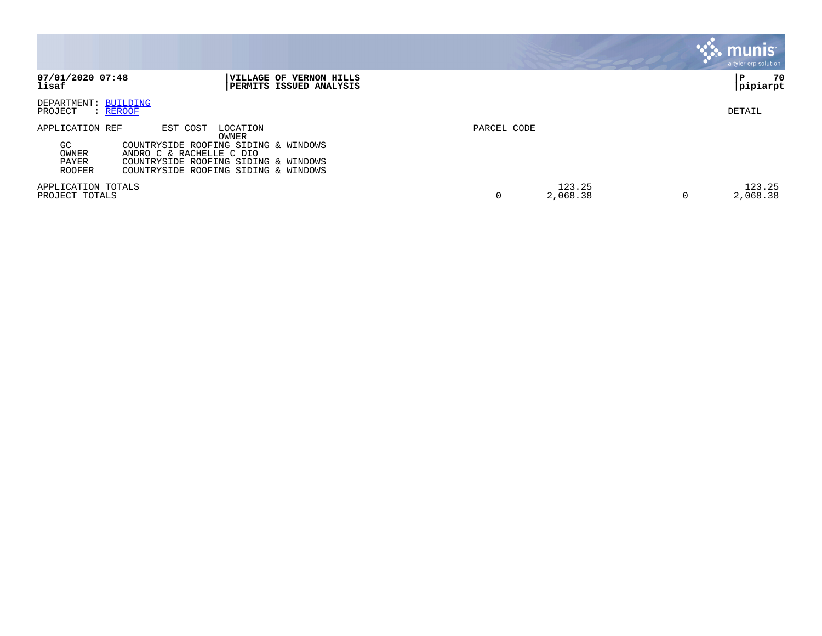|                                                                                                                                                                                                                                        |             | <b>munis</b><br>a tyler erp solution          |    |
|----------------------------------------------------------------------------------------------------------------------------------------------------------------------------------------------------------------------------------------|-------------|-----------------------------------------------|----|
| 07/01/2020 07:48<br>VILLAGE OF VERNON HILLS<br>lisaf<br><b>  PERMITS ISSUED ANALYSIS</b>                                                                                                                                               |             | P<br> pipiarpt                                | 70 |
| DEPARTMENT: BUILDING<br>PROJECT<br>: REROOF                                                                                                                                                                                            |             | DETAIL                                        |    |
| APPLICATION REF<br>EST COST<br>LOCATION<br>OWNER<br>GC<br>COUNTRYSIDE ROOFING SIDING & WINDOWS<br>OWNER<br>ANDRO C & RACHELLE C DIO<br>PAYER<br>COUNTRYSIDE ROOFING SIDING & WINDOWS<br>COUNTRYSIDE ROOFING SIDING & WINDOWS<br>ROOFER | PARCEL CODE |                                               |    |
| APPLICATION TOTALS<br>PROJECT TOTALS                                                                                                                                                                                                   | 0           | 123.25<br>123.25<br>2,068.38<br>2,068.38<br>0 |    |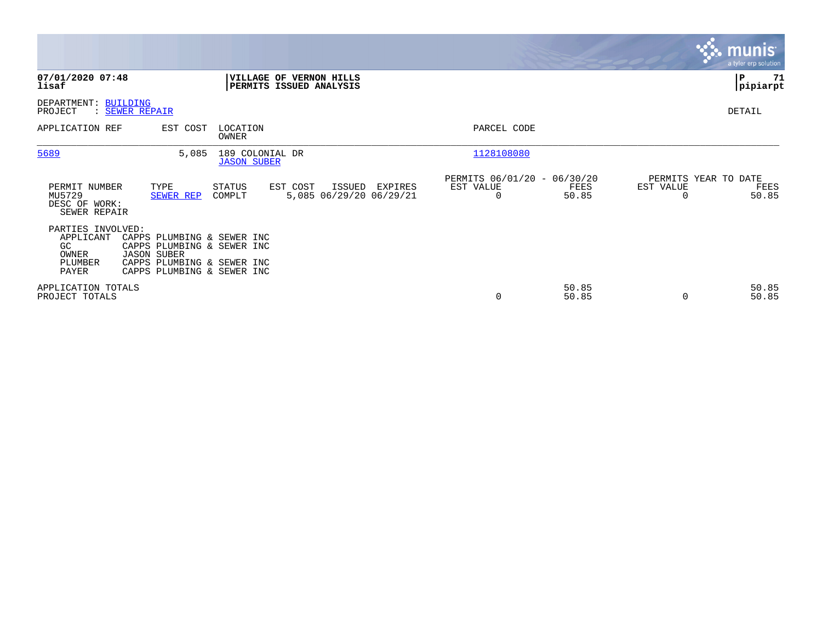|                                                                   |                                                                                                                                            |                                       |                                                    |         |                                               |                |                                               | munis<br>a tyler erp solution |
|-------------------------------------------------------------------|--------------------------------------------------------------------------------------------------------------------------------------------|---------------------------------------|----------------------------------------------------|---------|-----------------------------------------------|----------------|-----------------------------------------------|-------------------------------|
| 07/01/2020 07:48<br>lisaf                                         |                                                                                                                                            |                                       | VILLAGE OF VERNON HILLS<br>PERMITS ISSUED ANALYSIS |         |                                               |                |                                               | P<br>71<br> pipiarpt          |
| DEPARTMENT: BUILDING<br>PROJECT                                   | : SEWER REPAIR                                                                                                                             |                                       |                                                    |         |                                               |                |                                               | DETAIL                        |
| APPLICATION REF                                                   | EST COST                                                                                                                                   | LOCATION<br>OWNER                     |                                                    |         | PARCEL CODE                                   |                |                                               |                               |
| 5689                                                              | 5,085                                                                                                                                      | 189 COLONIAL DR<br><b>JASON SUBER</b> |                                                    |         | 1128108080                                    |                |                                               |                               |
| PERMIT NUMBER<br>MU5729<br>DESC OF WORK:<br>SEWER REPAIR          | TYPE<br>SEWER REP                                                                                                                          | STATUS<br>COMPLT                      | EST COST<br>ISSUED<br>5,085 06/29/20 06/29/21      | EXPIRES | PERMITS 06/01/20 - 06/30/20<br>EST VALUE<br>0 | FEES<br>50.85  | PERMITS YEAR TO DATE<br>EST VALUE<br>$\Omega$ | FEES<br>50.85                 |
| PARTIES INVOLVED:<br>APPLICANT<br>GC<br>OWNER<br>PLUMBER<br>PAYER | CAPPS PLUMBING & SEWER INC<br>CAPPS PLUMBING & SEWER INC<br><b>JASON SUBER</b><br>CAPPS PLUMBING & SEWER INC<br>CAPPS PLUMBING & SEWER INC |                                       |                                                    |         |                                               |                |                                               |                               |
| APPLICATION TOTALS<br>PROJECT TOTALS                              |                                                                                                                                            |                                       |                                                    |         | 0                                             | 50.85<br>50.85 | $\Omega$                                      | 50.85<br>50.85                |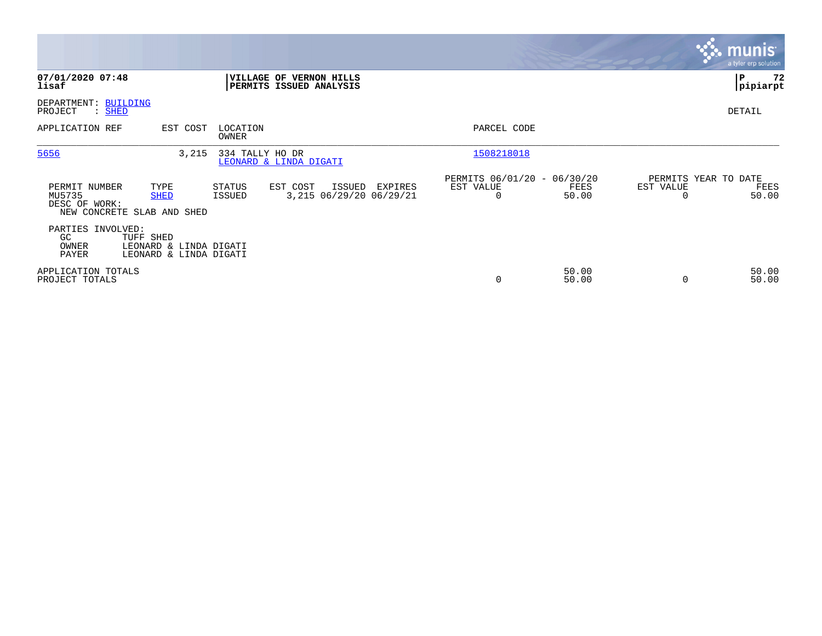|                                                                        |                                                               |                   |                                                    |                      |                                         |                |           | $\sim$ munis<br>a tyler erp solution  |
|------------------------------------------------------------------------|---------------------------------------------------------------|-------------------|----------------------------------------------------|----------------------|-----------------------------------------|----------------|-----------|---------------------------------------|
| 07/01/2020 07:48<br>lisaf                                              |                                                               |                   | VILLAGE OF VERNON HILLS<br>PERMITS ISSUED ANALYSIS |                      |                                         |                |           | 72<br>∣P<br> pipiarpt                 |
| DEPARTMENT: BUILDING<br>PROJECT<br>: SHED                              |                                                               |                   |                                                    |                      |                                         |                |           | DETAIL                                |
| APPLICATION REF                                                        | EST COST                                                      | LOCATION<br>OWNER |                                                    |                      | PARCEL CODE                             |                |           |                                       |
| 5656                                                                   | 3,215                                                         | 334 TALLY HO DR   | LEONARD & LINDA DIGATI                             |                      | 1508218018                              |                |           |                                       |
| PERMIT NUMBER<br>MU5735<br>DESC OF WORK:<br>NEW CONCRETE SLAB AND SHED | TYPE<br><b>SHED</b>                                           | STATUS<br>ISSUED  | EST COST<br>ISSUED<br>3,215 06/29/20 06/29/21      | EST VALUE<br>EXPIRES | PERMITS 06/01/20 - 06/30/20<br>$\Omega$ | FEES<br>50.00  | EST VALUE | PERMITS YEAR TO DATE<br>FEES<br>50.00 |
| PARTIES INVOLVED:<br>GC.<br>OWNER<br>PAYER                             | TUFF SHED<br>LEONARD & LINDA DIGATI<br>LEONARD & LINDA DIGATI |                   |                                                    |                      |                                         |                |           |                                       |
| APPLICATION TOTALS<br>PROJECT TOTALS                                   |                                                               |                   |                                                    |                      | $\mathbf 0$                             | 50.00<br>50.00 | 0         | 50.00<br>50.00                        |

**Contract**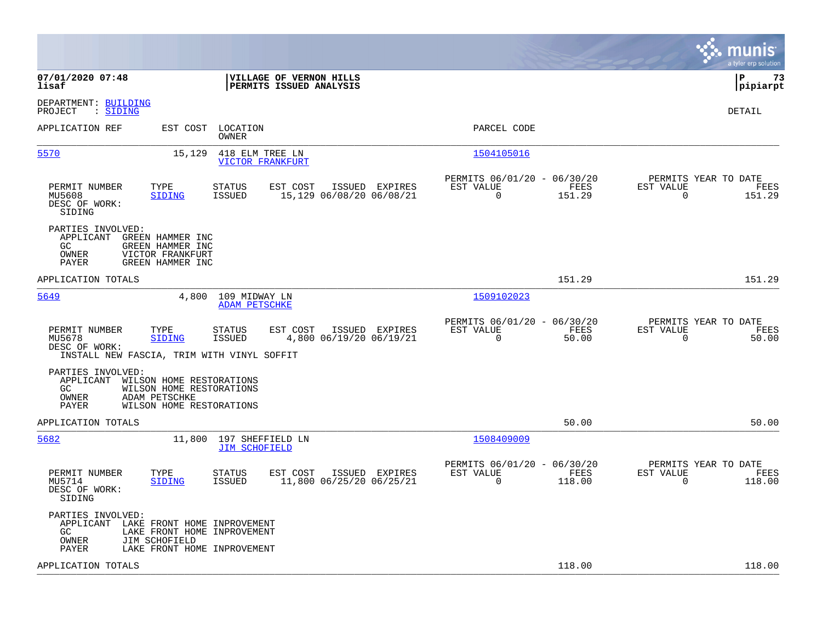|                                                                                                                                                                                              |                                                                           | munis<br>a tyler erp solution                                      |
|----------------------------------------------------------------------------------------------------------------------------------------------------------------------------------------------|---------------------------------------------------------------------------|--------------------------------------------------------------------|
| 07/01/2020 07:48<br>VILLAGE OF VERNON HILLS<br>lisaf<br>PERMITS ISSUED ANALYSIS                                                                                                              |                                                                           | l P<br>73<br> pipiarpt                                             |
| DEPARTMENT: BUILDING<br>PROJECT<br>: SIDING                                                                                                                                                  |                                                                           | DETAIL                                                             |
| EST COST<br>LOCATION<br>APPLICATION REF<br>OWNER                                                                                                                                             | PARCEL CODE                                                               |                                                                    |
| 5570<br>15,129<br>418 ELM TREE LN<br><b>VICTOR FRANKFURT</b>                                                                                                                                 | 1504105016                                                                |                                                                    |
| TYPE<br>EST COST<br>ISSUED EXPIRES<br>PERMIT NUMBER<br><b>STATUS</b><br>15,129 06/08/20 06/08/21<br>MU5608<br><b>SIDING</b><br>ISSUED<br>DESC OF WORK:<br>SIDING                             | PERMITS 06/01/20 - 06/30/20<br>FEES<br>EST VALUE<br>$\Omega$<br>151.29    | PERMITS YEAR TO DATE<br>EST VALUE<br>FEES<br>$\mathbf 0$<br>151.29 |
| PARTIES INVOLVED:<br>APPLICANT<br>GREEN HAMMER INC<br>GC.<br>GREEN HAMMER INC<br>OWNER<br>VICTOR FRANKFURT<br>PAYER<br>GREEN HAMMER INC                                                      |                                                                           |                                                                    |
| APPLICATION TOTALS                                                                                                                                                                           | 151.29                                                                    | 151.29                                                             |
| 5649<br>4,800 109 MIDWAY LN<br><b>ADAM PETSCHKE</b>                                                                                                                                          | 1509102023                                                                |                                                                    |
| PERMIT NUMBER<br>TYPE<br><b>STATUS</b><br>EST COST<br>ISSUED EXPIRES<br>MU5678<br>4,800 06/19/20 06/19/21<br>SIDING<br>ISSUED<br>DESC OF WORK:<br>INSTALL NEW FASCIA, TRIM WITH VINYL SOFFIT | PERMITS 06/01/20 - 06/30/20<br>EST VALUE<br>FEES<br>$\Omega$<br>50.00     | PERMITS YEAR TO DATE<br>EST VALUE<br>FEES<br>$\Omega$<br>50.00     |
| PARTIES INVOLVED:<br>APPLICANT<br>WILSON HOME RESTORATIONS<br>GC.<br>WILSON HOME RESTORATIONS<br>OWNER<br>ADAM PETSCHKE<br>PAYER<br>WILSON HOME RESTORATIONS                                 |                                                                           |                                                                    |
| APPLICATION TOTALS                                                                                                                                                                           | 50.00                                                                     | 50.00                                                              |
| 5682<br>11,800 197 SHEFFIELD LN<br><b>JIM SCHOFIELD</b>                                                                                                                                      | 1508409009                                                                |                                                                    |
| PERMIT NUMBER<br>TYPE<br>EST COST<br>ISSUED EXPIRES<br>STATUS<br>11,800 06/25/20 06/25/21<br>MU5714<br><b>SIDING</b><br>ISSUED<br>DESC OF WORK:<br>SIDING                                    | PERMITS 06/01/20 - 06/30/20<br>EST VALUE<br>FEES<br>$\mathbf 0$<br>118.00 | PERMITS YEAR TO DATE<br>EST VALUE<br>FEES<br>$\mathbf 0$<br>118.00 |
| PARTIES INVOLVED:<br>APPLICANT<br>LAKE FRONT HOME INPROVEMENT<br>LAKE FRONT HOME INPROVEMENT<br>GC.<br>JIM SCHOFIELD<br>OWNER<br>PAYER<br>LAKE FRONT HOME INPROVEMENT                        |                                                                           |                                                                    |
| APPLICATION TOTALS                                                                                                                                                                           | 118.00                                                                    | 118.00                                                             |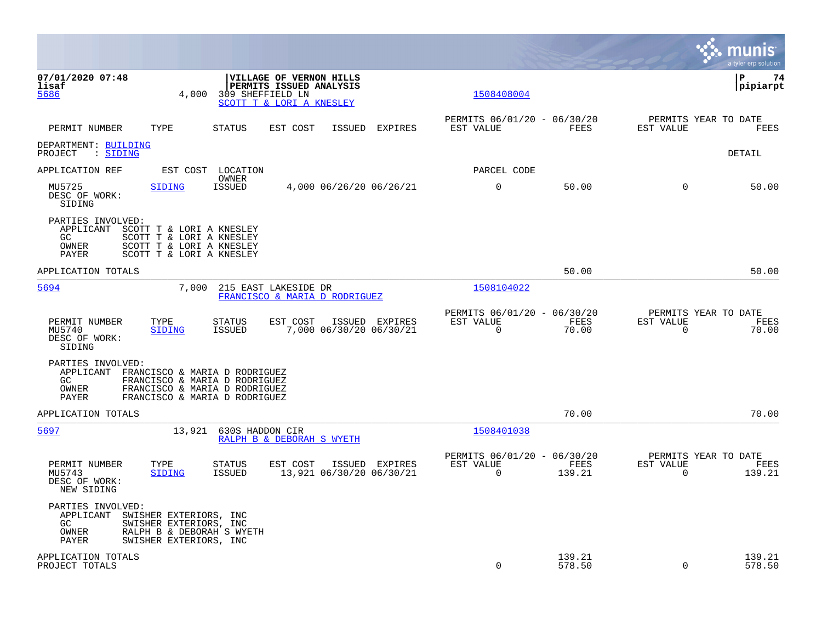|                                                                                                                                                                                            |                                                                           | munis<br>a tyler erp solution                                      |
|--------------------------------------------------------------------------------------------------------------------------------------------------------------------------------------------|---------------------------------------------------------------------------|--------------------------------------------------------------------|
| 07/01/2020 07:48<br><b>VILLAGE OF VERNON HILLS</b><br>lisaf<br>PERMITS ISSUED ANALYSIS<br>4,000<br>309 SHEFFIELD LN<br>5686<br>SCOTT T & LORI A KNESLEY                                    | 1508408004                                                                | ΙP<br>74<br> pipiarpt                                              |
| TYPE<br><b>STATUS</b><br>EST COST<br>PERMIT NUMBER<br>ISSUED<br><b>EXPIRES</b>                                                                                                             | PERMITS 06/01/20 - 06/30/20<br>FEES<br>EST VALUE                          | PERMITS YEAR TO DATE<br>EST VALUE<br>FEES                          |
| DEPARTMENT: BUILDING<br>: SIDING<br>PROJECT                                                                                                                                                |                                                                           | DETAIL                                                             |
| APPLICATION REF<br>EST COST<br>LOCATION                                                                                                                                                    | PARCEL CODE                                                               |                                                                    |
| OWNER<br>MU5725<br><b>ISSUED</b><br>4,000 06/26/20 06/26/21<br><b>SIDING</b><br>DESC OF WORK:<br>SIDING                                                                                    | $\mathbf 0$<br>50.00                                                      | 50.00<br>$\Omega$                                                  |
| PARTIES INVOLVED:<br>APPLICANT<br>SCOTT T & LORI A KNESLEY<br>SCOTT T & LORI A KNESLEY<br>GC<br>SCOTT T & LORI A KNESLEY<br>OWNER<br>PAYER<br>SCOTT T & LORI A KNESLEY                     |                                                                           |                                                                    |
| APPLICATION TOTALS                                                                                                                                                                         | 50.00                                                                     | 50.00                                                              |
| 5694<br>215 EAST LAKESIDE DR<br>7,000<br>FRANCISCO & MARIA D RODRIGUEZ                                                                                                                     | 1508104022                                                                |                                                                    |
| TYPE<br>EST COST<br>ISSUED EXPIRES<br>PERMIT NUMBER<br><b>STATUS</b><br>ISSUED<br>7,000 06/30/20 06/30/21<br>MU5740<br><b>SIDING</b><br>DESC OF WORK:<br>SIDING                            | PERMITS 06/01/20 - 06/30/20<br>EST VALUE<br>FEES<br>$\mathbf 0$<br>70.00  | PERMITS YEAR TO DATE<br>EST VALUE<br>FEES<br>$\mathbf 0$<br>70.00  |
| PARTIES INVOLVED:<br>APPLICANT<br>FRANCISCO & MARIA D RODRIGUEZ<br>GC<br>FRANCISCO & MARIA D RODRIGUEZ<br>FRANCISCO & MARIA D RODRIGUEZ<br>OWNER<br>FRANCISCO & MARIA D RODRIGUEZ<br>PAYER |                                                                           |                                                                    |
| APPLICATION TOTALS                                                                                                                                                                         | 70.00                                                                     | 70.00                                                              |
| 5697<br>13,921<br>630S HADDON CIR<br>RALPH B & DEBORAH S WYETH                                                                                                                             | 1508401038                                                                |                                                                    |
| PERMIT NUMBER<br>TYPE<br><b>STATUS</b><br>EST COST<br>ISSUED EXPIRES<br>13,921 06/30/20 06/30/21<br>MU5743<br><b>SIDING</b><br><b>ISSUED</b><br>DESC OF WORK:<br>NEW SIDING                | PERMITS 06/01/20 - 06/30/20<br>EST VALUE<br>FEES<br>$\mathbf 0$<br>139.21 | PERMITS YEAR TO DATE<br>EST VALUE<br>FEES<br>$\mathbf 0$<br>139.21 |
| PARTIES INVOLVED:<br>APPLICANT<br>SWISHER EXTERIORS, INC<br>GC<br>SWISHER EXTERIORS, INC<br>OWNER<br>RALPH B & DEBORAH S WYETH<br>PAYER<br>SWISHER EXTERIORS, INC                          |                                                                           |                                                                    |
| APPLICATION TOTALS<br>PROJECT TOTALS                                                                                                                                                       | 139.21<br>$\Omega$<br>578.50                                              | 139.21<br>$\Omega$<br>578.50                                       |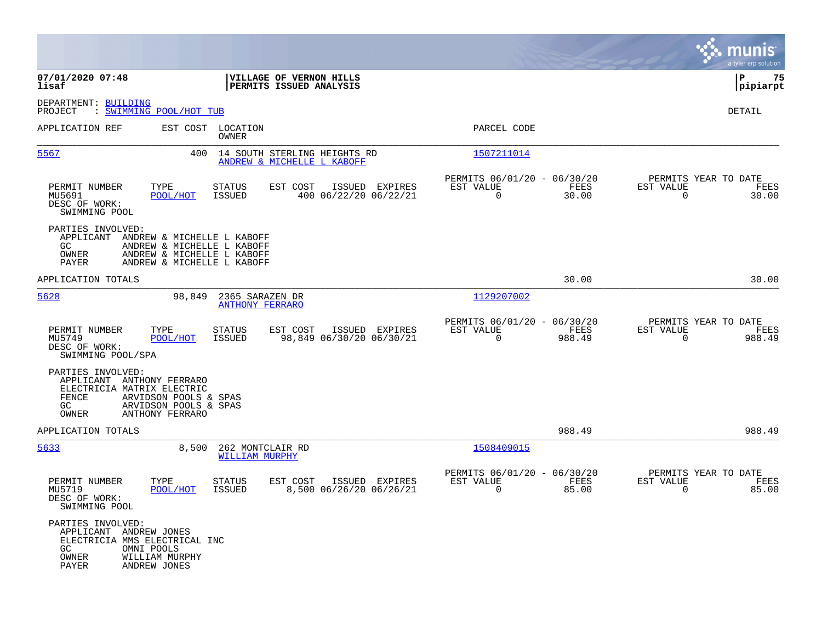|                                                                                                                                     |                                                                                                                      |                                                            |                |                                                         |                |                                                  | munis<br>a tyler erp solution |
|-------------------------------------------------------------------------------------------------------------------------------------|----------------------------------------------------------------------------------------------------------------------|------------------------------------------------------------|----------------|---------------------------------------------------------|----------------|--------------------------------------------------|-------------------------------|
| 07/01/2020 07:48<br>lisaf                                                                                                           |                                                                                                                      | VILLAGE OF VERNON HILLS<br>PERMITS ISSUED ANALYSIS         |                |                                                         |                |                                                  | lР<br>75<br> pipiarpt         |
| DEPARTMENT: BUILDING<br>: SWIMMING POOL/HOT TUB<br>PROJECT                                                                          |                                                                                                                      |                                                            |                |                                                         |                |                                                  | DETAIL                        |
| APPLICATION REF                                                                                                                     | EST COST<br>LOCATION<br>OWNER                                                                                        |                                                            |                | PARCEL CODE                                             |                |                                                  |                               |
| 5567                                                                                                                                | 400                                                                                                                  | 14 SOUTH STERLING HEIGHTS RD<br>ANDREW & MICHELLE L KABOFF |                | 1507211014                                              |                |                                                  |                               |
| PERMIT NUMBER<br>MU5691<br>DESC OF WORK:<br>SWIMMING POOL                                                                           | TYPE<br><b>STATUS</b><br>POOL/HOT<br><b>ISSUED</b>                                                                   | EST COST<br>400 06/22/20 06/22/21                          | ISSUED EXPIRES | PERMITS 06/01/20 - 06/30/20<br>EST VALUE<br>$\mathbf 0$ | FEES<br>30.00  | PERMITS YEAR TO DATE<br>EST VALUE<br>$\mathbf 0$ | FEES<br>30.00                 |
| PARTIES INVOLVED:<br>APPLICANT<br>GC.<br>OWNER<br>PAYER                                                                             | ANDREW & MICHELLE L KABOFF<br>ANDREW & MICHELLE L KABOFF<br>ANDREW & MICHELLE L KABOFF<br>ANDREW & MICHELLE L KABOFF |                                                            |                |                                                         |                |                                                  |                               |
| APPLICATION TOTALS                                                                                                                  |                                                                                                                      |                                                            |                |                                                         | 30.00          |                                                  | 30.00                         |
| 5628                                                                                                                                | 98,849<br>2365 SARAZEN DR<br><b>ANTHONY FERRARO</b>                                                                  |                                                            |                | 1129207002                                              |                |                                                  |                               |
| PERMIT NUMBER<br>MU5749<br>DESC OF WORK:<br>SWIMMING POOL/SPA                                                                       | TYPE<br>STATUS<br>POOL/HOT<br><b>ISSUED</b>                                                                          | EST COST<br>98,849 06/30/20 06/30/21                       | ISSUED EXPIRES | PERMITS 06/01/20 - 06/30/20<br>EST VALUE<br>$\Omega$    | FEES<br>988.49 | PERMITS YEAR TO DATE<br>EST VALUE<br>$\Omega$    | FEES<br>988.49                |
| PARTIES INVOLVED:<br>APPLICANT ANTHONY FERRARO<br>ELECTRICIA MATRIX ELECTRIC<br>FENCE<br>GC<br>OWNER                                | ARVIDSON POOLS & SPAS<br>ARVIDSON POOLS & SPAS<br>ANTHONY FERRARO                                                    |                                                            |                |                                                         |                |                                                  |                               |
| APPLICATION TOTALS                                                                                                                  |                                                                                                                      |                                                            |                |                                                         | 988.49         |                                                  | 988.49                        |
| 5633                                                                                                                                | 8,500<br>262 MONTCLAIR RD<br><b>WILLIAM MURPHY</b>                                                                   |                                                            |                | 1508409015                                              |                |                                                  |                               |
| PERMIT NUMBER<br>MU5719<br>DESC OF WORK:<br>SWIMMING POOL                                                                           | TYPE<br><b>STATUS</b><br><b>ISSUED</b><br>POOL/HOT                                                                   | EST COST<br>8,500 06/26/20 06/26/21                        | ISSUED EXPIRES | PERMITS 06/01/20 - 06/30/20<br>EST VALUE<br>$\mathbf 0$ | FEES<br>85.00  | PERMITS YEAR TO DATE<br>EST VALUE<br>$\mathbf 0$ | FEES<br>85.00                 |
| PARTIES INVOLVED:<br>APPLICANT ANDREW JONES<br>ELECTRICIA MMS ELECTRICAL INC<br>GC.<br>OMNI POOLS<br>OWNER<br>PAYER<br>ANDREW JONES | WILLIAM MURPHY                                                                                                       |                                                            |                |                                                         |                |                                                  |                               |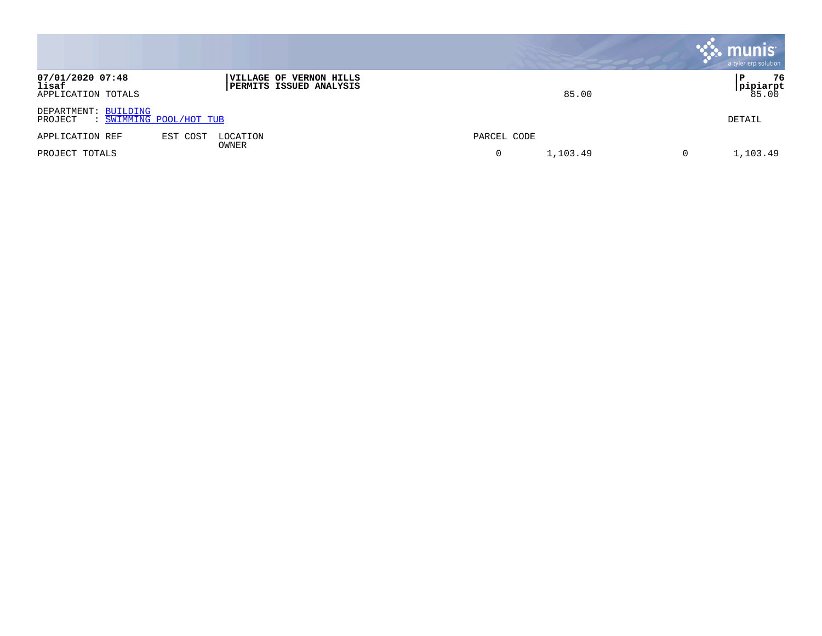|                                                 |                                                           |               | <b>munis</b><br>a tyler erp solution |
|-------------------------------------------------|-----------------------------------------------------------|---------------|--------------------------------------|
| 07/01/2020 07:48<br>lisaf<br>APPLICATION TOTALS | VILLAGE OF VERNON HILLS<br><b>PERMITS ISSUED ANALYSIS</b> | 85.00         | 76<br> pipiarpt<br>85.00             |
| DEPARTMENT: BUILDING<br>PROJECT                 | : SWIMMING POOL/HOT TUB                                   |               | DETAIL                               |
| APPLICATION REF                                 | EST COST<br>LOCATION<br>OWNER                             | PARCEL CODE   |                                      |
| PROJECT TOTALS                                  |                                                           | 1,103.49<br>0 | 1,103.49<br>0                        |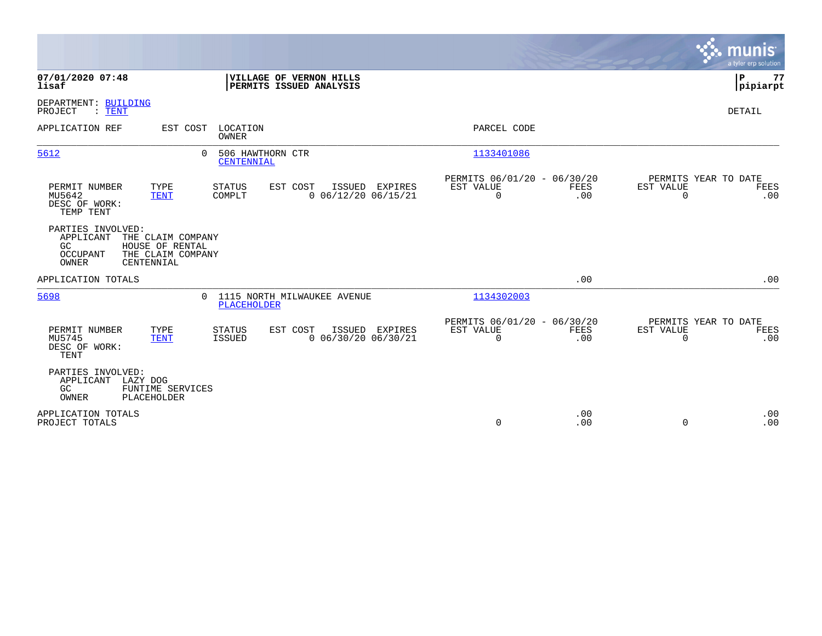|                                                                                                                                      |                                                                                       |                                                                        | munis<br>a tyler erp solution                                   |
|--------------------------------------------------------------------------------------------------------------------------------------|---------------------------------------------------------------------------------------|------------------------------------------------------------------------|-----------------------------------------------------------------|
| 07/01/2020 07:48<br>lisaf                                                                                                            | VILLAGE OF VERNON HILLS<br>PERMITS ISSUED ANALYSIS                                    |                                                                        | ΙP<br>77<br> pipiarpt                                           |
| DEPARTMENT: BUILDING<br>PROJECT<br>$:$ TENT                                                                                          |                                                                                       |                                                                        | DETAIL                                                          |
| EST COST<br>APPLICATION REF                                                                                                          | LOCATION<br>OWNER                                                                     | PARCEL CODE                                                            |                                                                 |
| 5612<br>$\Omega$                                                                                                                     | 506 HAWTHORN CTR<br><b>CENTENNIAL</b>                                                 | 1133401086                                                             |                                                                 |
| PERMIT NUMBER<br>TYPE<br>MU5642<br><b>TENT</b><br>DESC OF WORK:<br>TEMP TENT                                                         | <b>STATUS</b><br>EST COST<br>ISSUED EXPIRES<br>COMPLT<br>$0$ $06/12/20$ $06/15/21$    | PERMITS 06/01/20 - 06/30/20<br>EST VALUE<br>FEES<br>$\mathbf 0$<br>.00 | PERMITS YEAR TO DATE<br>EST VALUE<br>FEES<br>$\mathbf 0$<br>.00 |
| PARTIES INVOLVED:<br>APPLICANT<br>THE CLAIM COMPANY<br>GC<br>HOUSE OF RENTAL<br>OCCUPANT<br>THE CLAIM COMPANY<br>OWNER<br>CENTENNIAL |                                                                                       |                                                                        |                                                                 |
| APPLICATION TOTALS                                                                                                                   |                                                                                       | .00                                                                    | .00                                                             |
| 5698                                                                                                                                 | 1115 NORTH MILWAUKEE AVENUE<br>$\Omega$<br><b>PLACEHOLDER</b>                         | 1134302003                                                             |                                                                 |
| PERMIT NUMBER<br>TYPE<br>MU5745<br><b>TENT</b><br>DESC OF WORK:<br>TENT                                                              | <b>STATUS</b><br>EST COST<br>ISSUED EXPIRES<br>$0$ 06/30/20 06/30/21<br><b>ISSUED</b> | PERMITS 06/01/20 - 06/30/20<br>EST VALUE<br>FEES<br>$\mathbf 0$<br>.00 | PERMITS YEAR TO DATE<br>EST VALUE<br>FEES<br>$\mathbf 0$<br>.00 |
| PARTIES INVOLVED:<br>LAZY DOG<br>APPLICANT<br>GC<br>FUNTIME SERVICES<br>OWNER<br>PLACEHOLDER                                         |                                                                                       |                                                                        |                                                                 |
| APPLICATION TOTALS<br>PROJECT TOTALS                                                                                                 |                                                                                       | .00<br>$\mathbf 0$<br>.00                                              | .00<br>$\mathbf 0$<br>.00                                       |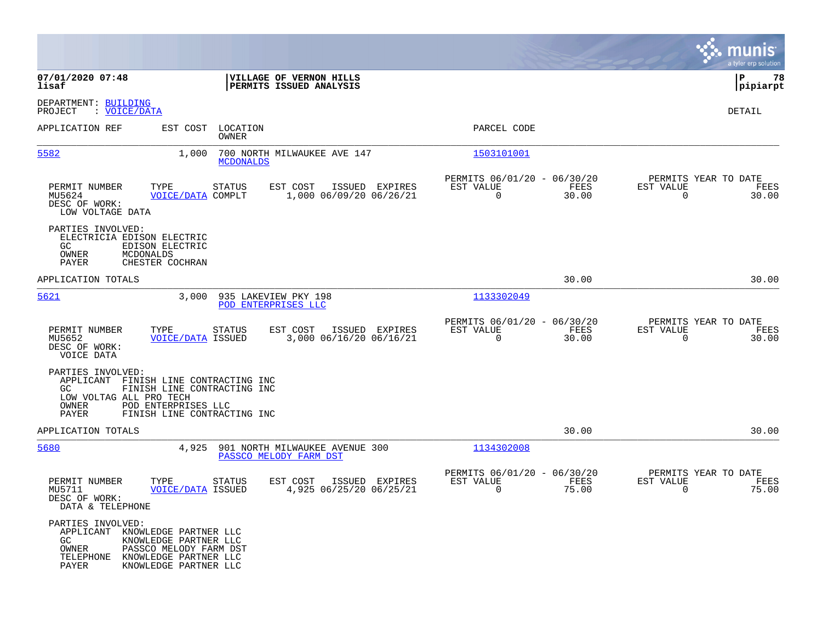|                                                                                                                |                                                                                                                            |                          |                                                          |                |                                                         |               |                                                  | munis<br>a tyler erp solution |
|----------------------------------------------------------------------------------------------------------------|----------------------------------------------------------------------------------------------------------------------------|--------------------------|----------------------------------------------------------|----------------|---------------------------------------------------------|---------------|--------------------------------------------------|-------------------------------|
| 07/01/2020 07:48<br>lisaf                                                                                      |                                                                                                                            |                          | VILLAGE OF VERNON HILLS<br>PERMITS ISSUED ANALYSIS       |                |                                                         |               |                                                  | ΙP<br>78<br> pipiarpt         |
| DEPARTMENT: BUILDING<br>: VOICE/DATA<br>PROJECT                                                                |                                                                                                                            |                          |                                                          |                |                                                         |               |                                                  | DETAIL                        |
| APPLICATION REF                                                                                                | EST COST                                                                                                                   | LOCATION<br><b>OWNER</b> |                                                          |                | PARCEL CODE                                             |               |                                                  |                               |
| 5582                                                                                                           | 1,000                                                                                                                      | <b>MCDONALDS</b>         | 700 NORTH MILWAUKEE AVE 147                              |                | 1503101001                                              |               |                                                  |                               |
| PERMIT NUMBER<br>MU5624<br>DESC OF WORK:<br>LOW VOLTAGE DATA                                                   | TYPE<br>VOICE/DATA COMPLT                                                                                                  | <b>STATUS</b>            | EST COST<br>1,000 06/09/20 06/26/21                      | ISSUED EXPIRES | PERMITS 06/01/20 - 06/30/20<br>EST VALUE<br>0           | FEES<br>30.00 | PERMITS YEAR TO DATE<br>EST VALUE<br>0           | FEES<br>30.00                 |
| PARTIES INVOLVED:<br>ELECTRICIA EDISON ELECTRIC<br>GC.<br>OWNER<br>PAYER                                       | EDISON ELECTRIC<br>MCDONALDS<br>CHESTER COCHRAN                                                                            |                          |                                                          |                |                                                         |               |                                                  |                               |
| APPLICATION TOTALS                                                                                             |                                                                                                                            |                          |                                                          |                |                                                         | 30.00         |                                                  | 30.00                         |
| 5621                                                                                                           | 3,000                                                                                                                      |                          | 935 LAKEVIEW PKY 198<br>POD ENTERPRISES LLC              |                | 1133302049                                              |               |                                                  |                               |
| PERMIT NUMBER<br>MU5652<br>DESC OF WORK:<br>VOICE DATA                                                         | TYPE<br><b>VOICE/DATA ISSUED</b>                                                                                           | <b>STATUS</b>            | EST COST<br>3,000 06/16/20 06/16/21                      | ISSUED EXPIRES | PERMITS 06/01/20 - 06/30/20<br>EST VALUE<br>0           | FEES<br>30.00 | PERMITS YEAR TO DATE<br>EST VALUE<br>0           | FEES<br>30.00                 |
| PARTIES INVOLVED:<br>APPLICANT FINISH LINE CONTRACTING INC<br>GC.<br>LOW VOLTAG ALL PRO TECH<br>OWNER<br>PAYER | FINISH LINE CONTRACTING INC<br>POD ENTERPRISES LLC<br>FINISH LINE CONTRACTING INC                                          |                          |                                                          |                |                                                         |               |                                                  |                               |
| APPLICATION TOTALS                                                                                             |                                                                                                                            |                          |                                                          |                |                                                         | 30.00         |                                                  | 30.00                         |
| 5680                                                                                                           | 4,925                                                                                                                      |                          | 901 NORTH MILWAUKEE AVENUE 300<br>PASSCO MELODY FARM DST |                | 1134302008                                              |               |                                                  |                               |
| PERMIT NUMBER<br>MU5711<br>DESC OF WORK:<br>DATA & TELEPHONE                                                   | TYPE<br><b>VOICE/DATA ISSUED</b>                                                                                           | <b>STATUS</b>            | EST COST<br>4,925 06/25/20 06/25/21                      | ISSUED EXPIRES | PERMITS 06/01/20 - 06/30/20<br>EST VALUE<br>$\mathbf 0$ | FEES<br>75.00 | PERMITS YEAR TO DATE<br>EST VALUE<br>$\mathbf 0$ | FEES<br>75.00                 |
| PARTIES INVOLVED:<br>APPLICANT<br>GC<br>OWNER<br>TELEPHONE<br>PAYER                                            | KNOWLEDGE PARTNER LLC<br>KNOWLEDGE PARTNER LLC<br>PASSCO MELODY FARM DST<br>KNOWLEDGE PARTNER LLC<br>KNOWLEDGE PARTNER LLC |                          |                                                          |                |                                                         |               |                                                  |                               |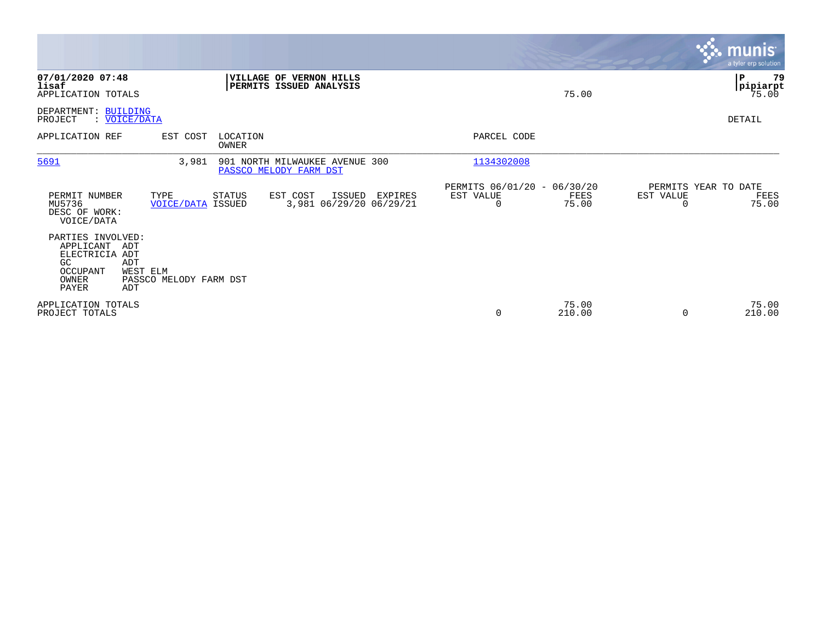|                                                                                                                       |                                  |                   |                                                          |         |                                               |                 |                                               | <u>munis</u><br>a tyler erp solution |
|-----------------------------------------------------------------------------------------------------------------------|----------------------------------|-------------------|----------------------------------------------------------|---------|-----------------------------------------------|-----------------|-----------------------------------------------|--------------------------------------|
| 07/01/2020 07:48<br>lisaf<br>APPLICATION TOTALS                                                                       |                                  |                   | VILLAGE OF VERNON HILLS<br>PERMITS ISSUED ANALYSIS       |         |                                               | 75.00           |                                               | l P<br>79<br> pipiarpt<br>75.00      |
| DEPARTMENT: BUILDING<br>: VOICE/DATA<br>PROJECT                                                                       |                                  |                   |                                                          |         |                                               |                 |                                               | DETAIL                               |
| APPLICATION REF                                                                                                       | EST COST                         | LOCATION<br>OWNER |                                                          |         | PARCEL CODE                                   |                 |                                               |                                      |
| 5691                                                                                                                  | 3,981                            |                   | 901 NORTH MILWAUKEE AVENUE 300<br>PASSCO MELODY FARM DST |         | 1134302008                                    |                 |                                               |                                      |
| PERMIT NUMBER<br>MU5736<br>DESC OF WORK:<br>VOICE/DATA                                                                | TYPE<br><b>VOICE/DATA ISSUED</b> | STATUS            | EST COST<br>ISSUED<br>3,981 06/29/20 06/29/21            | EXPIRES | PERMITS 06/01/20 - 06/30/20<br>EST VALUE<br>0 | FEES<br>75.00   | PERMITS YEAR TO DATE<br>EST VALUE<br>$\Omega$ | FEES<br>75.00                        |
| PARTIES INVOLVED:<br>APPLICANT<br>ADT<br>ELECTRICIA ADT<br>ADT<br>GC<br>OCCUPANT<br>WEST ELM<br>OWNER<br>PAYER<br>ADT | PASSCO MELODY FARM DST           |                   |                                                          |         |                                               |                 |                                               |                                      |
| APPLICATION TOTALS<br>PROJECT TOTALS                                                                                  |                                  |                   |                                                          |         | 0                                             | 75.00<br>210.00 | $\Omega$                                      | 75.00<br>210.00                      |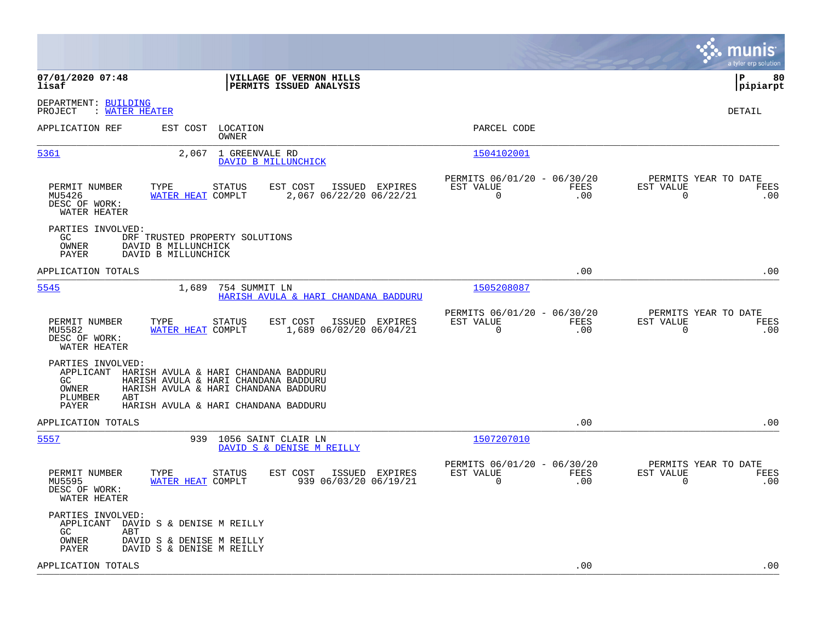|                                                                                                                                                                                                                                                  |                                                                        | munis<br>a tyler erp solution                                   |
|--------------------------------------------------------------------------------------------------------------------------------------------------------------------------------------------------------------------------------------------------|------------------------------------------------------------------------|-----------------------------------------------------------------|
| 07/01/2020 07:48<br>VILLAGE OF VERNON HILLS<br>PERMITS ISSUED ANALYSIS<br>lisaf                                                                                                                                                                  |                                                                        | P<br>80<br> pipiarpt                                            |
| DEPARTMENT: BUILDING<br>: WATER HEATER<br>PROJECT                                                                                                                                                                                                |                                                                        | <b>DETAIL</b>                                                   |
| APPLICATION REF<br>LOCATION<br>EST COST<br>OWNER                                                                                                                                                                                                 | PARCEL CODE                                                            |                                                                 |
| 1 GREENVALE RD<br><u>5361</u><br>2,067<br>DAVID B MILLUNCHICK                                                                                                                                                                                    | 1504102001                                                             |                                                                 |
| PERMIT NUMBER<br>TYPE<br>STATUS<br>EST COST<br>ISSUED EXPIRES<br>MU5426<br>WATER HEAT COMPLT<br>2,067 06/22/20 06/22/21<br>DESC OF WORK:<br>WATER HEATER                                                                                         | PERMITS 06/01/20 - 06/30/20<br>EST VALUE<br>FEES<br>$\mathbf 0$<br>.00 | PERMITS YEAR TO DATE<br>EST VALUE<br>FEES<br>$\mathbf 0$<br>.00 |
| PARTIES INVOLVED:<br>GC.<br>DRF TRUSTED PROPERTY SOLUTIONS<br>OWNER<br>DAVID B MILLUNCHICK<br><b>PAYER</b><br>DAVID B MILLUNCHICK                                                                                                                |                                                                        |                                                                 |
| APPLICATION TOTALS                                                                                                                                                                                                                               | .00                                                                    | .00                                                             |
| 5545<br>1,689<br>754 SUMMIT LN<br>HARISH AVULA & HARI CHANDANA BADDURU                                                                                                                                                                           | 1505208087                                                             |                                                                 |
| <b>STATUS</b><br>EST COST<br>PERMIT NUMBER<br>TYPE<br>ISSUED EXPIRES<br>WATER HEAT COMPLT<br>1,689 06/02/20 06/04/21<br>MU5582<br>DESC OF WORK:<br>WATER HEATER                                                                                  | PERMITS 06/01/20 - 06/30/20<br>EST VALUE<br>FEES<br>$\mathbf 0$<br>.00 | PERMITS YEAR TO DATE<br>EST VALUE<br>FEES<br>$\mathbf 0$<br>.00 |
| PARTIES INVOLVED:<br>APPLICANT<br>HARISH AVULA & HARI CHANDANA BADDURU<br>GC.<br>HARISH AVULA & HARI CHANDANA BADDURU<br><b>OWNER</b><br>HARISH AVULA & HARI CHANDANA BADDURU<br>PLUMBER<br>ABT<br>PAYER<br>HARISH AVULA & HARI CHANDANA BADDURU |                                                                        |                                                                 |
| APPLICATION TOTALS                                                                                                                                                                                                                               | .00                                                                    | .00                                                             |
| 5557<br>939<br>1056 SAINT CLAIR LN<br>DAVID S & DENISE M REILLY                                                                                                                                                                                  | 1507207010                                                             |                                                                 |
| PERMIT NUMBER<br>EST COST<br>TYPE<br>STATUS<br>ISSUED EXPIRES<br>939 06/03/20 06/19/21<br>MU5595<br>WATER HEAT COMPLT<br>DESC OF WORK:<br>WATER HEATER                                                                                           | PERMITS 06/01/20 - 06/30/20<br>EST VALUE<br><b>FEES</b><br>.00<br>0    | PERMITS YEAR TO DATE<br>EST VALUE<br>FEES<br>.00<br>0           |
| PARTIES INVOLVED:<br>APPLICANT<br>DAVID S & DENISE M REILLY<br>GC.<br>ABT<br>OWNER<br>DAVID S & DENISE M REILLY<br>PAYER<br>DAVID S & DENISE M REILLY                                                                                            |                                                                        |                                                                 |
| APPLICATION TOTALS                                                                                                                                                                                                                               | .00                                                                    | .00                                                             |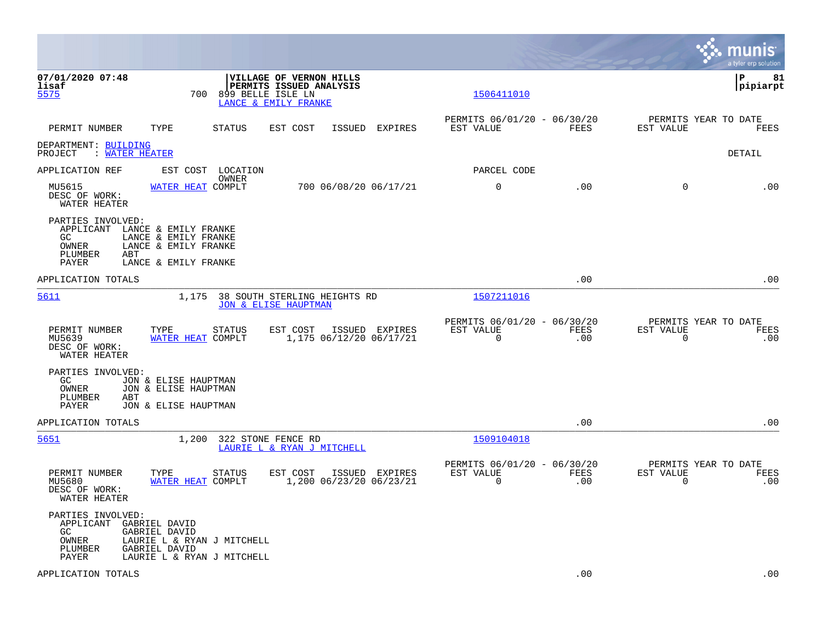|                                                                                                                       |                                                                      |                                                                                                        |                                                         |             |                                               | munis<br>a tyler erp solution |
|-----------------------------------------------------------------------------------------------------------------------|----------------------------------------------------------------------|--------------------------------------------------------------------------------------------------------|---------------------------------------------------------|-------------|-----------------------------------------------|-------------------------------|
| 07/01/2020 07:48<br>lisaf<br>5575                                                                                     | 700                                                                  | <b>VILLAGE OF VERNON HILLS</b><br>PERMITS ISSUED ANALYSIS<br>899 BELLE ISLE LN<br>LANCE & EMILY FRANKE | 1506411010                                              |             |                                               | lР<br>81<br> pipiarpt         |
| PERMIT NUMBER<br>TYPE                                                                                                 | <b>STATUS</b>                                                        | EST COST<br>ISSUED EXPIRES                                                                             | PERMITS 06/01/20 - 06/30/20<br>EST VALUE                | FEES        | PERMITS YEAR TO DATE<br>EST VALUE             | FEES                          |
| DEPARTMENT: BUILDING<br>PROJECT : WATER HEATER                                                                        |                                                                      |                                                                                                        |                                                         |             |                                               | DETAIL                        |
| APPLICATION REF                                                                                                       | EST COST LOCATION                                                    |                                                                                                        | PARCEL CODE                                             |             |                                               |                               |
| MU5615<br>DESC OF WORK:<br>WATER HEATER                                                                               | OWNER<br>WATER HEAT COMPLT                                           | 700 06/08/20 06/17/21                                                                                  | $\mathbf 0$                                             | .00         | $\Omega$                                      | .00                           |
| PARTIES INVOLVED:<br>APPLICANT LANCE & EMILY FRANKE<br>GC<br>OWNER<br>PLUMBER<br>ABT<br>PAYER                         | LANCE & EMILY FRANKE<br>LANCE & EMILY FRANKE<br>LANCE & EMILY FRANKE |                                                                                                        |                                                         |             |                                               |                               |
| APPLICATION TOTALS                                                                                                    |                                                                      |                                                                                                        |                                                         | .00         |                                               | .00                           |
| 5611                                                                                                                  |                                                                      | 1,175 38 SOUTH STERLING HEIGHTS RD<br><b>JON &amp; ELISE HAUPTMAN</b>                                  | 1507211016                                              |             |                                               |                               |
| PERMIT NUMBER<br>TYPE<br>MU5639<br>DESC OF WORK:<br>WATER HEATER                                                      | <b>STATUS</b><br>WATER HEAT COMPLT                                   | EST COST<br>ISSUED EXPIRES<br>1,175 06/12/20 06/17/21                                                  | PERMITS 06/01/20 - 06/30/20<br>EST VALUE<br>$\mathbf 0$ | FEES<br>.00 | PERMITS YEAR TO DATE<br>EST VALUE<br>0        | <b>FEES</b><br>.00            |
| PARTIES INVOLVED:<br>GC.<br>OWNER<br>PLUMBER<br>ABT<br>PAYER                                                          | JON & ELISE HAUPTMAN<br>JON & ELISE HAUPTMAN<br>JON & ELISE HAUPTMAN |                                                                                                        |                                                         |             |                                               |                               |
| APPLICATION TOTALS                                                                                                    |                                                                      |                                                                                                        |                                                         | .00         |                                               | .00                           |
| 5651                                                                                                                  | 1,200                                                                | 322 STONE FENCE RD<br>LAURIE L & RYAN J MITCHELL                                                       | 1509104018                                              |             |                                               |                               |
| PERMIT NUMBER<br>TYPE<br>MU5680<br>DESC OF WORK:<br>WATER HEATER                                                      | <b>STATUS</b><br>WATER HEAT COMPLT                                   | EST COST<br>ISSUED EXPIRES<br>1,200 06/23/20 06/23/21                                                  | PERMITS 06/01/20 - 06/30/20<br>EST VALUE<br>0           | FEES<br>.00 | PERMITS YEAR TO DATE<br>EST VALUE<br>$\Omega$ | FEES<br>.00                   |
| PARTIES INVOLVED:<br>APPLICANT<br>GABRIEL DAVID<br>GC.<br>GABRIEL DAVID<br>OWNER<br>PLUMBER<br>GABRIEL DAVID<br>PAYER | LAURIE L & RYAN J MITCHELL<br>LAURIE L & RYAN J MITCHELL             |                                                                                                        |                                                         |             |                                               |                               |
| APPLICATION TOTALS                                                                                                    |                                                                      |                                                                                                        |                                                         | .00         |                                               | .00                           |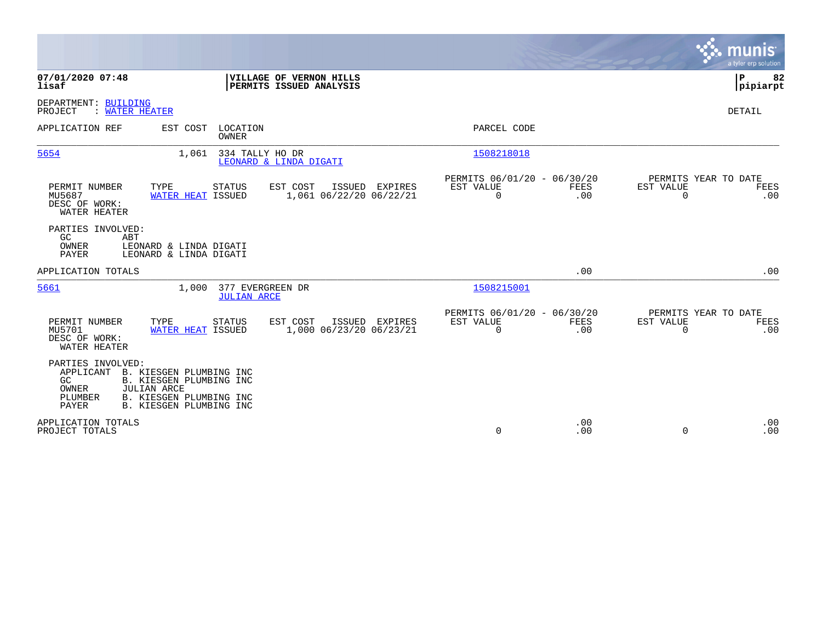|                                                                                                                                                                                                                   |                                           |                                                         |                    |                          | munis<br>a tyler erp solution       |
|-------------------------------------------------------------------------------------------------------------------------------------------------------------------------------------------------------------------|-------------------------------------------|---------------------------------------------------------|--------------------|--------------------------|-------------------------------------|
| 07/01/2020 07:48<br>VILLAGE OF VERNON HILLS<br>lisaf<br><b>PERMITS ISSUED ANALYSIS</b>                                                                                                                            |                                           |                                                         |                    |                          | P<br>82<br> pipiarpt                |
| DEPARTMENT: BUILDING<br>: WATER HEATER<br>PROJECT                                                                                                                                                                 |                                           |                                                         |                    |                          | <b>DETAIL</b>                       |
| APPLICATION REF<br>EST COST<br>LOCATION<br>OWNER                                                                                                                                                                  |                                           | PARCEL CODE                                             |                    |                          |                                     |
| 334 TALLY HO DR<br>5654<br>1,061<br>LEONARD & LINDA DIGATI                                                                                                                                                        |                                           | 1508218018                                              |                    |                          |                                     |
| PERMIT NUMBER<br>TYPE<br>EST COST<br>STATUS<br>MU5687<br>WATER HEAT ISSUED<br>DESC OF WORK:<br>WATER HEATER                                                                                                       | ISSUED EXPIRES<br>1,061 06/22/20 06/22/21 | PERMITS 06/01/20 - 06/30/20<br>EST VALUE<br>$\mathbf 0$ | <b>FEES</b><br>.00 | EST VALUE<br>$\mathbf 0$ | PERMITS YEAR TO DATE<br>FEES<br>.00 |
| PARTIES INVOLVED:<br>GC<br>ABT<br>OWNER<br>LEONARD & LINDA DIGATI<br><b>PAYER</b><br>LEONARD & LINDA DIGATI                                                                                                       |                                           |                                                         |                    |                          |                                     |
| APPLICATION TOTALS                                                                                                                                                                                                |                                           |                                                         | .00                |                          | .00                                 |
| 5661<br>377 EVERGREEN DR<br>1,000<br><b>JULIAN ARCE</b>                                                                                                                                                           |                                           | 1508215001                                              |                    |                          |                                     |
| EST COST<br>PERMIT NUMBER<br>TYPE<br><b>STATUS</b><br>MU5701<br>WATER HEAT ISSUED<br>DESC OF WORK:<br>WATER HEATER                                                                                                | ISSUED EXPIRES<br>1,000 06/23/20 06/23/21 | PERMITS 06/01/20 - 06/30/20<br>EST VALUE<br>$\Omega$    | FEES<br>.00        | EST VALUE<br>$\Omega$    | PERMITS YEAR TO DATE<br>FEES<br>.00 |
| PARTIES INVOLVED:<br>APPLICANT<br>B. KIESGEN PLUMBING INC<br>GC<br><b>B. KIESGEN PLUMBING INC</b><br>OWNER<br><b>JULIAN ARCE</b><br>B. KIESGEN PLUMBING INC<br>PLUMBER<br><b>PAYER</b><br>B. KIESGEN PLUMBING INC |                                           |                                                         |                    |                          |                                     |
| APPLICATION TOTALS<br>PROJECT TOTALS                                                                                                                                                                              |                                           | $\mathbf 0$                                             | .00<br>.00         | $\Omega$                 | .00<br>.00                          |